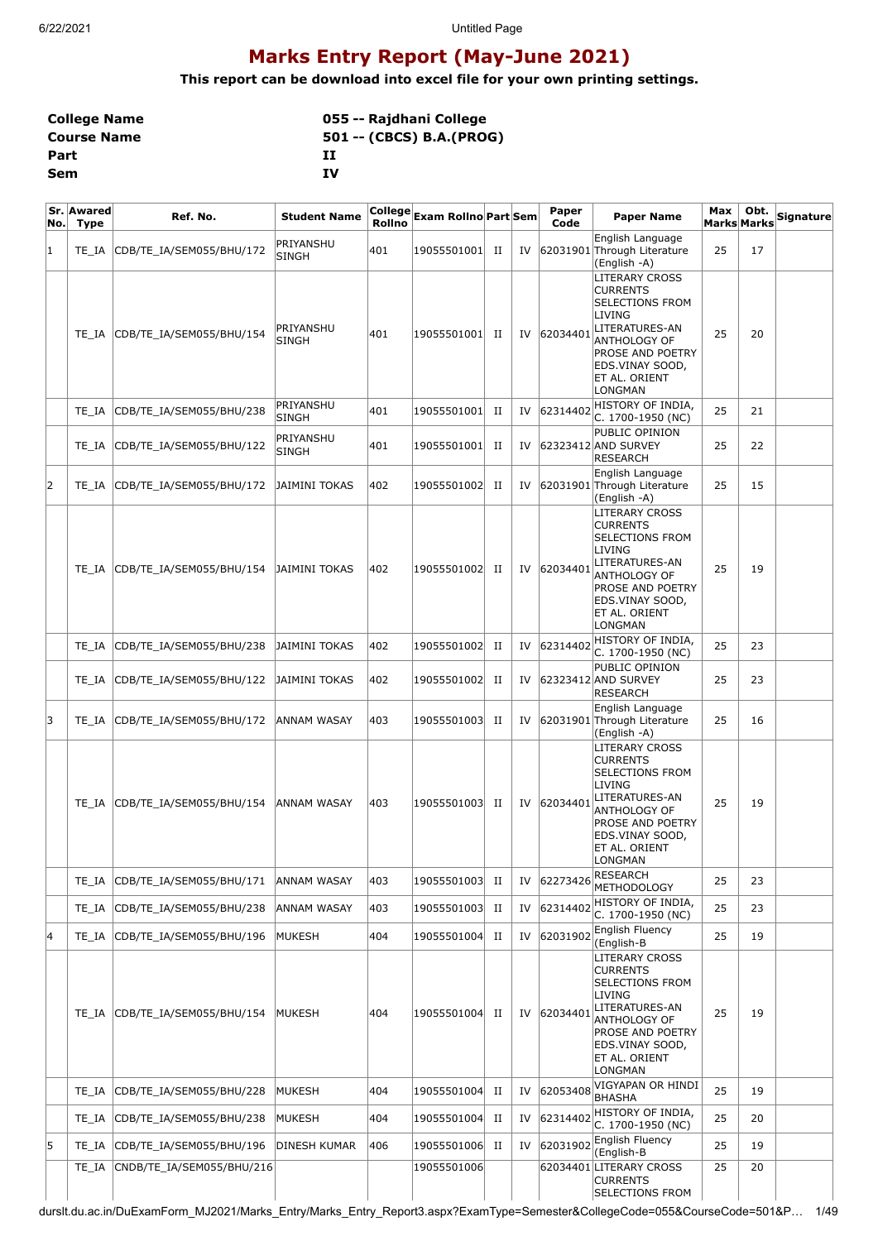# **Marks Entry Report (May-June 2021)**

**This report can be download into excel file for your own printing settings.**

| <b>College Name</b> | 055 -- Rajdhani College  |
|---------------------|--------------------------|
| <b>Course Name</b>  | 501 -- (CBCS) B.A.(PROG) |
| Part                | п                        |
| Sem                 | TV                       |

| No. | Sr. Awared<br><b>Type</b> | Ref. No.                  | <b>Student Name</b>       | Rollno | College  <sub>Exam Rollno</sub>  Part Sem |   |    | Paper<br>Code | <b>Paper Name</b>                                                                                                                                                                               | Max<br>Marks Marks | Obt. | Signature |
|-----|---------------------------|---------------------------|---------------------------|--------|-------------------------------------------|---|----|---------------|-------------------------------------------------------------------------------------------------------------------------------------------------------------------------------------------------|--------------------|------|-----------|
| 1   | TE_IA                     | CDB/TE_IA/SEM055/BHU/172  | PRIYANSHU<br><b>SINGH</b> | 401    | 19055501001                               | П | IV |               | English Language<br>62031901 Through Literature<br>(English -A)                                                                                                                                 | 25                 | 17   |           |
|     | TE IA                     | CDB/TE_IA/SEM055/BHU/154  | PRIYANSHU<br>SINGH        | 401    | 19055501001                               | П | IV | 62034401      | LITERARY CROSS<br><b>CURRENTS</b><br><b>SELECTIONS FROM</b><br>LIVING<br>LITERATURES-AN<br><b>ANTHOLOGY OF</b><br><b>PROSE AND POETRY</b><br>EDS.VINAY SOOD,<br>ET AL. ORIENT<br><b>LONGMAN</b> | 25                 | 20   |           |
|     | TE_IA                     | CDB/TE_IA/SEM055/BHU/238  | PRIYANSHU<br><b>SINGH</b> | 401    | 19055501001                               | П | IV | 62314402      | HISTORY OF INDIA,<br>C. 1700-1950 (NC)                                                                                                                                                          | 25                 | 21   |           |
|     | TE_IA                     | CDB/TE_IA/SEM055/BHU/122  | PRIYANSHU<br><b>SINGH</b> | 401    | 19055501001                               | П | IV |               | PUBLIC OPINION<br>62323412 AND SURVEY<br><b>RESEARCH</b>                                                                                                                                        | 25                 | 22   |           |
| 2   | TE IA                     | CDB/TE_IA/SEM055/BHU/172  | JAIMINI TOKAS             | 402    | 19055501002                               | П | IV |               | English Language<br>62031901 Through Literature<br>(English -A)                                                                                                                                 | 25                 | 15   |           |
|     | TE IA                     | CDB/TE_IA/SEM055/BHU/154  | JAIMINI TOKAS             | 402    | 19055501002                               | П | IV | 62034401      | LITERARY CROSS<br><b>CURRENTS</b><br><b>SELECTIONS FROM</b><br>LIVING<br>LITERATURES-AN<br>ANTHOLOGY OF<br><b>PROSE AND POETRY</b><br>EDS.VINAY SOOD,<br>ET AL. ORIENT<br>LONGMAN               | 25                 | 19   |           |
|     | TE IA                     | CDB/TE_IA/SEM055/BHU/238  | JAIMINI TOKAS             | 402    | 19055501002                               | П | IV | 62314402      | HISTORY OF INDIA,<br>C. 1700-1950 (NC)                                                                                                                                                          | 25                 | 23   |           |
|     | TE IA                     | CDB/TE_IA/SEM055/BHU/122  | JAIMINI TOKAS             | 402    | 19055501002                               | П | IV |               | PUBLIC OPINION<br>62323412 AND SURVEY<br><b>RESEARCH</b>                                                                                                                                        | 25                 | 23   |           |
| 3   | TE_IA                     | CDB/TE_IA/SEM055/BHU/172  | ANNAM WASAY               | 403    | 19055501003                               | П | IV |               | English Language<br>62031901 Through Literature<br>(English -A)                                                                                                                                 | 25                 | 16   |           |
|     | TE IA                     | CDB/TE_IA/SEM055/BHU/154  | ANNAM WASAY               | 403    | 19055501003                               | П | IV | 62034401      | LITERARY CROSS<br>CURRENTS<br><b>SELECTIONS FROM</b><br>LIVING<br>LITERATURES-AN<br>ANTHOLOGY OF<br>PROSE AND POETRY<br>EDS.VINAY SOOD,<br>ET AL. ORIENT<br>LONGMAN                             | 25                 | 19   |           |
|     | TE_IA                     | CDB/TE IA/SEM055/BHU/171  | ANNAM WASAY               | 403    | 19055501003                               | П | IV | 62273426      | <b>RESEARCH</b><br><b>METHODOLOGY</b>                                                                                                                                                           | 25                 | 23   |           |
|     | TE_IA                     | CDB/TE_IA/SEM055/BHU/238  | ANNAM WASAY               | 403    | 19055501003                               | П | IV | 62314402      | HISTORY OF INDIA,<br>C. 1700-1950 (NC)                                                                                                                                                          | 25                 | 23   |           |
| 4   | TE IA                     | CDB/TE_IA/SEM055/BHU/196  | MUKESH                    | 404    | 19055501004                               | П | IV | 62031902      | English Fluency<br>English-B)                                                                                                                                                                   | 25                 | 19   |           |
|     | TE IA                     | CDB/TE IA/SEM055/BHU/154  | MUKESH                    | 404    | 19055501004                               | П | IV | 62034401      | LITERARY CROSS<br><b>CURRENTS</b><br><b>SELECTIONS FROM</b><br>LIVING<br>LITERATURES-AN<br><b>ANTHOLOGY OF</b><br>PROSE AND POETRY<br>EDS.VINAY SOOD,<br>ET AL. ORIENT<br>LONGMAN               | 25                 | 19   |           |
|     | TE_IA                     | CDB/TE_IA/SEM055/BHU/228  | MUKESH                    | 404    | 19055501004                               | П | IV | 62053408      | VIGYAPAN OR HINDI<br><b>BHASHA</b>                                                                                                                                                              | 25                 | 19   |           |
|     | TE_IA                     | CDB/TE_IA/SEM055/BHU/238  | MUKESH                    | 404    | 19055501004                               | П | IV | 62314402      | HISTORY OF INDIA,<br>C. 1700-1950 (NC)                                                                                                                                                          | 25                 | 20   |           |
| 5   | TE_IA                     | CDB/TE_IA/SEM055/BHU/196  | DINESH KUMAR              | 406    | 19055501006                               | П | IV | 62031902      | English Fluency<br>(English-B                                                                                                                                                                   | 25                 | 19   |           |
|     | TE_IA                     | CNDB/TE_IA/SEM055/BHU/216 |                           |        | 19055501006                               |   |    |               | 62034401 LITERARY CROSS<br><b>CURRENTS</b><br><b>SELECTIONS FROM</b>                                                                                                                            | 25                 | 20   |           |

durslt.du.ac.in/DuExamForm\_MJ2021/Marks\_Entry/Marks\_Entry\_Report3.aspx?ExamType=Semester&CollegeCode=055&CourseCode=501&P… 1/49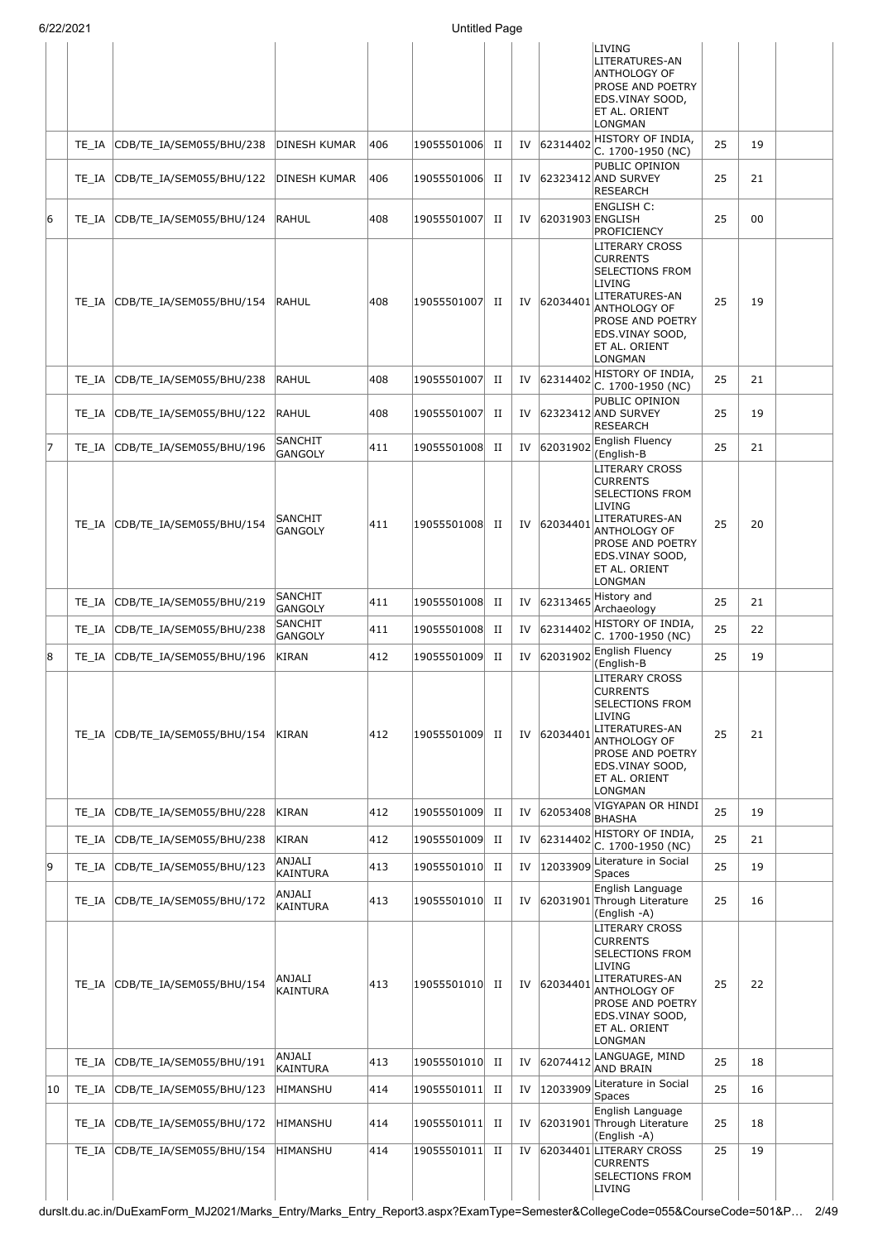|    |       |                                |                                  |     |             |             |    |                  | LIVING<br>LITERATURES-AN<br>ANTHOLOGY OF<br>PROSE AND POETRY<br>EDS.VINAY SOOD,<br>ET AL. ORIENT<br>LONGMAN                                                                |    |    |  |
|----|-------|--------------------------------|----------------------------------|-----|-------------|-------------|----|------------------|----------------------------------------------------------------------------------------------------------------------------------------------------------------------------|----|----|--|
|    | TE IA | CDB/TE_IA/SEM055/BHU/238       | DINESH KUMAR                     | 406 | 19055501006 | П           | IV | 62314402         | HISTORY OF INDIA,<br>C. 1700-1950 (NC)                                                                                                                                     | 25 | 19 |  |
|    | TE IA | CDB/TE_IA/SEM055/BHU/122       | DINESH KUMAR                     | 406 | 19055501006 | п           | IV |                  | PUBLIC OPINION<br>62323412 AND SURVEY<br><b>RESEARCH</b>                                                                                                                   | 25 | 21 |  |
| 6  | TE_IA | CDB/TE_IA/SEM055/BHU/124       | RAHUL                            | 408 | 19055501007 | П           | IV | 62031903 ENGLISH | ENGLISH C:<br>PROFICIENCY                                                                                                                                                  | 25 | 00 |  |
|    | TE IA | CDB/TE_IA/SEM055/BHU/154       | RAHUL                            | 408 | 19055501007 | П           | IV | 62034401         | LITERARY CROSS<br><b>CURRENTS</b><br>SELECTIONS FROM<br>LIVING<br>LITERATURES-AN<br>ANTHOLOGY OF<br>PROSE AND POETRY<br>EDS.VINAY SOOD,<br>ET AL. ORIENT<br>LONGMAN        | 25 | 19 |  |
|    | TE IA | CDB/TE_IA/SEM055/BHU/238       | RAHUL                            | 408 | 19055501007 | П           | IV | 62314402         | HISTORY OF INDIA,<br>C. 1700-1950 (NC)                                                                                                                                     | 25 | 21 |  |
|    | TE IA | CDB/TE IA/SEM055/BHU/122       | RAHUL                            | 408 | 19055501007 | П           | IV |                  | PUBLIC OPINION<br>62323412 AND SURVEY<br><b>RESEARCH</b>                                                                                                                   | 25 | 19 |  |
| 17 | TE IA | CDB/TE IA/SEM055/BHU/196       | <b>SANCHIT</b><br><b>GANGOLY</b> | 411 | 19055501008 | П           | IV | 62031902         | English Fluency<br>(English-B                                                                                                                                              | 25 | 21 |  |
|    | TE IA | CDB/TE_IA/SEM055/BHU/154       | <b>SANCHIT</b><br><b>GANGOLY</b> | 411 | 19055501008 | П           | IV | 62034401         | LITERARY CROSS<br><b>CURRENTS</b><br>SELECTIONS FROM<br>LIVING<br>LITERATURES-AN<br>ANTHOLOGY OF<br>PROSE AND POETRY<br>EDS.VINAY SOOD,<br>ET AL. ORIENT<br>LONGMAN        | 25 | 20 |  |
|    | TE IA | CDB/TE_IA/SEM055/BHU/219       | <b>SANCHIT</b><br><b>GANGOLY</b> | 411 | 19055501008 | П           | IV | 62313465         | History and<br>Archaeology                                                                                                                                                 | 25 | 21 |  |
|    | TE IA | CDB/TE_IA/SEM055/BHU/238       | <b>SANCHIT</b><br><b>GANGOLY</b> | 411 | 19055501008 | П           | IV | 62314402         | HISTORY OF INDIA,<br>C. 1700-1950 (NC)                                                                                                                                     | 25 | 22 |  |
| 8  | TE_IA | CDB/TE IA/SEM055/BHU/196       | KIRAN                            | 412 | 19055501009 | П           | IV | 62031902         | <b>English Fluency</b><br>(English-B                                                                                                                                       | 25 | 19 |  |
|    |       | TE IA CDB/TE IA/SEM055/BHU/154 | KIRAN                            | 412 | 19055501009 | П           | IV | 62034401         | <b>LITERARY CROSS</b><br><b>CURRENTS</b><br>SELECTIONS FROM<br>LIVING<br>LITERATURES-AN<br>ANTHOLOGY OF<br>PROSE AND POETRY<br>EDS.VINAY SOOD,<br>ET AL. ORIENT<br>LONGMAN | 25 | 21 |  |
|    | TE IA | CDB/TE_IA/SEM055/BHU/228       | KIRAN                            | 412 | 19055501009 | П           | IV | 62053408         | VIGYAPAN OR HINDI<br><b>BHASHA</b>                                                                                                                                         | 25 | 19 |  |
|    | TE_IA | CDB/TE_IA/SEM055/BHU/238       | KIRAN                            | 412 | 19055501009 | П           | IV | 62314402         | HISTORY OF INDIA,<br>C. 1700-1950 (NC)                                                                                                                                     | 25 | 21 |  |
| 9  | TE_IA | CDB/TE_IA/SEM055/BHU/123       | ANJALI<br>KAINTURA               | 413 | 19055501010 | П           | IV | 12033909         | Literature in Social<br>Spaces                                                                                                                                             | 25 | 19 |  |
|    |       | TE_IA CDB/TE_IA/SEM055/BHU/172 | ANJALI<br>KAINTURA               | 413 | 19055501010 | П           | IV |                  | English Language<br>62031901 Through Literature<br>(English -A)                                                                                                            | 25 | 16 |  |
|    | TE IA | CDB/TE_IA/SEM055/BHU/154       | ANJALI<br><b>KAINTURA</b>        | 413 | 19055501010 | п           | IV | 62034401         | LITERARY CROSS<br><b>CURRENTS</b><br>SELECTIONS FROM<br>LIVING<br>LITERATURES-AN<br>ANTHOLOGY OF<br>PROSE AND POETRY<br>EDS.VINAY SOOD,<br>ET AL. ORIENT<br>LONGMAN        | 25 | 22 |  |
|    | TE IA | CDB/TE_IA/SEM055/BHU/191       | ANJALI<br><b>KAINTURA</b>        | 413 | 19055501010 | $_{\rm II}$ | IV | 62074412         | LANGUAGE, MIND<br>AND BRAIN                                                                                                                                                | 25 | 18 |  |
| 10 | TE IA | CDB/TE_IA/SEM055/BHU/123       | HIMANSHU                         | 414 | 19055501011 | П           | IV | 12033909         | Literature in Social<br>Spaces                                                                                                                                             | 25 | 16 |  |
|    | TE IA | CDB/TE_IA/SEM055/BHU/172       | HIMANSHU                         | 414 | 19055501011 | П           | IV |                  | English Language<br>62031901 Through Literature<br>(English -A)                                                                                                            | 25 | 18 |  |
|    | TE IA | CDB/TE_IA/SEM055/BHU/154       | HIMANSHU                         | 414 | 19055501011 | П           | IV |                  | 62034401 LITERARY CROSS<br><b>CURRENTS</b><br>SELECTIONS FROM<br>LIVING                                                                                                    | 25 | 19 |  |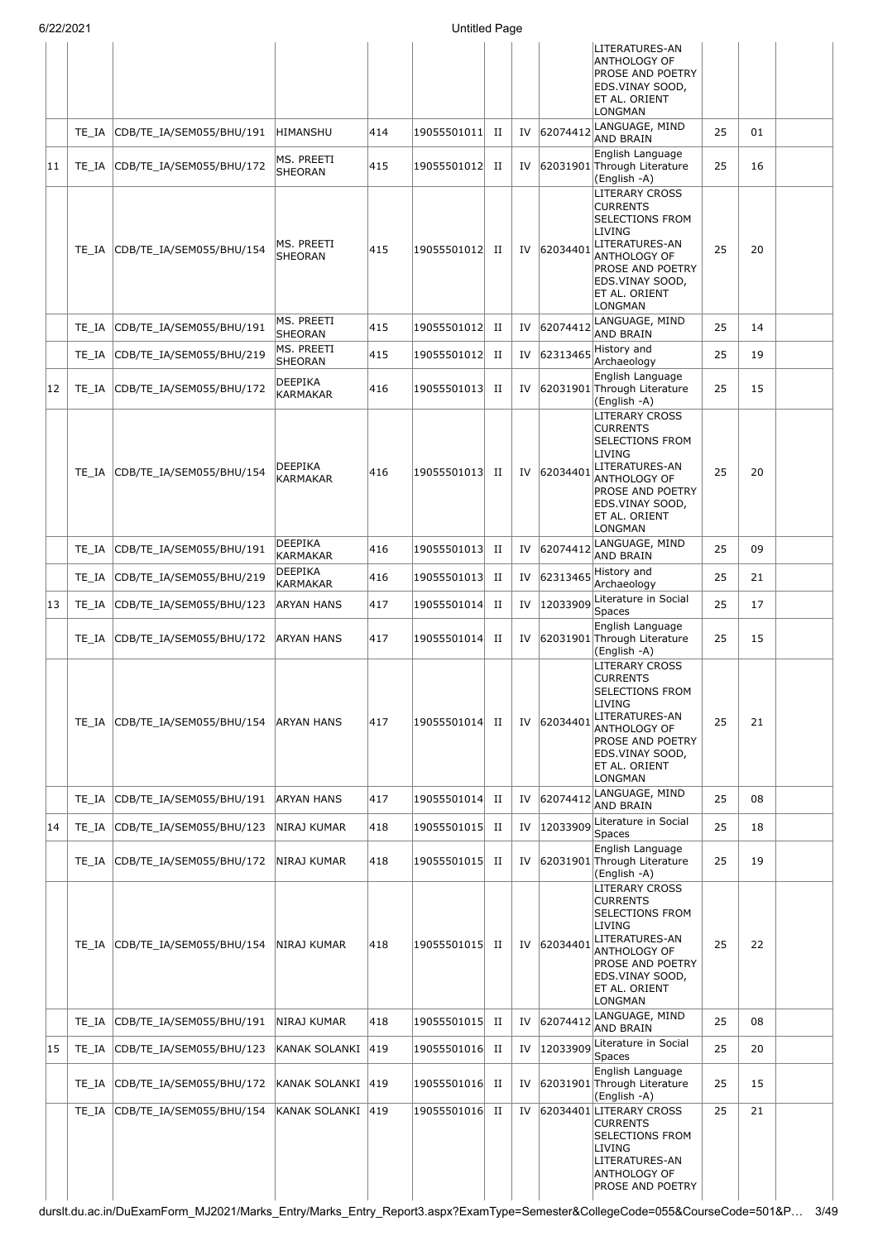|    | 6/22/2021 |                                     |                              |     | <b>Untitled Page</b> |             |    |              |                                                                                                                                                                                                 |    |    |  |
|----|-----------|-------------------------------------|------------------------------|-----|----------------------|-------------|----|--------------|-------------------------------------------------------------------------------------------------------------------------------------------------------------------------------------------------|----|----|--|
|    |           |                                     |                              |     |                      |             |    |              | LITERATURES-AN<br>ANTHOLOGY OF<br><b>PROSE AND POETRY</b><br>EDS.VINAY SOOD,<br>ET AL. ORIENT<br><b>LONGMAN</b>                                                                                 |    |    |  |
|    | TE IA     | CDB/TE_IA/SEM055/BHU/191            | HIMANSHU                     | 414 | 19055501011          | П           |    | IV 62074412  | LANGUAGE, MIND<br>AND BRAIN                                                                                                                                                                     | 25 | 01 |  |
| 11 |           | TE_IA CDB/TE_IA/SEM055/BHU/172      | MS. PREETI<br><b>SHEORAN</b> | 415 | 19055501012          | П           |    |              | English Language<br>IV 62031901 Through Literature<br>(English -A)                                                                                                                              | 25 | 16 |  |
|    | TE IA     | CDB/TE_IA/SEM055/BHU/154            | MS. PREETI<br>SHEORAN        | 415 | 19055501012          | П           |    | IV 62034401  | <b>LITERARY CROSS</b><br><b>CURRENTS</b><br><b>SELECTIONS FROM</b><br>LIVING<br>LITERATURES-AN<br>ANTHOLOGY OF<br>PROSE AND POETRY<br>EDS.VINAY SOOD,<br>ET AL. ORIENT<br><b>LONGMAN</b>        | 25 | 20 |  |
|    | TE IA     | CDB/TE_IA/SEM055/BHU/191            | MS. PREETI<br><b>SHEORAN</b> | 415 | 19055501012          | П           | IV | 62074412     | LANGUAGE, MIND<br><b>AND BRAIN</b>                                                                                                                                                              | 25 | 14 |  |
|    | TE_IA     | CDB/TE_IA/SEM055/BHU/219            | MS. PREETI<br>SHEORAN        | 415 | 19055501012          | П           | IV | 62313465     | History and<br>Archaeology                                                                                                                                                                      | 25 | 19 |  |
| 12 | TE_IA     | CDB/TE_IA/SEM055/BHU/172            | <b>DEEPIKA</b><br>KARMAKAR   | 416 | 19055501013          | П           | IV |              | English Language<br>62031901 Through Literature<br>(English -A)                                                                                                                                 | 25 | 15 |  |
|    | TE IA     | CDB/TE_IA/SEM055/BHU/154            | DEEPIKA<br><b>KARMAKAR</b>   | 416 | 19055501013          | П           |    | IV 62034401  | <b>LITERARY CROSS</b><br><b>CURRENTS</b><br><b>SELECTIONS FROM</b><br>LIVING<br>LITERATURES-AN<br>ANTHOLOGY OF<br><b>PROSE AND POETRY</b><br>EDS.VINAY SOOD,<br>ET AL. ORIENT<br>LONGMAN        | 25 | 20 |  |
|    | TE IA     | CDB/TE_IA/SEM055/BHU/191            | <b>DEEPIKA</b><br>KARMAKAR   | 416 | 19055501013          | $_{\rm II}$ | IV | 62074412     | LANGUAGE, MIND<br><b>AND BRAIN</b>                                                                                                                                                              | 25 | 09 |  |
|    | TE_IA     | CDB/TE_IA/SEM055/BHU/219            | DEEPIKA<br>KARMAKAR          | 416 | 19055501013          | $_{\rm II}$ | IV |              | $62313465$ History and<br>Archaeology                                                                                                                                                           | 25 | 21 |  |
| 13 | TE_IA     | CDB/TE_IA/SEM055/BHU/123            | <b>ARYAN HANS</b>            | 417 | 19055501014          | П           | IV | 12033909     | Literature in Social<br><b>Spaces</b>                                                                                                                                                           | 25 | 17 |  |
|    | TE_IA     | CDB/TE IA/SEM055/BHU/172            | ARYAN HANS                   | 417 | 19055501014          | $_{\rm II}$ | IV |              | English Language<br>62031901 Through Literature<br>(English -A)                                                                                                                                 | 25 | 15 |  |
|    | TE IA     | CDB/TE_IA/SEM055/BHU/154 ARYAN HANS |                              | 417 | 19055501014          | П           |    | IV 62034401  | <b>LITERARY CROSS</b><br><b>CURRENTS</b><br><b>SELECTIONS FROM</b><br>LIVING<br>LITERATURES-AN<br>ANTHOLOGY OF<br>PROSE AND POETRY<br>EDS.VINAY SOOD,<br>ET AL. ORIENT<br>LONGMAN               | 25 | 21 |  |
|    | TE IA     | CDB/TE_IA/SEM055/BHU/191            | <b>ARYAN HANS</b>            | 417 | 19055501014          | $_{\rm II}$ |    | IV 62074412  | LANGUAGE, MIND<br><b>AND BRAIN</b>                                                                                                                                                              | 25 | 08 |  |
| 14 | TE IA     | CDB/TE_IA/SEM055/BHU/123            | NIRAJ KUMAR                  | 418 | 19055501015          | П           | IV | 12033909     | Literature in Social<br>Spaces                                                                                                                                                                  | 25 | 18 |  |
|    | TE IA     | CDB/TE IA/SEM055/BHU/172            | NIRAJ KUMAR                  | 418 | 19055501015          | П           | IV |              | English Language<br>62031901 Through Literature<br>(English -A)                                                                                                                                 | 25 | 19 |  |
|    | TE IA     | CDB/TE_IA/SEM055/BHU/154            | NIRAJ KUMAR                  | 418 | 19055501015          | П           |    | IV 62034401  | <b>LITERARY CROSS</b><br><b>CURRENTS</b><br><b>SELECTIONS FROM</b><br><b>LIVING</b><br>LITERATURES-AN<br>ANTHOLOGY OF<br>PROSE AND POETRY<br>EDS.VINAY SOOD,<br>ET AL. ORIENT<br><b>LONGMAN</b> | 25 | 22 |  |
|    | $TE\_IA$  | CDB/TE_IA/SEM055/BHU/191            | NIRAJ KUMAR                  | 418 | 19055501015          | П           |    | IV 62074412  | LANGUAGE, MIND<br><b>AND BRAIN</b>                                                                                                                                                              | 25 | 08 |  |
| 15 |           | TE_IA CDB/TE_IA/SEM055/BHU/123      | KANAK SOLANKI 419            |     | 19055501016          | $_{\rm II}$ |    | IV  12033909 | Literature in Social<br><b>Spaces</b>                                                                                                                                                           | 25 | 20 |  |
|    |           | TE_IA CDB/TE_IA/SEM055/BHU/172      | KANAK SOLANKI 419            |     | 19055501016          | П           |    |              | English Language<br>IV 62031901 Through Literature<br>(English -A)                                                                                                                              | 25 | 15 |  |
|    | TE IA     | CDB/TE_IA/SEM055/BHU/154            | KANAK SOLANKI 419            |     | 19055501016          | $_{\rm II}$ | IV |              | 62034401 LITERARY CROSS<br><b>CURRENTS</b><br><b>SELECTIONS FROM</b><br>LIVING<br>LITERATURES-AN<br>ANTHOLOGY OF<br><b>PROSE AND POETRY</b>                                                     | 25 | 21 |  |

durslt.du.ac.in/DuExamForm\_MJ2021/Marks\_Entry/Marks\_Entry\_Report3.aspx?ExamType=Semester&CollegeCode=055&CourseCode=501&P… 3/49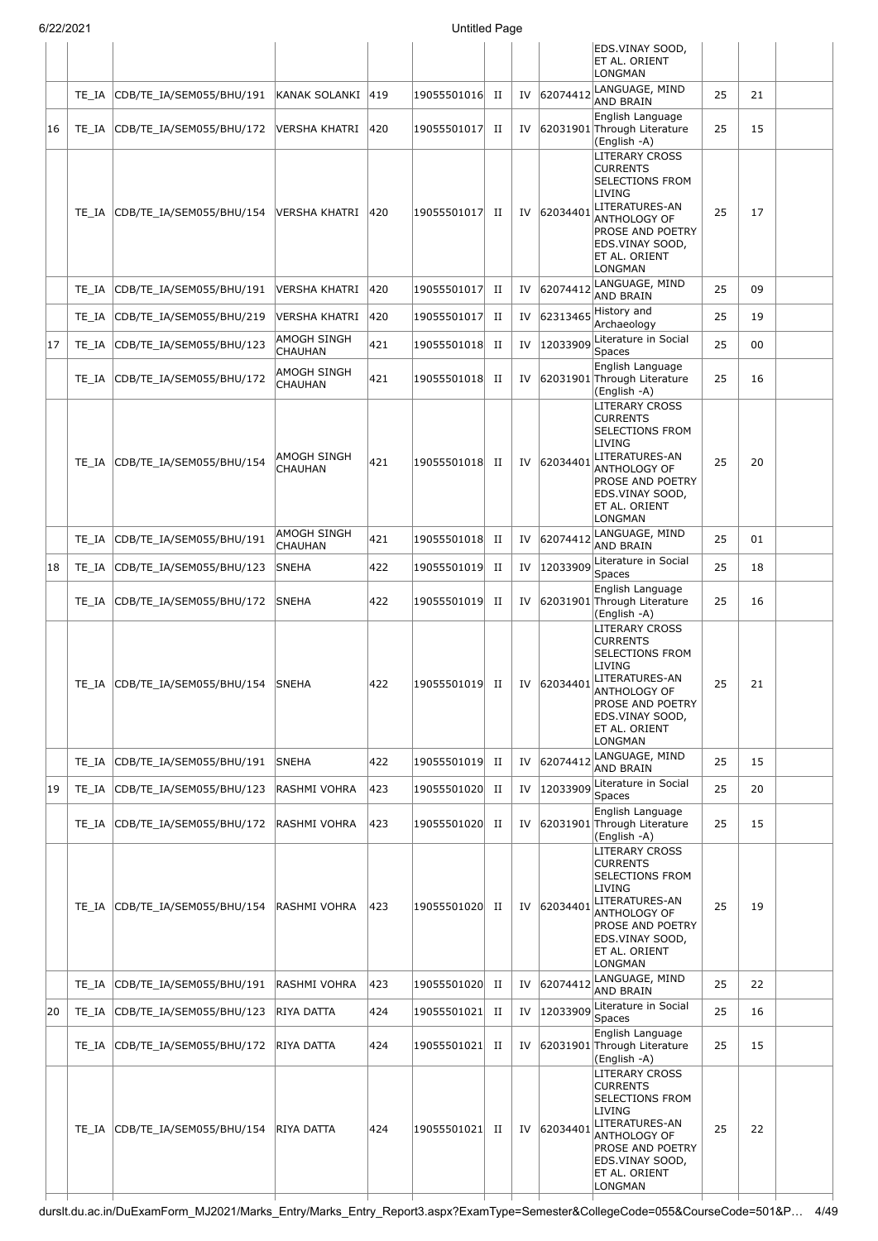|    | 6/22/2021 |                                 | <b>Untitled Page</b>          |     |                |             |    |             |                                                                                                                                                                                          |    |    |  |
|----|-----------|---------------------------------|-------------------------------|-----|----------------|-------------|----|-------------|------------------------------------------------------------------------------------------------------------------------------------------------------------------------------------------|----|----|--|
|    |           |                                 |                               |     |                |             |    |             | EDS.VINAY SOOD,<br>ET AL. ORIENT<br>LONGMAN                                                                                                                                              |    |    |  |
|    | TE IA     | CDB/TE_IA/SEM055/BHU/191        | KANAK SOLANKI 419             |     | 19055501016    | $_{\rm II}$ |    | IV 62074412 | LANGUAGE, MIND<br><b>AND BRAIN</b>                                                                                                                                                       | 25 | 21 |  |
| 16 | TE IA     | CDB/TE_IA/SEM055/BHU/172        | VERSHA KHATRI                 | 420 | 19055501017    | П           | IV |             | English Language<br>62031901 Through Literature<br>(English -A)                                                                                                                          | 25 | 15 |  |
|    | TE IA     | CDB/TE IA/SEM055/BHU/154        | lversha khatri                | 420 | 19055501017    | п           | IV | 62034401    | <b>LITERARY CROSS</b><br><b>CURRENTS</b><br><b>SELECTIONS FROM</b><br>LIVING<br>LITERATURES-AN<br>ANTHOLOGY OF<br><b>PROSE AND POETRY</b><br>EDS.VINAY SOOD,<br>ET AL. ORIENT<br>LONGMAN | 25 | 17 |  |
|    | TE IA     | CDB/TE_IA/SEM055/BHU/191        | VERSHA KHATRI                 | 420 | 19055501017    | П           | IV | 62074412    | LANGUAGE, MIND<br><b>AND BRAIN</b>                                                                                                                                                       | 25 | 09 |  |
|    | TE IA     | CDB/TE_IA/SEM055/BHU/219        | <b>VERSHA KHATRI</b>          | 420 | 19055501017    | П           | IV | 62313465    | History and<br>Archaeology                                                                                                                                                               | 25 | 19 |  |
| 17 | TE IA     | CDB/TE IA/SEM055/BHU/123        | AMOGH SINGH<br><b>CHAUHAN</b> | 421 | 19055501018    | H           | IV | 12033909    | Literature in Social<br>Spaces                                                                                                                                                           | 25 | 00 |  |
|    | TE IA     | CDB/TE_IA/SEM055/BHU/172        | AMOGH SINGH<br>CHAUHAN        | 421 | 19055501018    | П           |    |             | English Language<br>IV 62031901 Through Literature<br>(English -A)                                                                                                                       | 25 | 16 |  |
|    | TE IA     | CDB/TE_IA/SEM055/BHU/154        | AMOGH SINGH<br><b>CHAUHAN</b> | 421 | 19055501018    | $_{\rm II}$ | IV | 62034401    | LITERARY CROSS<br><b>CURRENTS</b><br><b>SELECTIONS FROM</b><br>LIVING<br>LITERATURES-AN<br>ANTHOLOGY OF<br><b>PROSE AND POETRY</b><br>EDS.VINAY SOOD,<br>ET AL. ORIENT<br>LONGMAN        | 25 | 20 |  |
|    | TE IA     | CDB/TE_IA/SEM055/BHU/191        | <b>AMOGH SINGH</b><br>CHAUHAN | 421 | 19055501018    | П           | IV | 62074412    | LANGUAGE, MIND<br><b>AND BRAIN</b>                                                                                                                                                       | 25 | 01 |  |
| 18 | TE_IA     | CDB/TE_IA/SEM055/BHU/123        | <b>SNEHA</b>                  | 422 | 19055501019    | П           | IV | 12033909    | Literature in Social<br>Spaces                                                                                                                                                           | 25 | 18 |  |
|    | TE IA     | CDB/TE_IA/SEM055/BHU/172        | <b>SNEHA</b>                  | 422 | 19055501019    | П           | IV |             | English Language<br>62031901 Through Literature<br>(English -A)                                                                                                                          | 25 | 16 |  |
|    |           | TE_IA CDB/TE_IA/SEM055/BHU/154  | <b>SNEHA</b>                  | 422 | 19055501019 II |             |    | IV 62034401 | <b>LITERARY CROSS</b><br><b>CURRENTS</b><br>SELECTIONS FROM<br>LIVING<br>LITERATURES-AN<br><b>ANTHOLOGY OF</b><br>PROSE AND POETRY<br>EDS.VINAY SOOD,<br>ET AL. ORIENT<br>LONGMAN        | 25 | 21 |  |
|    |           | TE_IA CDB/TE_IA/SEM055/BHU/191  | <b>SNEHA</b>                  | 422 | 19055501019    | $_{\rm II}$ | IV |             | 62074412 LANGUAGE, MIND<br><b>AND BRAIN</b>                                                                                                                                              | 25 | 15 |  |
| 19 |           | TE IA CDB/TE IA/SEM055/BHU/123  | RASHMI VOHRA                  | 423 | 19055501020    | П           | IV | 12033909    | Literature in Social<br><b>Spaces</b>                                                                                                                                                    | 25 | 20 |  |
|    |           | TE IA CDB/TE IA/SEM055/BHU/172  | RASHMI VOHRA                  | 423 | 19055501020 II |             | IV |             | English Language<br>62031901 Through Literature<br>(English -A)                                                                                                                          | 25 | 15 |  |
|    |           | TE_IA CDB/TE_IA/SEM055/BHU/154  | RASHMI VOHRA                  | 423 | 19055501020 II |             |    | IV 62034401 | <b>LITERARY CROSS</b><br><b>CURRENTS</b><br>SELECTIONS FROM<br>LIVING<br>LITERATURES-AN<br>ANTHOLOGY OF<br>PROSE AND POETRY<br>EDS.VINAY SOOD,<br>ET AL. ORIENT<br>LONGMAN               | 25 | 19 |  |
|    | TE IA     | CDB/TE_IA/SEM055/BHU/191        | RASHMI VOHRA                  | 423 | 19055501020    | П           | IV | 62074412    | LANGUAGE, MIND<br><b>AND BRAIN</b>                                                                                                                                                       | 25 | 22 |  |
| 20 |           | TE_IA CDB/TE_IA/SEM055/BHU/123  | RIYA DATTA                    | 424 | 19055501021    | $_{\rm II}$ | IV | 12033909    | Literature in Social<br>Spaces                                                                                                                                                           | 25 | 16 |  |
|    |           | TE_IA  CDB/TE_IA/SEM055/BHU/172 | RIYA DATTA                    | 424 | 19055501021    | П           | IV |             | English Language<br>62031901 Through Literature<br>(English -A)                                                                                                                          | 25 | 15 |  |
|    | TE IA     | CDB/TE_IA/SEM055/BHU/154        | <b>RIYA DATTA</b>             | 424 | 19055501021    | П           |    | IV 62034401 | LITERARY CROSS<br><b>CURRENTS</b><br><b>SELECTIONS FROM</b><br>LIVING<br>LITERATURES-AN<br>ANTHOLOGY OF<br>PROSE AND POETRY<br>EDS.VINAY SOOD,<br>ET AL. ORIENT<br>LONGMAN               | 25 | 22 |  |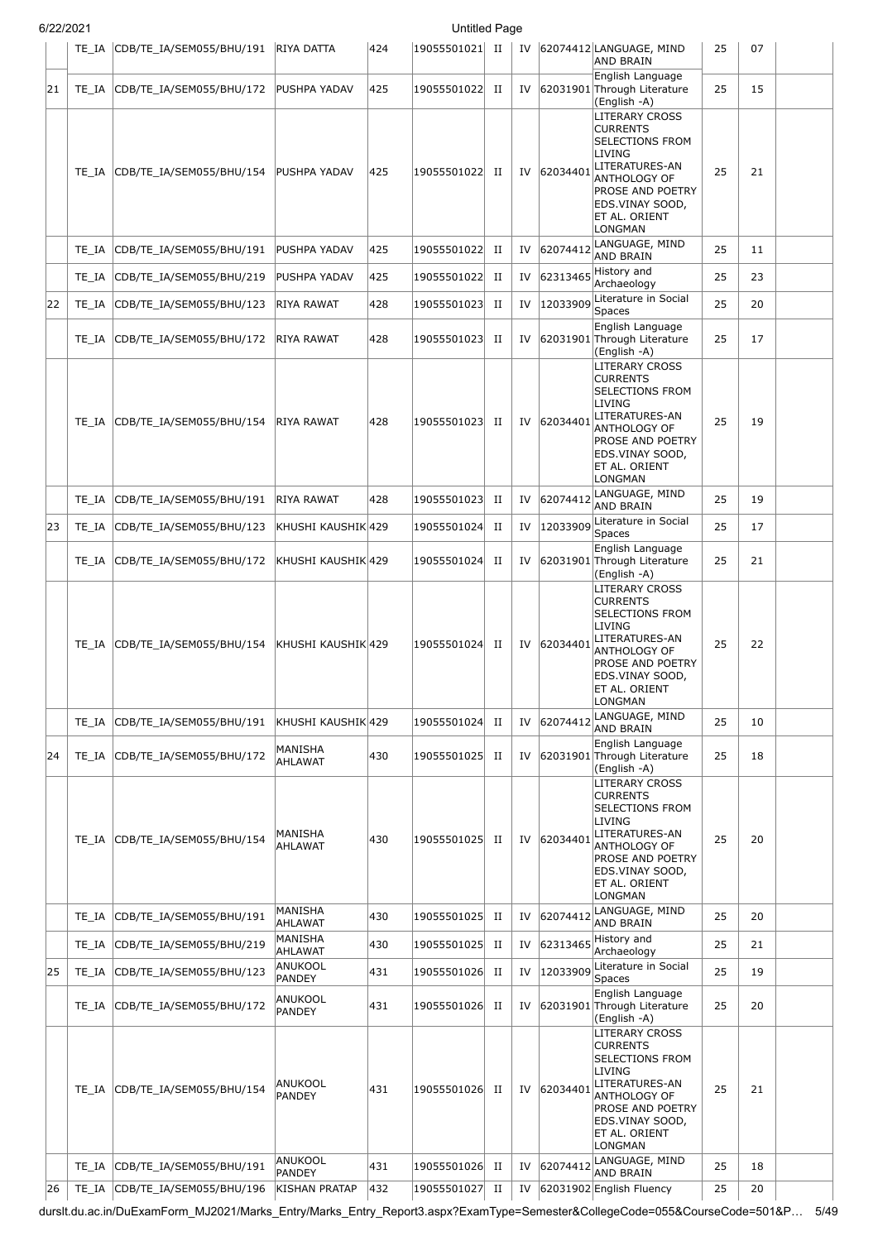| <b>Untitled Page</b><br>6/22/2021 |    |       |                                |                              |     |                 |             |    |          |                                                                                                                                                                                                                   |    |    |  |
|-----------------------------------|----|-------|--------------------------------|------------------------------|-----|-----------------|-------------|----|----------|-------------------------------------------------------------------------------------------------------------------------------------------------------------------------------------------------------------------|----|----|--|
|                                   |    |       | TE_IA CDB/TE_IA/SEM055/BHU/191 | <b>RIYA DATTA</b>            | 424 | 19055501021  II |             | IV |          | 62074412 LANGUAGE, MIND<br><b>AND BRAIN</b>                                                                                                                                                                       | 25 | 07 |  |
|                                   | 21 |       | TE_IA CDB/TE_IA/SEM055/BHU/172 | PUSHPA YADAV                 | 425 | 19055501022     | H           | IV |          | English Language<br>62031901 Through Literature<br>(English -A)                                                                                                                                                   | 25 | 15 |  |
|                                   |    | TE IA | CDB/TE IA/SEM055/BHU/154       | <b>PUSHPA YADAV</b>          | 425 | 19055501022 II  |             | IV | 62034401 | <b>LITERARY CROSS</b><br><b>CURRENTS</b><br><b>SELECTIONS FROM</b><br>LIVING<br>LITERATURES-AN<br><b>ANTHOLOGY OF</b><br>PROSE AND POETRY<br>EDS.VINAY SOOD,<br>ET AL. ORIENT<br><b>LONGMAN</b>                   | 25 | 21 |  |
|                                   |    | TE IA | CDB/TE_IA/SEM055/BHU/191       | PUSHPA YADAV                 | 425 | 19055501022     | П           | IV | 62074412 | LANGUAGE, MIND<br><b>AND BRAIN</b>                                                                                                                                                                                | 25 | 11 |  |
|                                   |    | TE IA | CDB/TE_IA/SEM055/BHU/219       | PUSHPA YADAV                 | 425 | 19055501022     | П           | IV | 62313465 | History and<br>Archaeology                                                                                                                                                                                        | 25 | 23 |  |
|                                   | 22 | TE_IA | CDB/TE_IA/SEM055/BHU/123       | RIYA RAWAT                   | 428 | 19055501023     | П           | IV | 12033909 | Literature in Social<br>Spaces                                                                                                                                                                                    | 25 | 20 |  |
|                                   |    |       | TE_IA CDB/TE_IA/SEM055/BHU/172 | RIYA RAWAT                   | 428 | 19055501023 II  |             | IV |          | English Language<br>62031901 Through Literature<br>(English -A)                                                                                                                                                   | 25 | 17 |  |
|                                   |    | TE IA | CDB/TE_IA/SEM055/BHU/154       | RIYA RAWAT                   | 428 | 19055501023 II  |             | IV | 62034401 | <b>LITERARY CROSS</b><br><b>CURRENTS</b><br><b>SELECTIONS FROM</b><br>LIVING<br>LITERATURES-AN<br><b>ANTHOLOGY OF</b><br><b>PROSE AND POETRY</b><br>EDS.VINAY SOOD,<br>ET AL. ORIENT<br><b>LONGMAN</b>            | 25 | 19 |  |
|                                   |    | TE IA | CDB/TE_IA/SEM055/BHU/191       | RIYA RAWAT                   | 428 | 19055501023     | П           | IV | 62074412 | LANGUAGE, MIND<br><b>AND BRAIN</b>                                                                                                                                                                                | 25 | 19 |  |
|                                   | 23 | TE_IA | CDB/TE_IA/SEM055/BHU/123       | KHUSHI KAUSHIK 429           |     | 19055501024     | $_{\rm II}$ | IV | 12033909 | Literature in Social<br>Spaces                                                                                                                                                                                    | 25 | 17 |  |
|                                   |    | TE IA | CDB/TE_IA/SEM055/BHU/172       | KHUSHI KAUSHIK 429           |     | 19055501024     | П           | IV |          | English Language<br>62031901 Through Literature<br>(English -A)                                                                                                                                                   | 25 | 21 |  |
|                                   |    | TE IA | CDB/TE IA/SEM055/BHU/154       | KHUSHI KAUSHIK 429           |     | 19055501024     | П           | IV | 62034401 | <b>LITERARY CROSS</b><br><b>CURRENTS</b><br><b>SELECTIONS FROM</b><br>LIVING<br>LITERATURES-AN<br><b>ANTHOLOGY OF</b><br><b>PROSE AND POETRY</b><br>EDS.VINAY SOOD,<br>ET AL. ORIENT<br><b>LONGMAN</b>            | 25 | 22 |  |
|                                   |    | TE IA | CDB/TE_IA/SEM055/BHU/191       | KHUSHI KAUSHIK 429           |     | 19055501024     | $_{\rm II}$ | IV | 62074412 | LANGUAGE, MIND<br><b>AND BRAIN</b>                                                                                                                                                                                | 25 | 10 |  |
|                                   | 24 | TE IA | CDB/TE_IA/SEM055/BHU/172       | MANISHA<br><b>AHLAWAT</b>    | 430 | 19055501025     | H           | IV |          | English Language<br>62031901 Through Literature<br>(English -A)                                                                                                                                                   | 25 | 18 |  |
|                                   |    | TE IA | CDB/TE_IA/SEM055/BHU/154       | MANISHA<br>AHLAWAT           | 430 | 19055501025     | П           | IV | 62034401 | <b>LITERARY CROSS</b><br><b>CURRENTS</b><br><b>SELECTIONS FROM</b><br>LIVING<br>LITERATURES-AN<br><b>ANTHOLOGY OF</b><br><b>PROSE AND POETRY</b><br>EDS.VINAY SOOD,<br>ET AL. ORIENT<br>LONGMAN                   | 25 | 20 |  |
|                                   |    | TE IA | CDB/TE_IA/SEM055/BHU/191       | <b>MANISHA</b><br>AHLAWAT    | 430 | 19055501025     | П           | IV | 62074412 | LANGUAGE, MIND<br><b>AND BRAIN</b>                                                                                                                                                                                | 25 | 20 |  |
|                                   |    | TE IA | CDB/TE_IA/SEM055/BHU/219       | MANISHA<br><b>AHLAWAT</b>    | 430 | 19055501025     | $_{\rm II}$ | IV | 62313465 | History and<br>Archaeology                                                                                                                                                                                        | 25 | 21 |  |
|                                   | 25 | TE_IA | CDB/TE_IA/SEM055/BHU/123       | ANUKOOL<br><b>PANDEY</b>     | 431 | 19055501026     | П           | IV | 12033909 | Literature in Social<br>Spaces                                                                                                                                                                                    | 25 | 19 |  |
|                                   |    | TE IA | CDB/TE_IA/SEM055/BHU/172       | ANUKOOL<br><b>PANDEY</b>     | 431 | 19055501026 II  |             | IV |          | English Language<br>62031901 Through Literature<br>(English -A)                                                                                                                                                   | 25 | 20 |  |
|                                   |    | TE IA | CDB/TE_IA/SEM055/BHU/154       | ANUKOOL<br>PANDEY<br>ANUKOOL | 431 | 19055501026     | П           | IV | 62034401 | <b>LITERARY CROSS</b><br><b>CURRENTS</b><br><b>SELECTIONS FROM</b><br><b>LIVING</b><br>LITERATURES-AN<br><b>ANTHOLOGY OF</b><br>PROSE AND POETRY<br>EDS.VINAY SOOD,<br>ET AL. ORIENT<br>LONGMAN<br>LANGUAGE, MIND | 25 | 21 |  |
|                                   |    | TE IA | CDB/TE IA/SEM055/BHU/191       | <b>PANDEY</b>                | 431 | 19055501026     | П           | IV | 62074412 | <b>AND BRAIN</b>                                                                                                                                                                                                  | 25 | 18 |  |

durslt.du.ac.in/DuExamForm\_MJ2021/Marks\_Entry/Marks\_Entry\_Report3.aspx?ExamType=Semester&CollegeCode=055&CourseCode=501&P… 5/49

26 TE\_IA CDB/TE\_IA/SEM055/BHU/196 KISHAN PRATAP 432 19055501027 II IV 62031902 English Fluency 25 20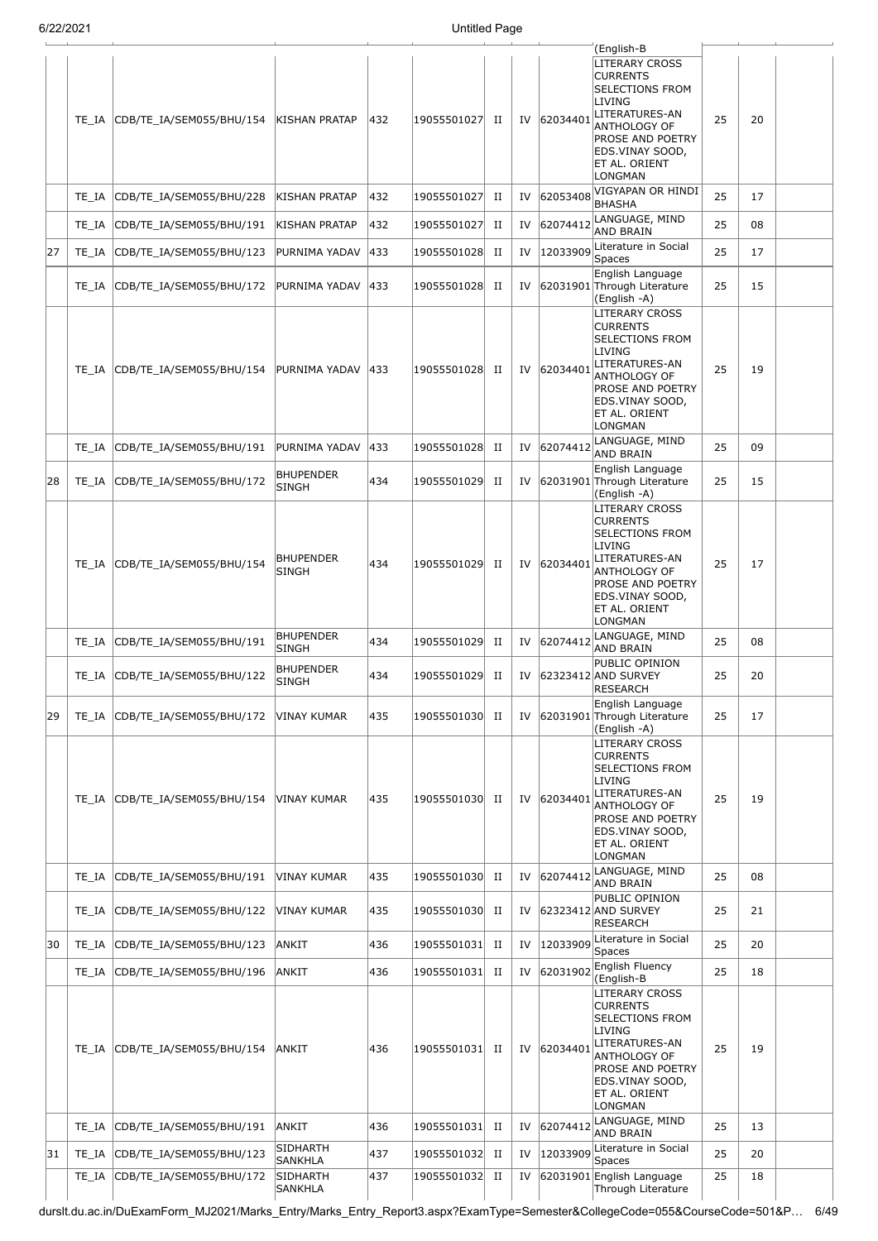|    |       |                          |                                  |     |                 |             |    |          | (English-B                                                                                                                                                                                      |    |    |  |
|----|-------|--------------------------|----------------------------------|-----|-----------------|-------------|----|----------|-------------------------------------------------------------------------------------------------------------------------------------------------------------------------------------------------|----|----|--|
|    | TE_IA | CDB/TE_IA/SEM055/BHU/154 | <b>KISHAN PRATAP</b>             | 432 | 19055501027     | П           | IV | 62034401 | <b>LITERARY CROSS</b><br><b>CURRENTS</b><br><b>SELECTIONS FROM</b><br>LIVING<br>LITERATURES-AN<br>ANTHOLOGY OF<br><b>PROSE AND POETRY</b><br>EDS.VINAY SOOD,<br><b>ET AL. ORIENT</b><br>LONGMAN | 25 | 20 |  |
|    | TE IA | CDB/TE_IA/SEM055/BHU/228 | <b>KISHAN PRATAP</b>             | 432 | 19055501027     | П           | IV | 62053408 | VIGYAPAN OR HINDI<br><b>BHASHA</b>                                                                                                                                                              | 25 | 17 |  |
|    | TE_IA | CDB/TE_IA/SEM055/BHU/191 | KISHAN PRATAP                    | 432 | 19055501027     | П           | IV | 62074412 | LANGUAGE, MIND<br>AND BRAIN                                                                                                                                                                     | 25 | 08 |  |
| 27 | TE_IA | CDB/TE_IA/SEM055/BHU/123 | PURNIMA YADAV                    | 433 | 19055501028     | П           | IV |          | 12033909 Literature in Social<br>Spaces                                                                                                                                                         | 25 | 17 |  |
|    | TE_IA | CDB/TE_IA/SEM055/BHU/172 | PURNIMA YADAV                    | 433 | 19055501028     | П           | IV |          | English Language<br>62031901 Through Literature<br>(English -A)                                                                                                                                 | 25 | 15 |  |
|    | TE_IA | CDB/TE IA/SEM055/BHU/154 | PURNIMA YADAV                    | 433 | 19055501028     | П           | IV | 62034401 | LITERARY CROSS<br><b>CURRENTS</b><br><b>SELECTIONS FROM</b><br>LIVING<br>LITERATURES-AN<br>ANTHOLOGY OF<br><b>PROSE AND POETRY</b><br>EDS.VINAY SOOD,<br><b>ET AL. ORIENT</b><br>LONGMAN        | 25 | 19 |  |
|    | TE_IA | CDB/TE_IA/SEM055/BHU/191 | PURNIMA YADAV                    | 433 | 19055501028     | П           | IV | 62074412 | LANGUAGE, MIND<br>AND BRAIN                                                                                                                                                                     | 25 | 09 |  |
| 28 | TE_IA | CDB/TE_IA/SEM055/BHU/172 | <b>BHUPENDER</b><br><b>SINGH</b> | 434 | 19055501029     | П           | IV |          | English Language<br>62031901 Through Literature<br>(English -A)                                                                                                                                 | 25 | 15 |  |
|    | TE IA | CDB/TE_IA/SEM055/BHU/154 | <b>BHUPENDER</b><br>SINGH        | 434 | 19055501029     | П           | IV | 62034401 | LITERARY CROSS<br><b>CURRENTS</b><br>SELECTIONS FROM<br>LIVING<br>LITERATURES-AN<br>ANTHOLOGY OF<br><b>PROSE AND POETRY</b><br>EDS.VINAY SOOD,<br><b>ET AL. ORIENT</b><br>LONGMAN               | 25 | 17 |  |
|    | TE_IA | CDB/TE_IA/SEM055/BHU/191 | <b>BHUPENDER</b><br><b>SINGH</b> | 434 | 19055501029     | П           | IV | 62074412 | LANGUAGE, MIND<br>AND BRAIN                                                                                                                                                                     | 25 | 08 |  |
|    | TE_IA | CDB/TE_IA/SEM055/BHU/122 | <b>BHUPENDER</b><br><b>SINGH</b> | 434 | 19055501029     | П           | IV |          | PUBLIC OPINION<br>62323412 AND SURVEY<br><b>RESEARCH</b>                                                                                                                                        | 25 | 20 |  |
| 29 | TE_IA | CDB/TE_IA/SEM055/BHU/172 | VINAY KUMAR                      | 435 | 19055501030  II |             | IV |          | English Language<br>62031901 Through Literature<br>(English -A)                                                                                                                                 | 25 | 17 |  |
|    | TE IA | CDB/TE_IA/SEM055/BHU/154 | VINAY KUMAR                      | 435 | 19055501030     | П           | IV | 62034401 | <b>LITERARY CROSS</b><br><b>CURRENTS</b><br><b>SELECTIONS FROM</b><br>LIVING<br>LITERATURES-AN<br>ANTHOLOGY OF<br><b>PROSE AND POETRY</b><br>EDS.VINAY SOOD,<br>ET AL. ORIENT<br>LONGMAN        | 25 | 19 |  |
|    | TE IA | CDB/TE_IA/SEM055/BHU/191 | VINAY KUMAR                      | 435 | 19055501030     | $_{\rm II}$ | IV | 62074412 | LANGUAGE, MIND<br>AND BRAIN                                                                                                                                                                     | 25 | 08 |  |
|    | TE_IA | CDB/TE_IA/SEM055/BHU/122 | VINAY KUMAR                      | 435 | 19055501030     | П           | IV |          | PUBLIC OPINION<br>62323412 AND SURVEY<br><b>RESEARCH</b>                                                                                                                                        | 25 | 21 |  |
| 30 | TE_IA | CDB/TE_IA/SEM055/BHU/123 | ANKIT                            | 436 | 19055501031     | П           | IV | 12033909 | Literature in Social<br>Spaces                                                                                                                                                                  | 25 | 20 |  |
|    | TE_IA | CDB/TE_IA/SEM055/BHU/196 | ANKIT                            | 436 | 19055501031     | П           | IV | 62031902 | English Fluency<br>(English-B                                                                                                                                                                   | 25 | 18 |  |
|    | TE IA | CDB/TE_IA/SEM055/BHU/154 | ANKIT                            | 436 | 19055501031     | П           | IV | 62034401 | LITERARY CROSS<br><b>CURRENTS</b><br>SELECTIONS FROM<br>LIVING<br>LITERATURES-AN<br>ANTHOLOGY OF<br><b>PROSE AND POETRY</b><br>EDS.VINAY SOOD,<br><b>ET AL. ORIENT</b><br>LONGMAN               | 25 | 19 |  |
|    | TE IA | CDB/TE_IA/SEM055/BHU/191 | ANKIT                            | 436 | 19055501031     | П           | IV | 62074412 | LANGUAGE, MIND<br><b>AND BRAIN</b>                                                                                                                                                              | 25 | 13 |  |
| 31 | TE_IA | CDB/TE_IA/SEM055/BHU/123 | SIDHARTH<br>SANKHLA              | 437 | 19055501032     | П           | IV | 12033909 | Literature in Social<br>Spaces                                                                                                                                                                  | 25 | 20 |  |
|    | TE_IA | CDB/TE_IA/SEM055/BHU/172 | SIDHARTH<br>SANKHLA              | 437 | 19055501032     | $_{\rm II}$ | IV |          | 62031901 English Language<br>Through Literature                                                                                                                                                 | 25 | 18 |  |

durslt.du.ac.in/DuExamForm\_MJ2021/Marks\_Entry/Marks\_Entry\_Report3.aspx?ExamType=Semester&CollegeCode=055&CourseCode=501&P… 6/49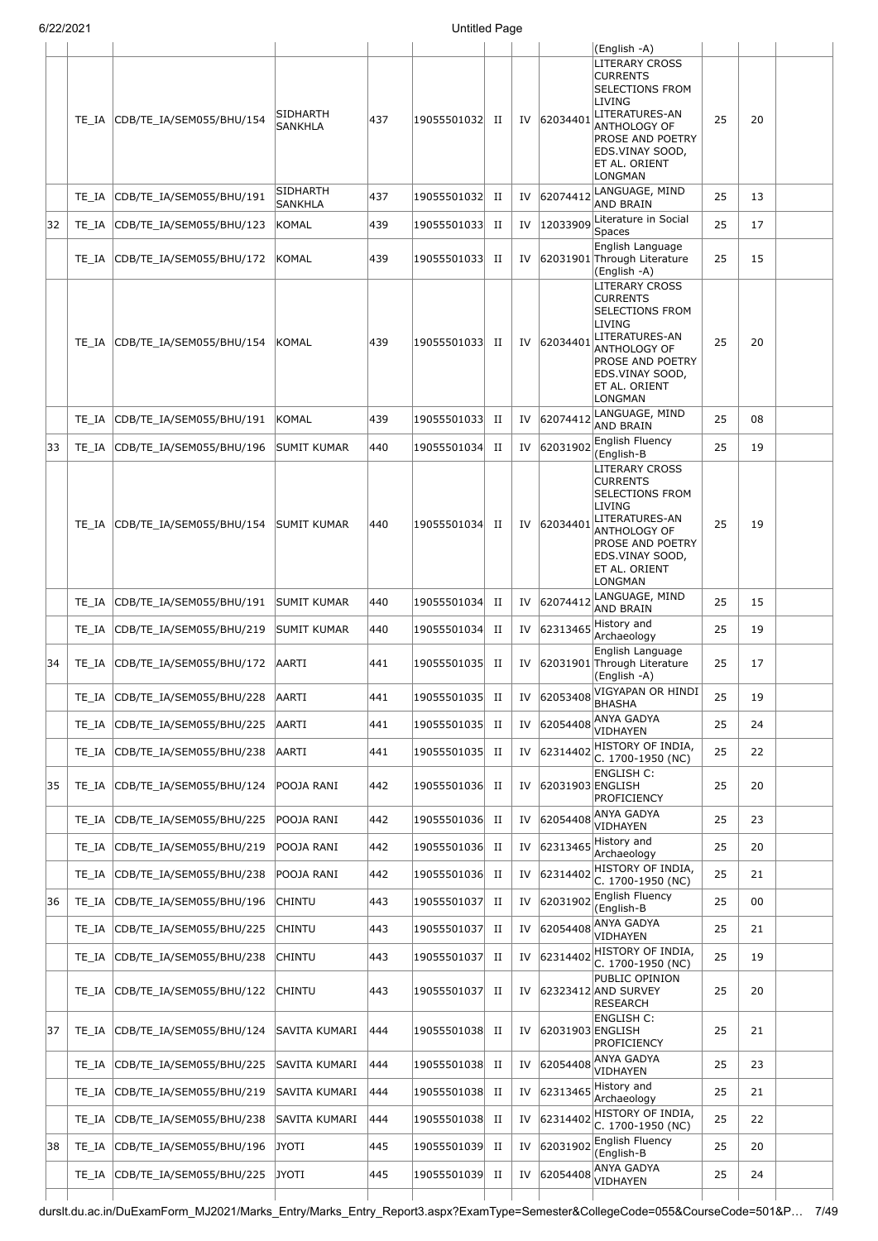|    |       |                          |                     |     |             |   |    |                  | (English -A)                                                                                                                                                                             |    |    |  |
|----|-------|--------------------------|---------------------|-----|-------------|---|----|------------------|------------------------------------------------------------------------------------------------------------------------------------------------------------------------------------------|----|----|--|
|    | TE IA | CDB/TE_IA/SEM055/BHU/154 | SIDHARTH<br>SANKHLA | 437 | 19055501032 | П | IV | 6203440          | <b>LITERARY CROSS</b><br><b>CURRENTS</b><br>SELECTIONS FROM<br>LIVING<br>LITERATURES-AN<br>ANTHOLOGY OF<br><b>PROSE AND POETRY</b><br>EDS.VINAY SOOD,<br>ET AL. ORIENT<br>LONGMAN        | 25 | 20 |  |
|    | TE_IA | CDB/TE_IA/SEM055/BHU/191 | SIDHARTH<br>SANKHLA | 437 | 19055501032 | П | IV | 62074412         | LANGUAGE, MIND<br>AND BRAIN                                                                                                                                                              | 25 | 13 |  |
| 32 | TE_IA | CDB/TE IA/SEM055/BHU/123 | <b>KOMAL</b>        | 439 | 19055501033 | П | IV | 12033909         | Literature in Social<br>Spaces                                                                                                                                                           | 25 | 17 |  |
|    | TE_IA | CDB/TE_IA/SEM055/BHU/172 | <b>KOMAL</b>        | 439 | 19055501033 | П | IV |                  | English Language<br>62031901 Through Literature<br>(English -A)                                                                                                                          | 25 | 15 |  |
|    | TE IA | CDB/TE_IA/SEM055/BHU/154 | KOMAL               | 439 | 19055501033 | П | IV | 6203440          | <b>LITERARY CROSS</b><br><b>CURRENTS</b><br><b>SELECTIONS FROM</b><br>LIVING<br>LITERATURES-AN<br>ANTHOLOGY OF<br>PROSE AND POETRY<br>EDS.VINAY SOOD,<br>ET AL. ORIENT<br><b>LONGMAN</b> | 25 | 20 |  |
|    | TE_IA | CDB/TE IA/SEM055/BHU/191 | <b>KOMAL</b>        | 439 | 19055501033 | П | IV | 6207441          | LANGUAGE, MIND<br><b>AND BRAIN</b>                                                                                                                                                       | 25 | 08 |  |
| 33 | TE_IA | CDB/TE_IA/SEM055/BHU/196 | SUMIT KUMAR         | 440 | 19055501034 | П | IV | 62031902         | English Fluency<br>(English-B                                                                                                                                                            | 25 | 19 |  |
|    | TE IA | CDB/TE_IA/SEM055/BHU/154 | SUMIT KUMAR         | 440 | 19055501034 | П | IV | 62034401         | LITERARY CROSS<br><b>CURRENTS</b><br>SELECTIONS FROM<br>LIVING<br>LITERATURES-AN<br>ANTHOLOGY OF<br><b>PROSE AND POETRY</b><br>EDS.VINAY SOOD,<br>ET AL. ORIENT<br>LONGMAN               | 25 | 19 |  |
|    | TE IA | CDB/TE_IA/SEM055/BHU/191 | SUMIT KUMAR         | 440 | 19055501034 | П | IV | 62074412         | LANGUAGE, MIND<br>AND BRAIN                                                                                                                                                              | 25 | 15 |  |
|    | TE_IA | CDB/TE IA/SEM055/BHU/219 | SUMIT KUMAR         | 440 | 19055501034 | П | IV | 62313465         | History and<br>Archaeology                                                                                                                                                               | 25 | 19 |  |
| 34 | TE_IA | CDB/TE_IA/SEM055/BHU/172 | AARTI               | 441 | 19055501035 | П | IV |                  | English Language<br>62031901 Through Literature<br>(English -A)                                                                                                                          | 25 | 17 |  |
|    | TE_IA | CDB/TE_IA/SEM055/BHU/228 | AARTI               | 441 | 19055501035 | П | IV | 62053408         | VIGYAPAN OR HINDI<br>BHASHA                                                                                                                                                              | 25 | 19 |  |
|    | TE IA | CDB/TE_IA/SEM055/BHU/225 | AARTI               | 441 | 19055501035 | П | IV | 62054408         | ANYA GADYA<br>VIDHAYEN                                                                                                                                                                   | 25 | 24 |  |
|    | TE_IA | CDB/TE_IA/SEM055/BHU/238 | AARTI               | 441 | 19055501035 | П | IV | 62314402         | HISTORY OF INDIA,<br>C. 1700-1950 (NC)                                                                                                                                                   | 25 | 22 |  |
| 35 | TE_IA | CDB/TE_IA/SEM055/BHU/124 | POOJA RANI          | 442 | 19055501036 | П | IV | 62031903 ENGLISH | <b>ENGLISH C:</b><br><b>PROFICIENCY</b>                                                                                                                                                  | 25 | 20 |  |
|    | TE_IA | CDB/TE_IA/SEM055/BHU/225 | POOJA RANI          | 442 | 19055501036 | П | IV | 62054408         | ANYA GADYA<br>VIDHAYEN                                                                                                                                                                   | 25 | 23 |  |
|    | TE_IA | CDB/TE_IA/SEM055/BHU/219 | POOJA RANI          | 442 | 19055501036 | П | IV | 62313465         | History and<br>Archaeology                                                                                                                                                               | 25 | 20 |  |
|    | TE_IA | CDB/TE_IA/SEM055/BHU/238 | POOJA RANI          | 442 | 19055501036 | П | IV | 62314402         | HISTORY OF INDIA,<br>C. 1700-1950 (NC)                                                                                                                                                   | 25 | 21 |  |
| 36 | TE_IA | CDB/TE_IA/SEM055/BHU/196 | CHINTU              | 443 | 19055501037 | П | IV | 62031902         | <b>English Fluency</b><br>(English-B                                                                                                                                                     | 25 | 00 |  |
|    | TE_IA | CDB/TE_IA/SEM055/BHU/225 | <b>CHINTU</b>       | 443 | 19055501037 | П | IV | 62054408         | ANYA GADYA<br>VIDHAYEN                                                                                                                                                                   | 25 | 21 |  |
|    | TE_IA | CDB/TE_IA/SEM055/BHU/238 | CHINTU              | 443 | 19055501037 | П | IV | 62314402         | HISTORY OF INDIA,<br>C. 1700-1950 (NC)                                                                                                                                                   | 25 | 19 |  |
|    | TE_IA | CDB/TE_IA/SEM055/BHU/122 | <b>CHINTU</b>       | 443 | 19055501037 | П | IV |                  | PUBLIC OPINION<br>62323412 AND SURVEY<br><b>RESEARCH</b>                                                                                                                                 | 25 | 20 |  |
| 37 | TE IA | CDB/TE_IA/SEM055/BHU/124 | SAVITA KUMARI       | 444 | 19055501038 | П | IV | 62031903 ENGLISH | <b>ENGLISH C:</b><br><b>PROFICIENCY</b>                                                                                                                                                  | 25 | 21 |  |
|    | TE_IA | CDB/TE_IA/SEM055/BHU/225 | SAVITA KUMARI       | 444 | 19055501038 | П | IV | 62054408         | ANYA GADYA<br>VIDHAYEN                                                                                                                                                                   | 25 | 23 |  |
|    | TE_IA | CDB/TE_IA/SEM055/BHU/219 | SAVITA KUMARI       | 444 | 19055501038 | П | IV | 62313465         | History and<br>Archaeology                                                                                                                                                               | 25 | 21 |  |
|    | TE_IA | CDB/TE_IA/SEM055/BHU/238 | SAVITA KUMARI       | 444 | 19055501038 | П | IV | 62314402         | HISTORY OF INDIA,<br>C. 1700-1950 (NC)                                                                                                                                                   | 25 | 22 |  |
| 38 | TE_IA | CDB/TE_IA/SEM055/BHU/196 | JYOTI               | 445 | 19055501039 | П | IV | 62031902         | <b>English Fluency</b><br>(English-B                                                                                                                                                     | 25 | 20 |  |
|    | TE_IA | CDB/TE_IA/SEM055/BHU/225 | JYOTI               | 445 | 19055501039 | П | IV | 62054408         | ANYA GADYA<br>VIDHAYEN                                                                                                                                                                   | 25 | 24 |  |

durslt.du.ac.in/DuExamForm\_MJ2021/Marks\_Entry/Marks\_Entry\_Report3.aspx?ExamType=Semester&CollegeCode=055&CourseCode=501&P… 7/49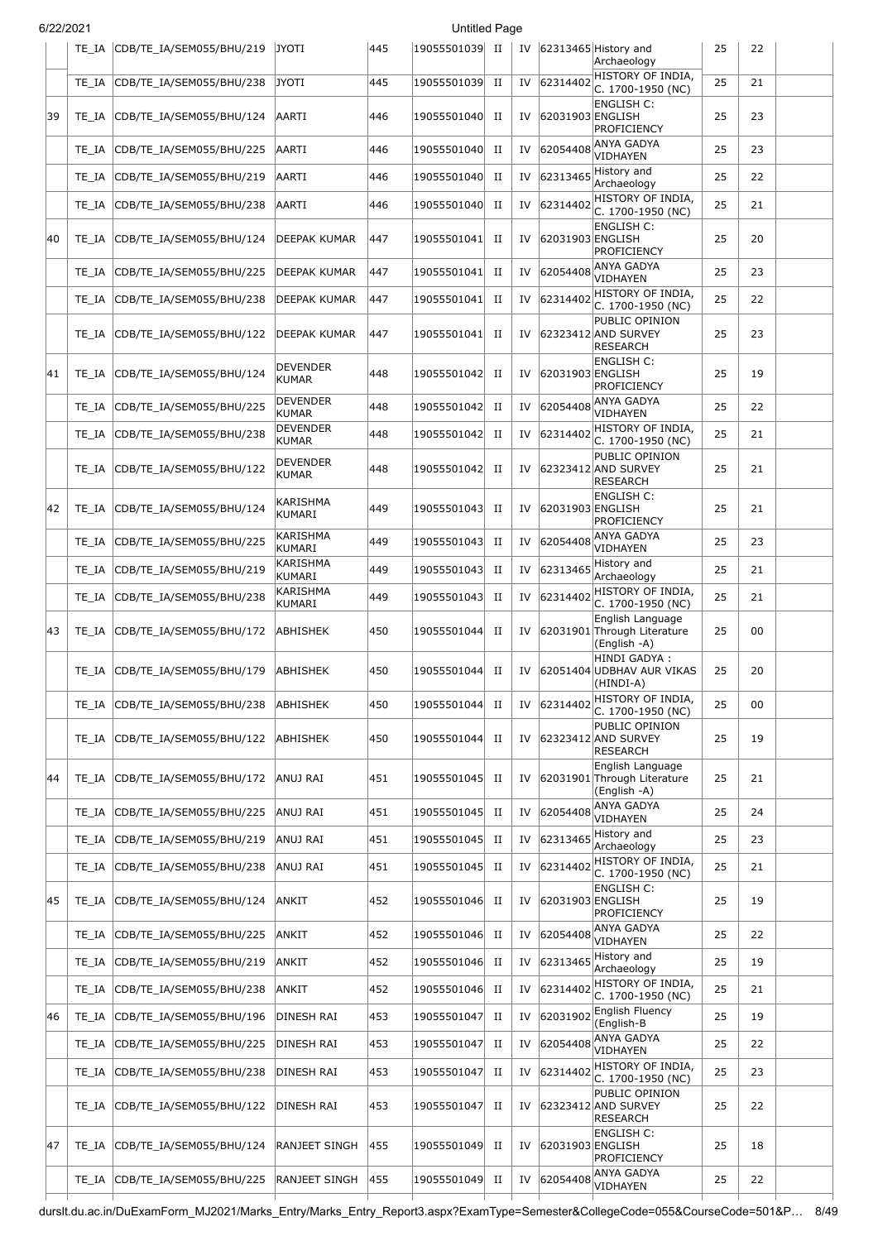| 6/22/2021 |       |                                 | <b>Untitled Page</b>            |     |                |             |    |                  |                                                                 |    |    |  |
|-----------|-------|---------------------------------|---------------------------------|-----|----------------|-------------|----|------------------|-----------------------------------------------------------------|----|----|--|
|           |       | TE_IA CDB/TE_IA/SEM055/BHU/219  | <b>JYOTI</b>                    | 445 | 19055501039 II |             |    |                  | IV 62313465 History and<br>Archaeology                          | 25 | 22 |  |
|           | TE IA | CDB/TE_IA/SEM055/BHU/238        | <b>JYOTI</b>                    | 445 | 19055501039    | $_{\rm II}$ | IV | 62314402         | HISTORY OF INDIA,<br>C. 1700-1950 (NC)                          | 25 | 21 |  |
| 39        | TE IA | CDB/TE_IA/SEM055/BHU/124        | AARTI                           | 446 | 19055501040    | П           | IV | 62031903 ENGLISH | <b>ENGLISH C:</b><br>PROFICIENCY                                | 25 | 23 |  |
|           | TE_IA | CDB/TE_IA/SEM055/BHU/225        | AARTI                           | 446 | 19055501040    | П           | IV | 62054408         | <b>ANYA GADYA</b><br>VIDHAYEN                                   | 25 | 23 |  |
|           | TE IA | CDB/TE IA/SEM055/BHU/219        | AARTI                           | 446 | 19055501040    | П           | IV | 62313465         | History and<br>Archaeology                                      | 25 | 22 |  |
|           | TE IA | CDB/TE_IA/SEM055/BHU/238        | AARTI                           | 446 | 19055501040    | п           | IV | 62314402         | HISTORY OF INDIA,<br>C. 1700-1950 (NC)                          | 25 | 21 |  |
| 40        | TE IA | CDB/TE_IA/SEM055/BHU/124        | DEEPAK KUMAR                    | 447 | 19055501041    | П           | IV | 62031903 ENGLISH | <b>ENGLISH C:</b><br><b>PROFICIENCY</b>                         | 25 | 20 |  |
|           | TE IA | CDB/TE_IA/SEM055/BHU/225        | DEEPAK KUMAR                    | 447 | 19055501041    | П           | IV | 62054408         | ANYA GADYA<br>VIDHAYEN                                          | 25 | 23 |  |
|           | TE IA | CDB/TE_IA/SEM055/BHU/238        | DEEPAK KUMAR                    | 447 | 19055501041    | $_{\rm II}$ | IV | 62314402         | HISTORY OF INDIA,<br>C. 1700-1950 (NC)                          | 25 | 22 |  |
|           | TE IA | CDB/TE_IA/SEM055/BHU/122        | DEEPAK KUMAR                    | 447 | 19055501041    | П           | IV |                  | PUBLIC OPINION<br>62323412 AND SURVEY<br><b>RESEARCH</b>        | 25 | 23 |  |
| 41        | TE IA | CDB/TE IA/SEM055/BHU/124        | DEVENDER<br><b>KUMAR</b>        | 448 | 19055501042    | П           | IV | 62031903 ENGLISH | <b>ENGLISH C:</b><br><b>PROFICIENCY</b>                         | 25 | 19 |  |
|           | TE IA | CDB/TE_IA/SEM055/BHU/225        | DEVENDER<br><b>KUMAR</b>        | 448 | 19055501042    | П           | IV | 62054408         | <b>ANYA GADYA</b><br>VIDHAYEN                                   | 25 | 22 |  |
|           | TE IA | CDB/TE IA/SEM055/BHU/238        | <b>DEVENDER</b><br><b>KUMAR</b> | 448 | 19055501042    | П           | IV | 62314402         | HISTORY OF INDIA,<br>C. 1700-1950 (NC)                          | 25 | 21 |  |
|           | TE IA | CDB/TE_IA/SEM055/BHU/122        | DEVENDER<br><b>KUMAR</b>        | 448 | 19055501042    | П           | IV |                  | PUBLIC OPINION<br>62323412 AND SURVEY<br><b>RESEARCH</b>        | 25 | 21 |  |
| 42        | TE IA | CDB/TE_IA/SEM055/BHU/124        | KARISHMA<br>KUMARI              | 449 | 19055501043    | П           | IV | 62031903 ENGLISH | <b>ENGLISH C:</b><br>PROFICIENCY                                | 25 | 21 |  |
|           | TE IA | CDB/TE_IA/SEM055/BHU/225        | KARISHMA<br>KUMARI              | 449 | 19055501043    | $_{\rm II}$ | IV | 62054408         | ANYA GADYA<br>VIDHAYEN                                          | 25 | 23 |  |
|           | TE IA | CDB/TE_IA/SEM055/BHU/219        | KARISHMA<br>KUMARI              | 449 | 19055501043    | П           | IV | 62313465         | History and<br>Archaeology                                      | 25 | 21 |  |
|           | TE IA | CDB/TE_IA/SEM055/BHU/238        | KARISHMA<br>KUMARI              | 449 | 19055501043    | $_{\rm II}$ | IV | 62314402         | HISTORY OF INDIA,<br>C. 1700-1950 (NC)                          | 25 | 21 |  |
| 43        | TE_IA | CDB/TE_IA/SEM055/BHU/172        | <b>ABHISHEK</b>                 | 450 | 19055501044    | $_{\rm II}$ | IV |                  | English Language<br>62031901 Through Literature<br>(English -A) | 25 | 00 |  |
|           |       | TE_IA  CDB/TE_IA/SEM055/BHU/179 | ABHISHEK                        | 450 | 19055501044    | П           |    |                  | HINDI GADYA :<br>IV 62051404 UDBHAV AUR VIKAS<br>(HINDI-A)      | 25 | 20 |  |
|           | TE IA | CDB/TE_IA/SEM055/BHU/238        | ABHISHEK                        | 450 | 19055501044    | П           | IV | 62314402         | HISTORY OF INDIA,<br>C. 1700-1950 (NC)                          | 25 | 00 |  |
|           | TE IA | CDB/TE_IA/SEM055/BHU/122        | ABHISHEK                        | 450 | 19055501044    | П           | IV |                  | PUBLIC OPINION<br>62323412 AND SURVEY<br>RESEARCH               | 25 | 19 |  |
| 44        | TE IA | CDB/TE_IA/SEM055/BHU/172        | ANUJ RAI                        | 451 | 19055501045    | П           | IV |                  | English Language<br>62031901 Through Literature<br>(English -A) | 25 | 21 |  |
|           | TE_IA | CDB/TE IA/SEM055/BHU/225        | <b>ANUJ RAI</b>                 | 451 | 19055501045    | $_{\rm II}$ | IV | 62054408         | ANYA GADYA<br>VIDHAYEN                                          | 25 | 24 |  |
|           | TE IA | CDB/TE_IA/SEM055/BHU/219        | ANUJ RAI                        | 451 | 19055501045    | П           | IV | 62313465         | History and<br>Archaeology                                      | 25 | 23 |  |
|           | TE IA | CDB/TE_IA/SEM055/BHU/238        | ANUJ RAI                        | 451 | 19055501045    | П           | IV | 62314402         | HISTORY OF INDIA,<br>C. 1700-1950 (NC)                          | 25 | 21 |  |
| 45        | TE IA | CDB/TE_IA/SEM055/BHU/124        | ANKIT                           | 452 | 19055501046    | П           | IV | 62031903 ENGLISH | <b>ENGLISH C:</b><br><b>PROFICIENCY</b>                         | 25 | 19 |  |
|           | TE IA | CDB/TE_IA/SEM055/BHU/225        | ANKIT                           | 452 | 19055501046    | П           | IV | 62054408         | ANYA GADYA<br>VIDHAYEN                                          | 25 | 22 |  |
|           | TE IA | CDB/TE_IA/SEM055/BHU/219        | <b>ANKIT</b>                    | 452 | 19055501046    | $_{\rm II}$ | IV | 62313465         | History and<br>Archaeology                                      | 25 | 19 |  |
|           | TE_IA | CDB/TE_IA/SEM055/BHU/238        | <b>ANKIT</b>                    | 452 | 19055501046    | П           | IV | 62314402         | HISTORY OF INDIA,<br>C. 1700-1950 (NC)                          | 25 | 21 |  |
| 46        | TE IA | CDB/TE_IA/SEM055/BHU/196        | DINESH RAI                      | 453 | 19055501047    | П           | IV | 62031902         | <b>English Fluency</b><br>(English-B                            | 25 | 19 |  |
|           | TE IA | CDB/TE_IA/SEM055/BHU/225        | DINESH RAI                      | 453 | 19055501047    | п           | IV | 62054408         | ANYA GADYA<br>VIDHAYEN                                          | 25 | 22 |  |
|           | TE IA | CDB/TE_IA/SEM055/BHU/238        | DINESH RAI                      | 453 | 19055501047    | П           | IV | 62314402         | HISTORY OF INDIA,<br>C. 1700-1950 (NC)                          | 25 | 23 |  |
|           | TE IA | CDB/TE_IA/SEM055/BHU/122        | DINESH RAI                      | 453 | 19055501047    | п           | IV |                  | PUBLIC OPINION<br>62323412 AND SURVEY<br><b>RESEARCH</b>        | 25 | 22 |  |
| 47        | TE IA | CDB/TE_IA/SEM055/BHU/124        | RANJEET SINGH                   | 455 | 19055501049    | П           | IV | 62031903 ENGLISH | <b>ENGLISH C:</b><br><b>PROFICIENCY</b>                         | 25 | 18 |  |
|           | TE_IA | CDB/TE_IA/SEM055/BHU/225        | RANJEET SINGH                   | 455 | 19055501049    | $_{\rm II}$ | IV | 62054408         | <b>ANYA GADYA</b><br>VIDHAYEN                                   | 25 | 22 |  |

durslt.du.ac.in/DuExamForm\_MJ2021/Marks\_Entry/Marks\_Entry\_Report3.aspx?ExamType=Semester&CollegeCode=055&CourseCode=501&P… 8/49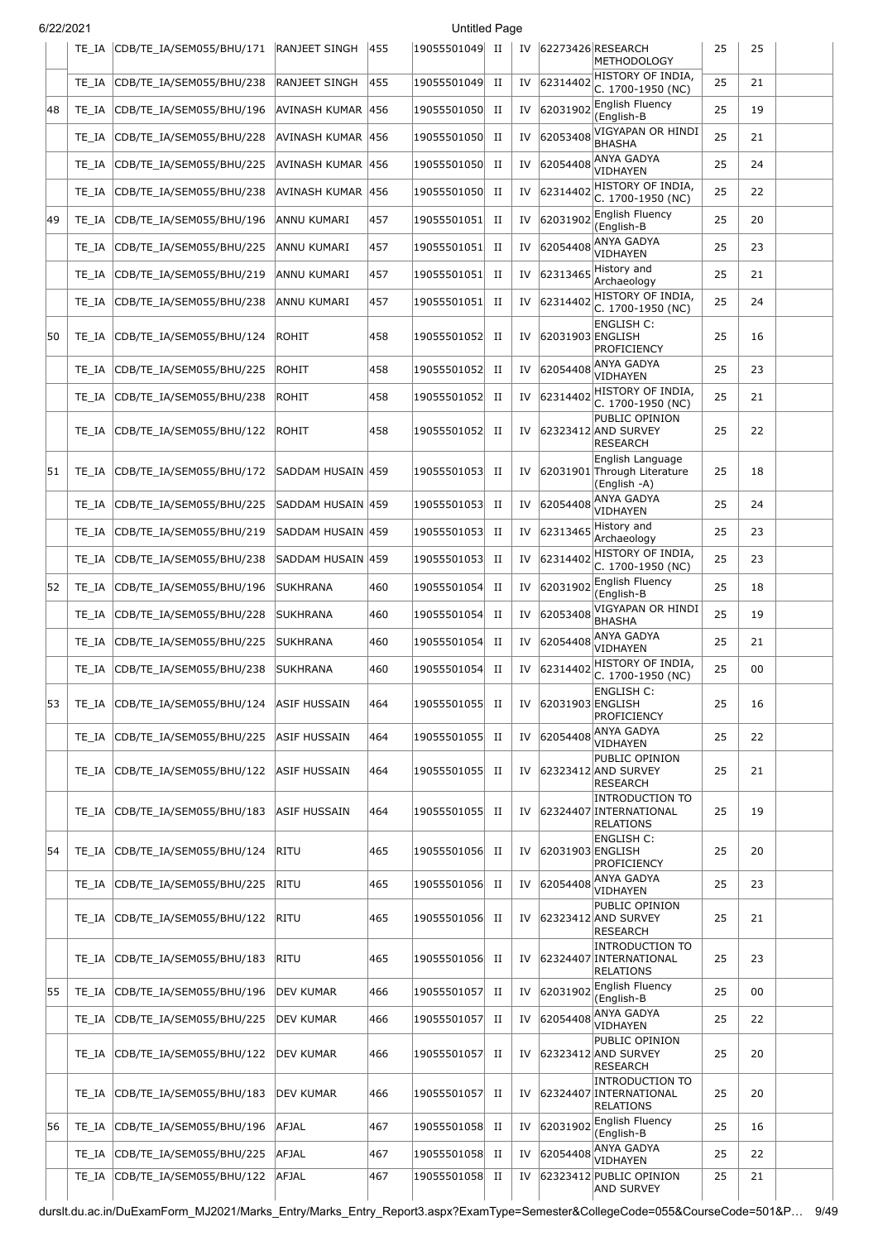| 6/22/2021<br><b>Untitled Page</b> |       |                          |                      |     |                |             |    |                  |                                                                      |    |    |  |
|-----------------------------------|-------|--------------------------|----------------------|-----|----------------|-------------|----|------------------|----------------------------------------------------------------------|----|----|--|
|                                   | TE IA | CDB/TE_IA/SEM055/BHU/171 | <b>RANJEET SINGH</b> | 455 | 19055501049 II |             |    |                  | IV 62273426 RESEARCH<br>METHODOLOGY                                  | 25 | 25 |  |
|                                   | TE IA | CDB/TE_IA/SEM055/BHU/238 | RANJEET SINGH        | 455 | 19055501049    | $_{\rm II}$ | IV | 62314402         | HISTORY OF INDIA,<br>C. 1700-1950 (NC)                               | 25 | 21 |  |
| 48                                | TE IA | CDB/TE_IA/SEM055/BHU/196 | AVINASH KUMAR        | 456 | 19055501050    | $_{\rm II}$ | IV | 62031902         | <b>English Fluency</b><br>(English-B                                 | 25 | 19 |  |
|                                   | TE IA | CDB/TE_IA/SEM055/BHU/228 | AVINASH KUMAR        | 456 | 19055501050    | П           | IV | 62053408         | VIGYAPAN OR HINDI<br><b>BHASHA</b>                                   | 25 | 21 |  |
|                                   | TE IA | CDB/TE_IA/SEM055/BHU/225 | AVINASH KUMAR        | 456 | 19055501050    | П           | IV | 62054408         | <b>ANYA GADYA</b><br>VIDHAYEN                                        | 25 | 24 |  |
|                                   | TE IA | CDB/TE IA/SEM055/BHU/238 | AVINASH KUMAR  456   |     | 19055501050    | $_{\rm II}$ | IV | 62314402         | HISTORY OF INDIA,<br>C. 1700-1950 (NC)                               | 25 | 22 |  |
| 49                                | TE IA | CDB/TE_IA/SEM055/BHU/196 | ANNU KUMARI          | 457 | 19055501051    | П           | IV | 62031902         | English Fluency<br>(English-B                                        | 25 | 20 |  |
|                                   | TE IA | CDB/TE_IA/SEM055/BHU/225 | ANNU KUMARI          | 457 | 19055501051    | $_{\rm II}$ | IV | 62054408         | ANYA GADYA<br>VIDHAYEN                                               | 25 | 23 |  |
|                                   | TE IA | CDB/TE_IA/SEM055/BHU/219 | ANNU KUMARI          | 457 | 19055501051    | п           | IV | 62313465         | History and<br>Archaeology                                           | 25 | 21 |  |
|                                   | TE_IA | CDB/TE_IA/SEM055/BHU/238 | ANNU KUMARI          | 457 | 19055501051    | $_{\rm II}$ | IV | 62314402         | HISTORY OF INDIA,<br>C. 1700-1950 (NC)                               | 25 | 24 |  |
| 50                                | TE IA | CDB/TE_IA/SEM055/BHU/124 | ROHIT                | 458 | 19055501052    | П           | IV | 62031903 ENGLISH | <b>ENGLISH C:</b><br>PROFICIENCY                                     | 25 | 16 |  |
|                                   | TE IA | CDB/TE_IA/SEM055/BHU/225 | <b>ROHIT</b>         | 458 | 19055501052    | П           | IV | 62054408         | <b>ANYA GADYA</b><br>VIDHAYEN                                        | 25 | 23 |  |
|                                   | TE IA | CDB/TE_IA/SEM055/BHU/238 | <b>ROHIT</b>         | 458 | 19055501052    | П           | IV | 62314402         | HISTORY OF INDIA,<br>C. 1700-1950 (NC)                               | 25 | 21 |  |
|                                   | TE IA | CDB/TE_IA/SEM055/BHU/122 | <b>ROHIT</b>         | 458 | 19055501052    | П           | IV |                  | PUBLIC OPINION<br>62323412 AND SURVEY<br><b>RESEARCH</b>             | 25 | 22 |  |
| 51                                | TE IA | CDB/TE_IA/SEM055/BHU/172 | SADDAM HUSAIN 459    |     | 19055501053    | П           | IV |                  | English Language<br>62031901 Through Literature<br>(English -A)      | 25 | 18 |  |
|                                   | TE IA | CDB/TE_IA/SEM055/BHU/225 | SADDAM HUSAIN  459   |     | 19055501053    | П           | IV | 62054408         | ANYA GADYA<br>VIDHAYEN                                               | 25 | 24 |  |
|                                   | TE_IA | CDB/TE_IA/SEM055/BHU/219 | SADDAM HUSAIN 459    |     | 19055501053    | П           | IV | 62313465         | History and<br>Archaeology                                           | 25 | 23 |  |
|                                   | TE IA | CDB/TE_IA/SEM055/BHU/238 | SADDAM HUSAIN 459    |     | 19055501053    | П           | IV | 62314402         | HISTORY OF INDIA,<br>C. 1700-1950 (NC)                               | 25 | 23 |  |
| 52                                | TE IA | CDB/TE_IA/SEM055/BHU/196 | <b>SUKHRANA</b>      | 460 | 19055501054    | П           | IV | 62031902         | <b>English Fluency</b><br>(English-B                                 | 25 | 18 |  |
|                                   | TE IA | CDB/TE_IA/SEM055/BHU/228 | <b>SUKHRANA</b>      | 460 | 19055501054    | П           | IV | 62053408         | VIGYAPAN OR HINDI<br><b>BHASHA</b>                                   | 25 | 19 |  |
|                                   | TE_IA | CDB/TE_IA/SEM055/BHU/225 | <b>SUKHRANA</b>      | 460 | 19055501054    | п           | IV | 62054408         | ANYA GADYA<br>VIDHAYEN                                               | 25 | 21 |  |
|                                   | TE_IA | CDB/TE IA/SEM055/BHU/238 | <b>SUKHRANA</b>      | 460 | 19055501054    | $_{\rm II}$ | IV | 62314402         | HISTORY OF INDIA,<br>C. 1700-1950 (NC)                               | 25 | 00 |  |
| 53                                | TE IA | CDB/TE_IA/SEM055/BHU/124 | ASIF HUSSAIN         | 464 | 19055501055    | П           | IV | 62031903 ENGLISH | <b>ENGLISH C:</b><br>PROFICIENCY                                     | 25 | 16 |  |
|                                   | TE IA | CDB/TE_IA/SEM055/BHU/225 | ASIF HUSSAIN         | 464 | 19055501055    | П           | IV | 62054408         | <b>ANYA GADYA</b><br>VIDHAYEN                                        | 25 | 22 |  |
|                                   | TE IA | CDB/TE_IA/SEM055/BHU/122 | ASIF HUSSAIN         | 464 | 19055501055    | П           | IV |                  | PUBLIC OPINION<br>62323412 AND SURVEY<br><b>RESEARCH</b>             | 25 | 21 |  |
|                                   | TE IA | CDB/TE_IA/SEM055/BHU/183 | ASIF HUSSAIN         | 464 | 19055501055    | П           | IV |                  | <b>INTRODUCTION TO</b><br>62324407 INTERNATIONAL<br><b>RELATIONS</b> | 25 | 19 |  |
| 54                                | TE IA | CDB/TE IA/SEM055/BHU/124 | RITU                 | 465 | 19055501056    | п           | IV | 62031903 ENGLISH | <b>ENGLISH C:</b><br>PROFICIENCY                                     | 25 | 20 |  |
|                                   | TE IA | CDB/TE_IA/SEM055/BHU/225 | <b>RITU</b>          | 465 | 19055501056    | П           | IV | 62054408         | <b>ANYA GADYA</b><br>VIDHAYEN                                        | 25 | 23 |  |
|                                   | TE IA | CDB/TE_IA/SEM055/BHU/122 | <b>RITU</b>          | 465 | 19055501056    | П           | IV |                  | PUBLIC OPINION<br>62323412 AND SURVEY<br><b>RESEARCH</b>             | 25 | 21 |  |
|                                   | TE IA | CDB/TE_IA/SEM055/BHU/183 | <b>RITU</b>          | 465 | 19055501056    | П           | IV |                  | <b>INTRODUCTION TO</b><br>62324407 INTERNATIONAL<br><b>RELATIONS</b> | 25 | 23 |  |
| 55                                | TE_IA | CDB/TE_IA/SEM055/BHU/196 | DEV KUMAR            | 466 | 19055501057    | П           | IV |                  | 62031902 English Fluency<br>(English-B                               | 25 | 00 |  |
|                                   | TE_IA | CDB/TE_IA/SEM055/BHU/225 | DEV KUMAR            | 466 | 19055501057    | П           | IV | 62054408         | <b>ANYA GADYA</b><br>VIDHAYEN                                        | 25 | 22 |  |
|                                   | TE IA | CDB/TE_IA/SEM055/BHU/122 | DEV KUMAR            | 466 | 19055501057    | П           | IV |                  | PUBLIC OPINION<br>62323412 AND SURVEY<br>RESEARCH                    | 25 | 20 |  |
|                                   | TE IA | CDB/TE_IA/SEM055/BHU/183 | <b>DEV KUMAR</b>     | 466 | 19055501057    | П           | IV |                  | <b>INTRODUCTION TO</b><br>62324407 INTERNATIONAL<br><b>RELATIONS</b> | 25 | 20 |  |
| 56                                | TE IA | CDB/TE_IA/SEM055/BHU/196 | <b>AFJAL</b>         | 467 | 19055501058    | $_{\rm II}$ | IV | 62031902         | <b>English Fluency</b><br>(English-B                                 | 25 | 16 |  |
|                                   | TE IA | CDB/TE_IA/SEM055/BHU/225 | AFJAL                | 467 | 19055501058    | $_{\rm II}$ | IV | 62054408         | ANYA GADYA<br>VIDHAYEN                                               | 25 | 22 |  |
|                                   | TE_IA | CDB/TE_IA/SEM055/BHU/122 | AFJAL                | 467 | 19055501058    | $_{\rm II}$ | IV |                  | 62323412 PUBLIC OPINION<br><b>AND SURVEY</b>                         | 25 | 21 |  |

durslt.du.ac.in/DuExamForm\_MJ2021/Marks\_Entry/Marks\_Entry\_Report3.aspx?ExamType=Semester&CollegeCode=055&CourseCode=501&P… 9/49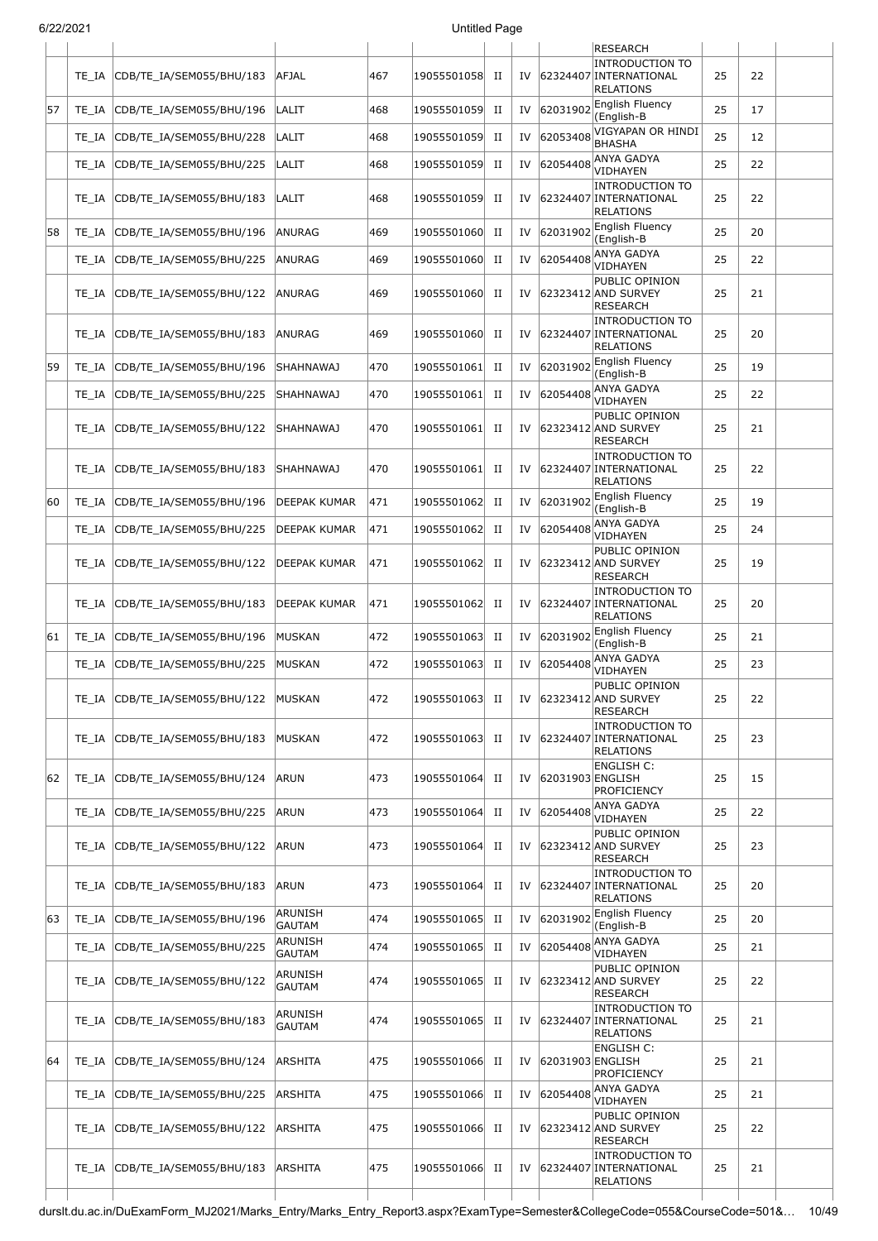| 6/22/2021 |       |                                |                          |     | <b>Untitled Page</b> |             |    |                  |                                                                      |    |    |  |
|-----------|-------|--------------------------------|--------------------------|-----|----------------------|-------------|----|------------------|----------------------------------------------------------------------|----|----|--|
|           |       |                                |                          |     |                      |             |    |                  | <b>RESEARCH</b>                                                      |    |    |  |
|           | TE IA | CDB/TE_IA/SEM055/BHU/183       | <b>AFJAL</b>             | 467 | 19055501058          | H           | IV |                  | <b>INTRODUCTION TO</b><br>62324407 INTERNATIONAL<br><b>RELATIONS</b> | 25 | 22 |  |
| 57        | TE IA | CDB/TE_IA/SEM055/BHU/196       | LALIT                    | 468 | 19055501059          | П           | IV | 62031902         | <b>English Fluency</b><br>(English-B                                 | 25 | 17 |  |
|           | TE IA | CDB/TE_IA/SEM055/BHU/228       | LALIT                    | 468 | 19055501059          | $_{\rm II}$ | IV | 62053408         | VIGYAPAN OR HINDI<br><b>BHASHA</b>                                   | 25 | 12 |  |
|           | TE IA | CDB/TE_IA/SEM055/BHU/225       | LALIT                    | 468 | 19055501059          | $_{\rm II}$ | IV | 62054408         | ANYA GADYA<br>VIDHAYEN                                               | 25 | 22 |  |
|           | TE IA | CDB/TE_IA/SEM055/BHU/183       | LALIT                    | 468 | 19055501059          | П           | IV |                  | <b>INTRODUCTION TO</b><br>62324407 INTERNATIONAL<br>RELATIONS        | 25 | 22 |  |
| 58        | TE IA | CDB/TE_IA/SEM055/BHU/196       | ANURAG                   | 469 | 19055501060          | $_{\rm II}$ | IV | 62031902         | <b>English Fluency</b><br>(English-B                                 | 25 | 20 |  |
|           | TE IA | CDB/TE_IA/SEM055/BHU/225       | ANURAG                   | 469 | 19055501060          | $_{\rm II}$ | IV | 62054408         | ANYA GADYA<br>VIDHAYEN                                               | 25 | 22 |  |
|           | TE IA | CDB/TE_IA/SEM055/BHU/122       | ANURAG                   | 469 | 19055501060          | П           | IV |                  | PUBLIC OPINION<br>62323412 AND SURVEY<br><b>RESEARCH</b>             | 25 | 21 |  |
|           | TE IA | CDB/TE_IA/SEM055/BHU/183       | ANURAG                   | 469 | 19055501060          | П           | IV |                  | <b>INTRODUCTION TO</b><br>62324407 INTERNATIONAL<br><b>RELATIONS</b> | 25 | 20 |  |
| 59        | TE IA | CDB/TE_IA/SEM055/BHU/196       | SHAHNAWAJ                | 470 | 19055501061          | $_{\rm II}$ | IV | 62031902         | <b>English Fluency</b><br>(English-B                                 | 25 | 19 |  |
|           | TE IA | CDB/TE_IA/SEM055/BHU/225       | SHAHNAWAJ                | 470 | 19055501061          | $_{\rm II}$ | IV | 62054408         | ANYA GADYA<br>VIDHAYEN                                               | 25 | 22 |  |
|           | TE IA | CDB/TE_IA/SEM055/BHU/122       | <b>SHAHNAWAJ</b>         | 470 | 19055501061          | П           | IV |                  | PUBLIC OPINION<br>62323412 AND SURVEY<br>RESEARCH                    | 25 | 21 |  |
|           | TE IA | CDB/TE_IA/SEM055/BHU/183       | SHAHNAWAJ                | 470 | 19055501061          | П           | IV |                  | <b>INTRODUCTION TO</b><br>62324407 INTERNATIONAL<br><b>RELATIONS</b> | 25 | 22 |  |
| 60        | TE IA | CDB/TE_IA/SEM055/BHU/196       | DEEPAK KUMAR             | 471 | 19055501062          | П           | IV | 62031902         | English Fluency<br>(English-B                                        | 25 | 19 |  |
|           | TE IA | CDB/TE_IA/SEM055/BHU/225       | DEEPAK KUMAR             | 471 | 19055501062          | П           | IV | 62054408         | ANYA GADYA<br>VIDHAYEN                                               | 25 | 24 |  |
|           | TE IA | CDB/TE_IA/SEM055/BHU/122       | DEEPAK KUMAR             | 471 | 19055501062          | П           | IV |                  | PUBLIC OPINION<br>62323412 AND SURVEY<br>RESEARCH                    | 25 | 19 |  |
|           | TE IA | CDB/TE_IA/SEM055/BHU/183       | DEEPAK KUMAR             | 471 | 19055501062          | П           | IV |                  | <b>INTRODUCTION TO</b><br>62324407 INTERNATIONAL<br><b>RELATIONS</b> | 25 | 20 |  |
| 61        | TE_IA | CDB/TE_IA/SEM055/BHU/196       | MUSKAN                   | 472 | 19055501063          | $_{\rm II}$ | IV | 62031902         | English Fluency<br>(English-B                                        | 25 | 21 |  |
|           | TE IA | CDB/TE_IA/SEM055/BHU/225       | MUSKAN                   | 472 | 19055501063          | $_{\rm II}$ | IV | 62054408         | <b>ANYA GADYA</b><br>VIDHAYEN                                        | 25 | 23 |  |
|           | TE IA | CDB/TE_IA/SEM055/BHU/122       | MUSKAN                   | 472 | 19055501063          | П           | IV |                  | PUBLIC OPINION<br>62323412 AND SURVEY<br>RESEARCH                    | 25 | 22 |  |
|           |       | TE_IA CDB/TE_IA/SEM055/BHU/183 | MUSKAN                   | 472 | 19055501063          | П           | IV |                  | <b>INTRODUCTION TO</b><br>62324407 INTERNATIONAL<br>RELATIONS        | 25 | 23 |  |
| 62        |       | TE_IA CDB/TE_IA/SEM055/BHU/124 | <b>ARUN</b>              | 473 | 19055501064          | $_{\rm II}$ | IV | 62031903 ENGLISH | ENGLISH C:<br>PROFICIENCY                                            | 25 | 15 |  |
|           |       | TE IA CDB/TE IA/SEM055/BHU/225 | ARUN                     | 473 | 19055501064          | П           | IV | 62054408         | ANYA GADYA<br>VIDHAYEN                                               | 25 | 22 |  |
|           |       | TE_IA CDB/TE_IA/SEM055/BHU/122 | ARUN                     | 473 | 19055501064          | П           | IV |                  | PUBLIC OPINION<br>62323412 AND SURVEY<br><b>RESEARCH</b>             | 25 | 23 |  |
|           | TE IA | CDB/TE_IA/SEM055/BHU/183       | <b>ARUN</b>              | 473 | 19055501064          | П           | IV |                  | <b>INTRODUCTION TO</b><br>62324407 INTERNATIONAL<br><b>RELATIONS</b> | 25 | 20 |  |
| 63        | TE IA | CDB/TE_IA/SEM055/BHU/196       | ARUNISH<br><b>GAUTAM</b> | 474 | 19055501065          | П           | IV | 62031902         | English Fluency<br>(English-B                                        | 25 | 20 |  |
|           | TE IA | CDB/TE_IA/SEM055/BHU/225       | ARUNISH<br>GAUTAM        | 474 | 19055501065          | $_{\rm II}$ | IV | 62054408         | <b>ANYA GADYA</b><br>VIDHAYEN                                        | 25 | 21 |  |
|           | TE IA | CDB/TE_IA/SEM055/BHU/122       | ARUNISH<br>GAUTAM        | 474 | 19055501065          | П           | IV |                  | PUBLIC OPINION<br>62323412 AND SURVEY<br><b>RESEARCH</b>             | 25 | 22 |  |
|           | TE IA | CDB/TE_IA/SEM055/BHU/183       | ARUNISH<br>GAUTAM        | 474 | 19055501065          | П           | IV |                  | <b>INTRODUCTION TO</b><br>62324407 INTERNATIONAL<br>RELATIONS        | 25 | 21 |  |
| 64        | TE IA | CDB/TE_IA/SEM055/BHU/124       | ARSHITA                  | 475 | 19055501066          | П           | IV | 62031903 ENGLISH | ENGLISH C:<br>PROFICIENCY                                            | 25 | 21 |  |
|           | TE IA | CDB/TE_IA/SEM055/BHU/225       | ARSHITA                  | 475 | 19055501066          | П           | IV | 62054408         | ANYA GADYA<br>VIDHAYEN                                               | 25 | 21 |  |
|           |       | TE_IA CDB/TE_IA/SEM055/BHU/122 | ARSHITA                  | 475 | 19055501066          | П           | IV |                  | PUBLIC OPINION<br>62323412 AND SURVEY<br><b>RESEARCH</b>             | 25 | 22 |  |
|           |       | TE IA CDB/TE IA/SEM055/BHU/183 | <b>ARSHITA</b>           | 475 | 19055501066          | $_{\rm II}$ | IV |                  | <b>INTRODUCTION TO</b><br>62324407 INTERNATIONAL<br><b>RELATIONS</b> | 25 | 21 |  |
|           |       |                                |                          |     |                      |             |    |                  |                                                                      |    |    |  |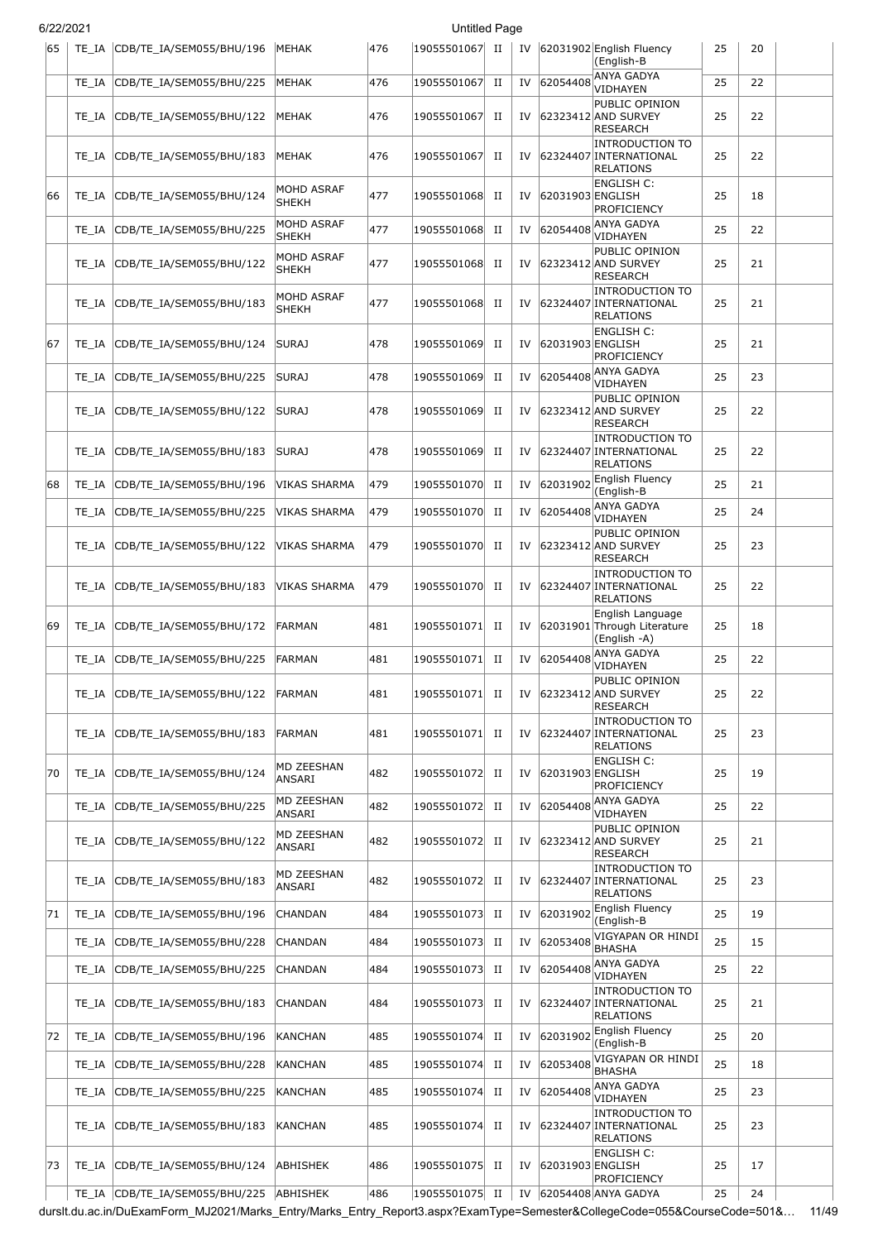| 6/22/2021 |       |                                |                            |     | <b>Untitled Page</b> |             |    |                  |                                                                      |    |    |  |
|-----------|-------|--------------------------------|----------------------------|-----|----------------------|-------------|----|------------------|----------------------------------------------------------------------|----|----|--|
| 65        | TE IA | CDB/TE_IA/SEM055/BHU/196       | MEHAK                      | 476 | 19055501067 II       |             |    |                  | IV 62031902 English Fluency<br>(English-B                            | 25 | 20 |  |
|           | TE IA | CDB/TE_IA/SEM055/BHU/225       | MEHAK                      | 476 | 19055501067          | $_{\rm II}$ | IV |                  | 62054408 ANYA GADYA<br><b>VIDHAYEN</b>                               | 25 | 22 |  |
|           | TE IA | CDB/TE IA/SEM055/BHU/122       | MEHAK                      | 476 | 19055501067          | П           | IV |                  | PUBLIC OPINION<br>62323412 AND SURVEY<br><b>RESEARCH</b>             | 25 | 22 |  |
|           | TE IA | CDB/TE_IA/SEM055/BHU/183       | MEHAK                      | 476 | 19055501067          | П           | IV |                  | <b>INTRODUCTION TO</b><br>62324407 INTERNATIONAL<br><b>RELATIONS</b> | 25 | 22 |  |
| 66        | TE IA | CDB/TE_IA/SEM055/BHU/124       | MOHD ASRAF<br><b>SHEKH</b> | 477 | 19055501068          | П           | IV | 62031903 ENGLISH | ENGLISH C:<br>PROFICIENCY                                            | 25 | 18 |  |
|           | TE IA | CDB/TE_IA/SEM055/BHU/225       | MOHD ASRAF<br>SHEKH        | 477 | 19055501068          | П           | IV | 62054408         | <b>ANYA GADYA</b><br>VIDHAYEN                                        | 25 | 22 |  |
|           | TE IA | CDB/TE IA/SEM055/BHU/122       | MOHD ASRAF<br><b>SHEKH</b> | 477 | 19055501068          | П           | IV |                  | PUBLIC OPINION<br>62323412 AND SURVEY<br><b>RESEARCH</b>             | 25 | 21 |  |
|           | TE IA | CDB/TE_IA/SEM055/BHU/183       | MOHD ASRAF<br><b>SHEKH</b> | 477 | 19055501068          | П           | IV |                  | <b>INTRODUCTION TO</b><br>62324407 INTERNATIONAL<br><b>RELATIONS</b> | 25 | 21 |  |
| 67        | TE IA | CDB/TE_IA/SEM055/BHU/124       | <b>SURAJ</b>               | 478 | 19055501069          | П           | IV | 62031903 ENGLISH | <b>ENGLISH C:</b><br>PROFICIENCY                                     | 25 | 21 |  |
|           | TE IA | CDB/TE_IA/SEM055/BHU/225       | <b>SURAJ</b>               | 478 | 19055501069          | П           | IV | 62054408         | <b>ANYA GADYA</b><br><b>VIDHAYEN</b>                                 | 25 | 23 |  |
|           | TE IA | CDB/TE IA/SEM055/BHU/122       | <b>SURAJ</b>               | 478 | 19055501069          | П           | IV |                  | PUBLIC OPINION<br>62323412 AND SURVEY<br><b>RESEARCH</b>             | 25 | 22 |  |
|           | TE IA | CDB/TE_IA/SEM055/BHU/183       | <b>SURAJ</b>               | 478 | 19055501069          | П           | IV |                  | <b>INTRODUCTION TO</b><br>62324407 INTERNATIONAL<br><b>RELATIONS</b> | 25 | 22 |  |
| 68        | TE IA | CDB/TE_IA/SEM055/BHU/196       | VIKAS SHARMA               | 479 | 19055501070          | $_{\rm II}$ | IV | 62031902         | English Fluency<br>(English-B                                        | 25 | 21 |  |
|           | TE_IA | CDB/TE_IA/SEM055/BHU/225       | VIKAS SHARMA               | 479 | 19055501070          | $_{\rm II}$ | IV | 62054408         | ANYA GADYA<br>VIDHAYEN                                               | 25 | 24 |  |
|           | TE IA | CDB/TE_IA/SEM055/BHU/122       | VIKAS SHARMA               | 479 | 19055501070          | П           | IV |                  | PUBLIC OPINION<br>62323412 AND SURVEY<br>RESEARCH                    | 25 | 23 |  |
|           | TE IA | CDB/TE_IA/SEM055/BHU/183       | VIKAS SHARMA               | 479 | 19055501070          | П           | IV |                  | <b>INTRODUCTION TO</b><br>62324407 INTERNATIONAL<br><b>RELATIONS</b> | 25 | 22 |  |
| 69        | TE IA | CDB/TE_IA/SEM055/BHU/172       | FARMAN                     | 481 | 19055501071          | П           | IV |                  | English Language<br>62031901 Through Literature<br>(English -A)      | 25 | 18 |  |
|           | TE IA | CDB/TE_IA/SEM055/BHU/225       | <b>FARMAN</b>              | 481 | 19055501071          | $_{\rm II}$ | IV | 62054408         | ANYA GADYA<br>VIDHAYEN                                               | 25 | 22 |  |
|           | TE IA | CDB/TE_IA/SEM055/BHU/122       | FARMAN                     | 481 | 19055501071          | П           | IV |                  | PUBLIC OPINION<br>62323412 AND SURVEY<br><b>RESEARCH</b>             | 25 | 22 |  |
|           | TE IA | CDB/TE_IA/SEM055/BHU/183       | <b>FARMAN</b>              | 481 | 19055501071          | П           | IV |                  | <b>INTRODUCTION TO</b><br>62324407 INTERNATIONAL<br><b>RELATIONS</b> | 25 | 23 |  |
| 70        | TE IA | CDB/TE_IA/SEM055/BHU/124       | MD ZEESHAN<br>ANSARI       | 482 | 19055501072          | П           | IV | 62031903 ENGLISH | <b>ENGLISH C:</b><br>PROFICIENCY                                     | 25 | 19 |  |
|           | TE_IA | CDB/TE IA/SEM055/BHU/225       | MD ZEESHAN<br>ANSARI       | 482 | 19055501072          | П           | IV | 62054408         | <b>ANYA GADYA</b><br><b>VIDHAYEN</b>                                 | 25 | 22 |  |
|           | TE IA | CDB/TE IA/SEM055/BHU/122       | MD ZEESHAN<br>ANSARI       | 482 | 19055501072          | П           | IV |                  | PUBLIC OPINION<br>62323412 AND SURVEY<br><b>RESEARCH</b>             | 25 | 21 |  |
|           | TE IA | CDB/TE_IA/SEM055/BHU/183       | MD ZEESHAN<br>ANSARI       | 482 | 19055501072          | П           | IV |                  | <b>INTRODUCTION TO</b><br>62324407 INTERNATIONAL<br><b>RELATIONS</b> | 25 | 23 |  |
| 71        | TE IA | CDB/TE_IA/SEM055/BHU/196       | CHANDAN                    | 484 | 19055501073          | П           | IV | 62031902         | English Fluency<br>(English-B                                        | 25 | 19 |  |
|           | TE IA | CDB/TE_IA/SEM055/BHU/228       | CHANDAN                    | 484 | 19055501073          | П           | IV | 62053408         | VIGYAPAN OR HINDI<br><b>BHASHA</b>                                   | 25 | 15 |  |
|           | TE_IA | CDB/TE_IA/SEM055/BHU/225       | CHANDAN                    | 484 | 19055501073          | П           | IV | 62054408         | ANYA GADYA<br>VIDHAYEN                                               | 25 | 22 |  |
|           | TE IA | CDB/TE_IA/SEM055/BHU/183       | CHANDAN                    | 484 | 19055501073          | П           | IV |                  | <b>INTRODUCTION TO</b><br>62324407 INTERNATIONAL<br><b>RELATIONS</b> | 25 | 21 |  |
| 72        | TE IA | CDB/TE_IA/SEM055/BHU/196       | KANCHAN                    | 485 | 19055501074          | H           | IV | 62031902         | English Fluency<br>(English-B                                        | 25 | 20 |  |
|           | TE IA | CDB/TE_IA/SEM055/BHU/228       | KANCHAN                    | 485 | 19055501074          | H           | IV | 62053408         | VIGYAPAN OR HINDI<br><b>BHASHA</b>                                   | 25 | 18 |  |
|           | TE_IA | CDB/TE_IA/SEM055/BHU/225       | KANCHAN                    | 485 | 19055501074          | П           | IV | 62054408         | <b>ANYA GADYA</b><br>VIDHAYEN                                        | 25 | 23 |  |
|           | TE_IA | CDB/TE_IA/SEM055/BHU/183       | KANCHAN                    | 485 | 19055501074          | H           | IV |                  | <b>INTRODUCTION TO</b><br>62324407 INTERNATIONAL<br><b>RELATIONS</b> | 25 | 23 |  |
| 73        | TE IA | CDB/TE_IA/SEM055/BHU/124       | ABHISHEK                   | 486 | 19055501075 II       |             | IV | 62031903 ENGLISH | <b>ENGLISH C:</b><br><b>PROFICIENCY</b>                              | 25 | 17 |  |
|           |       | TE_IA CDB/TE_IA/SEM055/BHU/225 | ABHISHEK                   | 486 | 19055501075 II       |             |    |                  | IV 62054408 ANYA GADYA                                               | 25 | 24 |  |

durslt.du.ac.in/DuExamForm\_MJ2021/Marks\_Entry/Marks\_Entry\_Report3.aspx?ExamType=Semester&CollegeCode=055&CourseCode=501&… 11/49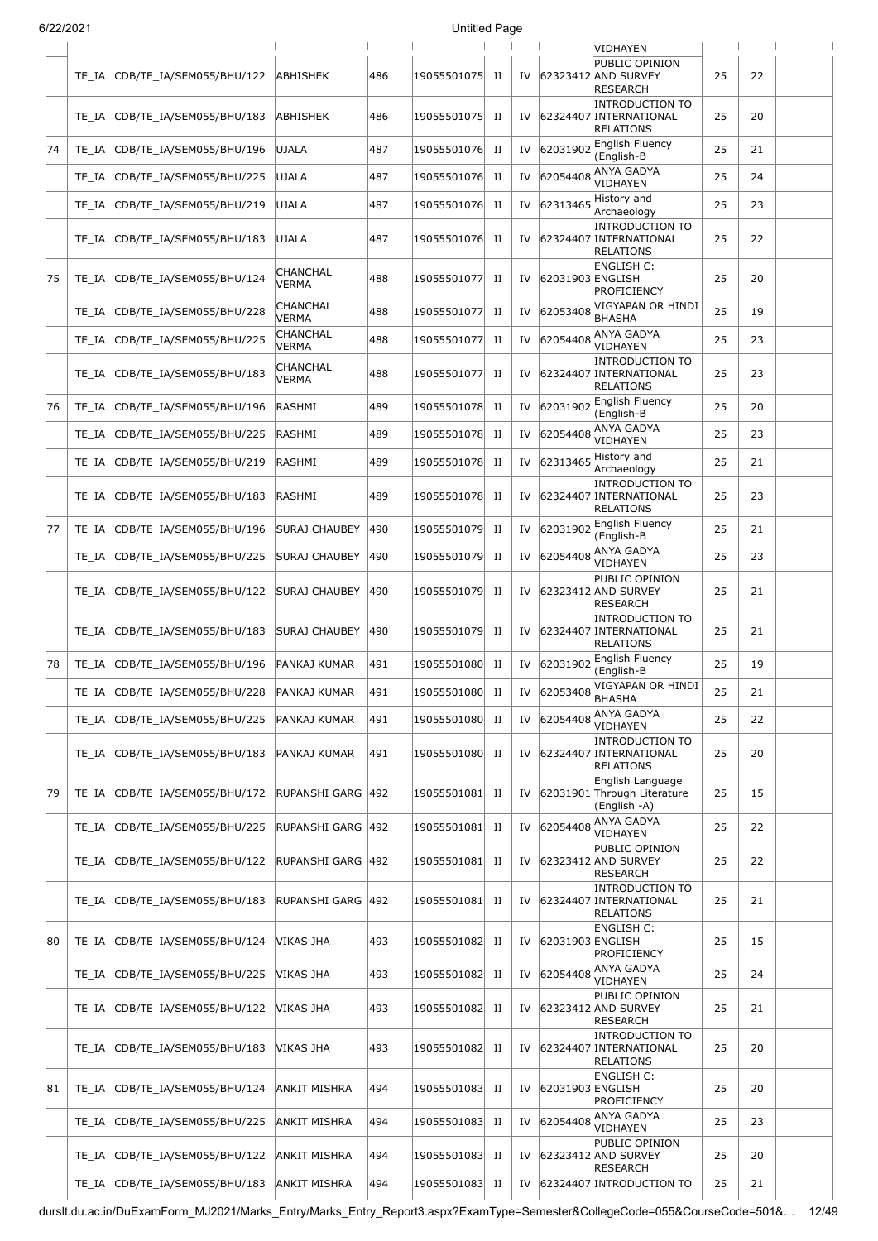|  | 6/22/2021 |
|--|-----------|
|  |           |

|    | 212212021 |                          |                          |     | Untitled Page |             |    |                  |                                                                             |    |    |  |
|----|-----------|--------------------------|--------------------------|-----|---------------|-------------|----|------------------|-----------------------------------------------------------------------------|----|----|--|
|    | TE IA     | CDB/TE_IA/SEM055/BHU/122 | ABHISHEK                 | 486 | 19055501075   | П           | IV |                  | VIDHAYEN<br>PUBLIC OPINION<br>62323412 AND SURVEY<br><b>RESEARCH</b>        | 25 | 22 |  |
|    | TE IA     | CDB/TE_IA/SEM055/BHU/183 | ABHISHEK                 | 486 | 19055501075   | П           | IV |                  | <b>INTRODUCTION TO</b><br>62324407 INTERNATIONAL<br><b>RELATIONS</b>        | 25 | 20 |  |
| 74 | TE IA     | CDB/TE_IA/SEM055/BHU/196 | UJALA                    | 487 | 19055501076   | П           | IV | 62031902         | English Fluency<br>(English-B                                               | 25 | 21 |  |
|    | TE IA     | CDB/TE_IA/SEM055/BHU/225 | <b>UJALA</b>             | 487 | 19055501076   | П           | IV | 62054408         | ANYA GADYA<br>VIDHAYEN                                                      | 25 | 24 |  |
|    | TE IA     | CDB/TE_IA/SEM055/BHU/219 | <b>UJALA</b>             | 487 | 19055501076   | П           | IV | 62313465         | History and<br>Archaeology                                                  | 25 | 23 |  |
|    | TE IA     | CDB/TE_IA/SEM055/BHU/183 | <b>UJALA</b>             | 487 | 19055501076   | П           | IV |                  | <b>INTRODUCTION TO</b><br>62324407 INTERNATIONAL<br><b>RELATIONS</b>        | 25 | 22 |  |
| 75 | TE IA     | CDB/TE_IA/SEM055/BHU/124 | CHANCHAL<br>VERMA        | 488 | 19055501077   | П           | IV | 62031903 ENGLISH | <b>ENGLISH C:</b><br>PROFICIENCY                                            | 25 | 20 |  |
|    | TE IA     | CDB/TE_IA/SEM055/BHU/228 | CHANCHAL<br><b>VERMA</b> | 488 | 19055501077   | П           | IV | 62053408         | VIGYAPAN OR HINDI<br><b>BHASHA</b>                                          | 25 | 19 |  |
|    | TE IA     | CDB/TE_IA/SEM055/BHU/225 | CHANCHAL<br><b>VERMA</b> | 488 | 19055501077   | П           | IV | 62054408         | ANYA GADYA<br>VIDHAYEN                                                      | 25 | 23 |  |
|    | TE IA     | CDB/TE_IA/SEM055/BHU/183 | CHANCHAL<br>VERMA        | 488 | 19055501077   | П           | IV |                  | <b>INTRODUCTION TO</b><br>62324407 INTERNATIONAL<br><b>RELATIONS</b>        | 25 | 23 |  |
| 76 | TE IA     | CDB/TE IA/SEM055/BHU/196 | RASHMI                   | 489 | 19055501078   | П           | IV | 62031902         | English Fluency<br>(English-B                                               | 25 | 20 |  |
|    | TE IA     | CDB/TE IA/SEM055/BHU/225 | RASHMI                   | 489 | 19055501078   | П           | IV | 62054408         | <b>ANYA GADYA</b><br>VIDHAYEN                                               | 25 | 23 |  |
|    | TE IA     | CDB/TE_IA/SEM055/BHU/219 | RASHMI                   | 489 | 19055501078   | $_{\rm II}$ | IV | 62313465         | History and<br>Archaeology                                                  | 25 | 21 |  |
|    | TE IA     | CDB/TE_IA/SEM055/BHU/183 | RASHMI                   | 489 | 19055501078   | П           | IV |                  | <b>INTRODUCTION TO</b><br>62324407 INTERNATIONAL<br><b>RELATIONS</b>        | 25 | 23 |  |
| 77 | TE_IA     | CDB/TE_IA/SEM055/BHU/196 | SURAJ CHAUBEY            | 490 | 19055501079   | П           | IV | 62031902         | English Fluency<br>(English-B                                               | 25 | 21 |  |
|    | TE_IA     | CDB/TE_IA/SEM055/BHU/225 | <b>SURAJ CHAUBEY</b>     | 490 | 19055501079   | $_{\rm II}$ | IV | 62054408         | ANYA GADYA<br>VIDHAYEN                                                      | 25 | 23 |  |
|    | TE_IA     | CDB/TE_IA/SEM055/BHU/122 | SURAJ CHAUBEY            | 490 | 19055501079   | П           | IV |                  | PUBLIC OPINION<br>62323412 AND SURVEY<br>RESEARCH                           | 25 | 21 |  |
|    | TE IA     | CDB/TE_IA/SEM055/BHU/183 | SURAJ CHAUBEY            | 490 | 19055501079   | П           | IV |                  | <b>INTRODUCTION TO</b><br>62324407 INTERNATIONAL<br><b>RELATIONS</b>        | 25 | 21 |  |
| 78 | TE IA     | CDB/TE IA/SEM055/BHU/196 | PANKAJ KUMAR             | 491 | 19055501080   | П           | IV | 62031902         | <b>English Fluency</b><br>(English-B                                        | 25 | 19 |  |
|    | TE_IA     | CDB/TE_IA/SEM055/BHU/228 | <b>PANKAJ KUMAR</b>      | 491 | 19055501080   | п           | IV | 62053408         | VIGYAPAN OR HINDI<br><b>BHASHA</b>                                          | 25 | 21 |  |
|    | TE IA     | CDB/TE IA/SEM055/BHU/225 | PANKAJ KUMAR             | 491 | 19055501080   | П           | IV | 62054408         | ANYA GADYA<br>VIDHAYEN                                                      | 25 | 22 |  |
|    | TE_IA     | CDB/TE_IA/SEM055/BHU/183 | PANKAJ KUMAR             | 491 | 19055501080   | П           | IV |                  | <b>INTRODUCTION TO</b><br>62324407 INTERNATIONAL<br><b>RELATIONS</b>        | 25 | 20 |  |
| 79 | TE_IA     | CDB/TE IA/SEM055/BHU/172 | RUPANSHI GARG            | 492 | 19055501081   | П           | IV |                  | English Language<br>62031901 Through Literature<br>(English -A)             | 25 | 15 |  |
|    | TE_IA     | CDB/TE_IA/SEM055/BHU/225 | RUPANSHI GARG            | 492 | 19055501081   | П           | IV | 62054408         | ANYA GADYA<br>VIDHAYEN                                                      | 25 | 22 |  |
|    | TE_IA     | CDB/TE_IA/SEM055/BHU/122 | RUPANSHI GARG 492        |     | 19055501081   | П           | IV |                  | PUBLIC OPINION<br>62323412 AND SURVEY<br><b>RESEARCH</b>                    | 25 | 22 |  |
|    | TE IA     | CDB/TE_IA/SEM055/BHU/183 | RUPANSHI GARG            | 492 | 19055501081   | П           | IV |                  | <b>INTRODUCTION TO</b><br>62324407 INTERNATIONAL<br>RELATIONS<br>ENGLISH C: | 25 | 21 |  |
| 80 | TE_IA     | CDB/TE_IA/SEM055/BHU/124 | VIKAS JHA                | 493 | 19055501082   | П           | IV | 62031903 ENGLISH | PROFICIENCY                                                                 | 25 | 15 |  |
|    | TE_IA     | CDB/TE_IA/SEM055/BHU/225 | VIKAS JHA                | 493 | 19055501082   | П           | IV | 62054408         | ANYA GADYA<br>VIDHAYEN                                                      | 25 | 24 |  |
|    | TE IA     | CDB/TE_IA/SEM055/BHU/122 | VIKAS JHA                | 493 | 19055501082   | П           | IV |                  | PUBLIC OPINION<br>62323412 AND SURVEY<br><b>RESEARCH</b>                    | 25 | 21 |  |
|    | TE_IA     | CDB/TE_IA/SEM055/BHU/183 | VIKAS JHA                | 493 | 19055501082   | П           | IV |                  | <b>INTRODUCTION TO</b><br>62324407 INTERNATIONAL<br>RELATIONS               | 25 | 20 |  |
| 81 | TE IA     | CDB/TE_IA/SEM055/BHU/124 | ANKIT MISHRA             | 494 | 19055501083   | П           | IV | 62031903 ENGLISH | <b>ENGLISH C:</b><br>PROFICIENCY                                            | 25 | 20 |  |
|    | TE_IA     | CDB/TE_IA/SEM055/BHU/225 | ANKIT MISHRA             | 494 | 19055501083   | П           | IV | 62054408         | ANYA GADYA<br>VIDHAYEN                                                      | 25 | 23 |  |
|    | TE_IA     | CDB/TE_IA/SEM055/BHU/122 | ANKIT MISHRA             | 494 | 19055501083   | П           | IV |                  | PUBLIC OPINION<br>62323412 AND SURVEY<br><b>RESEARCH</b>                    | 25 | 20 |  |
|    | TE_IA     | CDB/TE_IA/SEM055/BHU/183 | ANKIT MISHRA             | 494 | 19055501083   | $_{\rm II}$ | IV |                  | 62324407 INTRODUCTION TO                                                    | 25 | 21 |  |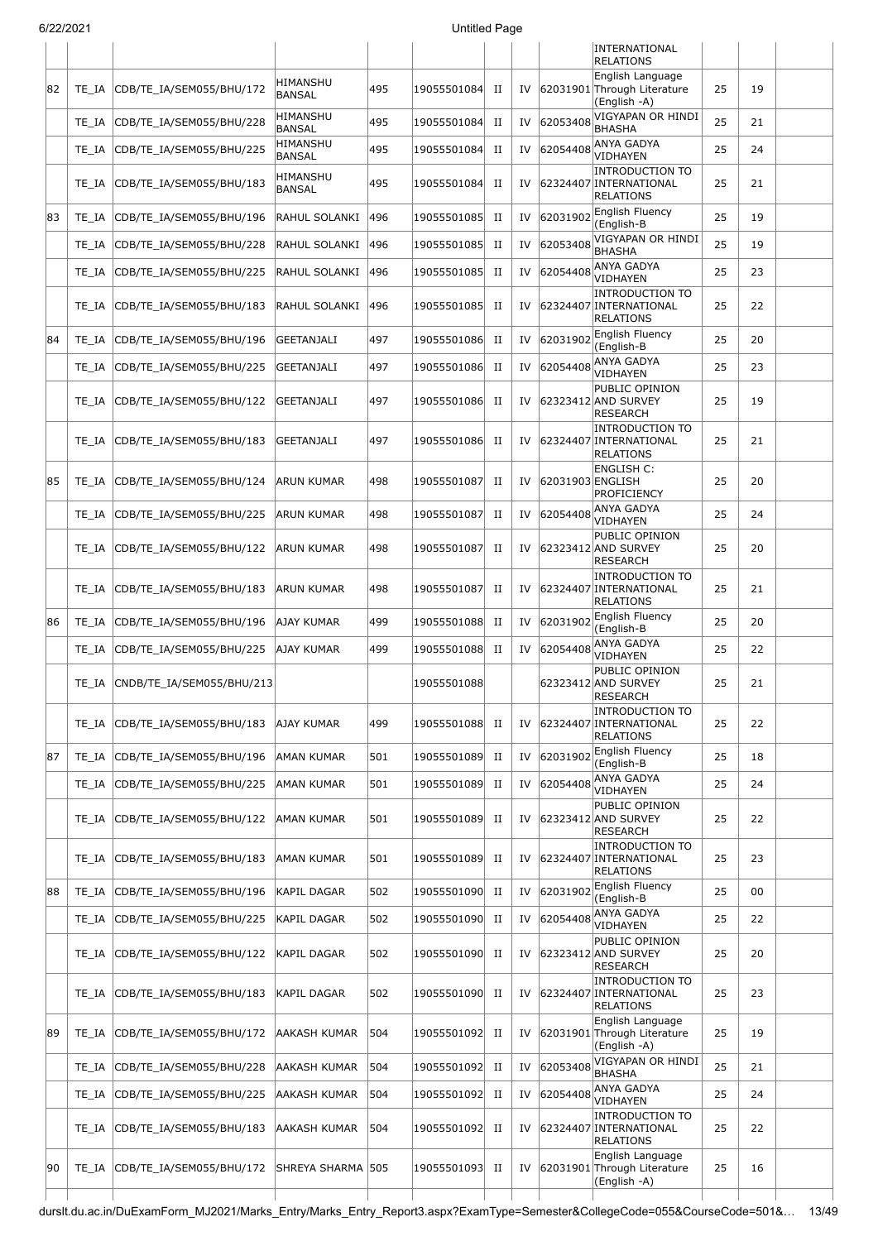| 6/22/2021 |       |                           |                           |     | <b>Untitled Page</b> |             |    |                  |                                                                                             |    |    |  |
|-----------|-------|---------------------------|---------------------------|-----|----------------------|-------------|----|------------------|---------------------------------------------------------------------------------------------|----|----|--|
|           |       |                           |                           |     |                      |             |    |                  | INTERNATIONAL<br><b>RELATIONS</b>                                                           |    |    |  |
| 82        | TE IA | CDB/TE_IA/SEM055/BHU/172  | HIMANSHU<br><b>BANSAL</b> | 495 | 19055501084          | П           | IV |                  | English Language<br>62031901 Through Literature<br>(English -A)                             | 25 | 19 |  |
|           | TE IA | CDB/TE_IA/SEM055/BHU/228  | HIMANSHU<br><b>BANSAL</b> | 495 | 19055501084          | $_{\rm II}$ | IV | 62053408         | VIGYAPAN OR HINDI<br><b>BHASHA</b>                                                          | 25 | 21 |  |
|           | TE_IA | CDB/TE_IA/SEM055/BHU/225  | HIMANSHU<br>BANSAL        | 495 | 19055501084          | П           | IV | 62054408         | ANYA GADYA<br>VIDHAYEN                                                                      | 25 | 24 |  |
|           | TE IA | CDB/TE IA/SEM055/BHU/183  | HIMANSHU<br>BANSAL        | 495 | 19055501084          | П           | IV |                  | <b>INTRODUCTION TO</b><br>62324407 INTERNATIONAL<br>RELATIONS                               | 25 | 21 |  |
| 83        | TE IA | CDB/TE_IA/SEM055/BHU/196  | RAHUL SOLANKI             | 496 | 19055501085          | $_{\rm II}$ | IV | 62031902         | English Fluency<br>(English-B                                                               | 25 | 19 |  |
|           | TE IA | CDB/TE_IA/SEM055/BHU/228  | RAHUL SOLANKI             | 496 | 19055501085          | $_{\rm II}$ | IV | 62053408         | VIGYAPAN OR HINDI<br><b>BHASHA</b>                                                          | 25 | 19 |  |
|           | TE IA | CDB/TE_IA/SEM055/BHU/225  | RAHUL SOLANKI             | 496 | 19055501085          | $_{\rm II}$ | IV | 62054408         | <b>ANYA GADYA</b><br>VIDHAYEN                                                               | 25 | 23 |  |
|           | TE IA | CDB/TE_IA/SEM055/BHU/183  | RAHUL SOLANKI             | 496 | 19055501085          | П           | IV |                  | <b>INTRODUCTION TO</b><br>62324407 INTERNATIONAL<br><b>RELATIONS</b>                        | 25 | 22 |  |
| 84        | TE IA | CDB/TE_IA/SEM055/BHU/196  | GEETANJALI                | 497 | 19055501086          | П           | IV | 62031902         | English Fluency<br>(English-B                                                               | 25 | 20 |  |
|           | TE IA | CDB/TE_IA/SEM055/BHU/225  | GEETANJALI                | 497 | 19055501086          | $_{\rm II}$ | IV | 62054408         | <b>ANYA GADYA</b><br>VIDHAYEN                                                               | 25 | 23 |  |
|           | TE IA | CDB/TE_IA/SEM055/BHU/122  | GEETANJALI                | 497 | 19055501086          | П           | IV |                  | PUBLIC OPINION<br>62323412 AND SURVEY<br><b>RESEARCH</b>                                    | 25 | 19 |  |
|           | TE IA | CDB/TE_IA/SEM055/BHU/183  | GEETANJALI                | 497 | 19055501086          | П           | IV |                  | <b>INTRODUCTION TO</b><br>62324407 INTERNATIONAL<br><b>RELATIONS</b>                        | 25 | 21 |  |
| 85        | TE IA | CDB/TE_IA/SEM055/BHU/124  | ARUN KUMAR                | 498 | 19055501087          | П           | IV | 62031903 ENGLISH | <b>ENGLISH C:</b><br>PROFICIENCY                                                            | 25 | 20 |  |
|           | TE IA | CDB/TE_IA/SEM055/BHU/225  | ARUN KUMAR                | 498 | 19055501087          | П           | IV | 62054408         | <b>ANYA GADYA</b><br>VIDHAYEN                                                               | 25 | 24 |  |
|           | TE IA | CDB/TE_IA/SEM055/BHU/122  | ARUN KUMAR                | 498 | 19055501087          | П           | IV |                  | PUBLIC OPINION<br>62323412 AND SURVEY<br><b>RESEARCH</b>                                    | 25 | 20 |  |
|           | TE IA | CDB/TE_IA/SEM055/BHU/183  | ARUN KUMAR                | 498 | 19055501087          | П           | IV |                  | <b>INTRODUCTION TO</b><br>62324407 INTERNATIONAL<br><b>RELATIONS</b>                        | 25 | 21 |  |
| 86        | TE_IA | CDB/TE_IA/SEM055/BHU/196  | AJAY KUMAR                | 499 | 19055501088          | П           | IV |                  | 62031902 English Fluency<br>(English-B                                                      | 25 | 20 |  |
|           | TE_IA | CDB/TE_IA/SEM055/BHU/225  | AJAY KUMAR                | 499 | 19055501088          | $_{\rm II}$ | IV | 62054408         | <b>ANYA GADYA</b><br>VIDHAYEN                                                               | 25 | 22 |  |
|           | TE_IA | CNDB/TE_IA/SEM055/BHU/213 |                           |     | 19055501088          |             |    |                  | PUBLIC OPINION<br>62323412 AND SURVEY<br><b>RESEARCH</b>                                    | 25 | 21 |  |
|           | TE IA | CDB/TE_IA/SEM055/BHU/183  | AJAY KUMAR                | 499 | 19055501088          | H           | IV |                  | <b>INTRODUCTION TO</b><br>62324407 INTERNATIONAL<br><b>RELATIONS</b>                        | 25 | 22 |  |
| 87        | TE IA | CDB/TE_IA/SEM055/BHU/196  | AMAN KUMAR                | 501 | 19055501089          | П           | IV | 62031902         | English Fluency<br>(English-B                                                               | 25 | 18 |  |
|           | TE IA | CDB/TE_IA/SEM055/BHU/225  | AMAN KUMAR                | 501 | 19055501089          | $_{\rm II}$ | IV | 62054408         | ANYA GADYA<br>VIDHAYEN                                                                      | 25 | 24 |  |
|           | TE IA | CDB/TE IA/SEM055/BHU/122  | AMAN KUMAR                | 501 | 19055501089          | $_{\rm II}$ | IV |                  | PUBLIC OPINION<br>62323412 AND SURVEY<br><b>RESEARCH</b>                                    | 25 | 22 |  |
|           | TE IA | CDB/TE_IA/SEM055/BHU/183  | AMAN KUMAR                | 501 | 19055501089          | П           | IV |                  | <b>INTRODUCTION TO</b><br>62324407 INTERNATIONAL<br><b>RELATIONS</b>                        | 25 | 23 |  |
| 88        | TE_IA | CDB/TE_IA/SEM055/BHU/196  | <b>KAPIL DAGAR</b>        | 502 | 19055501090          | $_{\rm II}$ | IV | 62031902         | English Fluency<br>(English-B                                                               | 25 | 00 |  |
|           | TE_IA | CDB/TE_IA/SEM055/BHU/225  | <b>KAPIL DAGAR</b>        | 502 | 19055501090 II       |             | IV | 62054408         | ANYA GADYA<br>VIDHAYEN                                                                      | 25 | 22 |  |
|           | TE IA | CDB/TE_IA/SEM055/BHU/122  | KAPIL DAGAR               | 502 | 19055501090          | H           | IV |                  | PUBLIC OPINION<br>62323412 AND SURVEY<br><b>RESEARCH</b>                                    | 25 | 20 |  |
|           | TE IA | CDB/TE_IA/SEM055/BHU/183  | KAPIL DAGAR               | 502 | 19055501090          | П           | IV |                  | <b>INTRODUCTION TO</b><br>62324407 INTERNATIONAL<br><b>RELATIONS</b>                        | 25 | 23 |  |
| 89        | TE IA | CDB/TE_IA/SEM055/BHU/172  | AAKASH KUMAR              | 504 | 19055501092          | П           | IV |                  | English Language<br>62031901 Through Literature<br>(English -A)<br><b>VIGYAPAN OR HINDI</b> | 25 | 19 |  |
|           | TE IA | CDB/TE_IA/SEM055/BHU/228  | AAKASH KUMAR              | 504 | 19055501092          | П           | IV | 62053408         | BHASHA                                                                                      | 25 | 21 |  |
|           | TE_IA | CDB/TE_IA/SEM055/BHU/225  | AAKASH KUMAR              | 504 | 19055501092          | П           | IV | 62054408         | ANYA GADYA<br>VIDHAYEN                                                                      | 25 | 24 |  |
|           | TE IA | CDB/TE_IA/SEM055/BHU/183  | <b>AAKASH KUMAR</b>       | 504 | 19055501092          | П           | IV |                  | <b>INTRODUCTION TO</b><br>62324407 INTERNATIONAL<br><b>RELATIONS</b><br>English Language    | 25 | 22 |  |
| 90        | TE IA | CDB/TE_IA/SEM055/BHU/172  | SHREYA SHARMA  505        |     | 19055501093          | П           | IV |                  | 62031901 Through Literature<br>(English -A)                                                 | 25 | 16 |  |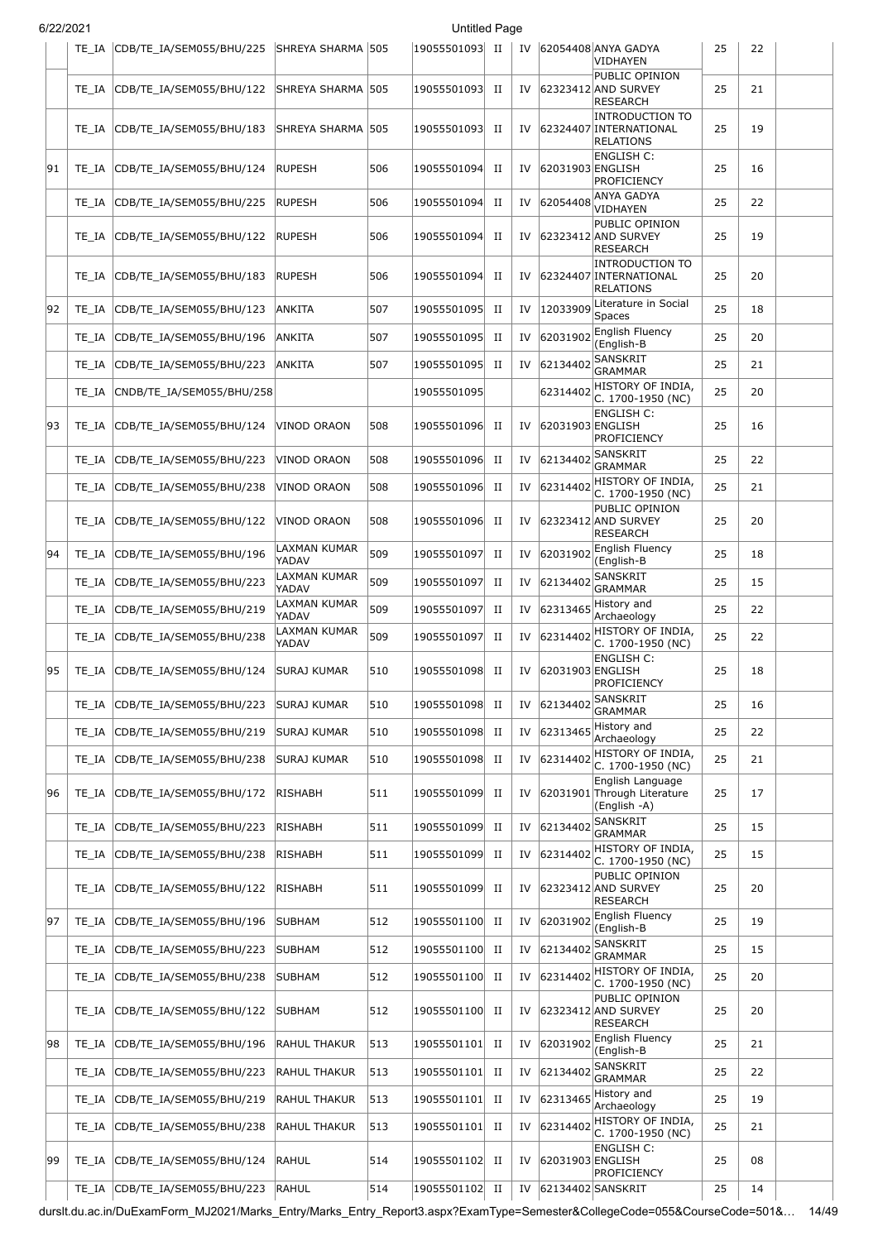|  | 6/22/2021 |  |
|--|-----------|--|
|  |           |  |

|    | TE IA | CDB/TE IA/SEM055/BHU/225  | SHREYA SHARMA   505   |     | 19055501093 | п           | IV |                  | 62054408 ANYA GADYA<br>VIDHAYEN                                      | 25 | 22 |  |
|----|-------|---------------------------|-----------------------|-----|-------------|-------------|----|------------------|----------------------------------------------------------------------|----|----|--|
|    | TE IA | CDB/TE IA/SEM055/BHU/122  | SHREYA SHARMA   505   |     | 19055501093 | П           | IV |                  | PUBLIC OPINION<br>62323412 AND SURVEY<br><b>RESEARCH</b>             | 25 | 21 |  |
|    | TE IA | CDB/TE_IA/SEM055/BHU/183  | SHREYA SHARMA 1505    |     | 19055501093 | П           | IV |                  | <b>INTRODUCTION TO</b><br>62324407 INTERNATIONAL<br><b>RELATIONS</b> | 25 | 19 |  |
| 91 | TE IA | CDB/TE_IA/SEM055/BHU/124  | <b>RUPESH</b>         | 506 | 19055501094 | П           | IV | 62031903 ENGLISH | <b>ENGLISH C:</b><br>PROFICIENCY                                     | 25 | 16 |  |
|    | TE IA | CDB/TE_IA/SEM055/BHU/225  | RUPESH                | 506 | 19055501094 | П           | IV | 62054408         | ANYA GADYA<br>VIDHAYEN                                               | 25 | 22 |  |
|    | TE IA | CDB/TE_IA/SEM055/BHU/122  | <b>RUPESH</b>         | 506 | 19055501094 | П           | IV |                  | PUBLIC OPINION<br>62323412 AND SURVEY<br><b>RESEARCH</b>             | 25 | 19 |  |
|    | TE IA | CDB/TE_IA/SEM055/BHU/183  | RUPESH                | 506 | 19055501094 | П           | IV |                  | <b>INTRODUCTION TO</b><br>62324407 INTERNATIONAL<br><b>RELATIONS</b> | 25 | 20 |  |
| 92 | TE IA | CDB/TE_IA/SEM055/BHU/123  | ANKITA                | 507 | 19055501095 | П           | IV | 12033909         | Literature in Social<br>Spaces                                       | 25 | 18 |  |
|    | TE IA | CDB/TE_IA/SEM055/BHU/196  | ANKITA                | 507 | 19055501095 | П           | IV | 62031902         | English Fluency<br>(English-B                                        | 25 | 20 |  |
|    | TE IA | CDB/TE IA/SEM055/BHU/223  | ANKITA                | 507 | 19055501095 | П           | IV | 62134402         | SANSKRIT<br><b>GRAMMAR</b>                                           | 25 | 21 |  |
|    | TE_IA | CNDB/TE_IA/SEM055/BHU/258 |                       |     | 19055501095 |             |    | 62314402         | HISTORY OF INDIA,<br>C. 1700-1950 (NC)                               | 25 | 20 |  |
| 93 | TE IA | CDB/TE_IA/SEM055/BHU/124  | VINOD ORAON           | 508 | 19055501096 | П           | IV | 62031903 ENGLISH | <b>ENGLISH C:</b><br>PROFICIENCY                                     | 25 | 16 |  |
|    | TE IA | CDB/TE_IA/SEM055/BHU/223  | VINOD ORAON           | 508 | 19055501096 | П           | IV | 62134402         | SANSKRIT<br><b>GRAMMAR</b>                                           | 25 | 22 |  |
|    | TE IA | CDB/TE_IA/SEM055/BHU/238  | VINOD ORAON           | 508 | 19055501096 | П           | IV | 62314402         | HISTORY OF INDIA,<br>C. 1700-1950 (NC)                               | 25 | 21 |  |
|    | TE IA | CDB/TE_IA/SEM055/BHU/122  | VINOD ORAON           | 508 | 19055501096 | П           | IV |                  | PUBLIC OPINION<br>62323412 AND SURVEY<br><b>RESEARCH</b>             | 25 | 20 |  |
| 94 | TE IA | CDB/TE_IA/SEM055/BHU/196  | LAXMAN KUMAR<br>YADAV | 509 | 19055501097 | П           | IV | 62031902         | English Fluency<br>(English-B                                        | 25 | 18 |  |
|    | TE IA | CDB/TE_IA/SEM055/BHU/223  | LAXMAN KUMAR<br>YADAV | 509 | 19055501097 | $_{\rm II}$ | IV | 62134402         | <b>SANSKRIT</b><br><b>GRAMMAR</b>                                    | 25 | 15 |  |
|    | TE IA | CDB/TE_IA/SEM055/BHU/219  | LAXMAN KUMAR<br>YADAV | 509 | 19055501097 | П           | IV | 62313465         | History and<br>Archaeology                                           | 25 | 22 |  |
|    | TE IA | CDB/TE_IA/SEM055/BHU/238  | LAXMAN KUMAR<br>YADAV | 509 | 19055501097 | П           | IV | 62314402         | HISTORY OF INDIA,<br>C. 1700-1950 (NC)                               | 25 | 22 |  |
| 95 | TE IA | CDB/TE IA/SEM055/BHU/124  | <b>SURAJ KUMAR</b>    | 510 | 19055501098 | П           | IV | 62031903 ENGLISH | ENGLISH C:<br>PROFICIENCY                                            | 25 | 18 |  |
|    | TE_IA | CDB/TE_IA/SEM055/BHU/223  | <b>SURAJ KUMAR</b>    | 510 | 19055501098 | П           | IV |                  | 62134402 SANSKRIT<br><b>GRAMMAR</b>                                  | 25 | 16 |  |
|    | TE IA | CDB/TE IA/SEM055/BHU/219  | <b>SURAJ KUMAR</b>    | 510 | 19055501098 | $_{\rm II}$ | IV | 62313465         | History and<br>Archaeology                                           | 25 | 22 |  |
|    | TE_IA | CDB/TE_IA/SEM055/BHU/238  | <b>SURAJ KUMAR</b>    | 510 | 19055501098 | П           | IV | 62314402         | HISTORY OF INDIA,<br>C. 1700-1950 (NC)                               | 25 | 21 |  |
| 96 | TE_IA | CDB/TE_IA/SEM055/BHU/172  | <b>RISHABH</b>        | 511 | 19055501099 | П           | IV |                  | English Language<br>62031901 Through Literature<br>(English -A)      | 25 | 17 |  |
|    | TE_IA | CDB/TE IA/SEM055/BHU/223  | RISHABH               | 511 | 19055501099 | П           | IV | 62134402         | SANSKRIT<br>GRAMMAR                                                  | 25 | 15 |  |
|    | TE_IA | CDB/TE_IA/SEM055/BHU/238  | <b>RISHABH</b>        | 511 | 19055501099 | П           | IV | 62314402         | HISTORY OF INDIA,<br>C. 1700-1950 (NC)                               | 25 | 15 |  |
|    | TE_IA | CDB/TE_IA/SEM055/BHU/122  | RISHABH               | 511 | 19055501099 | П           | IV |                  | PUBLIC OPINION<br>62323412 AND SURVEY<br><b>RESEARCH</b>             | 25 | 20 |  |
| 97 | TE_IA | CDB/TE_IA/SEM055/BHU/196  | SUBHAM                | 512 | 19055501100 | П           | IV | 62031902         | English Fluency<br>(English-B                                        | 25 | 19 |  |
|    | TE_IA | CDB/TE_IA/SEM055/BHU/223  | SUBHAM                | 512 | 19055501100 | П           | IV | 62134402         | <b>SANSKRIT</b><br><b>GRAMMAR</b>                                    | 25 | 15 |  |
|    | TE_IA | CDB/TE_IA/SEM055/BHU/238  | SUBHAM                | 512 | 19055501100 | П           | IV | 62314402         | HISTORY OF INDIA,<br>C. 1700-1950 (NC)                               | 25 | 20 |  |
|    | TE_IA | CDB/TE_IA/SEM055/BHU/122  | <b>SUBHAM</b>         | 512 | 19055501100 | П           | IV |                  | PUBLIC OPINION<br>62323412 AND SURVEY<br><b>RESEARCH</b>             | 25 | 20 |  |
| 98 | TE_IA | CDB/TE_IA/SEM055/BHU/196  | RAHUL THAKUR          | 513 | 19055501101 | П           | IV | 62031902         | English Fluency<br>(English-B                                        | 25 | 21 |  |
|    | TE_IA | CDB/TE_IA/SEM055/BHU/223  | RAHUL THAKUR          | 513 | 19055501101 | П           | IV | 62134402         | SANSKRIT<br><b>GRAMMAR</b>                                           | 25 | 22 |  |
|    | TE_IA | CDB/TE_IA/SEM055/BHU/219  | RAHUL THAKUR          | 513 | 19055501101 | П           | IV | 62313465         | History and<br>Archaeology                                           | 25 | 19 |  |
|    | TE_IA | CDB/TE_IA/SEM055/BHU/238  | RAHUL THAKUR          | 513 | 19055501101 | П           | IV | 62314402         | HISTORY OF INDIA,<br>C. 1700-1950 (NC)                               | 25 | 21 |  |
| 99 | TE_IA | CDB/TE_IA/SEM055/BHU/124  | RAHUL                 | 514 | 19055501102 | П           | IV | 62031903 ENGLISH | <b>ENGLISH C:</b><br>PROFICIENCY                                     | 25 | 08 |  |
|    | TE IA | CDB/TE_IA/SEM055/BHU/223  | <b>RAHUL</b>          | 514 | 19055501102 | $_{\rm II}$ | IV |                  | 62134402 SANSKRIT                                                    | 25 | 14 |  |

durslt.du.ac.in/DuExamForm\_MJ2021/Marks\_Entry/Marks\_Entry\_Report3.aspx?ExamType=Semester&CollegeCode=055&CourseCode=501&… 14/49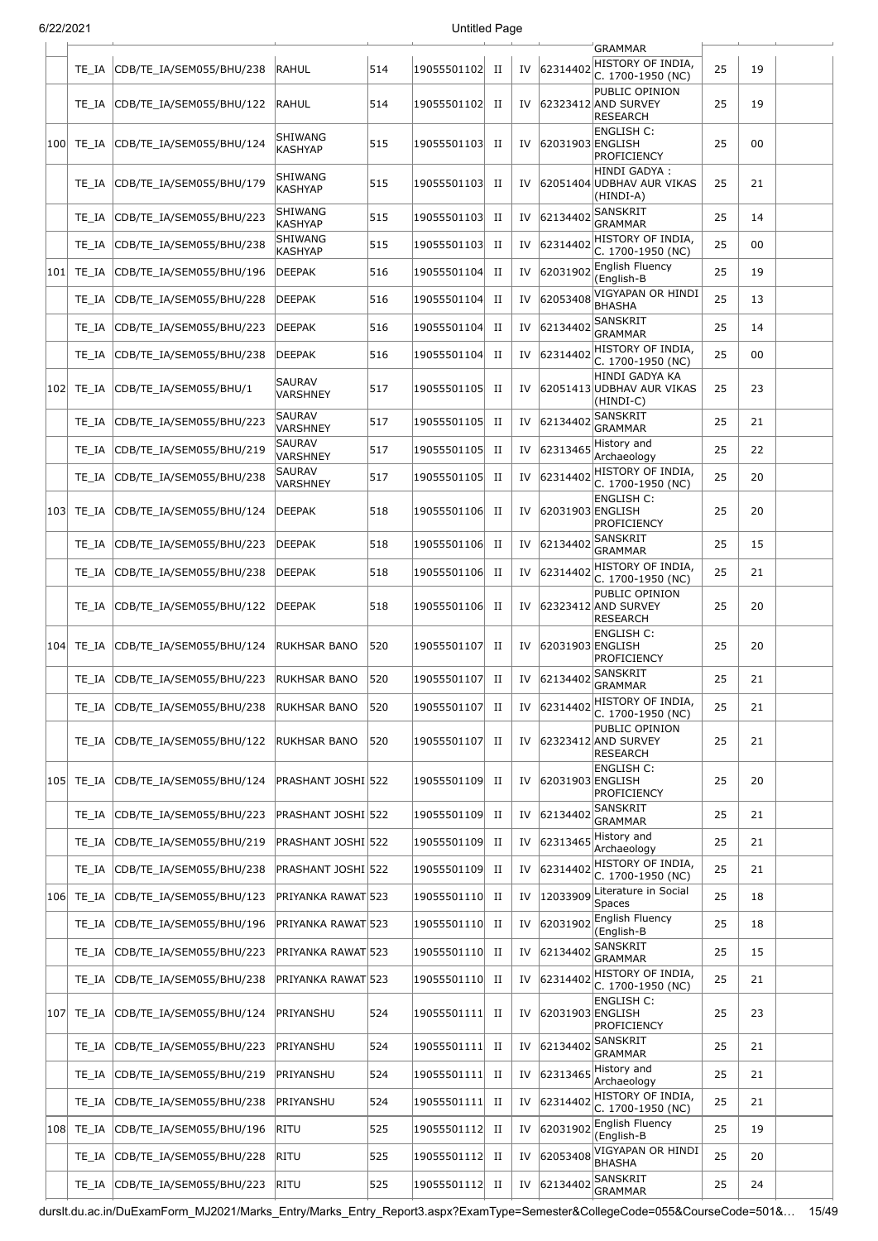| 6/22/2021 |               |                          |                                  |     | <b>Untitled Page</b> |             |    |                  |                                                          |    |    |  |
|-----------|---------------|--------------------------|----------------------------------|-----|----------------------|-------------|----|------------------|----------------------------------------------------------|----|----|--|
|           |               |                          |                                  |     |                      |             |    |                  | <b>GRAMMAR</b>                                           |    |    |  |
|           | TE IA         | CDB/TE IA/SEM055/BHU/238 | <b>RAHUL</b>                     | 514 | 19055501102          | H           | IV | 62314402         | HISTORY OF INDIA,<br>C. 1700-1950 (NC)<br>PUBLIC OPINION | 25 | 19 |  |
|           | TE IA         | CDB/TE IA/SEM055/BHU/122 | RAHUL                            | 514 | 19055501102          | $_{\rm II}$ | IV |                  | 62323412 AND SURVEY<br><b>RESEARCH</b>                   | 25 | 19 |  |
|           | 100 TE_IA     | CDB/TE_IA/SEM055/BHU/124 | SHIWANG<br><b>KASHYAP</b>        | 515 | 19055501103          | $_{\rm II}$ | IV | 62031903 ENGLISH | <b>ENGLISH C:</b><br>PROFICIENCY                         | 25 | 00 |  |
|           | TE IA         | CDB/TE_IA/SEM055/BHU/179 | <b>SHIWANG</b><br><b>KASHYAP</b> | 515 | 19055501103          | П           | IV |                  | HINDI GADYA :<br>62051404 UDBHAV AUR VIKAS<br>(HINDI-A)  | 25 | 21 |  |
|           | TE IA         | CDB/TE_IA/SEM055/BHU/223 | SHIWANG<br><b>KASHYAP</b>        | 515 | 19055501103          | П           | IV | 62134402         | <b>SANSKRIT</b><br><b>GRAMMAR</b>                        | 25 | 14 |  |
|           | TE IA         | CDB/TE_IA/SEM055/BHU/238 | SHIWANG<br><b>KASHYAP</b>        | 515 | 19055501103          | $_{\rm II}$ | IV | 62314402         | HISTORY OF INDIA,<br>C. 1700-1950 (NC)                   | 25 | 00 |  |
|           | $ 101 $ TE IA | CDB/TE_IA/SEM055/BHU/196 | <b>DEEPAK</b>                    | 516 | 19055501104          | $_{\rm II}$ | IV | 62031902         | English Fluency<br>(English-B                            | 25 | 19 |  |
|           | TE IA         | CDB/TE_IA/SEM055/BHU/228 | <b>DEEPAK</b>                    | 516 | 19055501104          | П           | IV | 62053408         | VIGYAPAN OR HINDI<br><b>BHASHA</b>                       | 25 | 13 |  |
|           | TE IA         | CDB/TE_IA/SEM055/BHU/223 | <b>DEEPAK</b>                    | 516 | 19055501104          | П           | IV | 62134402         | <b>SANSKRIT</b><br>GRAMMAR                               | 25 | 14 |  |
|           | TE IA         | CDB/TE_IA/SEM055/BHU/238 | <b>DEEPAK</b>                    | 516 | 19055501104          | П           | IV | 62314402         | HISTORY OF INDIA,<br>C. 1700-1950 (NC)                   | 25 | 00 |  |
| 102       | TE IA         | CDB/TE_IA/SEM055/BHU/1   | <b>SAURAV</b><br>VARSHNEY        | 517 | 19055501105          | П           | IV |                  | HINDI GADYA KA<br>62051413 UDBHAV AUR VIKAS<br>(HINDI-C) | 25 | 23 |  |
|           | TE IA         | CDB/TE_IA/SEM055/BHU/223 | SAURAV<br><b>VARSHNEY</b>        | 517 | 19055501105          | $_{\rm II}$ | IV | 62134402         | SANSKRIT<br><b>GRAMMAR</b>                               | 25 | 21 |  |
|           | TE IA         | CDB/TE_IA/SEM055/BHU/219 | SAURAV<br>VARSHNEY               | 517 | 19055501105          | П           | IV | 62313465         | History and<br>Archaeology                               | 25 | 22 |  |
|           | TE IA         | CDB/TE_IA/SEM055/BHU/238 | <b>SAURAV</b><br>VARSHNEY        | 517 | 19055501105          | П           | IV | 62314402         | HISTORY OF INDIA,<br>C. 1700-1950 (NC)                   | 25 | 20 |  |
|           | 103  TE IA    | CDB/TE_IA/SEM055/BHU/124 | <b>DEEPAK</b>                    | 518 | 19055501106          | П           | IV | 62031903 ENGLISH | <b>ENGLISH C:</b><br><b>PROFICIENCY</b>                  | 25 | 20 |  |
|           | TE IA         | CDB/TE_IA/SEM055/BHU/223 | <b>DEEPAK</b>                    | 518 | 19055501106          | П           | IV | 62134402         | <b>SANSKRIT</b><br><b>GRAMMAR</b>                        | 25 | 15 |  |
|           | TE IA         | CDB/TE_IA/SEM055/BHU/238 | <b>DEEPAK</b>                    | 518 | 19055501106          | $_{\rm II}$ | IV | 62314402         | HISTORY OF INDIA,<br>C. 1700-1950 (NC)                   | 25 | 21 |  |
|           | TE IA         | CDB/TE_IA/SEM055/BHU/122 | <b>DEEPAK</b>                    | 518 | 19055501106          | П           | IV |                  | PUBLIC OPINION<br>62323412 AND SURVEY<br><b>RESEARCH</b> | 25 | 20 |  |
|           | $ 104 $ TE IA | CDB/TE_IA/SEM055/BHU/124 | RUKHSAR BANO                     | 520 | 19055501107          | П           | IV | 62031903 ENGLISH | <b>ENGLISH C:</b><br>PROFICIENCY                         | 25 | 20 |  |
|           | $TE_IA$       | CDB/TE_IA/SEM055/BHU/223 | <b>RUKHSAR BANO</b>              | 520 | 19055501107          | $_{\rm II}$ |    | 62134402         | SANSKRIT<br><b>GRAMMAR</b>                               | 25 | 21 |  |
|           | TE IA         | CDB/TE_IA/SEM055/BHU/238 | <b>RUKHSAR BANO</b>              | 520 | 19055501107          | П           | IV | 62314402         | HISTORY OF INDIA,<br>C. 1700-1950 (NC)                   | 25 | 21 |  |
|           | TE IA         | CDB/TE_IA/SEM055/BHU/122 | RUKHSAR BANO                     | 520 | 19055501107          | П           | IV |                  | PUBLIC OPINION<br>62323412 AND SURVEY<br><b>RESEARCH</b> | 25 | 21 |  |
|           | 105 TE_IA     | CDB/TE_IA/SEM055/BHU/124 | PRASHANT JOSHI 522               |     | 19055501109          | П           | IV | 62031903 ENGLISH | ENGLISH C:<br><b>PROFICIENCY</b>                         | 25 | 20 |  |
|           | TE IA         | CDB/TE_IA/SEM055/BHU/223 | PRASHANT JOSHI 522               |     | 19055501109          | П           | IV | 62134402         | <b>SANSKRIT</b><br><b>GRAMMAR</b>                        | 25 | 21 |  |
|           | TE_IA         | CDB/TE_IA/SEM055/BHU/219 | PRASHANT JOSHI 522               |     | 19055501109          | $_{\rm II}$ | IV | 62313465         | History and<br>Archaeology                               | 25 | 21 |  |
|           | TE IA         | CDB/TE_IA/SEM055/BHU/238 | PRASHANT JOSHI   522             |     | 19055501109          | $_{\rm II}$ | IV | 62314402         | HISTORY OF INDIA,<br>C. 1700-1950 (NC)                   | 25 | 21 |  |
| 106       | TE_IA         | CDB/TE_IA/SEM055/BHU/123 | PRIYANKA RAWAT 523               |     | 19055501110          | П           | IV | 12033909         | Literature in Social<br>Spaces                           | 25 | 18 |  |
|           | TE IA         | CDB/TE_IA/SEM055/BHU/196 | PRIYANKA RAWAT 523               |     | 19055501110          | $_{\rm II}$ | IV | 62031902         | English Fluency<br>(English-B                            | 25 | 18 |  |
|           | TE_IA         | CDB/TE_IA/SEM055/BHU/223 | PRIYANKA RAWAT 523               |     | 19055501110          | П           | IV | 62134402         | SANSKRIT<br><b>GRAMMAR</b>                               | 25 | 15 |  |
|           | TE_IA         | CDB/TE_IA/SEM055/BHU/238 | PRIYANKA RAWAT 523               |     | 19055501110          | $_{\rm II}$ | IV | 62314402         | HISTORY OF INDIA,<br>C. 1700-1950 (NC)                   | 25 | 21 |  |
|           | 107 TE IA     | CDB/TE_IA/SEM055/BHU/124 | PRIYANSHU                        | 524 | 19055501111          | П           | IV | 62031903 ENGLISH | <b>ENGLISH C:</b><br>PROFICIENCY                         | 25 | 23 |  |
|           | TE IA         | CDB/TE_IA/SEM055/BHU/223 | PRIYANSHU                        | 524 | 19055501111          | $_{\rm II}$ | IV | 62134402         | <b>SANSKRIT</b><br><b>GRAMMAR</b>                        | 25 | 21 |  |
|           | TE IA         | CDB/TE_IA/SEM055/BHU/219 | PRIYANSHU                        | 524 | 19055501111          | П           | IV | 62313465         | History and<br>Archaeology                               | 25 | 21 |  |
|           | TE_IA         | CDB/TE_IA/SEM055/BHU/238 | PRIYANSHU                        | 524 | 19055501111          | $_{\rm II}$ | IV | 62314402         | HISTORY OF INDIA,<br>C. 1700-1950 (NC)                   | 25 | 21 |  |
|           | $ 108 $ TE_IA | CDB/TE_IA/SEM055/BHU/196 | <b>RITU</b>                      | 525 | 19055501112          | П           | IV | 62031902         | <b>English Fluency</b><br>(English-B                     | 25 | 19 |  |
|           | TE_IA         | CDB/TE_IA/SEM055/BHU/228 | <b>RITU</b>                      | 525 | 19055501112          | П           | IV | 62053408         | VIGYAPAN OR HINDI<br><b>BHASHA</b>                       | 25 | 20 |  |
|           | TE_IA         | CDB/TE_IA/SEM055/BHU/223 | <b>RITU</b>                      | 525 | 19055501112          | П           | IV | 62134402         | <b>SANSKRIT</b><br><b>GRAMMAR</b>                        | 25 | 24 |  |

durslt.du.ac.in/DuExamForm\_MJ2021/Marks\_Entry/Marks\_Entry\_Report3.aspx?ExamType=Semester&CollegeCode=055&CourseCode=501&… 15/49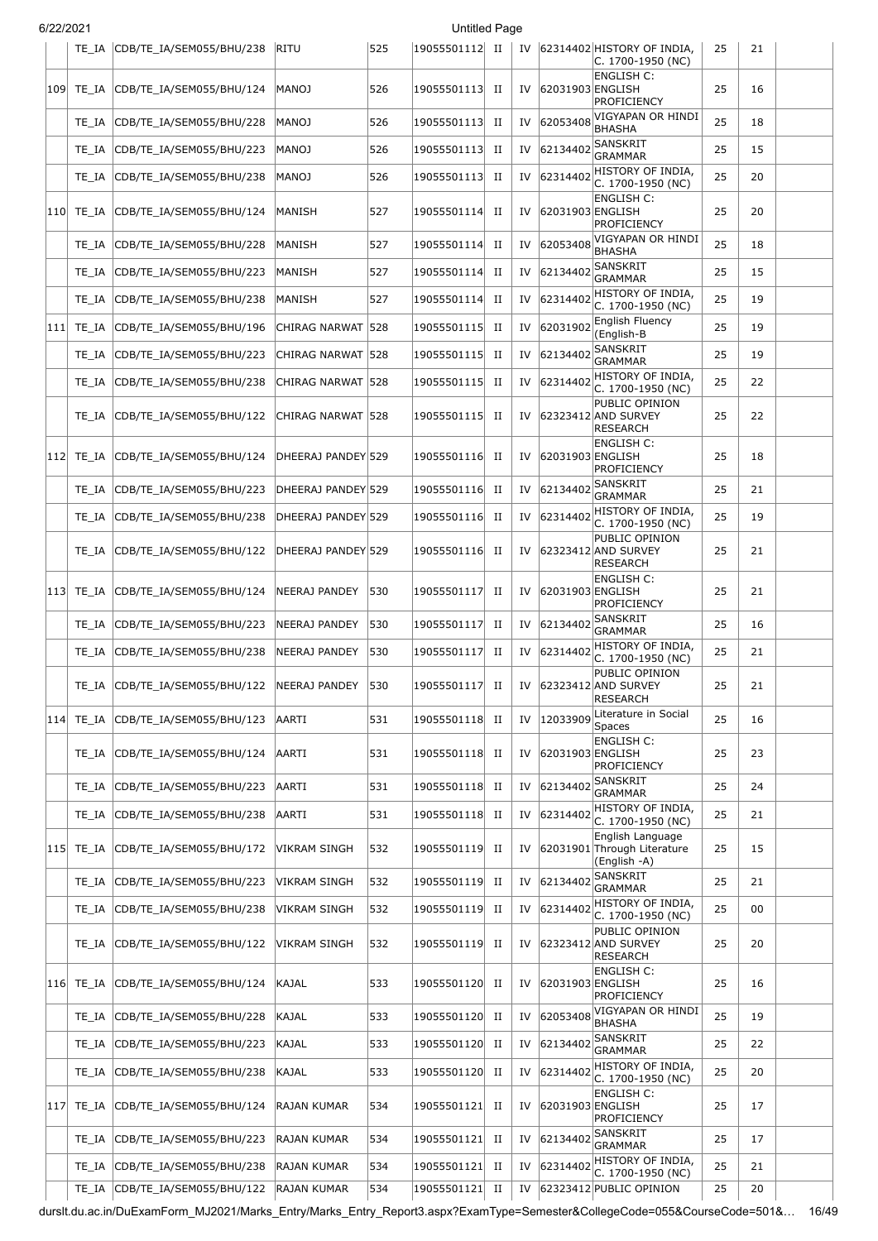| 6/22/2021 |               |                                                  |                      |     | Untitled Page  |             |    |                  |                                                                 |    |    |  |
|-----------|---------------|--------------------------------------------------|----------------------|-----|----------------|-------------|----|------------------|-----------------------------------------------------------------|----|----|--|
|           | TE IA         | CDB/TE_IA/SEM055/BHU/238                         | RITU                 | 525 | 19055501112 II |             |    |                  | IV 62314402 HISTORY OF INDIA,<br>C. 1700-1950 (NC)              | 25 | 21 |  |
|           | 109 TE IA     | CDB/TE_IA/SEM055/BHU/124                         | MANOJ                | 526 | 19055501113    | П           | IV | 62031903 ENGLISH | <b>ENGLISH C:</b><br>PROFICIENCY                                | 25 | 16 |  |
|           | TE IA         | CDB/TE_IA/SEM055/BHU/228                         | MANOJ                | 526 | 19055501113    | П           | IV | 62053408         | VIGYAPAN OR HINDI<br><b>BHASHA</b>                              | 25 | 18 |  |
|           | TE IA         | CDB/TE_IA/SEM055/BHU/223                         | <b>MANOJ</b>         | 526 | 19055501113    | П           | IV | 62134402         | <b>SANSKRIT</b><br><b>GRAMMAR</b>                               | 25 | 15 |  |
|           | TE IA         | CDB/TE_IA/SEM055/BHU/238                         | MANOJ                | 526 | 19055501113    | П           | IV | 62314402         | HISTORY OF INDIA,<br>C. 1700-1950 (NC)                          | 25 | 20 |  |
|           | 110  TE IA    | CDB/TE IA/SEM055/BHU/124                         | MANISH               | 527 | 19055501114    | П           | IV | 62031903 ENGLISH | <b>ENGLISH C:</b><br><b>PROFICIENCY</b>                         | 25 | 20 |  |
|           | TE IA         | CDB/TE_IA/SEM055/BHU/228                         | MANISH               | 527 | 19055501114    | П           | IV | 62053408         | VIGYAPAN OR HINDI<br><b>BHASHA</b>                              | 25 | 18 |  |
|           | TE IA         | CDB/TE_IA/SEM055/BHU/223                         | MANISH               | 527 | 19055501114    | П           | IV | 62134402         | SANSKRIT<br><b>GRAMMAR</b>                                      | 25 | 15 |  |
|           | TE IA         | CDB/TE_IA/SEM055/BHU/238                         | MANISH               | 527 | 19055501114    | П           | IV | 62314402         | HISTORY OF INDIA,<br>C. 1700-1950 (NC)                          | 25 | 19 |  |
| 111       | TE_IA         | CDB/TE_IA/SEM055/BHU/196                         | CHIRAG NARWAT  528   |     | 19055501115    | П           | IV | 62031902         | English Fluency<br>(English-B                                   | 25 | 19 |  |
|           | TE IA         | CDB/TE_IA/SEM055/BHU/223                         | CHIRAG NARWAT  528   |     | 19055501115    | $_{\rm II}$ | IV | 62134402         | SANSKRIT<br><b>GRAMMAR</b>                                      | 25 | 19 |  |
|           | TE_IA         | CDB/TE IA/SEM055/BHU/238                         | CHIRAG NARWAT        | 528 | 19055501115    | П           | IV | 62314402         | HISTORY OF INDIA,<br>C. 1700-1950 (NC)                          | 25 | 22 |  |
|           | TE IA         | CDB/TE_IA/SEM055/BHU/122                         | CHIRAG NARWAT  528   |     | 19055501115    | П           | IV |                  | PUBLIC OPINION<br>62323412 AND SURVEY<br>RESEARCH               | 25 | 22 |  |
|           | 112  TE IA    | CDB/TE_IA/SEM055/BHU/124                         | DHEERAJ PANDEY 529   |     | 19055501116    | П           | IV | 62031903 ENGLISH | ENGLISH C:<br>PROFICIENCY                                       | 25 | 18 |  |
|           | TE IA         | CDB/TE_IA/SEM055/BHU/223                         | DHEERAJ PANDEY 529   |     | 19055501116    | П           | IV | 62134402         | <b>SANSKRIT</b><br><b>GRAMMAR</b>                               | 25 | 21 |  |
|           | TE IA         | CDB/TE_IA/SEM055/BHU/238                         | DHEERAJ PANDEY 529   |     | 19055501116    | П           | IV | 62314402         | HISTORY OF INDIA,<br>C. 1700-1950 (NC)                          | 25 | 19 |  |
|           | TE IA         | CDB/TE_IA/SEM055/BHU/122                         | DHEERAJ PANDEY 529   |     | 19055501116    | П           | IV |                  | PUBLIC OPINION<br>62323412 AND SURVEY<br><b>RESEARCH</b>        | 25 | 21 |  |
|           | 113  TE IA    | CDB/TE_IA/SEM055/BHU/124                         | NEERAJ PANDEY        | 530 | 19055501117    | П           | IV | 62031903 ENGLISH | <b>ENGLISH C:</b><br>PROFICIENCY                                | 25 | 21 |  |
|           | TE IA         | CDB/TE IA/SEM055/BHU/223                         | NEERAJ PANDEY        | 530 | 19055501117    | $_{\rm II}$ | IV | 62134402         | <b>SANSKRIT</b><br><b>GRAMMAR</b>                               | 25 | 16 |  |
|           | TE IA         | CDB/TE IA/SEM055/BHU/238                         | <b>NEERAJ PANDEY</b> | 530 | 19055501117    | П           | IV | 62314402         | HISTORY OF INDIA,<br>C. 1700-1950 (NC)                          | 25 | 21 |  |
|           |               | TE_IA CDB/TE_IA/SEM055/BHU/122 NEERAJ PANDEY 530 |                      |     | 19055501117 II |             | IV |                  | PUBLIC OPINION<br>62323412 AND SURVEY<br>RESEARCH               | 25 | 21 |  |
|           | 114  TE IA    | CDB/TE IA/SEM055/BHU/123                         | AARTI                | 531 | 19055501118    | П           | IV | 12033909         | Literature in Social<br>Spaces                                  | 25 | 16 |  |
|           | TE_IA         | CDB/TE_IA/SEM055/BHU/124                         | AARTI                | 531 | 19055501118    | П           | IV | 62031903 ENGLISH | <b>ENGLISH C:</b><br><b>PROFICIENCY</b>                         | 25 | 23 |  |
|           | TE_IA         | CDB/TE_IA/SEM055/BHU/223                         | AARTI                | 531 | 19055501118    | П           | IV | 62134402         | <b>SANSKRIT</b><br><b>GRAMMAR</b>                               | 25 | 24 |  |
|           | TE_IA         | CDB/TE_IA/SEM055/BHU/238                         | AARTI                | 531 | 19055501118    | П           | IV | 62314402         | HISTORY OF INDIA,<br>C. 1700-1950 (NC)                          | 25 | 21 |  |
|           | $ 115 $ TE_IA | CDB/TE_IA/SEM055/BHU/172                         | VIKRAM SINGH         | 532 | 19055501119    | П           | IV |                  | English Language<br>62031901 Through Literature<br>(English -A) | 25 | 15 |  |
|           | TE_IA         | CDB/TE_IA/SEM055/BHU/223                         | VIKRAM SINGH         | 532 | 19055501119    | П           | IV | 62134402         | <b>SANSKRIT</b><br><b>GRAMMAR</b>                               | 25 | 21 |  |
|           | TE IA         | CDB/TE_IA/SEM055/BHU/238                         | VIKRAM SINGH         | 532 | 19055501119    | П           | IV | 62314402         | HISTORY OF INDIA,<br>C. 1700-1950 (NC)                          | 25 | 00 |  |
|           | TE IA         | CDB/TE_IA/SEM055/BHU/122                         | VIKRAM SINGH         | 532 | 19055501119    | П           | IV |                  | PUBLIC OPINION<br>62323412 AND SURVEY<br><b>RESEARCH</b>        | 25 | 20 |  |
|           | 116  TE_IA    | CDB/TE_IA/SEM055/BHU/124                         | KAJAL                | 533 | 19055501120    | П           | IV | 62031903 ENGLISH | <b>ENGLISH C:</b><br><b>PROFICIENCY</b>                         | 25 | 16 |  |
|           | TE_IA         | CDB/TE_IA/SEM055/BHU/228                         | KAJAL                | 533 | 19055501120    | П           | IV | 62053408         | VIGYAPAN OR HINDI<br><b>BHASHA</b>                              | 25 | 19 |  |
|           | TE_IA         | CDB/TE_IA/SEM055/BHU/223                         | KAJAL                | 533 | 19055501120    | П           | IV | 62134402         | <b>SANSKRIT</b><br><b>GRAMMAR</b>                               | 25 | 22 |  |
|           | TE_IA         | CDB/TE_IA/SEM055/BHU/238                         | KAJAL                | 533 | 19055501120    | $_{\rm II}$ | IV | 62314402         | HISTORY OF INDIA,<br>C. 1700-1950 (NC)                          | 25 | 20 |  |
|           | $ 117 $ TE_IA | CDB/TE_IA/SEM055/BHU/124                         | RAJAN KUMAR          | 534 | 19055501121    | П           | IV | 62031903 ENGLISH | <b>ENGLISH C:</b><br><b>PROFICIENCY</b>                         | 25 | 17 |  |
|           | TE IA         | CDB/TE_IA/SEM055/BHU/223                         | RAJAN KUMAR          | 534 | 19055501121    | П           | IV | 62134402         | <b>SANSKRIT</b><br><b>GRAMMAR</b>                               | 25 | 17 |  |
|           | TE IA         | CDB/TE_IA/SEM055/BHU/238                         | RAJAN KUMAR          | 534 | 19055501121    | П           | IV | 62314402         | HISTORY OF INDIA,<br>C. 1700-1950 (NC)                          | 25 | 21 |  |
|           |               | TE_IA CDB/TE_IA/SEM055/BHU/122                   | <b>RAJAN KUMAR</b>   | 534 | 19055501121    | П           |    |                  | IV 62323412 PUBLIC OPINION                                      | 25 | 20 |  |

durslt.du.ac.in/DuExamForm\_MJ2021/Marks\_Entry/Marks\_Entry\_Report3.aspx?ExamType=Semester&CollegeCode=055&CourseCode=501&… 16/49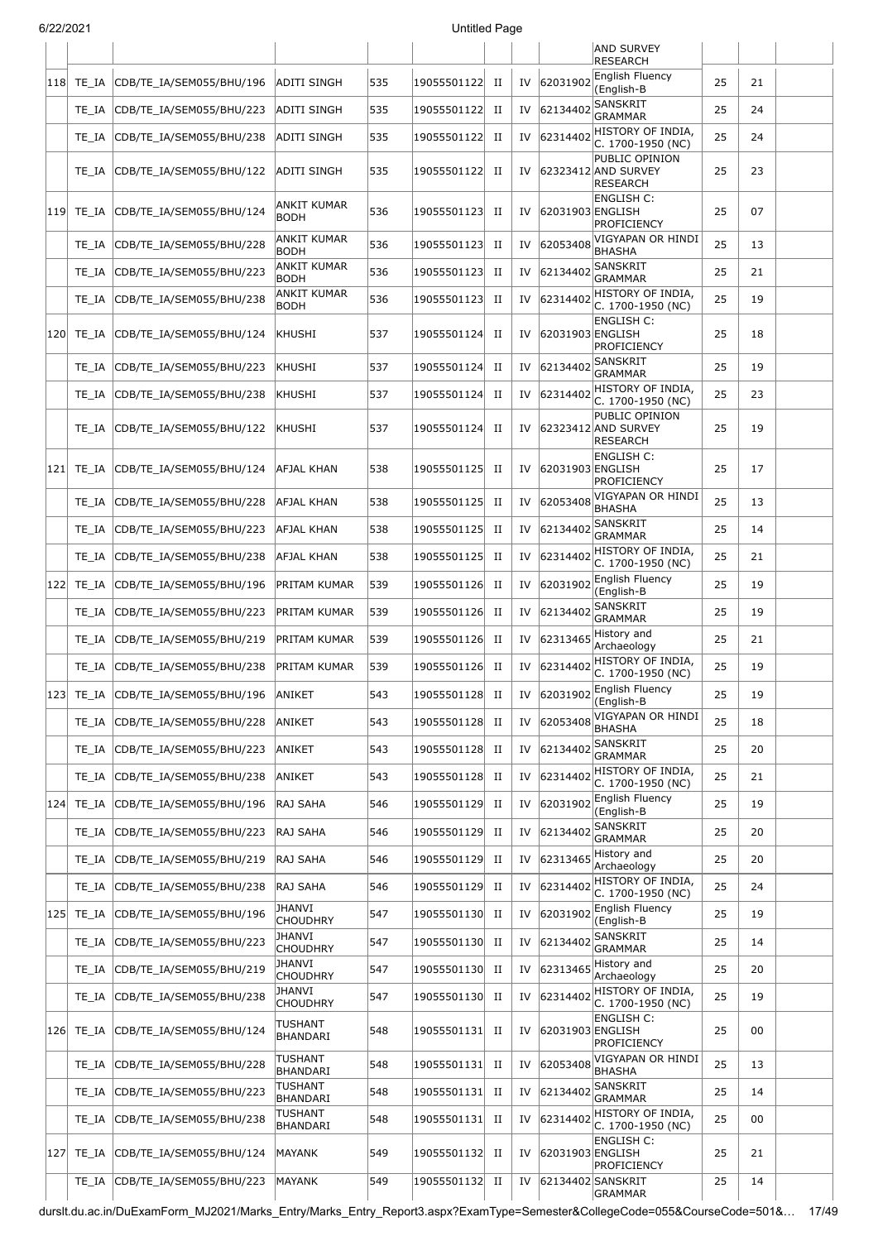| 6/22/2021 |            |                          |                                   |     | <b>Untitled Page</b> |             |    |                  |                                                          |    |    |  |
|-----------|------------|--------------------------|-----------------------------------|-----|----------------------|-------------|----|------------------|----------------------------------------------------------|----|----|--|
|           |            |                          |                                   |     |                      |             |    |                  | <b>AND SURVEY</b><br><b>RESEARCH</b>                     |    |    |  |
| 118       | TE IA      | CDB/TE_IA/SEM055/BHU/196 | <b>ADITI SINGH</b>                | 535 | 19055501122          | $_{\rm II}$ | IV | 62031902         | English Fluency<br>(English-B                            | 25 | 21 |  |
|           | TE IA      | CDB/TE_IA/SEM055/BHU/223 | <b>ADITI SINGH</b>                | 535 | 19055501122          | П           | IV | 62134402         | <b>SANSKRIT</b><br><b>GRAMMAR</b>                        | 25 | 24 |  |
|           | TE IA      | CDB/TE_IA/SEM055/BHU/238 | <b>ADITI SINGH</b>                | 535 | 19055501122          | П           | IV | 62314402         | HISTORY OF INDIA,<br>C. 1700-1950 (NC)                   | 25 | 24 |  |
|           | TE IA      | CDB/TE_IA/SEM055/BHU/122 | ADITI SINGH                       | 535 | 19055501122          | П           | IV |                  | PUBLIC OPINION<br>62323412 AND SURVEY<br><b>RESEARCH</b> | 25 | 23 |  |
|           | 119  TE IA | CDB/TE IA/SEM055/BHU/124 | ANKIT KUMAR<br><b>BODH</b>        | 536 | 19055501123          | П           | IV | 62031903 ENGLISH | <b>ENGLISH C:</b><br><b>PROFICIENCY</b>                  | 25 | 07 |  |
|           | TE IA      | CDB/TE_IA/SEM055/BHU/228 | ANKIT KUMAR<br><b>BODH</b>        | 536 | 19055501123          | П           | IV | 62053408         | VIGYAPAN OR HINDI<br><b>BHASHA</b>                       | 25 | 13 |  |
|           | TE IA      | CDB/TE_IA/SEM055/BHU/223 | ANKIT KUMAR<br><b>BODH</b>        | 536 | 19055501123          | П           | IV | 62134402         | <b>SANSKRIT</b><br><b>GRAMMAR</b>                        | 25 | 21 |  |
|           | TE IA      | CDB/TE_IA/SEM055/BHU/238 | <b>ANKIT KUMAR</b><br><b>BODH</b> | 536 | 19055501123          | $_{\rm II}$ | IV | 62314402         | HISTORY OF INDIA,<br>C. 1700-1950 (NC)                   | 25 | 19 |  |
| 120       | TE IA      | CDB/TE_IA/SEM055/BHU/124 | KHUSHI                            | 537 | 19055501124          | П           | IV | 62031903 ENGLISH | <b>ENGLISH C:</b><br>PROFICIENCY                         | 25 | 18 |  |
|           | TE IA      | CDB/TE_IA/SEM055/BHU/223 | KHUSHI                            | 537 | 19055501124          | П           | IV | 62134402         | SANSKRIT<br><b>GRAMMAR</b>                               | 25 | 19 |  |
|           | TE IA      | CDB/TE_IA/SEM055/BHU/238 | KHUSHI                            | 537 | 19055501124          | П           | IV | 62314402         | HISTORY OF INDIA,<br>C. 1700-1950 (NC)                   | 25 | 23 |  |
|           | TE IA      | CDB/TE IA/SEM055/BHU/122 | KHUSHI                            | 537 | 19055501124          | П           | IV |                  | PUBLIC OPINION<br>62323412 AND SURVEY<br><b>RESEARCH</b> | 25 | 19 |  |
| 121       | TE IA      | CDB/TE_IA/SEM055/BHU/124 | AFJAL KHAN                        | 538 | 19055501125          | П           | IV | 62031903 ENGLISH | <b>ENGLISH C:</b><br>PROFICIENCY                         | 25 | 17 |  |
|           | TE IA      | CDB/TE_IA/SEM055/BHU/228 | AFJAL KHAN                        | 538 | 19055501125          | $_{\rm II}$ | IV | 62053408         | VIGYAPAN OR HINDI<br><b>BHASHA</b>                       | 25 | 13 |  |
|           | TE IA      | CDB/TE_IA/SEM055/BHU/223 | AFJAL KHAN                        | 538 | 19055501125          | $_{\rm II}$ | IV | 62134402         | <b>SANSKRIT</b><br><b>GRAMMAR</b>                        | 25 | 14 |  |
|           | TE_IA      | CDB/TE_IA/SEM055/BHU/238 | AFJAL KHAN                        | 538 | 19055501125          | П           | IV | 62314402         | HISTORY OF INDIA,<br>C. 1700-1950 (NC)                   | 25 | 21 |  |
| 122       | TE IA      | CDB/TE_IA/SEM055/BHU/196 | PRITAM KUMAR                      | 539 | 19055501126          | П           | IV | 62031902         | English Fluency<br>(English-B                            | 25 | 19 |  |
|           | TE IA      | CDB/TE_IA/SEM055/BHU/223 | PRITAM KUMAR                      | 539 | 19055501126          | П           | IV | 62134402         | <b>SANSKRIT</b><br><b>GRAMMAR</b>                        | 25 | 19 |  |
|           | TE_IA      | CDB/TE IA/SEM055/BHU/219 | PRITAM KUMAR                      | 539 | 19055501126          | $_{\rm II}$ | IV | 62313465         | History and<br>Archaeology                               | 25 | 21 |  |
|           | TE_IA      | CDB/TE_IA/SEM055/BHU/238 | PRITAM KUMAR                      | 539 | 19055501126          | $_{\rm II}$ | IV | 62314402         | HISTORY OF INDIA,<br>C. 1700-1950 (NC)                   | 25 | 19 |  |
| 123       | TE_IA      | CDB/TE_IA/SEM055/BHU/196 | ANIKET                            | 543 | 19055501128          | П           | IV | 62031902         | English Fluency<br>(English-B                            | 25 | 19 |  |
|           | TE_IA      | CDB/TE_IA/SEM055/BHU/228 | ANIKET                            | 543 | 19055501128          | П           | IV | 62053408         | VIGYAPAN OR HINDI<br><b>BHASHA</b>                       | 25 | 18 |  |
|           | TE IA      | CDB/TE_IA/SEM055/BHU/223 | ANIKET                            | 543 | 19055501128          | $_{\rm II}$ | IV | 62134402         | SANSKRIT<br><b>GRAMMAR</b>                               | 25 | 20 |  |
|           | TE_IA      | CDB/TE_IA/SEM055/BHU/238 | ANIKET                            | 543 | 19055501128          | $_{\rm II}$ | IV | 62314402         | HISTORY OF INDIA,<br>C. 1700-1950 (NC)                   | 25 | 21 |  |
| 124       | TE IA      | CDB/TE_IA/SEM055/BHU/196 | RAJ SAHA                          | 546 | 19055501129          | $_{\rm II}$ | IV | 62031902         | English Fluency<br>(English-B                            | 25 | 19 |  |
|           | TE IA      | CDB/TE_IA/SEM055/BHU/223 | RAJ SAHA                          | 546 | 19055501129          | П           | IV | 62134402         | SANSKRIT<br><b>GRAMMAR</b>                               | 25 | 20 |  |
|           | TE IA      | CDB/TE IA/SEM055/BHU/219 | RAJ SAHA                          | 546 | 19055501129          | П           | IV | 62313465         | History and<br>Archaeology                               | 25 | 20 |  |
|           | TE_IA      | CDB/TE_IA/SEM055/BHU/238 | RAJ SAHA                          | 546 | 19055501129          | $_{\rm II}$ | IV | 62314402         | HISTORY OF INDIA,<br>C. 1700-1950 (NC)                   | 25 | 24 |  |
| 125       | TE_IA      | CDB/TE_IA/SEM055/BHU/196 | <b>JHANVI</b><br><b>CHOUDHRY</b>  | 547 | 19055501130          | П           | IV | 62031902         | English Fluency<br>(English-B                            | 25 | 19 |  |
|           | TE IA      | CDB/TE_IA/SEM055/BHU/223 | <b>JHANVI</b><br><b>CHOUDHRY</b>  | 547 | 19055501130          | $_{\rm II}$ | IV | 62134402         | SANSKRIT<br><b>GRAMMAR</b>                               | 25 | 14 |  |
|           | TE IA      | CDB/TE_IA/SEM055/BHU/219 | <b>JHANVI</b><br><b>CHOUDHRY</b>  | 547 | 19055501130          | П           | IV | 62313465         | History and<br>Archaeology                               | 25 | 20 |  |
|           | TE_IA      | CDB/TE_IA/SEM055/BHU/238 | JHANVI<br><b>CHOUDHRY</b>         | 547 | 19055501130          | П           | IV | 62314402         | HISTORY OF INDIA,<br>C. 1700-1950 (NC)                   | 25 | 19 |  |
| 126       | TE_IA      | CDB/TE_IA/SEM055/BHU/124 | TUSHANT<br><b>BHANDARI</b>        | 548 | 19055501131          | П           | IV | 62031903 ENGLISH | <b>ENGLISH C:</b><br>PROFICIENCY                         | 25 | 00 |  |
|           | TE IA      | CDB/TE_IA/SEM055/BHU/228 | <b>TUSHANT</b><br><b>BHANDARI</b> | 548 | 19055501131          | $_{\rm II}$ | IV | 62053408         | VIGYAPAN OR HINDI<br><b>BHASHA</b>                       | 25 | 13 |  |
|           | TE IA      | CDB/TE_IA/SEM055/BHU/223 | <b>TUSHANT</b><br><b>BHANDARI</b> | 548 | 19055501131          | П           | IV | 62134402         | <b>SANSKRIT</b><br><b>GRAMMAR</b>                        | 25 | 14 |  |
|           | TE_IA      | CDB/TE_IA/SEM055/BHU/238 | TUSHANT<br><b>BHANDARI</b>        | 548 | 19055501131          | П           | IV | 62314402         | HISTORY OF INDIA,<br>C. 1700-1950 (NC)                   | 25 | 00 |  |
| 127       | TE_IA      | CDB/TE_IA/SEM055/BHU/124 | <b>MAYANK</b>                     | 549 | 19055501132          | П           | IV | 62031903 ENGLISH | <b>ENGLISH C:</b><br><b>PROFICIENCY</b>                  | 25 | 21 |  |
|           | TE_IA      | CDB/TE_IA/SEM055/BHU/223 | MAYANK                            | 549 | 19055501132          | $_{\rm II}$ | IV |                  | 62134402 SANSKRIT<br><b>GRAMMAR</b>                      | 25 | 14 |  |

durslt.du.ac.in/DuExamForm\_MJ2021/Marks\_Entry/Marks\_Entry\_Report3.aspx?ExamType=Semester&CollegeCode=055&CourseCode=501&… 17/49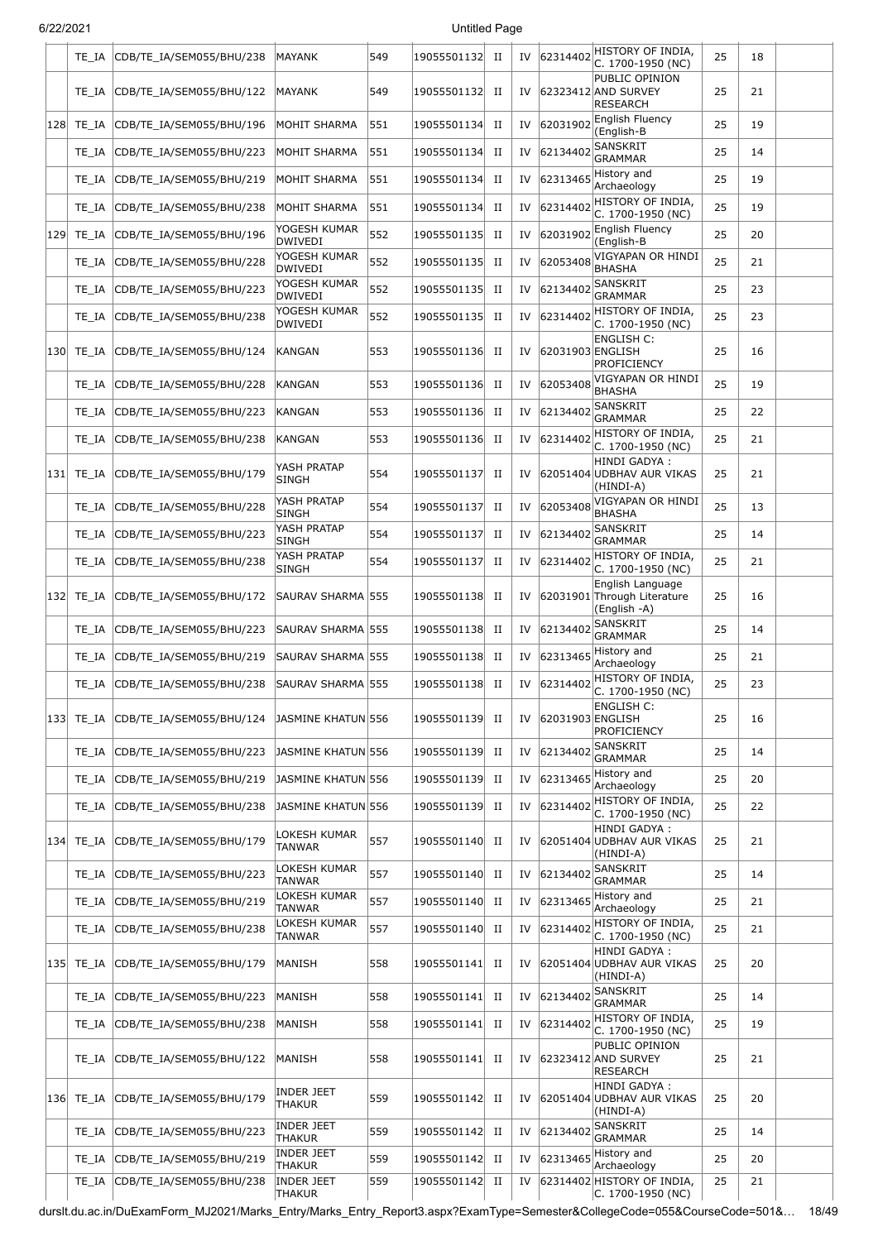|     | TE IA | CDB/TE_IA/SEM055/BHU/238 | <b>MAYANK</b>                      | 549 | 19055501132 | П           | IV | 62314402         | HISTORY OF INDIA,<br>C. 1700-1950 (NC)                          | 25 | 18 |  |
|-----|-------|--------------------------|------------------------------------|-----|-------------|-------------|----|------------------|-----------------------------------------------------------------|----|----|--|
|     | TE IA | CDB/TE IA/SEM055/BHU/122 | MAYANK                             | 549 | 19055501132 | П           | IV |                  | PUBLIC OPINION<br>62323412 AND SURVEY<br><b>RESEARCH</b>        | 25 | 21 |  |
| 128 | TE IA | CDB/TE_IA/SEM055/BHU/196 | MOHIT SHARMA                       | 551 | 19055501134 | П           | IV | 62031902         | English Fluency<br>(English-B                                   | 25 | 19 |  |
|     | TE IA | CDB/TE_IA/SEM055/BHU/223 | MOHIT SHARMA                       | 551 | 19055501134 | П           | IV | 62134402         | SANSKRIT<br><b>GRAMMAR</b>                                      | 25 | 14 |  |
|     | TE IA | CDB/TE_IA/SEM055/BHU/219 | MOHIT SHARMA                       | 551 | 19055501134 | П           | IV | 62313465         | History and<br>Archaeology                                      | 25 | 19 |  |
|     | TE_IA | CDB/TE IA/SEM055/BHU/238 | <b>MOHIT SHARMA</b>                | 551 | 19055501134 | П           | IV | 62314402         | HISTORY OF INDIA,<br>C. 1700-1950 (NC)                          | 25 | 19 |  |
| 129 | TE_IA | CDB/TE_IA/SEM055/BHU/196 | YOGESH KUMAR<br>DWIVEDI            | 552 | 19055501135 | П           | IV | 62031902         | English Fluency<br>(English-B                                   | 25 | 20 |  |
|     | TE_IA | CDB/TE_IA/SEM055/BHU/228 | YOGESH KUMAR<br>DWIVEDI            | 552 | 19055501135 | П           | IV | 62053408         | VIGYAPAN OR HINDI<br><b>BHASHA</b>                              | 25 | 21 |  |
|     | TE_IA | CDB/TE_IA/SEM055/BHU/223 | YOGESH KUMAR<br><b>DWIVEDI</b>     | 552 | 19055501135 | П           | IV | 62134402         | <b>SANSKRIT</b><br><b>GRAMMAR</b>                               | 25 | 23 |  |
|     | TE_IA | CDB/TE_IA/SEM055/BHU/238 | YOGESH KUMAR<br>DWIVEDI            | 552 | 19055501135 | П           | IV | 62314402         | HISTORY OF INDIA,<br>C. 1700-1950 (NC)                          | 25 | 23 |  |
| 130 | TE IA | CDB/TE_IA/SEM055/BHU/124 | KANGAN                             | 553 | 19055501136 | П           | IV | 62031903 ENGLISH | ENGLISH C:<br>PROFICIENCY                                       | 25 | 16 |  |
|     | TE IA | CDB/TE_IA/SEM055/BHU/228 | KANGAN                             | 553 | 19055501136 | П           | IV | 62053408         | VIGYAPAN OR HINDI<br><b>BHASHA</b>                              | 25 | 19 |  |
|     | TE IA | CDB/TE IA/SEM055/BHU/223 | KANGAN                             | 553 | 19055501136 | П           | IV | 62134402         | SANSKRIT<br><b>GRAMMAR</b>                                      | 25 | 22 |  |
|     | TE_IA | CDB/TE IA/SEM055/BHU/238 | KANGAN                             | 553 | 19055501136 | П           | IV | 62314402         | HISTORY OF INDIA,<br>C. 1700-1950 (NC)                          | 25 | 21 |  |
| 131 | TE_IA | CDB/TE_IA/SEM055/BHU/179 | YASH PRATAP<br><b>SINGH</b>        | 554 | 19055501137 | П           | IV |                  | HINDI GADYA:<br>62051404 UDBHAV AUR VIKAS<br>(HINDI-A)          | 25 | 21 |  |
|     | TE IA | CDB/TE_IA/SEM055/BHU/228 | YASH PRATAP<br><b>SINGH</b>        | 554 | 19055501137 | П           | IV | 62053408         | VIGYAPAN OR HINDI<br><b>BHASHA</b>                              | 25 | 13 |  |
|     | TE_IA | CDB/TE_IA/SEM055/BHU/223 | YASH PRATAP<br><b>SINGH</b>        | 554 | 19055501137 | П           | IV | 62134402         | SANSKRIT<br>GRAMMAR                                             | 25 | 14 |  |
|     | TE_IA | CDB/TE_IA/SEM055/BHU/238 | YASH PRATAP<br><b>SINGH</b>        | 554 | 19055501137 | П           | IV | 62314402         | HISTORY OF INDIA,<br>C. 1700-1950 (NC)                          | 25 | 21 |  |
| 132 | TE_IA | CDB/TE_IA/SEM055/BHU/172 | SAURAV SHARMA 555                  |     | 19055501138 | П           | IV |                  | English Language<br>62031901 Through Literature<br>(English -A) | 25 | 16 |  |
|     | TE IA | CDB/TE IA/SEM055/BHU/223 | SAURAV SHARMA 555                  |     | 19055501138 | П           | IV | 62134402         | <b>SANSKRIT</b><br><b>GRAMMAR</b>                               | 25 | 14 |  |
|     | TE IA | CDB/TE IA/SEM055/BHU/219 | SAURAV SHARMA 555                  |     | 19055501138 | П           | IV | 62313465         | History and<br>Archaeology                                      | 25 | 21 |  |
|     | TE_IA | CDB/TE_IA/SEM055/BHU/238 | SAURAV SHARMA 555                  |     | 19055501138 | $_{\rm II}$ | IV | 62314402         | HISTORY OF INDIA,<br>C. 1700-1950 (NC)                          | 25 | 23 |  |
| 133 | TE_IA | CDB/TE_IA/SEM055/BHU/124 | JASMINE KHATUN 556                 |     | 19055501139 | П           | IV | 62031903 ENGLISH | ENGLISH C:<br>PROFICIENCY                                       | 25 | 16 |  |
|     | TE IA | CDB/TE IA/SEM055/BHU/223 | JASMINE KHATUN 556                 |     | 19055501139 | П           | IV | 62134402         | SANSKRIT<br><b>GRAMMAR</b>                                      | 25 | 14 |  |
|     | TE IA | CDB/TE_IA/SEM055/BHU/219 | JASMINE KHATUN 556                 |     | 19055501139 | П           | IV | 62313465         | History and<br>Archaeology                                      | 25 | 20 |  |
|     | TE_IA | CDB/TE IA/SEM055/BHU/238 | JASMINE KHATUN 556                 |     | 19055501139 | П           | IV | 62314402         | HISTORY OF INDIA,<br>C. 1700-1950 (NC)                          | 25 | 22 |  |
| 134 | TE IA | CDB/TE_IA/SEM055/BHU/179 | LOKESH KUMAR<br>TANWAR             | 557 | 19055501140 | П           | IV |                  | HINDI GADYA :<br>62051404 UDBHAV AUR VIKAS<br>(HINDI-A)         | 25 | 21 |  |
|     | TE IA | CDB/TE_IA/SEM055/BHU/223 | LOKESH KUMAR<br><b>TANWAR</b>      | 557 | 19055501140 | П           | IV | 62134402         | SANSKRIT<br><b>GRAMMAR</b>                                      | 25 | 14 |  |
|     | TE IA | CDB/TE_IA/SEM055/BHU/219 | LOKESH KUMAR<br>TANWAR             | 557 | 19055501140 | П           | IV | 62313465         | History and<br>Archaeology                                      | 25 | 21 |  |
|     | TE_IA | CDB/TE_IA/SEM055/BHU/238 | LOKESH KUMAR<br>TANWAR             | 557 | 19055501140 | П           | IV | 62314402         | HISTORY OF INDIA,<br>C. 1700-1950 (NC)                          | 25 | 21 |  |
| 135 | TE IA | CDB/TE_IA/SEM055/BHU/179 | MANISH                             | 558 | 19055501141 | П           | IV |                  | HINDI GADYA :<br>62051404 UDBHAV AUR VIKAS<br>(HINDI-A)         | 25 | 20 |  |
|     | TE_IA | CDB/TE_IA/SEM055/BHU/223 | MANISH                             | 558 | 19055501141 | П           | IV | 62134402         | SANSKRIT<br><b>GRAMMAR</b>                                      | 25 | 14 |  |
|     | TE_IA | CDB/TE_IA/SEM055/BHU/238 | MANISH                             | 558 | 19055501141 | П           | IV | 62314402         | HISTORY OF INDIA,<br>C. 1700-1950 (NC)                          | 25 | 19 |  |
|     | TE_IA | CDB/TE_IA/SEM055/BHU/122 | MANISH                             | 558 | 19055501141 | П           | IV |                  | PUBLIC OPINION<br>62323412 AND SURVEY<br>RESEARCH               | 25 | 21 |  |
| 136 | TE_IA | CDB/TE_IA/SEM055/BHU/179 | INDER JEET<br><b>THAKUR</b>        | 559 | 19055501142 | П           | IV |                  | HINDI GADYA :<br>62051404 UDBHAV AUR VIKAS<br>(HINDI-A)         | 25 | 20 |  |
|     | TE IA | CDB/TE_IA/SEM055/BHU/223 | INDER JEET<br><b>THAKUR</b>        | 559 | 19055501142 | П           | IV | 62134402         | SANSKRIT<br><b>GRAMMAR</b>                                      | 25 | 14 |  |
|     | TE IA | CDB/TE_IA/SEM055/BHU/219 | INDER JEET<br><b>THAKUR</b>        | 559 | 19055501142 | П           | IV | 62313465         | History and<br>Archaeology                                      | 25 | 20 |  |
|     | TE_IA | CDB/TE IA/SEM055/BHU/238 | <b>INDER JEET</b><br><b>THAKUR</b> | 559 | 19055501142 | П           | IV |                  | 62314402 HISTORY OF INDIA,<br>C. 1700-1950 (NC)                 | 25 | 21 |  |

durslt.du.ac.in/DuExamForm\_MJ2021/Marks\_Entry/Marks\_Entry\_Report3.aspx?ExamType=Semester&CollegeCode=055&CourseCode=501&… 18/49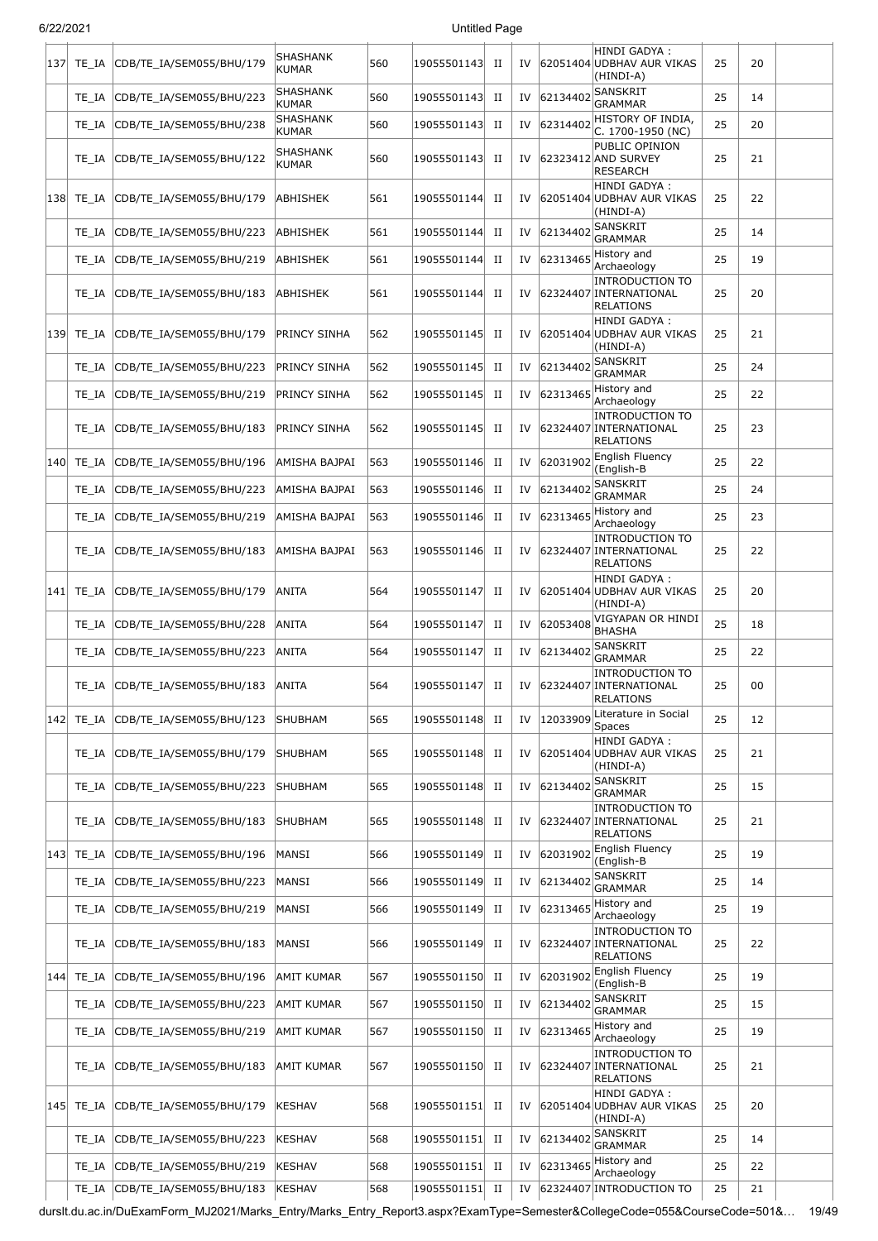| 137 | TE IA      | CDB/TE_IA/SEM055/BHU/179       | <b>SHASHANK</b><br><b>KUMAR</b> | 560 | 19055501143 | П           | IV |          | HINDI GADYA :<br>62051404 UDBHAV AUR VIKAS<br>(HINDI-A)              | 25 | 20 |  |
|-----|------------|--------------------------------|---------------------------------|-----|-------------|-------------|----|----------|----------------------------------------------------------------------|----|----|--|
|     | TE IA      | CDB/TE_IA/SEM055/BHU/223       | SHASHANK<br>KUMAR               | 560 | 19055501143 | П           | IV | 62134402 | SANSKRIT<br><b>GRAMMAR</b>                                           | 25 | 14 |  |
|     | TE IA      | CDB/TE_IA/SEM055/BHU/238       | <b>SHASHANK</b><br>KUMAR        | 560 | 19055501143 | П           | IV | 62314402 | HISTORY OF INDIA,<br>C. 1700-1950 (NC)                               | 25 | 20 |  |
|     | TE IA      | CDB/TE_IA/SEM055/BHU/122       | SHASHANK<br>KUMAR               | 560 | 19055501143 | П           | IV |          | PUBLIC OPINION<br>62323412 AND SURVEY<br><b>RESEARCH</b>             | 25 | 21 |  |
| 138 | TE IA      | CDB/TE IA/SEM055/BHU/179       | ABHISHEK                        | 561 | 19055501144 | П           | IV |          | HINDI GADYA :<br>62051404 UDBHAV AUR VIKAS<br>(HINDI-A)              | 25 | 22 |  |
|     | TE IA      | CDB/TE_IA/SEM055/BHU/223       | ABHISHEK                        | 561 | 19055501144 | П           | IV | 62134402 | SANSKRIT<br><b>GRAMMAR</b>                                           | 25 | 14 |  |
|     | TE IA      | CDB/TE_IA/SEM055/BHU/219       | ABHISHEK                        | 561 | 19055501144 | П           | IV | 62313465 | History and<br>Archaeology                                           | 25 | 19 |  |
|     | TE IA      | CDB/TE_IA/SEM055/BHU/183       | ABHISHEK                        | 561 | 19055501144 | п           | IV |          | <b>INTRODUCTION TO</b><br>62324407 INTERNATIONAL<br><b>RELATIONS</b> | 25 | 20 |  |
| 139 | TE IA      | CDB/TE IA/SEM055/BHU/179       | <b>PRINCY SINHA</b>             | 562 | 19055501145 | п           | IV |          | HINDI GADYA :<br>62051404 UDBHAV AUR VIKAS<br>(HINDI-A)              | 25 | 21 |  |
|     | TE IA      | CDB/TE_IA/SEM055/BHU/223       | PRINCY SINHA                    | 562 | 19055501145 | П           | IV | 62134402 | SANSKRIT<br><b>GRAMMAR</b>                                           | 25 | 24 |  |
|     | TE IA      | CDB/TE_IA/SEM055/BHU/219       | PRINCY SINHA                    | 562 | 19055501145 | П           | IV | 62313465 | History and<br>Archaeology                                           | 25 | 22 |  |
|     | TE IA      | CDB/TE_IA/SEM055/BHU/183       | PRINCY SINHA                    | 562 | 19055501145 | П           | IV |          | <b>INTRODUCTION TO</b><br>62324407 INTERNATIONAL<br><b>RELATIONS</b> | 25 | 23 |  |
| 140 | TE IA      | CDB/TE IA/SEM055/BHU/196       | AMISHA BAJPAI                   | 563 | 19055501146 | П           | IV | 62031902 | English Fluency<br>(English-B                                        | 25 | 22 |  |
|     | TE IA      | CDB/TE_IA/SEM055/BHU/223       | AMISHA BAJPAI                   | 563 | 19055501146 | П           | IV | 62134402 | <b>SANSKRIT</b><br><b>GRAMMAR</b>                                    | 25 | 24 |  |
|     | TE IA      | CDB/TE_IA/SEM055/BHU/219       | AMISHA BAJPAI                   | 563 | 19055501146 | П           | IV | 62313465 | History and<br>Archaeology                                           | 25 | 23 |  |
|     | TE IA      | CDB/TE_IA/SEM055/BHU/183       | AMISHA BAJPAI                   | 563 | 19055501146 | П           | IV |          | <b>INTRODUCTION TO</b><br>62324407 INTERNATIONAL<br><b>RELATIONS</b> | 25 | 22 |  |
| 141 | TE IA      | CDB/TE_IA/SEM055/BHU/179       | ANITA                           | 564 | 19055501147 | П           | IV |          | <b>HINDI GADYA:</b><br>62051404 UDBHAV AUR VIKAS<br>(HINDI-A)        | 25 | 20 |  |
|     | TE IA      | CDB/TE_IA/SEM055/BHU/228       | ANITA                           | 564 | 19055501147 | П           | IV | 62053408 | VIGYAPAN OR HINDI<br><b>BHASHA</b>                                   | 25 | 18 |  |
|     | TE_IA      | CDB/TE_IA/SEM055/BHU/223       | <b>ANITA</b>                    | 564 | 19055501147 | П           | IV | 62134402 | <b>SANSKRIT</b><br>GRAMMAR                                           | 25 | 22 |  |
|     | TE IA      | CDB/TE_IA/SEM055/BHU/183       | ANITA                           | 564 | 19055501147 | П           | IV |          | <b>INTRODUCTION TO</b><br>62324407 INTERNATIONAL<br><b>RELATIONS</b> | 25 | 00 |  |
| 142 | TE_IA      | CDB/TE_IA/SEM055/BHU/123       | SHUBHAM                         | 565 | 19055501148 | П           | IV | 12033909 | Literature in Social<br>Spaces                                       | 25 | 12 |  |
|     | TE IA      | CDB/TE IA/SEM055/BHU/179       | <b>SHUBHAM</b>                  | 565 | 19055501148 | П           | IV |          | HINDI GADYA :<br>62051404 UDBHAV AUR VIKAS<br>(HINDI-A)              | 25 | 21 |  |
|     | TE IA      | CDB/TE_IA/SEM055/BHU/223       | <b>SHUBHAM</b>                  | 565 | 19055501148 | $_{\rm II}$ | IV | 62134402 | <b>SANSKRIT</b><br><b>GRAMMAR</b>                                    | 25 | 15 |  |
|     | TE IA      | CDB/TE_IA/SEM055/BHU/183       | <b>SHUBHAM</b>                  | 565 | 19055501148 | П           | IV |          | <b>INTRODUCTION TO</b><br>62324407 INTERNATIONAL<br><b>RELATIONS</b> | 25 | 21 |  |
| 143 | TE_IA      | CDB/TE_IA/SEM055/BHU/196       | MANSI                           | 566 | 19055501149 | П           | IV | 62031902 | English Fluency<br>(English-B                                        | 25 | 19 |  |
|     | TE_IA      | CDB/TE_IA/SEM055/BHU/223       | MANSI                           | 566 | 19055501149 | П           | IV | 62134402 | <b>SANSKRIT</b><br><b>GRAMMAR</b>                                    | 25 | 14 |  |
|     | TE_IA      | CDB/TE_IA/SEM055/BHU/219       | MANSI                           | 566 | 19055501149 | $_{\rm II}$ | IV | 62313465 | History and<br>Archaeology                                           | 25 | 19 |  |
|     | TE IA      | CDB/TE_IA/SEM055/BHU/183       | MANSI                           | 566 | 19055501149 | П           | IV |          | <b>INTRODUCTION TO</b><br>62324407 INTERNATIONAL<br><b>RELATIONS</b> | 25 | 22 |  |
| 144 | TE_IA      | CDB/TE_IA/SEM055/BHU/196       | AMIT KUMAR                      | 567 | 19055501150 | $_{\rm II}$ | IV | 62031902 | English Fluency<br>(English-B                                        | 25 | 19 |  |
|     | TE_IA      | CDB/TE_IA/SEM055/BHU/223       | <b>AMIT KUMAR</b>               | 567 | 19055501150 | П           | IV | 62134402 | <b>SANSKRIT</b><br><b>GRAMMAR</b>                                    | 25 | 15 |  |
|     | TE_IA      | CDB/TE_IA/SEM055/BHU/219       | AMIT KUMAR                      | 567 | 19055501150 | $_{\rm II}$ | IV | 62313465 | History and<br>Archaeology                                           | 25 | 19 |  |
|     | TE_IA      | CDB/TE_IA/SEM055/BHU/183       | AMIT KUMAR                      | 567 | 19055501150 | П           | IV |          | <b>INTRODUCTION TO</b><br>62324407 INTERNATIONAL<br><b>RELATIONS</b> | 25 | 21 |  |
|     | 145  TE IA | CDB/TE_IA/SEM055/BHU/179       | KESHAV                          | 568 | 19055501151 | П           | IV |          | HINDI GADYA :<br>62051404 UDBHAV AUR VIKAS<br>(HINDI-A)              | 25 | 20 |  |
|     | TE_IA      | CDB/TE_IA/SEM055/BHU/223       | KESHAV                          | 568 | 19055501151 | П           | IV | 62134402 | <b>SANSKRIT</b><br><b>GRAMMAR</b>                                    | 25 | 14 |  |
|     | TE IA      | CDB/TE_IA/SEM055/BHU/219       | KESHAV                          | 568 | 19055501151 | П           | IV | 62313465 | History and<br>Archaeology                                           | 25 | 22 |  |
|     |            | TE_IA CDB/TE_IA/SEM055/BHU/183 | KESHAV                          | 568 | 19055501151 | $_{\rm II}$ | IV |          | 62324407 INTRODUCTION TO                                             | 25 | 21 |  |

durslt.du.ac.in/DuExamForm\_MJ2021/Marks\_Entry/Marks\_Entry\_Report3.aspx?ExamType=Semester&CollegeCode=055&CourseCode=501&… 19/49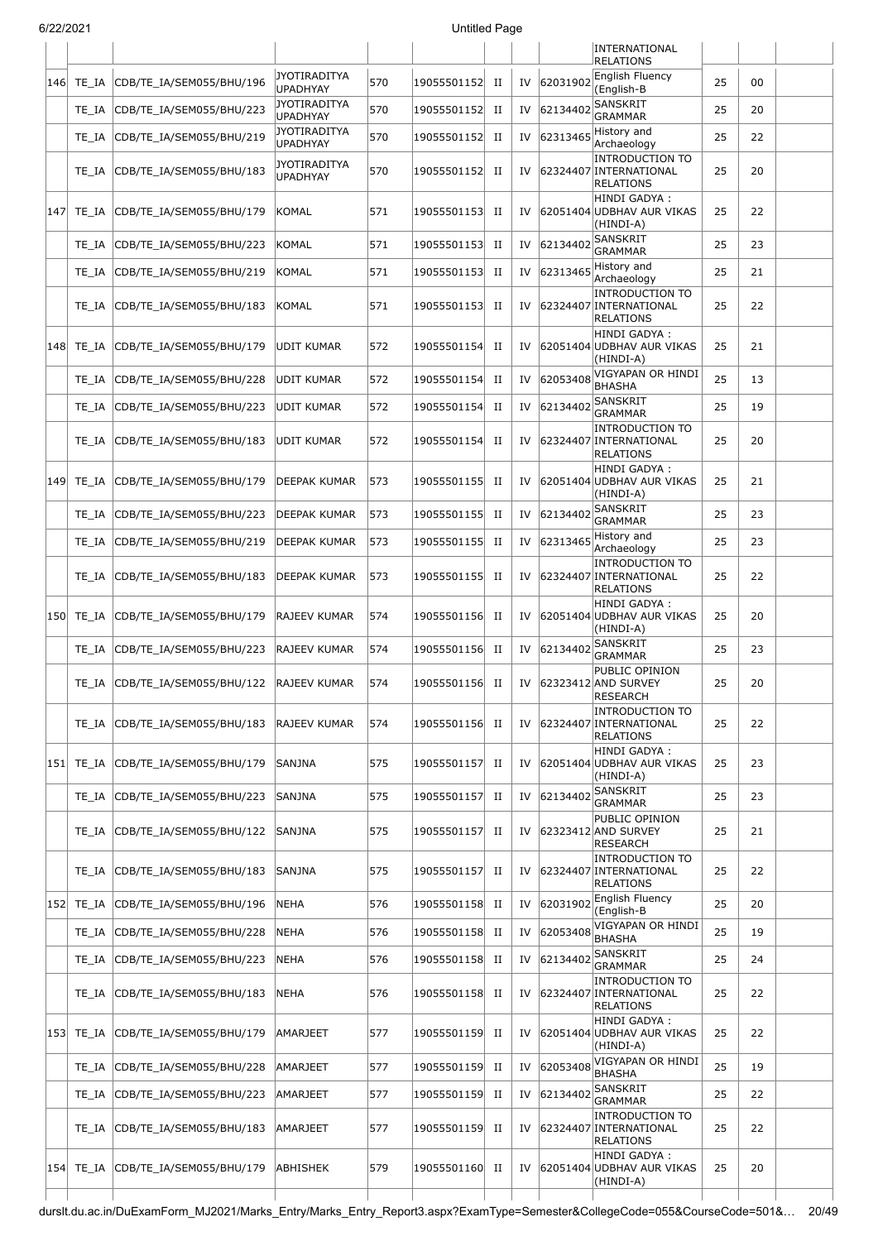|       |                                                                                          |                                                                                                                                                                                                                                                                                                                                                                                                                          |     |             |             |                                                                                                                                                                                                                                                                                                                                        |                      | <b>RELATIONS</b>                                                                                                                                                                 |                                                                                                                                                                                                                                                                                                                                                                                                                                                                                                                                                                                                                                                                                                                                                                                                                                                                                                                                                     |    |  |
|-------|------------------------------------------------------------------------------------------|--------------------------------------------------------------------------------------------------------------------------------------------------------------------------------------------------------------------------------------------------------------------------------------------------------------------------------------------------------------------------------------------------------------------------|-----|-------------|-------------|----------------------------------------------------------------------------------------------------------------------------------------------------------------------------------------------------------------------------------------------------------------------------------------------------------------------------------------|----------------------|----------------------------------------------------------------------------------------------------------------------------------------------------------------------------------|-----------------------------------------------------------------------------------------------------------------------------------------------------------------------------------------------------------------------------------------------------------------------------------------------------------------------------------------------------------------------------------------------------------------------------------------------------------------------------------------------------------------------------------------------------------------------------------------------------------------------------------------------------------------------------------------------------------------------------------------------------------------------------------------------------------------------------------------------------------------------------------------------------------------------------------------------------|----|--|
| TE IA | CDB/TE_IA/SEM055/BHU/196                                                                 | <b>JYOTIRADITYA</b><br><b>UPADHYAY</b>                                                                                                                                                                                                                                                                                                                                                                                   | 570 |             | $_{\rm II}$ | IV                                                                                                                                                                                                                                                                                                                                     |                      | (English-B                                                                                                                                                                       | 25                                                                                                                                                                                                                                                                                                                                                                                                                                                                                                                                                                                                                                                                                                                                                                                                                                                                                                                                                  | 00 |  |
| TE IA | CDB/TE_IA/SEM055/BHU/223                                                                 | <b>JYOTIRADITYA</b><br><b>UPADHYAY</b>                                                                                                                                                                                                                                                                                                                                                                                   | 570 |             | $_{\rm II}$ | IV                                                                                                                                                                                                                                                                                                                                     |                      | SANSKRIT<br><b>GRAMMAR</b>                                                                                                                                                       | 25                                                                                                                                                                                                                                                                                                                                                                                                                                                                                                                                                                                                                                                                                                                                                                                                                                                                                                                                                  | 20 |  |
| TE IA | CDB/TE_IA/SEM055/BHU/219                                                                 | JYOTIRADITYA<br><b>UPADHYAY</b>                                                                                                                                                                                                                                                                                                                                                                                          | 570 |             | $_{\rm II}$ | IV                                                                                                                                                                                                                                                                                                                                     |                      | Archaeology                                                                                                                                                                      | 25                                                                                                                                                                                                                                                                                                                                                                                                                                                                                                                                                                                                                                                                                                                                                                                                                                                                                                                                                  | 22 |  |
| TE IA | CDB/TE_IA/SEM055/BHU/183                                                                 | JYOTIRADITYA<br><b>UPADHYAY</b>                                                                                                                                                                                                                                                                                                                                                                                          | 570 | 19055501152 | $_{\rm II}$ | IV                                                                                                                                                                                                                                                                                                                                     |                      | <b>INTRODUCTION TO</b><br><b>RELATIONS</b>                                                                                                                                       | 25                                                                                                                                                                                                                                                                                                                                                                                                                                                                                                                                                                                                                                                                                                                                                                                                                                                                                                                                                  | 20 |  |
|       |                                                                                          | <b>KOMAL</b>                                                                                                                                                                                                                                                                                                                                                                                                             | 571 |             | П           | IV                                                                                                                                                                                                                                                                                                                                     |                      | HINDI GADYA:<br>(HINDI-A)                                                                                                                                                        | 25                                                                                                                                                                                                                                                                                                                                                                                                                                                                                                                                                                                                                                                                                                                                                                                                                                                                                                                                                  | 22 |  |
| TE IA | CDB/TE_IA/SEM055/BHU/223                                                                 | KOMAL                                                                                                                                                                                                                                                                                                                                                                                                                    | 571 | 19055501153 | П           | IV                                                                                                                                                                                                                                                                                                                                     |                      | SANSKRIT<br><b>GRAMMAR</b>                                                                                                                                                       | 25                                                                                                                                                                                                                                                                                                                                                                                                                                                                                                                                                                                                                                                                                                                                                                                                                                                                                                                                                  | 23 |  |
| TE IA | CDB/TE_IA/SEM055/BHU/219                                                                 | KOMAL                                                                                                                                                                                                                                                                                                                                                                                                                    | 571 | 19055501153 | $_{\rm II}$ | IV                                                                                                                                                                                                                                                                                                                                     |                      | History and<br>Archaeology                                                                                                                                                       | 25                                                                                                                                                                                                                                                                                                                                                                                                                                                                                                                                                                                                                                                                                                                                                                                                                                                                                                                                                  | 21 |  |
| TE IA | CDB/TE_IA/SEM055/BHU/183                                                                 | <b>KOMAL</b>                                                                                                                                                                                                                                                                                                                                                                                                             | 571 | 19055501153 | П           | IV                                                                                                                                                                                                                                                                                                                                     |                      | <b>INTRODUCTION TO</b><br><b>RELATIONS</b>                                                                                                                                       | 25                                                                                                                                                                                                                                                                                                                                                                                                                                                                                                                                                                                                                                                                                                                                                                                                                                                                                                                                                  | 22 |  |
| TE IA |                                                                                          | UDIT KUMAR                                                                                                                                                                                                                                                                                                                                                                                                               | 572 | 19055501154 | П           | IV                                                                                                                                                                                                                                                                                                                                     |                      | HINDI GADYA :<br>(HINDI-A)                                                                                                                                                       | 25                                                                                                                                                                                                                                                                                                                                                                                                                                                                                                                                                                                                                                                                                                                                                                                                                                                                                                                                                  | 21 |  |
| TE IA | CDB/TE_IA/SEM055/BHU/228                                                                 | UDIT KUMAR                                                                                                                                                                                                                                                                                                                                                                                                               | 572 |             | П           | IV                                                                                                                                                                                                                                                                                                                                     |                      | <b>BHASHA</b>                                                                                                                                                                    | 25                                                                                                                                                                                                                                                                                                                                                                                                                                                                                                                                                                                                                                                                                                                                                                                                                                                                                                                                                  | 13 |  |
| TE IA | CDB/TE_IA/SEM055/BHU/223                                                                 | UDIT KUMAR                                                                                                                                                                                                                                                                                                                                                                                                               | 572 |             | П           | IV                                                                                                                                                                                                                                                                                                                                     | 62134402             | SANSKRIT<br><b>GRAMMAR</b>                                                                                                                                                       | 25                                                                                                                                                                                                                                                                                                                                                                                                                                                                                                                                                                                                                                                                                                                                                                                                                                                                                                                                                  | 19 |  |
| TE IA | CDB/TE_IA/SEM055/BHU/183                                                                 | <b>UDIT KUMAR</b>                                                                                                                                                                                                                                                                                                                                                                                                        | 572 |             | П           | IV                                                                                                                                                                                                                                                                                                                                     |                      | <b>RELATIONS</b>                                                                                                                                                                 | 25                                                                                                                                                                                                                                                                                                                                                                                                                                                                                                                                                                                                                                                                                                                                                                                                                                                                                                                                                  | 20 |  |
| TE IA | CDB/TE_IA/SEM055/BHU/179                                                                 | DEEPAK KUMAR                                                                                                                                                                                                                                                                                                                                                                                                             | 573 | 19055501155 | П           | IV                                                                                                                                                                                                                                                                                                                                     |                      | (HINDI-A)                                                                                                                                                                        | 25                                                                                                                                                                                                                                                                                                                                                                                                                                                                                                                                                                                                                                                                                                                                                                                                                                                                                                                                                  | 21 |  |
| TE IA | CDB/TE_IA/SEM055/BHU/223                                                                 | DEEPAK KUMAR                                                                                                                                                                                                                                                                                                                                                                                                             |     | 19055501155 | П           | IV                                                                                                                                                                                                                                                                                                                                     |                      | <b>GRAMMAR</b>                                                                                                                                                                   | 25                                                                                                                                                                                                                                                                                                                                                                                                                                                                                                                                                                                                                                                                                                                                                                                                                                                                                                                                                  | 23 |  |
| TE_IA | CDB/TE_IA/SEM055/BHU/219                                                                 | DEEPAK KUMAR                                                                                                                                                                                                                                                                                                                                                                                                             | 573 | 19055501155 | $_{\rm II}$ | IV                                                                                                                                                                                                                                                                                                                                     |                      | Archaeology                                                                                                                                                                      | 25                                                                                                                                                                                                                                                                                                                                                                                                                                                                                                                                                                                                                                                                                                                                                                                                                                                                                                                                                  | 23 |  |
| TE IA |                                                                                          | DEEPAK KUMAR                                                                                                                                                                                                                                                                                                                                                                                                             | 573 | 19055501155 | П           | IV                                                                                                                                                                                                                                                                                                                                     |                      | <b>RELATIONS</b>                                                                                                                                                                 | 25                                                                                                                                                                                                                                                                                                                                                                                                                                                                                                                                                                                                                                                                                                                                                                                                                                                                                                                                                  | 22 |  |
|       |                                                                                          | RAJEEV KUMAR                                                                                                                                                                                                                                                                                                                                                                                                             | 574 |             | П           | IV                                                                                                                                                                                                                                                                                                                                     |                      | (HINDI-A)                                                                                                                                                                        | 25                                                                                                                                                                                                                                                                                                                                                                                                                                                                                                                                                                                                                                                                                                                                                                                                                                                                                                                                                  | 20 |  |
| TE IA | CDB/TE_IA/SEM055/BHU/223                                                                 | RAJEEV KUMAR                                                                                                                                                                                                                                                                                                                                                                                                             | 574 | 19055501156 | $_{\rm II}$ | IV                                                                                                                                                                                                                                                                                                                                     |                      | <b>GRAMMAR</b>                                                                                                                                                                   | 25                                                                                                                                                                                                                                                                                                                                                                                                                                                                                                                                                                                                                                                                                                                                                                                                                                                                                                                                                  | 23 |  |
| TE_IA |                                                                                          | <b>RAJEEV KUMAR</b>                                                                                                                                                                                                                                                                                                                                                                                                      | 574 |             | $_{\rm II}$ |                                                                                                                                                                                                                                                                                                                                        |                      | <b>RESEARCH</b>                                                                                                                                                                  | 25                                                                                                                                                                                                                                                                                                                                                                                                                                                                                                                                                                                                                                                                                                                                                                                                                                                                                                                                                  | 20 |  |
| TE IA |                                                                                          | <b>RAJEEV KUMAR</b>                                                                                                                                                                                                                                                                                                                                                                                                      | 574 |             | H           |                                                                                                                                                                                                                                                                                                                                        |                      | <b>RELATIONS</b>                                                                                                                                                                 | 25                                                                                                                                                                                                                                                                                                                                                                                                                                                                                                                                                                                                                                                                                                                                                                                                                                                                                                                                                  | 22 |  |
|       |                                                                                          | <b>SANJNA</b>                                                                                                                                                                                                                                                                                                                                                                                                            | 575 |             | $_{\rm II}$ | IV                                                                                                                                                                                                                                                                                                                                     |                      | (HINDI-A)                                                                                                                                                                        | 25                                                                                                                                                                                                                                                                                                                                                                                                                                                                                                                                                                                                                                                                                                                                                                                                                                                                                                                                                  | 23 |  |
| TE IA |                                                                                          | SANJNA                                                                                                                                                                                                                                                                                                                                                                                                                   | 575 |             | H           | IV                                                                                                                                                                                                                                                                                                                                     |                      | <b>GRAMMAR</b>                                                                                                                                                                   | 25                                                                                                                                                                                                                                                                                                                                                                                                                                                                                                                                                                                                                                                                                                                                                                                                                                                                                                                                                  | 23 |  |
| TE IA |                                                                                          | SANJNA                                                                                                                                                                                                                                                                                                                                                                                                                   | 575 |             | H           | IV                                                                                                                                                                                                                                                                                                                                     |                      | <b>RESEARCH</b>                                                                                                                                                                  | 25                                                                                                                                                                                                                                                                                                                                                                                                                                                                                                                                                                                                                                                                                                                                                                                                                                                                                                                                                  | 21 |  |
| TE IA | CDB/TE_IA/SEM055/BHU/183                                                                 | SANJNA                                                                                                                                                                                                                                                                                                                                                                                                                   | 575 | 19055501157 | П           | IV                                                                                                                                                                                                                                                                                                                                     |                      | <b>RELATIONS</b>                                                                                                                                                                 | 25                                                                                                                                                                                                                                                                                                                                                                                                                                                                                                                                                                                                                                                                                                                                                                                                                                                                                                                                                  | 22 |  |
|       | CDB/TE_IA/SEM055/BHU/196                                                                 | <b>NEHA</b>                                                                                                                                                                                                                                                                                                                                                                                                              | 576 |             | $_{\rm II}$ | IV                                                                                                                                                                                                                                                                                                                                     |                      | (English-B                                                                                                                                                                       | 25                                                                                                                                                                                                                                                                                                                                                                                                                                                                                                                                                                                                                                                                                                                                                                                                                                                                                                                                                  | 20 |  |
| TE_IA | CDB/TE_IA/SEM055/BHU/228                                                                 | <b>NEHA</b>                                                                                                                                                                                                                                                                                                                                                                                                              | 576 |             | $_{\rm II}$ | IV                                                                                                                                                                                                                                                                                                                                     |                      | <b>BHASHA</b>                                                                                                                                                                    | 25                                                                                                                                                                                                                                                                                                                                                                                                                                                                                                                                                                                                                                                                                                                                                                                                                                                                                                                                                  | 19 |  |
| TE IA | CDB/TE_IA/SEM055/BHU/223                                                                 | <b>NEHA</b>                                                                                                                                                                                                                                                                                                                                                                                                              | 576 |             | $_{\rm II}$ | IV                                                                                                                                                                                                                                                                                                                                     |                      | <b>GRAMMAR</b>                                                                                                                                                                   | 25                                                                                                                                                                                                                                                                                                                                                                                                                                                                                                                                                                                                                                                                                                                                                                                                                                                                                                                                                  | 24 |  |
| TE IA |                                                                                          | NEHA                                                                                                                                                                                                                                                                                                                                                                                                                     | 576 |             | $_{\rm II}$ | IV                                                                                                                                                                                                                                                                                                                                     |                      | <b>RELATIONS</b>                                                                                                                                                                 | 25                                                                                                                                                                                                                                                                                                                                                                                                                                                                                                                                                                                                                                                                                                                                                                                                                                                                                                                                                  | 22 |  |
|       |                                                                                          | AMARJEET                                                                                                                                                                                                                                                                                                                                                                                                                 | 577 |             | П           | IV                                                                                                                                                                                                                                                                                                                                     |                      | (HINDI-A)                                                                                                                                                                        | 25                                                                                                                                                                                                                                                                                                                                                                                                                                                                                                                                                                                                                                                                                                                                                                                                                                                                                                                                                  | 22 |  |
| TE IA |                                                                                          | AMARJEET                                                                                                                                                                                                                                                                                                                                                                                                                 | 577 |             | $_{\rm II}$ | IV                                                                                                                                                                                                                                                                                                                                     |                      |                                                                                                                                                                                  | 25                                                                                                                                                                                                                                                                                                                                                                                                                                                                                                                                                                                                                                                                                                                                                                                                                                                                                                                                                  | 19 |  |
| TE_IA |                                                                                          | AMARJEET                                                                                                                                                                                                                                                                                                                                                                                                                 | 577 |             | П           | IV                                                                                                                                                                                                                                                                                                                                     |                      | SANSKRIT<br><b>GRAMMAR</b>                                                                                                                                                       | 25                                                                                                                                                                                                                                                                                                                                                                                                                                                                                                                                                                                                                                                                                                                                                                                                                                                                                                                                                  | 22 |  |
| TE IA | CDB/TE_IA/SEM055/BHU/183                                                                 | AMARJEET                                                                                                                                                                                                                                                                                                                                                                                                                 | 577 |             | H           | IV                                                                                                                                                                                                                                                                                                                                     |                      | <b>INTRODUCTION TO</b><br><b>RELATIONS</b>                                                                                                                                       | 25                                                                                                                                                                                                                                                                                                                                                                                                                                                                                                                                                                                                                                                                                                                                                                                                                                                                                                                                                  | 22 |  |
|       |                                                                                          | ABHISHEK                                                                                                                                                                                                                                                                                                                                                                                                                 | 579 |             | H           | IV                                                                                                                                                                                                                                                                                                                                     |                      | (HINDI-A)                                                                                                                                                                        | 25                                                                                                                                                                                                                                                                                                                                                                                                                                                                                                                                                                                                                                                                                                                                                                                                                                                                                                                                                  | 20 |  |
|       | 6/22/2021<br>146<br> 147  TE IA<br>148<br> 149 <br>150 TE_IA<br>152 TE_IA<br> 154  TE IA | CDB/TE_IA/SEM055/BHU/179<br>CDB/TE IA/SEM055/BHU/179<br>CDB/TE_IA/SEM055/BHU/183<br>CDB/TE IA/SEM055/BHU/179<br>CDB/TE_IA/SEM055/BHU/122<br>CDB/TE_IA/SEM055/BHU/183<br>151 TE IA CDB/TE IA/SEM055/BHU/179<br>CDB/TE_IA/SEM055/BHU/223<br>CDB/TE IA/SEM055/BHU/122<br>CDB/TE_IA/SEM055/BHU/183<br>153 TE_IA CDB/TE_IA/SEM055/BHU/179<br>CDB/TE_IA/SEM055/BHU/228<br>CDB/TE_IA/SEM055/BHU/223<br>CDB/TE_IA/SEM055/BHU/179 |     | 573         |             | 19055501152<br>19055501152<br>19055501152<br>19055501153<br>19055501154<br>19055501154<br>19055501154<br>19055501156<br>19055501156<br>19055501156<br>19055501157<br>19055501157<br>19055501157<br>19055501158<br>19055501158<br>19055501158<br>19055501158<br>19055501159<br>19055501159<br>19055501159<br>19055501159<br>19055501160 | <b>Untitled Page</b> | 62031902<br>62134402<br>62313465<br>62134402<br>62313465<br>62053408<br>62134402<br>62313465<br>62134402<br>62134402<br>62031902<br>62053408<br>62134402<br>62053408<br>62134402 | INTERNATIONAL<br>English Fluency<br>History and<br>62324407 INTERNATIONAL<br>62051404 UDBHAV AUR VIKAS<br>62324407 INTERNATIONAL<br>62051404 UDBHAV AUR VIKAS<br>VIGYAPAN OR HINDI<br><b>INTRODUCTION TO</b><br>62324407 INTERNATIONAL<br>HINDI GADYA :<br>62051404 UDBHAV AUR VIKAS<br>SANSKRIT<br>History and<br><b>INTRODUCTION TO</b><br>62324407 INTERNATIONAL<br>HINDI GADYA :<br>62051404 UDBHAV AUR VIKAS<br>SANSKRIT<br>PUBLIC OPINION<br>IV 62323412 AND SURVEY<br><b>INTRODUCTION TO</b><br>IV 62324407 INTERNATIONAL<br>HINDI GADYA:<br>62051404 UDBHAV AUR VIKAS<br>SANSKRIT<br>PUBLIC OPINION<br>62323412 AND SURVEY<br><b>INTRODUCTION TO</b><br>62324407 INTERNATIONAL<br>English Fluency<br>VIGYAPAN OR HINDI<br>SANSKRIT<br><b>INTRODUCTION TO</b><br>62324407 INTERNATIONAL<br>HINDI GADYA :<br>62051404 UDBHAV AUR VIKAS<br>VIGYAPAN OR HINDI<br>BHASHA<br>62324407 INTERNATIONAL<br>HINDI GADYA :<br>62051404 UDBHAV AUR VIKAS |    |  |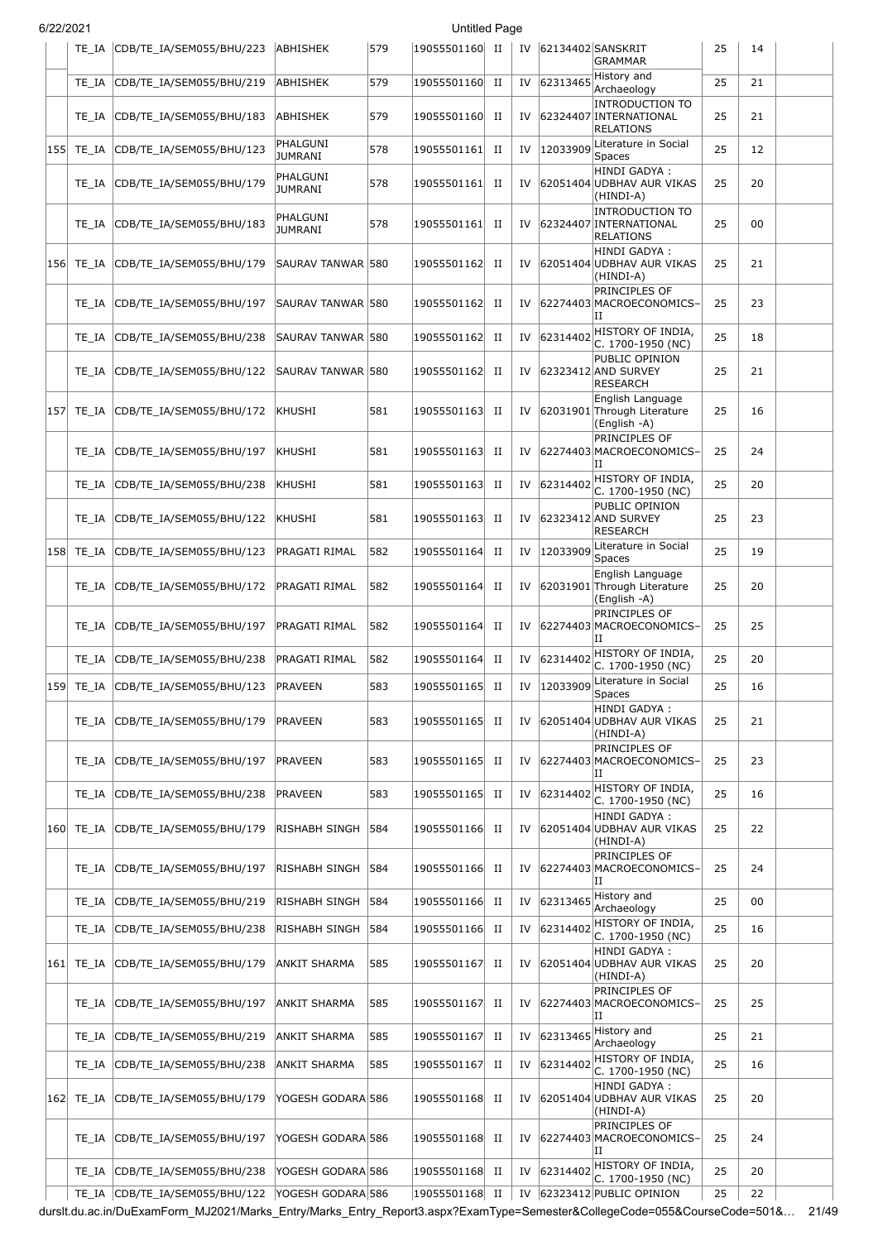| 6/22/2021 |            |                                |                            |     | <b>Untitled Page</b> |             |    |          |                                                                      |    |    |  |
|-----------|------------|--------------------------------|----------------------------|-----|----------------------|-------------|----|----------|----------------------------------------------------------------------|----|----|--|
|           | TE IA      | CDB/TE_IA/SEM055/BHU/223       | ABHISHEK                   | 579 | 19055501160 II       |             | IV |          | 62134402 SANSKRIT<br><b>GRAMMAR</b>                                  | 25 | 14 |  |
|           | TE_IA      | CDB/TE_IA/SEM055/BHU/219       | ABHISHEK                   | 579 | 19055501160 II       |             | IV |          | $62313465$ History and<br>Archaeology                                | 25 | 21 |  |
|           | TE IA      | CDB/TE_IA/SEM055/BHU/183       | <b>ABHISHEK</b>            | 579 | 19055501160          | п           | IV |          | <b>INTRODUCTION TO</b><br>62324407 INTERNATIONAL<br><b>RELATIONS</b> | 25 | 21 |  |
|           | 155  TE IA | CDB/TE_IA/SEM055/BHU/123       | PHALGUNI<br><b>JUMRANI</b> | 578 | 19055501161          | П           | IV | 12033909 | Literature in Social<br><b>Spaces</b>                                | 25 | 12 |  |
|           | TE IA      | CDB/TE_IA/SEM055/BHU/179       | PHALGUNI<br><b>JUMRANI</b> | 578 | 19055501161          | П           | IV |          | HINDI GADYA:<br>62051404 UDBHAV AUR VIKAS<br>(HINDI-A)               | 25 | 20 |  |
|           | TE IA      | CDB/TE IA/SEM055/BHU/183       | PHALGUNI<br><b>JUMRANI</b> | 578 | 19055501161          | П           | IV |          | <b>INTRODUCTION TO</b><br>62324407 INTERNATIONAL<br><b>RELATIONS</b> | 25 | 00 |  |
|           | 156  TE IA | CDB/TE_IA/SEM055/BHU/179       | SAURAV TANWAR 580          |     | 19055501162          | П           | IV |          | HINDI GADYA:<br>62051404 UDBHAV AUR VIKAS<br>(HINDI-A)               | 25 | 21 |  |
|           | TE IA      | CDB/TE_IA/SEM055/BHU/197       | SAURAV TANWAR 580          |     | 19055501162          | П           | IV |          | PRINCIPLES OF<br>62274403 MACROECONOMICS-<br>IΙ                      | 25 | 23 |  |
|           | TE IA      | CDB/TE_IA/SEM055/BHU/238       | SAURAV TANWAR 580          |     | 19055501162          | П           | IV | 62314402 | HISTORY OF INDIA,<br>C. 1700-1950 (NC)                               | 25 | 18 |  |
|           | TE IA      | CDB/TE_IA/SEM055/BHU/122       | SAURAV TANWAR 580          |     | 19055501162          | П           | IV |          | PUBLIC OPINION<br>62323412 AND SURVEY<br><b>RESEARCH</b>             | 25 | 21 |  |
| 157       | TE IA      | CDB/TE IA/SEM055/BHU/172       | KHUSHI                     | 581 | 19055501163          | П           | IV |          | English Language<br>62031901 Through Literature<br>(English -A)      | 25 | 16 |  |
|           | TE IA      | CDB/TE_IA/SEM055/BHU/197       | KHUSHI                     | 581 | 19055501163          | П           | IV |          | PRINCIPLES OF<br>62274403 MACROECONOMICS-<br>IΙ                      | 25 | 24 |  |
|           | TE IA      | CDB/TE_IA/SEM055/BHU/238       | KHUSHI                     | 581 | 19055501163          | П           | IV | 62314402 | HISTORY OF INDIA,<br>C. 1700-1950 (NC)                               | 25 | 20 |  |
|           | TE IA      | CDB/TE_IA/SEM055/BHU/122       | <b>KHUSHI</b>              | 581 | 19055501163          | П           | IV |          | PUBLIC OPINION<br>62323412 AND SURVEY<br><b>RESEARCH</b>             | 25 | 23 |  |
| 158       | TE_IA      | CDB/TE_IA/SEM055/BHU/123       | PRAGATI RIMAL              | 582 | 19055501164          | П           | IV | 12033909 | Literature in Social<br>Spaces                                       | 25 | 19 |  |
|           | TE IA      | CDB/TE_IA/SEM055/BHU/172       | PRAGATI RIMAL              | 582 | 19055501164          | П           | IV |          | English Language<br>62031901 Through Literature<br>(English -A)      | 25 | 20 |  |
|           | TE IA      | CDB/TE_IA/SEM055/BHU/197       | PRAGATI RIMAL              | 582 | 19055501164          | П           | IV |          | <b>PRINCIPLES OF</b><br>62274403 MACROECONOMICS-<br>IΙ               | 25 | 25 |  |
|           | TE_IA      | CDB/TE_IA/SEM055/BHU/238       | PRAGATI RIMAL              | 582 | 19055501164          | $_{\rm II}$ | IV | 62314402 | HISTORY OF INDIA,<br>C. 1700-1950 (NC)                               | 25 | 20 |  |
|           | 159  TE_IA | CDB/TE_IA/SEM055/BHU/123       | <b>PRAVEEN</b>             | 583 | 19055501165          | П           | IV | 12033909 | Literature in Social<br>Spaces                                       | 25 | 16 |  |
|           | TE IA      | CDB/TE_IA/SEM055/BHU/179       | <b>PRAVEEN</b>             | 583 | 19055501165          | П           | IV |          | HINDI GADYA :<br>62051404 UDBHAV AUR VIKAS<br>(HINDI-A)              | 25 | 21 |  |
|           | TE IA      | CDB/TE_IA/SEM055/BHU/197       | <b>PRAVEEN</b>             | 583 | 19055501165          | П           | IV |          | PRINCIPLES OF<br>62274403 MACROECONOMICS-<br>IΙ                      | 25 | 23 |  |
|           | TE_IA      | CDB/TE_IA/SEM055/BHU/238       | <b>PRAVEEN</b>             | 583 | 19055501165          | П           | IV | 62314402 | HISTORY OF INDIA,<br>C. 1700-1950 (NC)                               | 25 | 16 |  |
|           | 160 TE IA  | CDB/TE_IA/SEM055/BHU/179       | RISHABH SINGH              | 584 | 19055501166          | П           | IV |          | HINDI GADYA :<br>62051404 UDBHAV AUR VIKAS<br>(HINDI-A)              | 25 | 22 |  |
|           | TE IA      | CDB/TE_IA/SEM055/BHU/197       | RISHABH SINGH              | 584 | 19055501166          | П           | IV |          | PRINCIPLES OF<br>62274403 MACROECONOMICS-<br>IΙ                      | 25 | 24 |  |
|           | TE_IA      | CDB/TE_IA/SEM055/BHU/219       | RISHABH SINGH              | 584 | 19055501166          | П           | IV | 62313465 | History and<br>Archaeology                                           | 25 | 00 |  |
|           | TE IA      | CDB/TE_IA/SEM055/BHU/238       | RISHABH SINGH              | 584 | 19055501166          | П           | IV | 62314402 | HISTORY OF INDIA,<br>C. 1700-1950 (NC)                               | 25 | 16 |  |
|           | 161  TE IA | CDB/TE_IA/SEM055/BHU/179       | <b>ANKIT SHARMA</b>        | 585 | 19055501167          | П           | IV |          | HINDI GADYA :<br>62051404 UDBHAV AUR VIKAS<br>(HINDI-A)              | 25 | 20 |  |
|           | TE IA      | CDB/TE_IA/SEM055/BHU/197       | ANKIT SHARMA               | 585 | 19055501167          | П           | IV |          | PRINCIPLES OF<br>62274403 MACROECONOMICS-<br>IΙ                      | 25 | 25 |  |
|           | TE IA      | CDB/TE_IA/SEM055/BHU/219       | ANKIT SHARMA               | 585 | 19055501167          | П           | IV |          | $62313465$ History and<br>Archaeology                                | 25 | 21 |  |
|           | TE IA      | CDB/TE_IA/SEM055/BHU/238       | ANKIT SHARMA               | 585 | 19055501167          | П           | IV |          | 62314402 HISTORY OF INDIA,<br>C. 1700-1950 (NC)                      | 25 | 16 |  |
|           | 162 TE IA  | CDB/TE_IA/SEM055/BHU/179       | YOGESH GODARA 586          |     | 19055501168          | П           | IV |          | HINDI GADYA :<br>62051404 UDBHAV AUR VIKAS<br>(HINDI-A)              | 25 | 20 |  |
|           | TE IA      | CDB/TE_IA/SEM055/BHU/197       | YOGESH GODARA 586          |     | 19055501168          | П           | IV |          | PRINCIPLES OF<br>62274403 MACROECONOMICS-<br>IΙ                      | 25 | 24 |  |
|           | TE IA      | CDB/TE_IA/SEM055/BHU/238       | YOGESH GODARA 586          |     | 19055501168 II       |             | IV |          | $ 62314402 $ HISTORY OF INDIA,<br>C. 1700-1950 (NC)                  | 25 | 20 |  |
|           |            | TE_IA CDB/TE_IA/SEM055/BHU/122 | YOGESH GODARA 586          |     | 19055501168 II       |             |    |          | IV 62323412 PUBLIC OPINION                                           | 25 | 22 |  |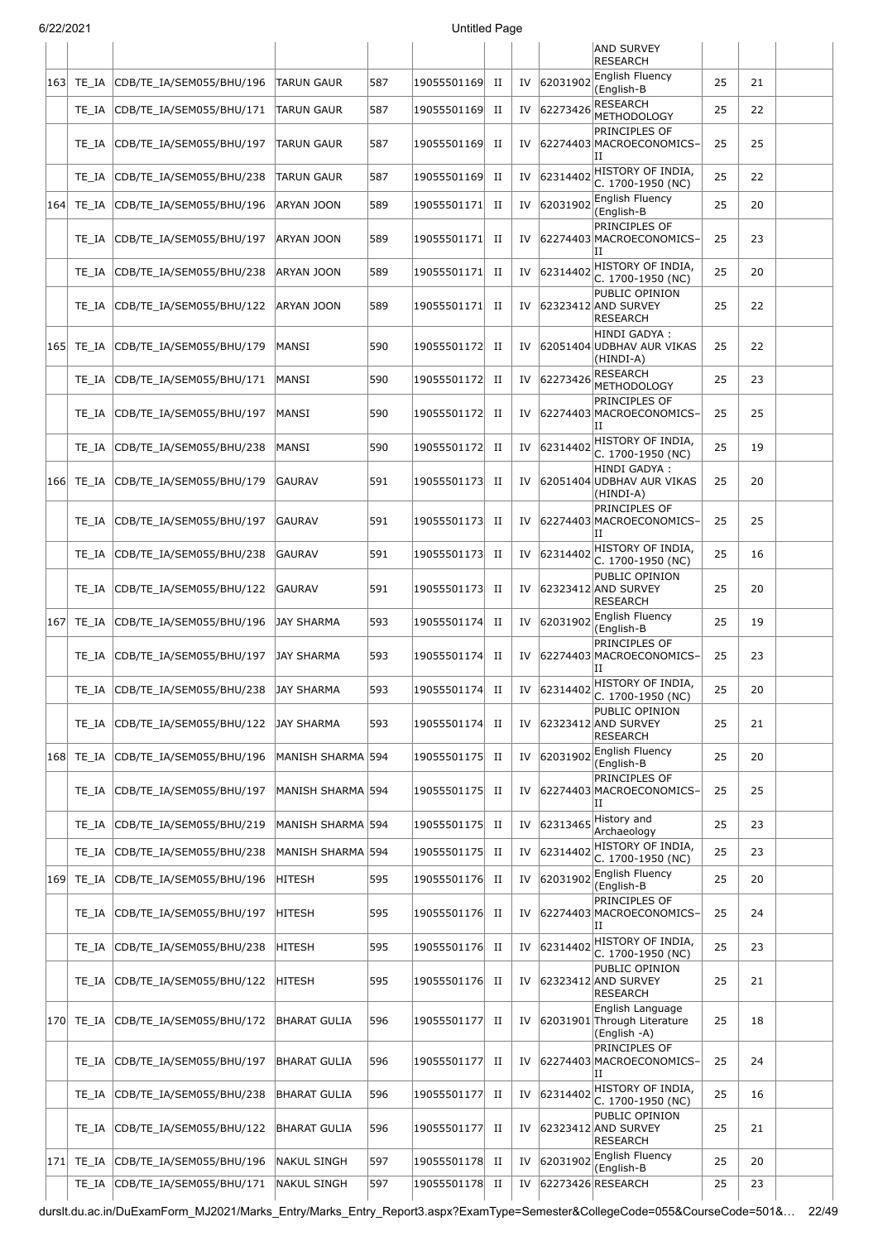|      |            |                                |                     |     |             |             |    |             | <b>AND SURVEY</b><br><b>RESEARCH</b>                            |    |    |  |
|------|------------|--------------------------------|---------------------|-----|-------------|-------------|----|-------------|-----------------------------------------------------------------|----|----|--|
| 163  | TE_IA      | CDB/TE_IA/SEM055/BHU/196       | TARUN GAUR          | 587 | 19055501169 | П           | IV | 62031902    | <b>English Fluency</b><br>(English-B                            | 25 | 21 |  |
|      | TE_IA      | CDB/TE_IA/SEM055/BHU/171       | <b>TARUN GAUR</b>   | 587 | 19055501169 | $_{\rm II}$ | IV | 62273426    | RESEARCH<br>METHODOLOGY                                         | 25 | 22 |  |
|      | TE IA      | CDB/TE_IA/SEM055/BHU/197       | <b>TARUN GAUR</b>   | 587 | 19055501169 | П           | IV |             | PRINCIPLES OF<br>62274403 MACROECONOMICS-<br>IΙ                 | 25 | 25 |  |
|      | TE IA      | CDB/TE_IA/SEM055/BHU/238       | TARUN GAUR          | 587 | 19055501169 | П           | IV | 62314402    | HISTORY OF INDIA,<br>C. 1700-1950 (NC)                          | 25 | 22 |  |
| 164  | TE_IA      | CDB/TE_IA/SEM055/BHU/196       | ARYAN JOON          | 589 | 19055501171 | $_{\rm II}$ | IV | 62031902    | English Fluency<br>(English-B                                   | 25 | 20 |  |
|      | TE_IA      | CDB/TE_IA/SEM055/BHU/197       | ARYAN JOON          | 589 | 19055501171 | П           | IV |             | PRINCIPLES OF<br>62274403 MACROECONOMICS-<br>IΙ                 | 25 | 23 |  |
|      | TE_IA      | CDB/TE_IA/SEM055/BHU/238       | Aryan Joon          | 589 | 19055501171 | П           | IV | 62314402    | HISTORY OF INDIA,<br>C. 1700-1950 (NC)                          | 25 | 20 |  |
|      | TE_IA      | CDB/TE_IA/SEM055/BHU/122       | ARYAN JOON          | 589 | 19055501171 | П           | IV |             | PUBLIC OPINION<br>62323412 AND SURVEY<br><b>RESEARCH</b>        | 25 | 22 |  |
| 165  | TE_IA      | CDB/TE_IA/SEM055/BHU/179       | <b>MANSI</b>        | 590 | 19055501172 | П           | IV |             | HINDI GADYA :<br>62051404 UDBHAV AUR VIKAS<br>(HINDI-A)         | 25 | 22 |  |
|      | TE_IA      | CDB/TE IA/SEM055/BHU/171       | MANSI               | 590 | 19055501172 | $_{\rm II}$ | IV |             | 62273426 RESEARCH<br>METHODOLOGY                                | 25 | 23 |  |
|      | TE IA      | CDB/TE_IA/SEM055/BHU/197       | MANSI               | 590 | 19055501172 | П           | IV |             | PRINCIPLES OF<br>62274403 MACROECONOMICS-<br>п                  | 25 | 25 |  |
|      | TE_IA      | CDB/TE_IA/SEM055/BHU/238       | MANSI               | 590 | 19055501172 | П           | IV | 62314402    | HISTORY OF INDIA,<br>C. 1700-1950 (NC)                          | 25 | 19 |  |
| 166  | TE IA      | CDB/TE_IA/SEM055/BHU/179       | <b>GAURAV</b>       | 591 | 19055501173 | $_{\rm II}$ | IV |             | HINDI GADYA :<br>62051404 UDBHAV AUR VIKAS<br>(HINDI-A)         | 25 | 20 |  |
|      | TE IA      | CDB/TE_IA/SEM055/BHU/197       | <b>GAURAV</b>       | 591 | 19055501173 | П           | IV |             | PRINCIPLES OF<br>62274403 MACROECONOMICS-<br>IΙ                 | 25 | 25 |  |
|      | TE IA      | CDB/TE_IA/SEM055/BHU/238       | <b>GAURAV</b>       | 591 | 19055501173 | П           | IV | 62314402    | HISTORY OF INDIA,<br>C. 1700-1950 (NC)                          | 25 | 16 |  |
|      | TE IA      | CDB/TE_IA/SEM055/BHU/122       | <b>GAURAV</b>       | 591 | 19055501173 | П           | IV |             | PUBLIC OPINION<br>62323412 AND SURVEY<br><b>RESEARCH</b>        | 25 | 20 |  |
| 167  | TE_IA      | CDB/TE_IA/SEM055/BHU/196       | JAY SHARMA          | 593 | 19055501174 | $_{\rm II}$ |    | IV 62031902 | English Fluency<br>(English-B                                   | 25 | 19 |  |
|      | TE IA      | CDB/TE_IA/SEM055/BHU/197       | JAY SHARMA          | 593 | 19055501174 | П           | IV |             | PRINCIPLES OF<br>62274403 MACROECONOMICS-<br>IΙ                 | 25 | 23 |  |
|      | TE_IA      | CDB/TE_IA/SEM055/BHU/238       | JAY SHARMA          | 593 | 19055501174 | $_{\rm II}$ | IV | 62314402    | HISTORY OF INDIA,<br>C. 1700-1950 (NC)                          | 25 | 20 |  |
|      | TE IA      | CDB/TE_IA/SEM055/BHU/122       | JAY SHARMA          | 593 | 19055501174 | П           | IV |             | PUBLIC OPINION<br>62323412 AND SURVEY<br>RESEARCH               | 25 | 21 |  |
| 1681 | TE_IA      | CDB/TE_IA/SEM055/BHU/196       | MANISH SHARMA 594   |     | 19055501175 | $_{\rm II}$ | IV | 62031902    | English Fluency<br>(English-B                                   | 25 | 20 |  |
|      | TE IA      | CDB/TE IA/SEM055/BHU/197       | MANISH SHARMA 594   |     | 19055501175 | П           | IV |             | PRINCIPLES OF<br>62274403 MACROECONOMICS-<br>IΙ                 | 25 | 25 |  |
|      | TE_IA      | CDB/TE_IA/SEM055/BHU/219       | MANISH SHARMA 594   |     | 19055501175 | П           | IV | 62313465    | History and<br>Archaeology                                      | 25 | 23 |  |
|      | TE_IA      | CDB/TE_IA/SEM055/BHU/238       | MANISH SHARMA 594   |     | 19055501175 | $_{\rm II}$ | IV | 62314402    | HISTORY OF INDIA,<br>C. 1700-1950 (NC)                          | 25 | 23 |  |
| 169  | TE_IA      | CDB/TE_IA/SEM055/BHU/196       | <b>HITESH</b>       | 595 | 19055501176 | $_{\rm II}$ | IV | 62031902    | English Fluency<br>(English-B                                   | 25 | 20 |  |
|      | TE IA      | CDB/TE_IA/SEM055/BHU/197       | <b>HITESH</b>       | 595 | 19055501176 | П           | IV |             | PRINCIPLES OF<br>62274403 MACROECONOMICS-<br>IΙ                 | 25 | 24 |  |
|      | TE_IA      | CDB/TE_IA/SEM055/BHU/238       | <b>HITESH</b>       | 595 | 19055501176 | П           | IV | 62314402    | HISTORY OF INDIA,<br>C. 1700-1950 (NC)                          | 25 | 23 |  |
|      | TE_IA      | CDB/TE_IA/SEM055/BHU/122       | <b>HITESH</b>       | 595 | 19055501176 | $_{\rm II}$ | IV |             | PUBLIC OPINION<br>62323412 AND SURVEY<br><b>RESEARCH</b>        | 25 | 21 |  |
| 170  | TE IA      | CDB/TE_IA/SEM055/BHU/172       | <b>BHARAT GULIA</b> | 596 | 19055501177 | П           | IV |             | English Language<br>62031901 Through Literature<br>(English -A) | 25 | 18 |  |
|      | TE_IA      | CDB/TE_IA/SEM055/BHU/197       | <b>BHARAT GULIA</b> | 596 | 19055501177 | П           | IV |             | PRINCIPLES OF<br>62274403 MACROECONOMICS-<br>IΙ                 | 25 | 24 |  |
|      | TE_IA      | CDB/TE_IA/SEM055/BHU/238       | <b>BHARAT GULIA</b> | 596 | 19055501177 | П           | IV | 62314402    | HISTORY OF INDIA,<br>C. 1700-1950 (NC)                          | 25 | 16 |  |
|      | TE_IA      | CDB/TE_IA/SEM055/BHU/122       | <b>BHARAT GULIA</b> | 596 | 19055501177 | П           | IV |             | PUBLIC OPINION<br>62323412 AND SURVEY<br><b>RESEARCH</b>        | 25 | 21 |  |
|      | 171  TE_IA | CDB/TE_IA/SEM055/BHU/196       | NAKUL SINGH         | 597 | 19055501178 | $_{\rm II}$ |    | IV 62031902 | English Fluency<br>(English-B                                   | 25 | 20 |  |
|      |            | TE_IA CDB/TE_IA/SEM055/BHU/171 | <b>NAKUL SINGH</b>  | 597 | 19055501178 | $_{\rm II}$ | IV |             | 62273426 RESEARCH                                               | 25 | 23 |  |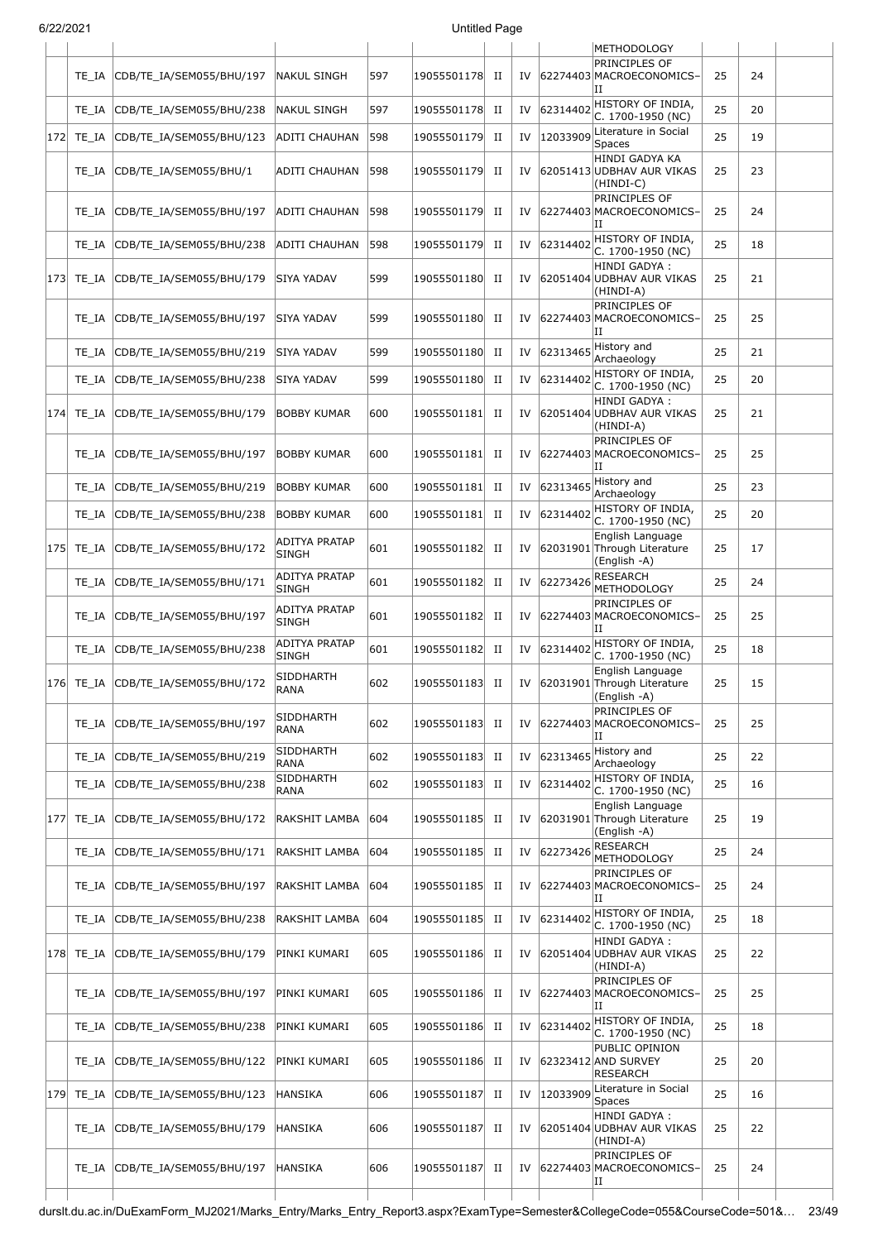| 6/22/2021 |  |
|-----------|--|
|           |  |

|     | 31221202 I |                                    |                                      |     | Untitled Page  |             |    |          |                                                                    |    |    |  |
|-----|------------|------------------------------------|--------------------------------------|-----|----------------|-------------|----|----------|--------------------------------------------------------------------|----|----|--|
|     | TE IA      | CDB/TE IA/SEM055/BHU/197           | NAKUL SINGH                          | 597 | 19055501178    | H           | IV |          | METHODOLOGY<br>PRINCIPLES OF<br>62274403 MACROECONOMICS-           | 25 | 24 |  |
|     | TE IA      | CDB/TE_IA/SEM055/BHU/238           | <b>NAKUL SINGH</b>                   | 597 | 19055501178    | П           | IV | 62314402 | ΙI<br>HISTORY OF INDIA,<br>C. 1700-1950 (NC)                       | 25 | 20 |  |
| 172 | TE_IA      | CDB/TE_IA/SEM055/BHU/123           | ADITI CHAUHAN                        | 598 | 19055501179    | П           | IV | 12033909 | Literature in Social<br>Spaces                                     | 25 | 19 |  |
|     | TE IA      | CDB/TE_IA/SEM055/BHU/1             | ADITI CHAUHAN                        | 598 | 19055501179    | П           | IV |          | HINDI GADYA KA<br>62051413 UDBHAV AUR VIKAS<br>(HINDI-C)           | 25 | 23 |  |
|     | TE IA      | CDB/TE IA/SEM055/BHU/197           | ADITI CHAUHAN                        | 598 | 19055501179    | П           | IV |          | PRINCIPLES OF<br>62274403 MACROECONOMICS-<br>IΗ                    | 25 | 24 |  |
|     | TE_IA      | CDB/TE_IA/SEM055/BHU/238           | ADITI CHAUHAN                        | 598 | 19055501179    | П           | IV | 62314402 | HISTORY OF INDIA,<br>C. 1700-1950 (NC)                             | 25 | 18 |  |
|     | 173  TE_IA | CDB/TE_IA/SEM055/BHU/179           | SIYA YADAV                           | 599 | 19055501180    | П           | IV |          | HINDI GADYA:<br>62051404 UDBHAV AUR VIKAS<br>(HINDI-A)             | 25 | 21 |  |
|     | TE IA      | CDB/TE_IA/SEM055/BHU/197           | SIYA YADAV                           | 599 | 19055501180    | П           | IV |          | PRINCIPLES OF<br>62274403 MACROECONOMICS-<br>ΙI                    | 25 | 25 |  |
|     | TE IA      | CDB/TE IA/SEM055/BHU/219           | SIYA YADAV                           | 599 | 19055501180    | П           | IV |          | $ 62313465 $ History and<br>Archaeology                            | 25 | 21 |  |
|     | TE_IA      | CDB/TE_IA/SEM055/BHU/238           | SIYA YADAV                           | 599 | 19055501180    | П           | IV | 62314402 | HISTORY OF INDIA,<br>C. 1700-1950 (NC)                             | 25 | 20 |  |
| 174 | TE IA      | CDB/TE_IA/SEM055/BHU/179           | <b>BOBBY KUMAR</b>                   | 600 | 19055501181    | П           | IV |          | HINDI GADYA :<br>62051404 UDBHAV AUR VIKAS<br>(HINDI-A)            | 25 | 21 |  |
|     | TE IA      | CDB/TE IA/SEM055/BHU/197           | <b>BOBBY KUMAR</b>                   | 600 | 19055501181    | П           | IV |          | PRINCIPLES OF<br>62274403 MACROECONOMICS-<br>IΗ                    | 25 | 25 |  |
|     | TE_IA      | CDB/TE_IA/SEM055/BHU/219           | <b>BOBBY KUMAR</b>                   | 600 | 19055501181    | П           | IV |          | $62313465$ History and<br>Archaeology                              | 25 | 23 |  |
|     | TE IA      | CDB/TE_IA/SEM055/BHU/238           | <b>BOBBY KUMAR</b>                   | 600 | 19055501181    | П           | IV | 62314402 | HISTORY OF INDIA,<br>C. 1700-1950 (NC)                             | 25 | 20 |  |
|     | 175 TE_IA  | CDB/TE_IA/SEM055/BHU/172           | ADITYA PRATAP<br><b>SINGH</b>        | 601 | 19055501182    | П           | IV |          | English Language<br>62031901 Through Literature<br>(English -A)    | 25 | 17 |  |
|     | TE_IA      | CDB/TE_IA/SEM055/BHU/171           | <b>ADITYA PRATAP</b><br><b>SINGH</b> | 601 | 19055501182    | П           | IV | 62273426 | <b>RESEARCH</b><br><b>METHODOLOGY</b>                              | 25 | 24 |  |
|     | TE_IA      | CDB/TE_IA/SEM055/BHU/197           | <b>ADITYA PRATAP</b><br><b>SINGH</b> | 601 | 19055501182    | П           | IV |          | PRINCIPLES OF<br>62274403 MACROECONOMICS-<br>IΗ                    | 25 | 25 |  |
|     | TE_IA      | CDB/TE_IA/SEM055/BHU/238           | <b>ADITYA PRATAP</b><br><b>SINGH</b> | 601 | 19055501182    | П           | IV | 62314402 | HISTORY OF INDIA,<br>C. 1700-1950 (NC)                             | 25 | 18 |  |
|     |            | 176 TE_IA CDB/TE_IA/SEM055/BHU/172 | SIDDHARTH<br>RANA                    | 602 | 19055501183 II |             |    |          | English Language<br>IV 62031901 Through Literature<br>(English -A) | 25 | 15 |  |
|     | TE IA      | CDB/TE_IA/SEM055/BHU/197           | SIDDHARTH<br><b>RANA</b>             | 602 | 19055501183    | П           | IV |          | PRINCIPLES OF<br>62274403 MACROECONOMICS-<br>ΙI                    | 25 | 25 |  |
|     | TE_IA      | CDB/TE_IA/SEM055/BHU/219           | SIDDHARTH<br>RANA                    | 602 | 19055501183    | $_{\rm II}$ | IV | 62313465 | History and<br>Archaeology                                         | 25 | 22 |  |
|     | TE_IA      | CDB/TE IA/SEM055/BHU/238           | SIDDHARTH<br>RANA                    | 602 | 19055501183    | П           | IV | 62314402 | HISTORY OF INDIA,<br>C. 1700-1950 (NC)                             | 25 | 16 |  |
| 177 | TE_IA      | CDB/TE_IA/SEM055/BHU/172           | RAKSHIT LAMBA                        | 604 | 19055501185    | П           | IV |          | English Language<br>62031901 Through Literature<br>(English -A)    | 25 | 19 |  |
|     | TE_IA      | CDB/TE_IA/SEM055/BHU/171           | RAKSHIT LAMBA                        | 604 | 19055501185    | П           | IV | 62273426 | <b>RESEARCH</b><br><b>METHODOLOGY</b>                              | 25 | 24 |  |
|     | TE IA      | CDB/TE_IA/SEM055/BHU/197           | RAKSHIT LAMBA                        | 604 | 19055501185 II |             | IV |          | PRINCIPLES OF<br>62274403 MACROECONOMICS-<br>IΗ                    | 25 | 24 |  |
|     | TE_IA      | CDB/TE_IA/SEM055/BHU/238           | RAKSHIT LAMBA                        | 604 | 19055501185    | П           | IV | 62314402 | HISTORY OF INDIA,<br>C. 1700-1950 (NC)                             | 25 | 18 |  |
| 178 | TE_IA      | CDB/TE_IA/SEM055/BHU/179           | PINKI KUMARI                         | 605 | 19055501186    | П           | IV |          | HINDI GADYA :<br>62051404 UDBHAV AUR VIKAS<br>(HINDI-A)            | 25 | 22 |  |
|     | TE IA      | CDB/TE_IA/SEM055/BHU/197           | PINKI KUMARI                         | 605 | 19055501186    | П           | IV |          | PRINCIPLES OF<br>62274403 MACROECONOMICS-<br>IΙ                    | 25 | 25 |  |
|     | TE IA      | CDB/TE_IA/SEM055/BHU/238           | PINKI KUMARI                         | 605 | 19055501186 II |             | IV | 62314402 | HISTORY OF INDIA,<br>C. 1700-1950 (NC)                             | 25 | 18 |  |
|     | TE IA      | CDB/TE_IA/SEM055/BHU/122           | PINKI KUMARI                         | 605 | 19055501186    | П           | IV |          | PUBLIC OPINION<br>62323412 AND SURVEY<br>RESEARCH                  | 25 | 20 |  |
| 179 | TE_IA      | CDB/TE_IA/SEM055/BHU/123           | <b>HANSIKA</b>                       | 606 | 19055501187    | П           | IV | 12033909 | Literature in Social<br>Spaces                                     | 25 | 16 |  |
|     | TE_IA      | CDB/TE_IA/SEM055/BHU/179           | HANSIKA                              | 606 | 19055501187    | П           | IV |          | HINDI GADYA :<br>62051404 UDBHAV AUR VIKAS<br>(HINDI-A)            | 25 | 22 |  |
|     | TE_IA      | CDB/TE_IA/SEM055/BHU/197           | HANSIKA                              | 606 | 19055501187    | П           | IV |          | PRINCIPLES OF<br>62274403 MACROECONOMICS-<br>ΙI                    | 25 | 24 |  |
|     |            |                                    |                                      |     |                |             |    |          |                                                                    |    |    |  |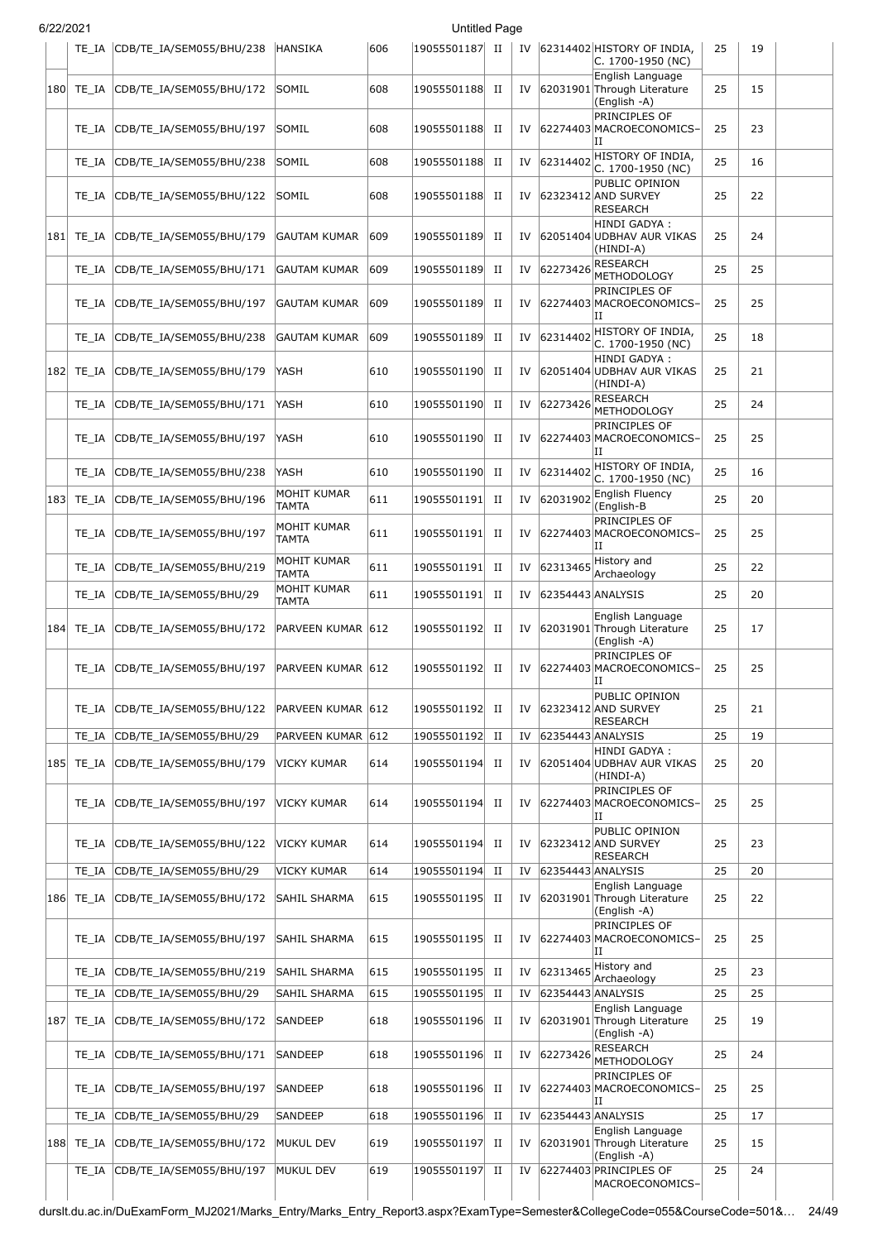| 6/22/2021 |                |                                                      |                        |            | <b>Untitled Page</b>       |                  |          |             |                                                                       |          |          |  |
|-----------|----------------|------------------------------------------------------|------------------------|------------|----------------------------|------------------|----------|-------------|-----------------------------------------------------------------------|----------|----------|--|
|           |                | TE_IA CDB/TE_IA/SEM055/BHU/238                       | <b>HANSIKA</b>         | 606        | 19055501187 II             |                  |          |             | IV 62314402 HISTORY OF INDIA,<br>C. 1700-1950 (NC)                    | 25       | 19       |  |
| 180       | TE IA          | CDB/TE_IA/SEM055/BHU/172                             | SOMIL                  | 608        | 19055501188                | П                | IV       |             | English Language<br>62031901 Through Literature<br>(English -A)       | 25       | 15       |  |
|           | TE IA          | CDB/TE_IA/SEM055/BHU/197                             | SOMIL                  | 608        | 19055501188                | П                | IV       |             | PRINCIPLES OF<br>62274403 MACROECONOMICS-<br>IΙ                       | 25       | 23       |  |
|           | TE_IA          | CDB/TE_IA/SEM055/BHU/238                             | SOMIL                  | 608        | 19055501188                | П                | IV       |             | $ 62314402 $ HISTORY OF INDIA,<br>C. 1700-1950 (NC)                   | 25       | 16       |  |
|           | TE IA          | CDB/TE_IA/SEM055/BHU/122                             | SOMIL                  | 608        | 19055501188                | П                | IV       |             | PUBLIC OPINION<br>62323412 AND SURVEY<br><b>RESEARCH</b>              | 25       | 22       |  |
|           | 181  TE IA     | CDB/TE_IA/SEM055/BHU/179                             | <b>GAUTAM KUMAR</b>    | 609        | 19055501189                | П                | IV       |             | HINDI GADYA:<br>62051404 UDBHAV AUR VIKAS<br>(HINDI-A)                | 25       | 24       |  |
|           | TE IA          | CDB/TE_IA/SEM055/BHU/171                             | <b>GAUTAM KUMAR</b>    | 609        | 19055501189                | П                | IV       | 62273426    | <b>RESEARCH</b><br>METHODOLOGY                                        | 25       | 25       |  |
|           | TE_IA          | CDB/TE_IA/SEM055/BHU/197                             | GAUTAM KUMAR           | 609        | 19055501189                | $_{\rm II}$      | IV       |             | PRINCIPLES OF<br>62274403 MACROECONOMICS-<br>IΙ                       | 25       | 25       |  |
|           | TE IA          | CDB/TE IA/SEM055/BHU/238                             | GAUTAM KUMAR           | 609        | 19055501189                | п                | IV       | 62314402    | HISTORY OF INDIA,<br>C. 1700-1950 (NC)                                | 25       | 18       |  |
| 182       | TE IA          | CDB/TE_IA/SEM055/BHU/179                             | YASH                   | 610        | 19055501190                | П                | IV       |             | HINDI GADYA :<br>62051404 UDBHAV AUR VIKAS<br>(HINDI-A)               | 25       | 21       |  |
|           | TE IA          | CDB/TE IA/SEM055/BHU/171                             | YASH                   | 610        | 19055501190                | П                | IV       | 62273426    | RESEARCH<br><b>METHODOLOGY</b>                                        | 25       | 24       |  |
|           | TE IA          | CDB/TE_IA/SEM055/BHU/197                             | YASH                   | 610        | 19055501190                | П                | IV       |             | PRINCIPLES OF<br>62274403 MACROECONOMICS-<br>IΙ                       | 25       | 25       |  |
|           | TE IA          | CDB/TE_IA/SEM055/BHU/238                             | YASH                   | 610        | 19055501190                | $_{\rm II}$      | IV       |             | $62314402$ HISTORY OF INDIA,<br>C. 1700-1950 (NC)                     | 25       | 16       |  |
| 183       | TE_IA          | CDB/TE_IA/SEM055/BHU/196                             | MOHIT KUMAR<br>TAMTA   | 611        | 19055501191                | П                | IV       | 62031902    | <b>English Fluency</b><br>(English-B                                  | 25       | 20       |  |
|           | TE_IA          | CDB/TE_IA/SEM055/BHU/197                             | MOHIT KUMAR<br>TAMTA   | 611        | 19055501191                | $_{\rm II}$      | IV       |             | PRINCIPLES OF<br>62274403 MACROECONOMICS-<br>II                       | 25       | 25       |  |
|           | TE IA          | CDB/TE_IA/SEM055/BHU/219                             | MOHIT KUMAR<br>TAMTA   | 611        | 19055501191                | п                | IV       |             | $ 62313465$ History and<br>Archaeology                                | 25       | 22       |  |
|           | TE IA          | CDB/TE_IA/SEM055/BHU/29                              | MOHIT KUMAR<br>TAMTA   | 611        | 19055501191                | П                | IV       |             | 62354443 ANALYSIS                                                     | 25       | 20       |  |
| 184       | TE IA          | CDB/TE_IA/SEM055/BHU/172                             | PARVEEN KUMAR 612      |            | 19055501192                | П                | IV       |             | English Language<br>62031901 Through Literature<br>(English -A)       | 25       | 17       |  |
|           |                | TE_IA CDB/TE_IA/SEM055/BHU/197                       | PARVEEN KUMAR 612      |            | 19055501192                | П                | IV       |             | PRINCIPLES OF<br>62274403 MACROECONOMICS-<br>Ш                        | 25       | 25       |  |
|           | TE IA          | CDB/TE_IA/SEM055/BHU/122                             | PARVEEN KUMAR 612      |            | 19055501192                | п                | IV       |             | PUBLIC OPINION<br>62323412 AND SURVEY<br><b>RESEARCH</b>              | 25       | 21       |  |
|           | TE_IA          | CDB/TE_IA/SEM055/BHU/29                              | PARVEEN KUMAR 612      |            | 19055501192                | $_{\rm II}$      | IV       |             | 62354443 ANALYSIS<br>HINDI GADYA :                                    | 25       | 19       |  |
|           | 185 TE_IA      | CDB/TE_IA/SEM055/BHU/179                             | VICKY KUMAR            | 614        | 19055501194                | $_{\rm II}$      | IV       |             | 62051404 UDBHAV AUR VIKAS<br>(HINDI-A)<br>PRINCIPLES OF               | 25       | 20       |  |
|           | TE IA          | CDB/TE_IA/SEM055/BHU/197                             | <b>VICKY KUMAR</b>     | 614        | 19055501194                | П                |          |             | IV 62274403 MACROECONOMICS-<br>IΙ                                     | 25       | 25       |  |
|           | TE IA          | CDB/TE_IA/SEM055/BHU/122                             | VICKY KUMAR            | 614        | 19055501194                | П                | IV       |             | PUBLIC OPINION<br>62323412 AND SURVEY<br>RESEARCH                     | 25       | 23       |  |
|           | TE IA          | CDB/TE_IA/SEM055/BHU/29                              | VICKY KUMAR            | 614        | 19055501194                | $_{\rm II}$      | IV       |             | 62354443 ANALYSIS<br>English Language                                 | 25       | 20       |  |
| 186       | TE_IA          | CDB/TE_IA/SEM055/BHU/172                             | SAHIL SHARMA           | 615        | 19055501195                | П                | IV       |             | 62031901 Through Literature<br>(English -A)                           | 25       | 22       |  |
|           | TE IA          | CDB/TE_IA/SEM055/BHU/197                             | SAHIL SHARMA           | 615        | 19055501195                | П                | IV       |             | PRINCIPLES OF<br>62274403 MACROECONOMICS-<br>IΙ                       | 25       | 25       |  |
|           | TE IA          | CDB/TE_IA/SEM055/BHU/219                             | SAHIL SHARMA           | 615        | 19055501195                | П                |          | IV 62313465 | History and<br>Archaeology                                            | 25       | 23       |  |
|           | TE_IA          | CDB/TE_IA/SEM055/BHU/29                              | SAHIL SHARMA           | 615        | 19055501195                | $_{\rm II}$      | IV       |             | 62354443 ANALYSIS<br>English Language                                 | 25       | 25       |  |
| 187       | TE_IA          | CDB/TE_IA/SEM055/BHU/172                             | SANDEEP                | 618        | 19055501196                | П                | IV       |             | 62031901 Through Literature<br>(English -A)<br><b>RESEARCH</b>        | 25       | 19       |  |
|           | TE_IA          | CDB/TE_IA/SEM055/BHU/171                             | SANDEEP                | 618        | 19055501196                | П                | IV       | 62273426    | METHODOLOGY<br>PRINCIPLES OF                                          | 25       | 24       |  |
|           | TE IA          | CDB/TE_IA/SEM055/BHU/197                             | SANDEEP                | 618        | 19055501196                | п                | IV       |             | 62274403 MACROECONOMICS-<br>IΙ                                        | 25       | 25       |  |
|           | TE_IA          | CDB/TE_IA/SEM055/BHU/29                              | SANDEEP                | 618        | 19055501196                | $_{\rm II}$      | IV       |             | 62354443 ANALYSIS<br>English Language                                 | 25       | 17       |  |
| 188       | TE_IA<br>TE_IA | CDB/TE_IA/SEM055/BHU/172<br>CDB/TE IA/SEM055/BHU/197 | MUKUL DEV<br>MUKUL DEV | 619<br>619 | 19055501197<br>19055501197 | П<br>$_{\rm II}$ | IV<br>IV |             | 62031901 Through Literature<br>(English -A)<br>62274403 PRINCIPLES OF | 25<br>25 | 15<br>24 |  |
|           |                |                                                      |                        |            |                            |                  |          |             | MACROECONOMICS-                                                       |          |          |  |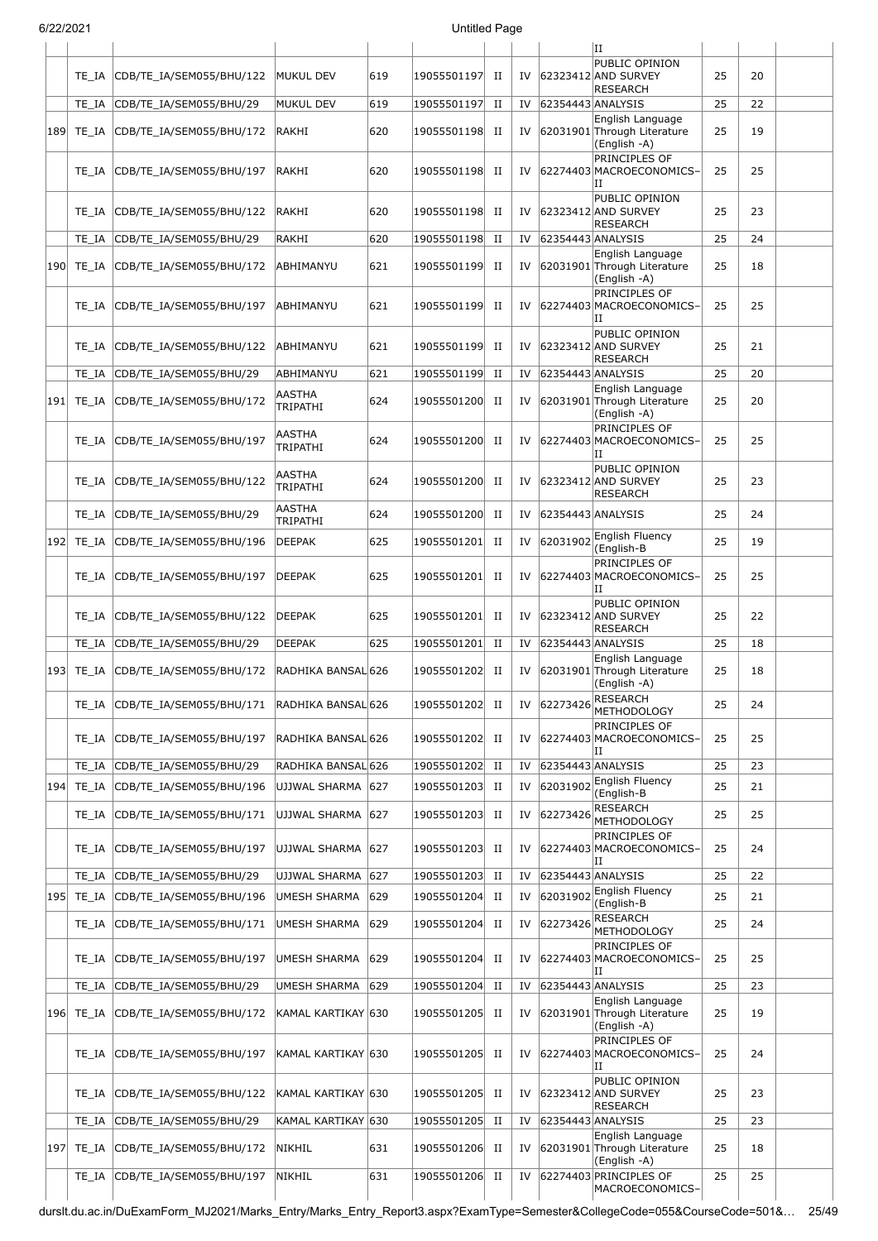| 6/22/2021 |                |                                                       |                                  |            | <b>Untitled Page</b>       |                  |          |                   |                                                                       |          |          |  |
|-----------|----------------|-------------------------------------------------------|----------------------------------|------------|----------------------------|------------------|----------|-------------------|-----------------------------------------------------------------------|----------|----------|--|
|           |                |                                                       |                                  |            |                            |                  |          |                   | lΗ                                                                    |          |          |  |
|           | TE IA          | CDB/TE_IA/SEM055/BHU/122                              | MUKUL DEV                        | 619        | 19055501197                | П                | IV       |                   | PUBLIC OPINION<br>62323412 AND SURVEY<br>RESEARCH                     | 25       | 20       |  |
|           | TE IA          | CDB/TE_IA/SEM055/BHU/29                               | MUKUL DEV                        | 619        | 19055501197                | $_{\rm II}$      | IV       | 62354443 ANALYSIS |                                                                       | 25       | 22       |  |
| 189       | TE IA          | CDB/TE_IA/SEM055/BHU/172                              | RAKHI                            | 620        | 19055501198                | П                | IV       |                   | English Language<br>62031901 Through Literature<br>(English -A)       | 25       | 19       |  |
|           | TE IA          | CDB/TE IA/SEM055/BHU/197                              | RAKHI                            | 620        | 19055501198                | П                | IV       |                   | PRINCIPLES OF<br>62274403 MACROECONOMICS-<br>IΙ                       | 25       | 25       |  |
|           | TE IA          | CDB/TE_IA/SEM055/BHU/122                              | RAKHI                            | 620        | 19055501198                | П                | IV       |                   | PUBLIC OPINION<br>62323412 AND SURVEY<br><b>RESEARCH</b>              | 25       | 23       |  |
|           | TE IA          | CDB/TE_IA/SEM055/BHU/29                               | RAKHI                            | 620        | 19055501198                | П                | IV       | 62354443 ANALYSIS |                                                                       | 25       | 24       |  |
| 190       | TE IA          | CDB/TE_IA/SEM055/BHU/172                              | ABHIMANYU                        | 621        | 19055501199                | П                | IV       |                   | English Language<br>62031901 Through Literature<br>(English -A)       | 25       | 18       |  |
|           | TE IA          | CDB/TE_IA/SEM055/BHU/197                              | ABHIMANYU                        | 621        | 19055501199                | П                | IV       |                   | PRINCIPLES OF<br>62274403 MACROECONOMICS-<br>IΙ                       | 25       | 25       |  |
|           | TE IA          | CDB/TE IA/SEM055/BHU/122                              | ABHIMANYU                        | 621        | 19055501199                | П                | IV       |                   | PUBLIC OPINION<br>62323412 AND SURVEY<br><b>RESEARCH</b>              | 25       | 21       |  |
|           | TE IA          | CDB/TE_IA/SEM055/BHU/29                               | ABHIMANYU                        | 621        | 19055501199                | $_{\rm II}$      | IV       | 62354443 ANALYSIS |                                                                       | 25       | 20       |  |
|           | 191   TE_IA    | CDB/TE_IA/SEM055/BHU/172                              | <b>AASTHA</b><br><b>TRIPATHI</b> | 624        | 19055501200                | $_{\rm II}$      | IV       |                   | English Language<br>62031901 Through Literature<br>(English -A)       | 25       | 20       |  |
|           | TE IA          | CDB/TE_IA/SEM055/BHU/197                              | AASTHA<br>TRIPATHI               | 624        | 19055501200                | П                | IV       |                   | PRINCIPLES OF<br>62274403 MACROECONOMICS-<br>Π                        | 25       | 25       |  |
|           | TE IA          | CDB/TE_IA/SEM055/BHU/122                              | AASTHA<br>TRIPATHI               | 624        | 19055501200                | П                | IV       |                   | PUBLIC OPINION<br>62323412 AND SURVEY<br><b>RESEARCH</b>              | 25       | 23       |  |
|           | TE_IA          | CDB/TE_IA/SEM055/BHU/29                               | <b>AASTHA</b><br>TRIPATHI        | 624        | 19055501200                | $_{\rm II}$      | IV       | 62354443 ANALYSIS |                                                                       | 25       | 24       |  |
|           | 192 TE_IA      | CDB/TE_IA/SEM055/BHU/196                              | <b>DEEPAK</b>                    | 625        | 19055501201                | $_{\rm II}$      | IV       | 62031902          | English Fluency<br>(English-B                                         | 25       | 19       |  |
|           | TE IA          | CDB/TE_IA/SEM055/BHU/197                              | <b>DEEPAK</b>                    | 625        | 19055501201                | $_{\rm II}$      | IV       |                   | PRINCIPLES OF<br>62274403 MACROECONOMICS-<br>П                        | 25       | 25       |  |
|           | TE IA          | CDB/TE IA/SEM055/BHU/122                              | <b>DEEPAK</b>                    | 625        | 19055501201                | $_{\rm II}$      | IV       |                   | PUBLIC OPINION<br>62323412 AND SURVEY<br><b>RESEARCH</b>              | 25       | 22       |  |
|           | TE IA          | CDB/TE_IA/SEM055/BHU/29                               | <b>DEEPAK</b>                    | 625        | 19055501201                | П                | IV       | 62354443 ANALYSIS |                                                                       | 25       | 18       |  |
|           |                | 193 TE_IA CDB/TE_IA/SEM055/BHU/172 RADHIKA BANSAL 626 |                                  |            | 19055501202 II             |                  |          |                   | English Language<br>IV 62031901 Through Literature<br>(English -A)    | 25       | 18       |  |
|           | TE IA          | CDB/TE_IA/SEM055/BHU/171                              | RADHIKA BANSAL 626               |            | 19055501202                | $_{\rm II}$      | IV       | 62273426          | <b>RESEARCH</b><br><b>METHODOLOGY</b>                                 | 25       | 24       |  |
|           | TE IA          | CDB/TE_IA/SEM055/BHU/197                              | RADHIKA BANSAL 626               |            | 19055501202                | П                | IV       |                   | PRINCIPLES OF<br>62274403 MACROECONOMICS-<br>IΙ                       | 25       | 25       |  |
|           | TE IA          | CDB/TE IA/SEM055/BHU/29                               | RADHIKA BANSAL 626               |            | 19055501202                | $_{\rm II}$      | IV       | 62354443 ANALYSIS |                                                                       | 25       | 23       |  |
| 194       | TE_IA          | CDB/TE_IA/SEM055/BHU/196                              | UJJWAL SHARMA 627                |            | 19055501203                | П                | IV       | 62031902          | English Fluency<br>(English-B                                         | 25       | 21       |  |
|           | TE IA          | CDB/TE_IA/SEM055/BHU/171                              | UJJWAL SHARMA 627                |            | 19055501203                | П                | IV       | 62273426          | <b>RESEARCH</b><br><b>METHODOLOGY</b><br>PRINCIPLES OF                | 25       | 25       |  |
|           | TE IA          | CDB/TE_IA/SEM055/BHU/197                              | UJJWAL SHARMA 627                |            | 19055501203                | П                | IV       |                   | 62274403 MACROECONOMICS-<br>IΙ                                        | 25       | 24       |  |
|           | TE IA          | CDB/TE_IA/SEM055/BHU/29                               | UJJWAL SHARMA                    | 627        | 19055501203                | $_{\rm II}$      | IV       | 62354443 ANALYSIS |                                                                       | 25       | 22       |  |
| 195       | TE_IA          | CDB/TE_IA/SEM055/BHU/196                              | UMESH SHARMA                     | 629        | 19055501204                | $_{\rm II}$      | IV       | 62031902          | English Fluency<br>(English-B                                         | 25       | 21       |  |
|           | TE_IA          | CDB/TE_IA/SEM055/BHU/171                              | <b>UMESH SHARMA</b>              | 629        | 19055501204                | $_{\rm II}$      | IV       | 62273426          | <b>RESEARCH</b><br><b>METHODOLOGY</b>                                 | 25       | 24       |  |
|           | TE IA          | CDB/TE_IA/SEM055/BHU/197                              | <b>UMESH SHARMA</b>              | 629        | 19055501204                | П                | IV       |                   | PRINCIPLES OF<br>62274403 MACROECONOMICS-<br>IΙ                       | 25       | 25       |  |
|           | TE IA          | CDB/TE_IA/SEM055/BHU/29                               | <b>UMESH SHARMA</b>              | 629        | 19055501204                | $_{\rm II}$      | IV       | 62354443 ANALYSIS |                                                                       | 25       | 23       |  |
|           | 196  TE IA     | CDB/TE_IA/SEM055/BHU/172                              | KAMAL KARTIKAY 630               |            | 19055501205                | П                | IV       |                   | English Language<br>62031901 Through Literature<br>(English -A)       | 25       | 19       |  |
|           | TE IA          | CDB/TE_IA/SEM055/BHU/197                              | KAMAL KARTIKAY 630               |            | 19055501205                | П                | IV       |                   | PRINCIPLES OF<br>62274403 MACROECONOMICS-<br>IΙ                       | 25       | 24       |  |
|           | TE IA          | CDB/TE_IA/SEM055/BHU/122                              | KAMAL KARTIKAY 630               |            | 19055501205                | П                | IV       |                   | PUBLIC OPINION<br>62323412 AND SURVEY<br><b>RESEARCH</b>              | 25       | 23       |  |
|           | TE IA          | CDB/TE_IA/SEM055/BHU/29                               | KAMAL KARTIKAY 630               |            | 19055501205                | $_{\rm II}$      | IV       | 62354443 ANALYSIS | English Language                                                      | 25       | 23       |  |
| 197       | TE IA<br>TE_IA | CDB/TE_IA/SEM055/BHU/172<br>CDB/TE_IA/SEM055/BHU/197  | NIKHIL<br>NIKHIL                 | 631<br>631 | 19055501206<br>19055501206 | H<br>$_{\rm II}$ | IV<br>IV |                   | 62031901 Through Literature<br>(English -A)<br>62274403 PRINCIPLES OF | 25<br>25 | 18<br>25 |  |
|           |                |                                                       |                                  |            |                            |                  |          |                   | MACROECONOMICS-                                                       |          |          |  |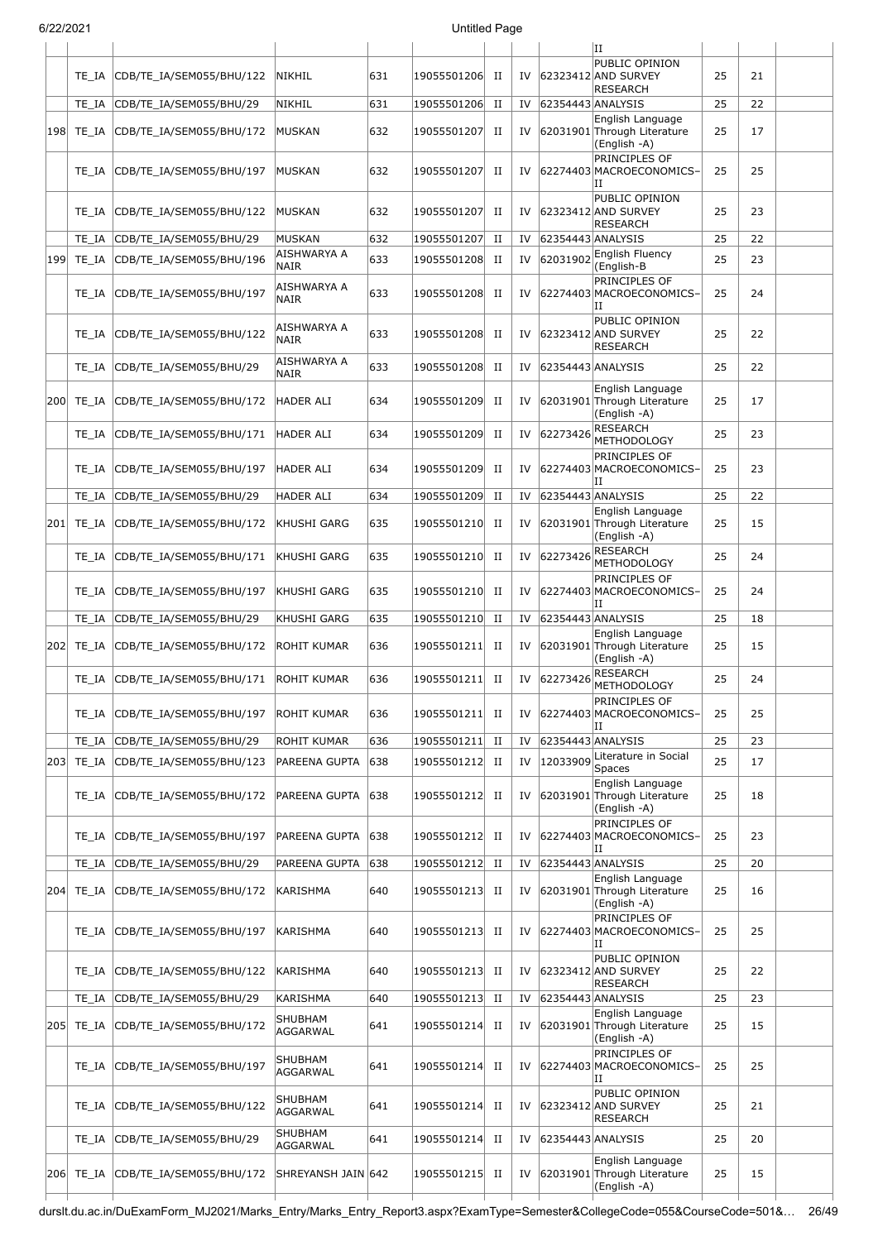|     |            |                          |                            |     |             |             |    |                   | IΗ                                                              |    |    |  |
|-----|------------|--------------------------|----------------------------|-----|-------------|-------------|----|-------------------|-----------------------------------------------------------------|----|----|--|
|     | TE IA      | CDB/TE_IA/SEM055/BHU/122 | NIKHIL                     | 631 | 19055501206 | П           | IV |                   | PUBLIC OPINION<br>62323412 AND SURVEY<br><b>RESEARCH</b>        | 25 | 21 |  |
|     | TE IA      | CDB/TE_IA/SEM055/BHU/29  | NIKHIL                     | 631 | 19055501206 | П           | IV | 62354443 ANALYSIS |                                                                 | 25 | 22 |  |
|     | 198  TE_IA | CDB/TE_IA/SEM055/BHU/172 | MUSKAN                     | 632 | 19055501207 | П           | IV |                   | English Language<br>62031901 Through Literature<br>(English -A) | 25 | 17 |  |
|     | TE IA      | CDB/TE_IA/SEM055/BHU/197 | MUSKAN                     | 632 | 19055501207 | П           | IV |                   | PRINCIPLES OF<br>62274403 MACROECONOMICS-<br>IΙ                 | 25 | 25 |  |
|     | TE IA      | CDB/TE_IA/SEM055/BHU/122 | MUSKAN                     | 632 | 19055501207 | П           | IV |                   | PUBLIC OPINION<br>62323412 AND SURVEY<br><b>RESEARCH</b>        | 25 | 23 |  |
|     | TE IA      | CDB/TE IA/SEM055/BHU/29  | <b>MUSKAN</b>              | 632 | 19055501207 | П           | IV | 62354443 ANALYSIS |                                                                 | 25 | 22 |  |
| 199 | TE_IA      | CDB/TE_IA/SEM055/BHU/196 | AISHWARYA A<br><b>NAIR</b> | 633 | 19055501208 | $_{\rm II}$ | IV | 62031902          | English Fluency<br>(English-B                                   | 25 | 23 |  |
|     | TE_IA      | CDB/TE_IA/SEM055/BHU/197 | AISHWARYA A<br><b>NAIR</b> | 633 | 19055501208 | П           | IV |                   | PRINCIPLES OF<br>62274403 MACROECONOMICS-<br>IΙ                 | 25 | 24 |  |
|     | TE IA      | CDB/TE_IA/SEM055/BHU/122 | AISHWARYA A<br><b>NAIR</b> | 633 | 19055501208 | П           | IV |                   | PUBLIC OPINION<br>62323412 AND SURVEY<br><b>RESEARCH</b>        | 25 | 22 |  |
|     | TE IA      | CDB/TE_IA/SEM055/BHU/29  | AISHWARYA A<br><b>NAIR</b> | 633 | 19055501208 | П           | IV | 62354443 ANALYSIS |                                                                 | 25 | 22 |  |
|     | 200 TE_IA  | CDB/TE_IA/SEM055/BHU/172 | HADER ALI                  | 634 | 19055501209 | П           | IV |                   | English Language<br>62031901 Through Literature<br>(English -A) | 25 | 17 |  |
|     | TE_IA      | CDB/TE IA/SEM055/BHU/171 | <b>HADER ALI</b>           | 634 | 19055501209 | $_{\rm II}$ | IV | 62273426          | <b>RESEARCH</b><br><b>METHODOLOGY</b>                           | 25 | 23 |  |
|     | TE IA      | CDB/TE_IA/SEM055/BHU/197 | HADER ALI                  | 634 | 19055501209 | П           | IV |                   | PRINCIPLES OF<br>62274403 MACROECONOMICS-<br>Н                  | 25 | 23 |  |
|     | TE IA      | CDB/TE_IA/SEM055/BHU/29  | <b>HADER ALI</b>           | 634 | 19055501209 | П           | IV | 62354443 ANALYSIS |                                                                 | 25 | 22 |  |
|     | 201 TE_IA  | CDB/TE_IA/SEM055/BHU/172 | KHUSHI GARG                | 635 | 19055501210 | П           | IV |                   | English Language<br>62031901 Through Literature<br>(English -A) | 25 | 15 |  |
|     | TE_IA      | CDB/TE_IA/SEM055/BHU/171 | KHUSHI GARG                | 635 | 19055501210 | П           | IV | 62273426          | <b>RESEARCH</b><br><b>METHODOLOGY</b>                           | 25 | 24 |  |
|     | TE IA      | CDB/TE_IA/SEM055/BHU/197 | KHUSHI GARG                | 635 | 19055501210 | П           | IV |                   | PRINCIPLES OF<br>62274403 MACROECONOMICS-<br>П                  | 25 | 24 |  |
|     | TE_IA      | CDB/TE_IA/SEM055/BHU/29  | KHUSHI GARG                | 635 | 19055501210 | П           | IV | 62354443 ANALYSIS |                                                                 | 25 | 18 |  |
|     | 202 TE_IA  | CDB/TE_IA/SEM055/BHU/172 | ROHIT KUMAR                | 636 | 19055501211 | П           | IV |                   | English Language<br>62031901 Through Literature<br>(English -A) | 25 | 15 |  |
|     | TE IA      | CDB/TE_IA/SEM055/BHU/171 | ROHIT KUMAR                | 636 | 19055501211 | П           | IV | 62273426          | RESEARCH<br><b>METHODOLOGY</b>                                  | 25 | 24 |  |
|     | TE IA      | CDB/TE_IA/SEM055/BHU/197 | <b>ROHIT KUMAR</b>         | 636 | 19055501211 | П           | IV |                   | PRINCIPLES OF<br>62274403 MACROECONOMICS-                       | 25 | 25 |  |
|     | TE IA      | CDB/TE_IA/SEM055/BHU/29  | <b>ROHIT KUMAR</b>         | 636 | 19055501211 | $_{\rm II}$ | IV | 62354443 ANALYSIS |                                                                 | 25 | 23 |  |
|     | 203 TE_IA  | CDB/TE_IA/SEM055/BHU/123 | PAREENA GUPTA              | 638 | 19055501212 | П           | IV | 12033909          | Literature in Social<br>Spaces                                  | 25 | 17 |  |
|     | TE_IA      | CDB/TE_IA/SEM055/BHU/172 | PAREENA GUPTA              | 638 | 19055501212 | П           | IV |                   | English Language<br>62031901 Through Literature<br>(English -A) | 25 | 18 |  |
|     | TE IA      | CDB/TE_IA/SEM055/BHU/197 | PAREENA GUPTA              | 638 | 19055501212 | П           | IV |                   | PRINCIPLES OF<br>62274403 MACROECONOMICS-<br>IΙ                 | 25 | 23 |  |
|     | TE IA      | CDB/TE_IA/SEM055/BHU/29  | PAREENA GUPTA              | 638 | 19055501212 | П           | IV | 62354443 ANALYSIS |                                                                 | 25 | 20 |  |
| 204 | TE IA      | CDB/TE_IA/SEM055/BHU/172 | <b>KARISHMA</b>            | 640 | 19055501213 | П           | IV |                   | English Language<br>62031901 Through Literature<br>(English -A) | 25 | 16 |  |
|     | TE IA      | CDB/TE_IA/SEM055/BHU/197 | <b>KARISHMA</b>            | 640 | 19055501213 | П           | IV |                   | PRINCIPLES OF<br>62274403 MACROECONOMICS-<br>Н                  | 25 | 25 |  |
|     | TE IA      | CDB/TE_IA/SEM055/BHU/122 | <b>KARISHMA</b>            | 640 | 19055501213 | П           | IV |                   | PUBLIC OPINION<br>62323412 AND SURVEY<br><b>RESEARCH</b>        | 25 | 22 |  |
|     | TE_IA      | CDB/TE_IA/SEM055/BHU/29  | KARISHMA                   | 640 | 19055501213 | $_{\rm II}$ | IV | 62354443 ANALYSIS |                                                                 | 25 | 23 |  |
|     | 205 TE_IA  | CDB/TE_IA/SEM055/BHU/172 | SHUBHAM<br>AGGARWAL        | 641 | 19055501214 | $_{\rm II}$ | IV |                   | English Language<br>62031901 Through Literature<br>(English -A) | 25 | 15 |  |
|     | TE IA      | CDB/TE_IA/SEM055/BHU/197 | SHUBHAM<br>AGGARWAL        | 641 | 19055501214 | П           | IV |                   | PRINCIPLES OF<br>62274403 MACROECONOMICS-<br>IΙ                 | 25 | 25 |  |
|     | TE_IA      | CDB/TE_IA/SEM055/BHU/122 | SHUBHAM<br>AGGARWAL        | 641 | 19055501214 | П           | IV |                   | PUBLIC OPINION<br>62323412 AND SURVEY<br><b>RESEARCH</b>        | 25 | 21 |  |
|     | TE_IA      | CDB/TE_IA/SEM055/BHU/29  | SHUBHAM<br>AGGARWAL        | 641 | 19055501214 | П           | IV | 62354443 ANALYSIS |                                                                 | 25 | 20 |  |
|     | 206 TE_IA  | CDB/TE_IA/SEM055/BHU/172 | SHREYANSH JAIN 642         |     | 19055501215 | П           | IV |                   | English Language<br>62031901 Through Literature<br>(English -A) | 25 | 15 |  |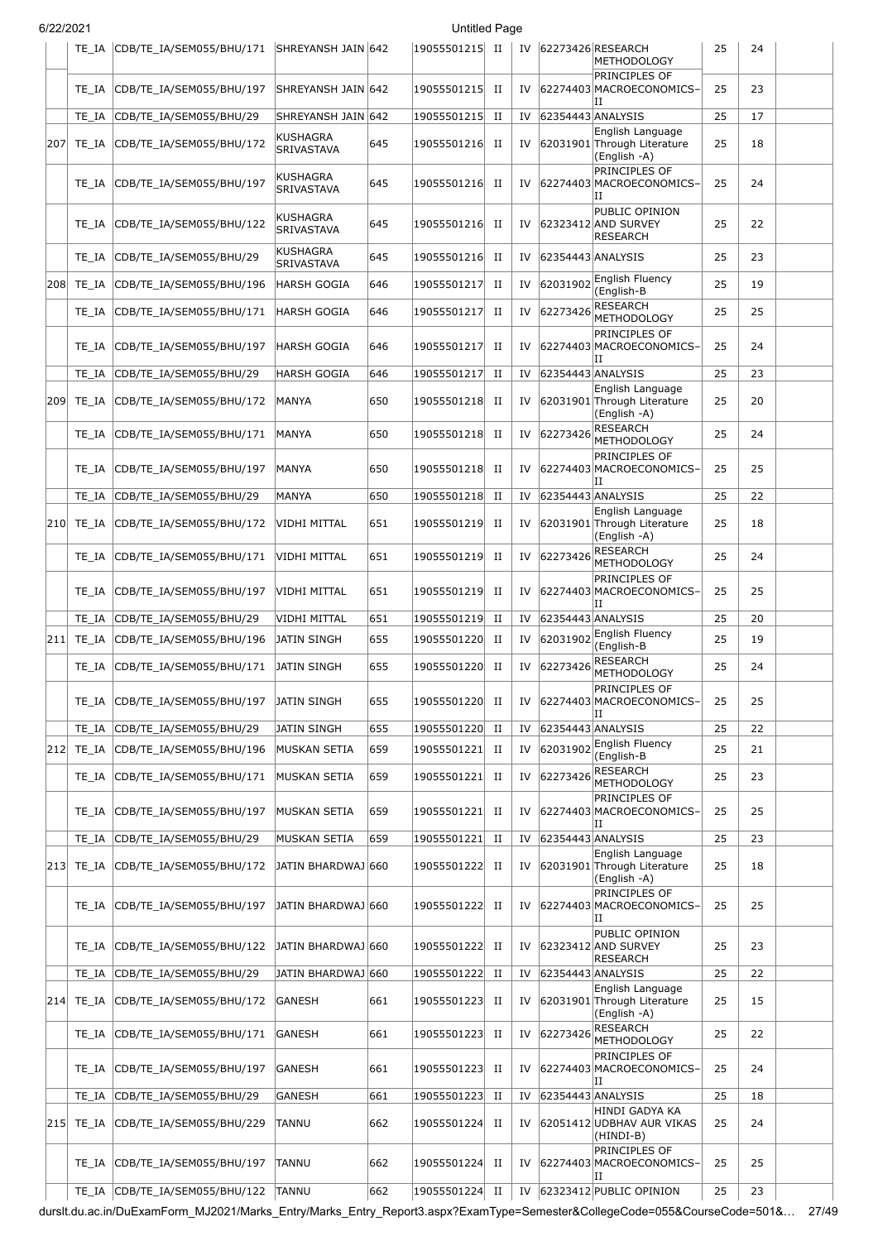|     | TE IA     | CDB/TE_IA/SEM055/BHU/171 SHREYANSH JAIN 642 |                                      |     | 19055501215 | П           |     |                   | IV 62273426 RESEARCH<br>METHODOLOGY                             | 25 | 24 |  |
|-----|-----------|---------------------------------------------|--------------------------------------|-----|-------------|-------------|-----|-------------------|-----------------------------------------------------------------|----|----|--|
|     | TE IA     | CDB/TE IA/SEM055/BHU/197                    | SHREYANSH JAIN 642                   |     | 19055501215 | $_{\rm II}$ |     |                   | PRINCIPLES OF<br>IV 62274403 MACROECONOMICS-<br>IΙ              | 25 | 23 |  |
|     | TE IA     | CDB/TE IA/SEM055/BHU/29                     | SHREYANSH JAIN 642                   |     | 19055501215 | $_{\rm II}$ | IV  | 62354443 ANALYSIS |                                                                 | 25 | 17 |  |
| 207 | TE IA     | CDB/TE_IA/SEM055/BHU/172                    | <b>KUSHAGRA</b><br>SRIVASTAVA        | 645 | 19055501216 | $_{\rm II}$ | IV  |                   | English Language<br>62031901 Through Literature<br>(English -A) | 25 | 18 |  |
|     | TE IA     | CDB/TE IA/SEM055/BHU/197                    | KUSHAGRA<br>SRIVASTAVA               | 645 | 19055501216 | П           | IV  |                   | PRINCIPLES OF<br>62274403 MACROECONOMICS-<br>IΙ                 | 25 | 24 |  |
|     | TE IA     | CDB/TE IA/SEM055/BHU/122                    | <b>KUSHAGRA</b><br><b>SRIVASTAVA</b> | 645 | 19055501216 | H           | IV  |                   | PUBLIC OPINION<br>62323412 AND SURVEY<br><b>RESEARCH</b>        | 25 | 22 |  |
|     | TE IA     | CDB/TE_IA/SEM055/BHU/29                     | <b>KUSHAGRA</b><br><b>SRIVASTAVA</b> | 645 | 19055501216 | $_{\rm II}$ | IV  | 62354443 ANALYSIS |                                                                 | 25 | 23 |  |
| 208 | TE IA     | CDB/TE_IA/SEM055/BHU/196                    | <b>HARSH GOGIA</b>                   | 646 | 19055501217 | $_{\rm II}$ | IV  | 62031902          | English Fluency<br>(English-B                                   | 25 | 19 |  |
|     | TE IA     | CDB/TE_IA/SEM055/BHU/171                    | <b>HARSH GOGIA</b>                   | 646 | 19055501217 | $_{\rm II}$ | IV  | 62273426          | <b>RESEARCH</b><br><b>METHODOLOGY</b>                           | 25 | 25 |  |
|     | TE IA     | CDB/TE_IA/SEM055/BHU/197                    | HARSH GOGIA                          | 646 | 19055501217 | П           | IV  |                   | PRINCIPLES OF<br>62274403 MACROECONOMICS-<br>IΙ                 | 25 | 24 |  |
|     | TE IA     | CDB/TE_IA/SEM055/BHU/29                     | <b>HARSH GOGIA</b>                   | 646 | 19055501217 | $_{\rm II}$ | IV  |                   | 62354443 ANALYSIS                                               | 25 | 23 |  |
| 209 | TE IA     | CDB/TE_IA/SEM055/BHU/172                    | MANYA                                | 650 | 19055501218 | $_{\rm II}$ | IV  |                   | English Language<br>62031901 Through Literature<br>(English -A) | 25 | 20 |  |
|     | TE IA     | CDB/TE_IA/SEM055/BHU/171                    | MANYA                                | 650 | 19055501218 | $_{\rm II}$ |     | IV 62273426       | <b>RESEARCH</b><br><b>METHODOLOGY</b>                           | 25 | 24 |  |
|     | TE IA     | CDB/TE_IA/SEM055/BHU/197                    | <b>MANYA</b>                         | 650 | 19055501218 | П           | IV  |                   | PRINCIPLES OF<br>62274403 MACROECONOMICS-<br>IΙ                 | 25 | 25 |  |
|     | TE IA     | CDB/TE_IA/SEM055/BHU/29                     | MANYA                                | 650 | 19055501218 | $_{\rm II}$ | IV  | 62354443 ANALYSIS | English Language                                                | 25 | 22 |  |
| 210 | TE IA     | CDB/TE_IA/SEM055/BHU/172                    | VIDHI MITTAL                         | 651 | 19055501219 | П           | IV  |                   | 62031901 Through Literature<br>(English -A)                     | 25 | 18 |  |
|     | TE IA     | CDB/TE_IA/SEM055/BHU/171                    | VIDHI MITTAL                         | 651 | 19055501219 | П           | IV  | 62273426          | RESEARCH<br><b>METHODOLOGY</b>                                  | 25 | 24 |  |
|     | TE IA     | CDB/TE_IA/SEM055/BHU/197                    | <b>VIDHI MITTAL</b>                  | 651 | 19055501219 | П           | IV  |                   | PRINCIPLES OF<br>62274403 MACROECONOMICS-<br>IΙ                 | 25 | 25 |  |
|     | TE IA     | CDB/TE_IA/SEM055/BHU/29                     | <b>VIDHI MITTAL</b>                  | 651 | 19055501219 | $_{\rm II}$ | IV  | 62354443 ANALYSIS |                                                                 | 25 | 20 |  |
| 211 | TE_IA     | CDB/TE IA/SEM055/BHU/196                    | JATIN SINGH                          | 655 | 19055501220 | $_{\rm II}$ | IV  |                   | 62031902 English Fluency<br>(English-B                          | 25 | 19 |  |
|     | TE IA     | CDB/TE_IA/SEM055/BHU/171                    | JATIN SINGH                          | 655 | 19055501220 | П           | IV  | 62273426          | <b>RESEARCH</b><br><b>METHODOLOGY</b>                           | 25 | 24 |  |
|     |           | TE_IA CDB/TE_IA/SEM055/BHU/197              | <b>JATIN SINGH</b>                   | 655 | 19055501220 | П           | IV. |                   | PRINCIPLES OF<br>62274403 MACROECONOMICS<br>IΙ                  | 25 | 25 |  |
|     | TE IA     | CDB/TE_IA/SEM055/BHU/29                     | <b>JATIN SINGH</b>                   | 655 | 19055501220 | $_{\rm II}$ | IV  | 62354443 ANALYSIS |                                                                 | 25 | 22 |  |
|     | 212 TE_IA | CDB/TE_IA/SEM055/BHU/196                    | MUSKAN SETIA                         | 659 | 19055501221 | П           | IV  | 62031902          | English Fluency<br>(English-B                                   | 25 | 21 |  |
|     | TE_IA     | CDB/TE_IA/SEM055/BHU/171                    | MUSKAN SETIA                         | 659 | 19055501221 | П           | IV  | 62273426          | <b>RESEARCH</b><br>METHODOLOGY                                  | 25 | 23 |  |
|     | TE IA     | CDB/TE_IA/SEM055/BHU/197                    | MUSKAN SETIA                         | 659 | 19055501221 | П           | IV  |                   | PRINCIPLES OF<br>62274403 MACROECONOMICS-<br>IΙ                 | 25 | 25 |  |
|     | TE IA     | CDB/TE_IA/SEM055/BHU/29                     | MUSKAN SETIA                         | 659 | 19055501221 | $_{\rm II}$ | IV  | 62354443 ANALYSIS |                                                                 | 25 | 23 |  |
| 213 | TE_IA     | CDB/TE_IA/SEM055/BHU/172                    | JATIN BHARDWAJ 660                   |     | 19055501222 | П           | IV  |                   | English Language<br>62031901 Through Literature<br>(English -A) | 25 | 18 |  |
|     | TE IA     | CDB/TE_IA/SEM055/BHU/197                    | JATIN BHARDWAJ 660                   |     | 19055501222 | П           | IV  |                   | PRINCIPLES OF<br>62274403 MACROECONOMICS-<br>IΙ                 | 25 | 25 |  |
|     | TE IA     | CDB/TE_IA/SEM055/BHU/122                    | JATIN BHARDWAJ 660                   |     | 19055501222 | П           | IV  |                   | PUBLIC OPINION<br>62323412 AND SURVEY<br>RESEARCH               | 25 | 23 |  |
|     | TE IA     | CDB/TE_IA/SEM055/BHU/29                     | JATIN BHARDWAJ 660                   |     | 19055501222 | $_{\rm II}$ | IV  | 62354443 ANALYSIS |                                                                 | 25 | 22 |  |
|     | 214 TE IA | CDB/TE_IA/SEM055/BHU/172                    | <b>GANESH</b>                        | 661 | 19055501223 | П           | IV  |                   | English Language<br>62031901 Through Literature<br>(English -A) | 25 | 15 |  |
|     | TE_IA     | CDB/TE_IA/SEM055/BHU/171                    | <b>GANESH</b>                        | 661 | 19055501223 | П           |     | IV 62273426       | <b>RESEARCH</b><br><b>METHODOLOGY</b>                           | 25 | 22 |  |
|     | TE IA     | CDB/TE_IA/SEM055/BHU/197                    | <b>GANESH</b>                        | 661 | 19055501223 | П           | IV  |                   | PRINCIPLES OF<br>62274403 MACROECONOMICS-<br>IΙ                 | 25 | 24 |  |
|     | TE_IA     | CDB/TE_IA/SEM055/BHU/29                     | GANESH                               | 661 | 19055501223 | $_{\rm II}$ | IV  | 62354443 ANALYSIS |                                                                 | 25 | 18 |  |
|     | 215 TE IA | CDB/TE_IA/SEM055/BHU/229                    | TANNU                                | 662 | 19055501224 | $_{\rm II}$ | IV  |                   | HINDI GADYA KA<br>62051412 UDBHAV AUR VIKAS<br>(HINDI-B)        | 25 | 24 |  |
|     | TE IA     | CDB/TE_IA/SEM055/BHU/197                    | <b>TANNU</b>                         | 662 | 19055501224 | П           | IV  |                   | PRINCIPLES OF<br>62274403 MACROECONOMICS-<br>IΙ                 | 25 | 25 |  |
|     | TE_IA     | CDB/TE_IA/SEM055/BHU/122                    | <b>TANNU</b>                         | 662 | 19055501224 | П           | IV  |                   | 62323412 PUBLIC OPINION                                         | 25 | 23 |  |

durslt.du.ac.in/DuExamForm\_MJ2021/Marks\_Entry/Marks\_Entry\_Report3.aspx?ExamType=Semester&CollegeCode=055&CourseCode=501&… 27/49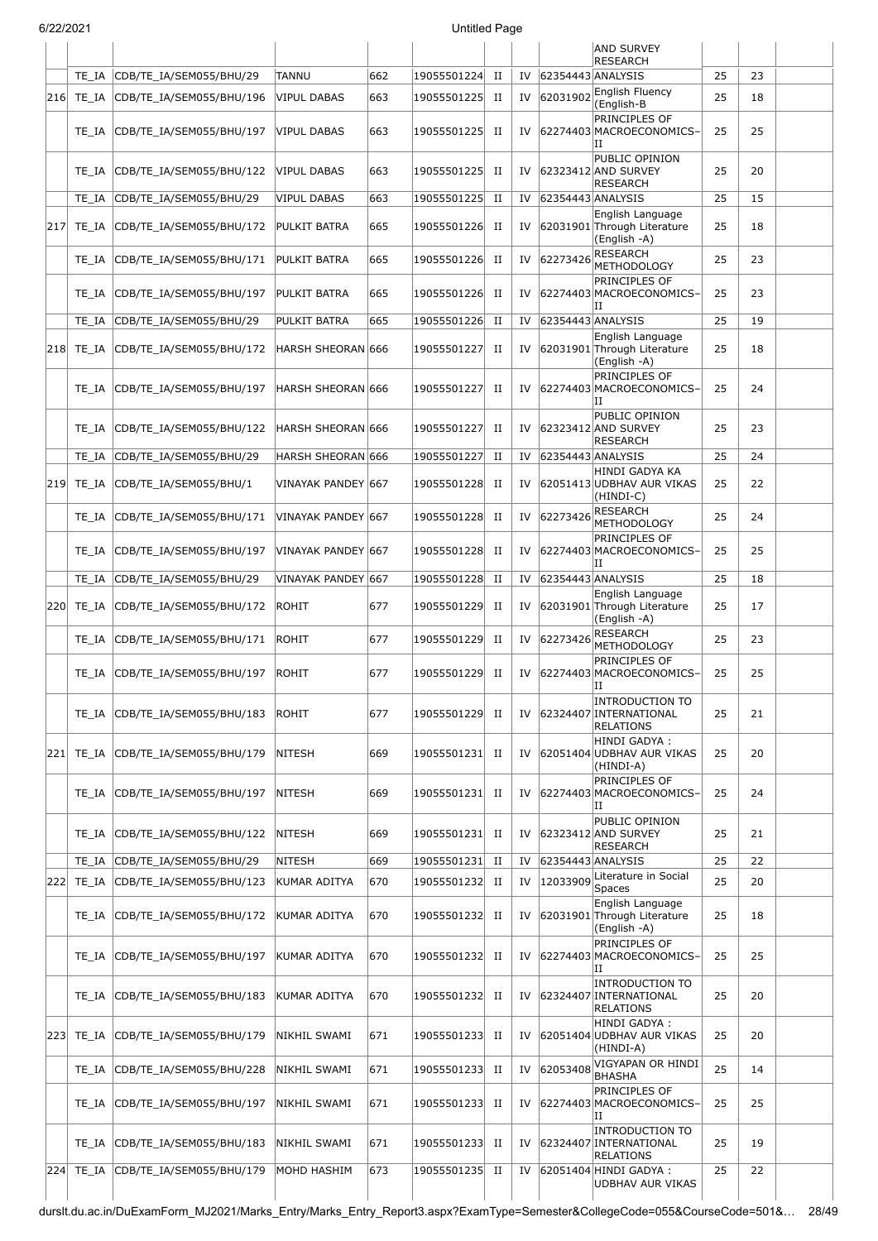|     |               |                                |                     |     |             |             |    |                   | <b>AND SURVEY</b><br><b>RESEARCH</b>                                 |    |    |  |
|-----|---------------|--------------------------------|---------------------|-----|-------------|-------------|----|-------------------|----------------------------------------------------------------------|----|----|--|
|     | TE IA         | CDB/TE_IA/SEM055/BHU/29        | <b>TANNU</b>        | 662 | 19055501224 | $_{\rm II}$ | IV | 62354443 ANALYSIS |                                                                      | 25 | 23 |  |
| 216 | TE_IA         | CDB/TE_IA/SEM055/BHU/196       | <b>VIPUL DABAS</b>  | 663 | 19055501225 | П           | IV | 62031902          | English Fluency                                                      | 25 | 18 |  |
|     | TE_IA         | CDB/TE_IA/SEM055/BHU/197       | <b>VIPUL DABAS</b>  | 663 | 19055501225 | $_{\rm II}$ | IV |                   | (English-B<br>PRINCIPLES OF<br>62274403 MACROECONOMICS-<br>IΙ        | 25 | 25 |  |
|     | TE IA         | CDB/TE_IA/SEM055/BHU/122       | VIPUL DABAS         | 663 | 19055501225 | П           | IV |                   | PUBLIC OPINION<br>62323412 AND SURVEY<br><b>RESEARCH</b>             | 25 | 20 |  |
|     | TE IA         | CDB/TE_IA/SEM055/BHU/29        | <b>VIPUL DABAS</b>  | 663 | 19055501225 | $_{\rm II}$ | IV |                   | 62354443 ANALYSIS                                                    | 25 | 15 |  |
| 217 | TE IA         | CDB/TE_IA/SEM055/BHU/172       | PULKIT BATRA        | 665 | 19055501226 | П           | IV |                   | English Language<br>62031901 Through Literature<br>(English -A)      | 25 | 18 |  |
|     | TE_IA         | CDB/TE_IA/SEM055/BHU/171       | PULKIT BATRA        | 665 | 19055501226 | $_{\rm II}$ | IV | 62273426          | <b>RESEARCH</b><br><b>METHODOLOGY</b>                                | 25 | 23 |  |
|     | TE IA         | CDB/TE_IA/SEM055/BHU/197       | PULKIT BATRA        | 665 | 19055501226 | П           | IV |                   | PRINCIPLES OF<br>62274403 MACROECONOMICS-<br>IΙ                      | 25 | 23 |  |
|     | TE IA         | CDB/TE_IA/SEM055/BHU/29        | PULKIT BATRA        | 665 | 19055501226 | $_{\rm II}$ | IV |                   | 62354443 ANALYSIS                                                    | 25 | 19 |  |
|     | $ 218 $ TE_IA | CDB/TE IA/SEM055/BHU/172       | HARSH SHEORAN 666   |     | 19055501227 | $_{\rm II}$ | IV |                   | English Language<br>62031901 Through Literature<br>(English -A)      | 25 | 18 |  |
|     | TE IA         | CDB/TE IA/SEM055/BHU/197       | HARSH SHEORAN 666   |     | 19055501227 | П           | IV |                   | PRINCIPLES OF<br>62274403 MACROECONOMICS-<br>IΙ                      | 25 | 24 |  |
|     | TE IA         | CDB/TE_IA/SEM055/BHU/122       | HARSH SHEORAN 666   |     | 19055501227 | П           | IV |                   | PUBLIC OPINION<br>62323412 AND SURVEY<br><b>RESEARCH</b>             | 25 | 23 |  |
|     | TE IA         | CDB/TE_IA/SEM055/BHU/29        | HARSH SHEORAN 666   |     | 19055501227 | $_{\rm II}$ | IV |                   | 62354443 ANALYSIS                                                    | 25 | 24 |  |
| 219 | TE IA         | CDB/TE_IA/SEM055/BHU/1         | VINAYAK PANDEY  667 |     | 19055501228 | П           | IV |                   | HINDI GADYA KA<br>62051413 UDBHAV AUR VIKAS<br>(HINDI-C)             | 25 | 22 |  |
|     | TE_IA         | CDB/TE_IA/SEM055/BHU/171       | VINAYAK PANDEY 667  |     | 19055501228 | П           | IV | 62273426          | <b>RESEARCH</b><br><b>METHODOLOGY</b>                                | 25 | 24 |  |
|     | TE IA         | CDB/TE_IA/SEM055/BHU/197       | VINAYAK PANDEY 667  |     | 19055501228 | $_{\rm II}$ | IV |                   | PRINCIPLES OF<br>62274403 MACROECONOMICS-<br>IΙ                      | 25 | 25 |  |
|     | TE IA         | CDB/TE_IA/SEM055/BHU/29        | VINAYAK PANDEY 667  |     | 19055501228 | $_{\rm II}$ | IV | 62354443 ANALYSIS |                                                                      | 25 | 18 |  |
| 220 | TE IA         | CDB/TE_IA/SEM055/BHU/172       | ROHIT               | 677 | 19055501229 | П           | IV |                   | English Language<br>62031901 Through Literature<br>(English -A)      | 25 | 17 |  |
|     | TE_IA         | CDB/TE IA/SEM055/BHU/171       | <b>ROHIT</b>        | 677 | 19055501229 | $_{\rm II}$ | IV | 62273426          | <b>RESEARCH</b><br>METHODOLOGY                                       | 25 | 23 |  |
|     | TE IA         | CDB/TE IA/SEM055/BHU/197       | ROHIT               | 677 | 19055501229 | $_{\rm II}$ | IV |                   | PRINCIPLES OF<br>62274403 MACROECONOMICS-<br>IΙ                      | 25 | 25 |  |
|     | TE IA         | CDB/TE_IA/SEM055/BHU/183       | ROHIT               | 677 | 19055501229 | П           | IV |                   | <b>INTRODUCTION TO</b><br>62324407 INTERNATIONAL<br><b>RELATIONS</b> | 25 | 21 |  |
| 221 |               | TE IA CDB/TE IA/SEM055/BHU/179 | NITESH              | 669 | 19055501231 | П           | IV |                   | HINDI GADYA :<br>62051404 UDBHAV AUR VIKAS<br>(HINDI-A)              | 25 | 20 |  |
|     | TE IA         | CDB/TE_IA/SEM055/BHU/197       | NITESH              | 669 | 19055501231 | П           | IV |                   | PRINCIPLES OF<br>62274403 MACROECONOMICS-<br>IΙ                      | 25 | 24 |  |
|     | TE IA         | CDB/TE IA/SEM055/BHU/122       | NITESH              | 669 | 19055501231 | П           | IV |                   | PUBLIC OPINION<br>62323412 AND SURVEY<br>RESEARCH                    | 25 | 21 |  |
|     | TE_IA         | CDB/TE_IA/SEM055/BHU/29        | <b>NITESH</b>       | 669 | 19055501231 | П           | IV |                   | 62354443 ANALYSIS<br>Literature in Social                            | 25 | 22 |  |
| 222 | TE_IA         | CDB/TE IA/SEM055/BHU/123       | KUMAR ADITYA        | 670 | 19055501232 | П           | IV | 12033909          | <b>Spaces</b>                                                        | 25 | 20 |  |
|     | TE IA         | CDB/TE_IA/SEM055/BHU/172       | KUMAR ADITYA        | 670 | 19055501232 | П           | IV |                   | English Language<br>62031901 Through Literature<br>(English -A)      | 25 | 18 |  |
|     | TE_IA         | CDB/TE_IA/SEM055/BHU/197       | KUMAR ADITYA        | 670 | 19055501232 | П           | IV |                   | PRINCIPLES OF<br>62274403 MACROECONOMICS-<br>Η                       | 25 | 25 |  |
|     | TE IA         | CDB/TE_IA/SEM055/BHU/183       | KUMAR ADITYA        | 670 | 19055501232 | П           | IV |                   | <b>INTRODUCTION TO</b><br>62324407 INTERNATIONAL<br><b>RELATIONS</b> | 25 | 20 |  |
| 223 | TE_IA         | CDB/TE_IA/SEM055/BHU/179       | NIKHIL SWAMI        | 671 | 19055501233 | П           | IV |                   | HINDI GADYA :<br>62051404 UDBHAV AUR VIKAS<br>(HINDI-A)              | 25 | 20 |  |
|     | TE_IA         | CDB/TE_IA/SEM055/BHU/228       | NIKHIL SWAMI        | 671 | 19055501233 | $_{\rm II}$ | IV | 62053408          | VIGYAPAN OR HINDI<br>BHASHA                                          | 25 | 14 |  |
|     | TE IA         | CDB/TE_IA/SEM055/BHU/197       | NIKHIL SWAMI        | 671 | 19055501233 | П           | IV |                   | PRINCIPLES OF<br>62274403 MACROECONOMICS-<br>IΙ                      | 25 | 25 |  |
|     | TE IA         | CDB/TE_IA/SEM055/BHU/183       | NIKHIL SWAMI        | 671 | 19055501233 | П           | IV |                   | <b>INTRODUCTION TO</b><br>62324407 INTERNATIONAL<br><b>RELATIONS</b> | 25 | 19 |  |
|     | 224 TE_IA     | CDB/TE_IA/SEM055/BHU/179       | MOHD HASHIM         | 673 | 19055501235 | П           | IV |                   | 62051404 HINDI GADYA:<br>UDBHAV AUR VIKAS                            | 25 | 22 |  |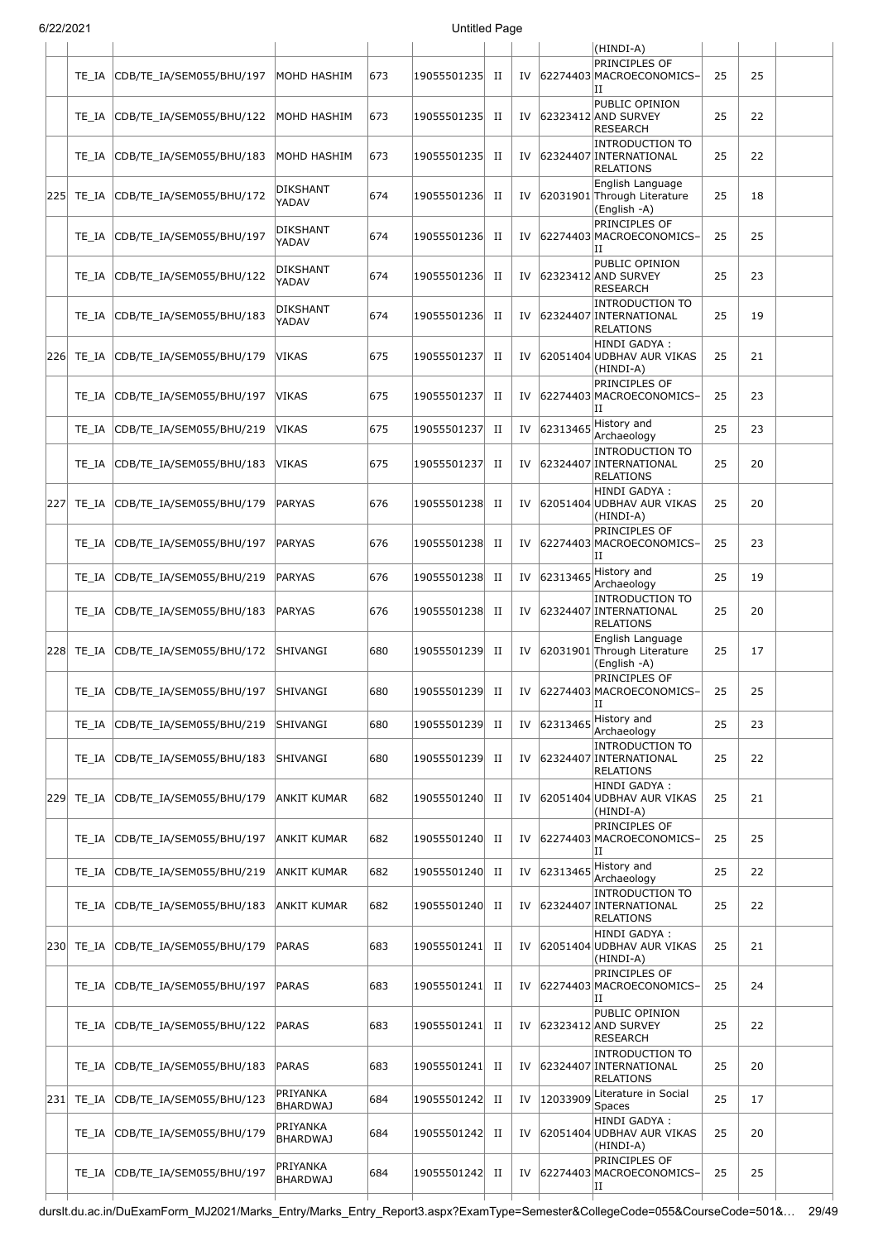| 6/22/2021 |       |                          |                             |     | <b>Untitled Page</b> |             |    |          |                                                                      |    |    |  |
|-----------|-------|--------------------------|-----------------------------|-----|----------------------|-------------|----|----------|----------------------------------------------------------------------|----|----|--|
|           |       |                          |                             |     |                      |             |    |          | (HINDI-A)                                                            |    |    |  |
|           | TE IA | CDB/TE_IA/SEM055/BHU/197 | MOHD HASHIM                 | 673 | 19055501235          | H           | IV |          | <b>PRINCIPLES OF</b><br>62274403 MACROECONOMICS-<br>IΙ               | 25 | 25 |  |
|           | TE IA | CDB/TE_IA/SEM055/BHU/122 | MOHD HASHIM                 | 673 | 19055501235          | П           | IV |          | PUBLIC OPINION<br>62323412 AND SURVEY<br><b>RESEARCH</b>             | 25 | 22 |  |
|           | TE IA | CDB/TE_IA/SEM055/BHU/183 | MOHD HASHIM                 | 673 | 19055501235          | П           | IV |          | <b>INTRODUCTION TO</b><br>62324407 INTERNATIONAL<br><b>RELATIONS</b> | 25 | 22 |  |
| 225       | TE IA | CDB/TE IA/SEM055/BHU/172 | <b>DIKSHANT</b><br>YADAV    | 674 | 19055501236          | П           | IV |          | English Language<br>62031901 Through Literature<br>(English -A)      | 25 | 18 |  |
|           | TE IA | CDB/TE_IA/SEM055/BHU/197 | DIKSHANT<br>YADAV           | 674 | 19055501236          | П           | IV |          | PRINCIPLES OF<br>62274403 MACROECONOMICS-<br>IΙ                      | 25 | 25 |  |
|           | TE IA | CDB/TE_IA/SEM055/BHU/122 | <b>DIKSHANT</b><br>YADAV    | 674 | 19055501236          | П           | IV |          | PUBLIC OPINION<br>62323412 AND SURVEY<br><b>RESEARCH</b>             | 25 | 23 |  |
|           | TE IA | CDB/TE_IA/SEM055/BHU/183 | <b>DIKSHANT</b><br>YADAV    | 674 | 19055501236          | П           | IV |          | <b>INTRODUCTION TO</b><br>62324407 INTERNATIONAL<br><b>RELATIONS</b> | 25 | 19 |  |
| 226       | TE IA | CDB/TE_IA/SEM055/BHU/179 | <b>VIKAS</b>                | 675 | 19055501237          | П           | IV |          | HINDI GADYA :<br>62051404 UDBHAV AUR VIKAS<br>(HINDI-A)              | 25 | 21 |  |
|           | TE IA | CDB/TE IA/SEM055/BHU/197 | VIKAS                       | 675 | 19055501237          | П           | IV |          | PRINCIPLES OF<br>62274403 MACROECONOMICS-<br>IΙ                      | 25 | 23 |  |
|           | TE_IA | CDB/TE_IA/SEM055/BHU/219 | <b>VIKAS</b>                | 675 | 19055501237          | П           | IV | 62313465 | History and<br>Archaeology                                           | 25 | 23 |  |
|           | TE IA | CDB/TE_IA/SEM055/BHU/183 | <b>VIKAS</b>                | 675 | 19055501237          | П           | IV |          | <b>INTRODUCTION TO</b><br>62324407 INTERNATIONAL<br><b>RELATIONS</b> | 25 | 20 |  |
| 227       | TE IA | CDB/TE_IA/SEM055/BHU/179 | <b>PARYAS</b>               | 676 | 19055501238          | $_{\rm II}$ | IV |          | HINDI GADYA :<br>62051404 UDBHAV AUR VIKAS<br>(HINDI-A)              | 25 | 20 |  |
|           | TE IA | CDB/TE_IA/SEM055/BHU/197 | PARYAS                      | 676 | 19055501238          | П           | IV |          | PRINCIPLES OF<br>62274403 MACROECONOMICS-<br>IΙ                      | 25 | 23 |  |
|           | TE IA | CDB/TE_IA/SEM055/BHU/219 | <b>PARYAS</b>               | 676 | 19055501238          | П           | IV |          | $ 62313465 $ History and<br>Archaeology                              | 25 | 19 |  |
|           | TE_IA | CDB/TE_IA/SEM055/BHU/183 | <b>PARYAS</b>               | 676 | 19055501238          | $_{\rm II}$ | IV |          | <b>INTRODUCTION TO</b><br>62324407 INTERNATIONAL<br><b>RELATIONS</b> | 25 | 20 |  |
| 228       | TE IA | CDB/TE_IA/SEM055/BHU/172 | SHIVANGI                    | 680 | 19055501239          | П           | IV |          | English Language<br>62031901 Through Literature<br>(English -A)      | 25 | 17 |  |
|           | TE IA | CDB/TE_IA/SEM055/BHU/197 | SHIVANGI                    | 680 | 19055501239          | П           | IV |          | PRINCIPLES OF<br>62274403 MACROECONOMICS-<br>IΙ                      | 25 | 25 |  |
|           | TE IA | CDB/TE_IA/SEM055/BHU/219 | SHIVANGI                    | 680 | 19055501239          | $_{\rm II}$ | IV | 62313465 | History and<br>Archaeology                                           | 25 | 23 |  |
|           | TE IA | CDB/TE_IA/SEM055/BHU/183 | SHIVANGI                    | 680 | 19055501239          | П           | IV |          | <b>INTRODUCTION TO</b><br>62324407 INTERNATIONAL<br><b>RELATIONS</b> | 25 | 22 |  |
| 229       | TE_IA | CDB/TE_IA/SEM055/BHU/179 | ANKIT KUMAR                 | 682 | 19055501240          | П           | IV |          | HINDI GADYA :<br>62051404 UDBHAV AUR VIKAS<br>(HINDI-A)              | 25 | 21 |  |
|           | TE IA | CDB/TE_IA/SEM055/BHU/197 | ANKIT KUMAR                 | 682 | 19055501240          | П           | IV |          | PRINCIPLES OF<br>62274403 MACROECONOMICS-<br>IΙ                      | 25 | 25 |  |
|           | TE IA | CDB/TE_IA/SEM055/BHU/219 | ANKIT KUMAR                 | 682 | 19055501240          | П           | IV | 62313465 | History and<br>Archaeology                                           | 25 | 22 |  |
|           | TE IA | CDB/TE_IA/SEM055/BHU/183 | ANKIT KUMAR                 | 682 | 19055501240          | П           | IV |          | <b>INTRODUCTION TO</b><br>62324407 INTERNATIONAL<br><b>RELATIONS</b> | 25 | 22 |  |
| 230       | TE IA | CDB/TE_IA/SEM055/BHU/179 | PARAS                       | 683 | 19055501241          | П           | IV |          | HINDI GADYA :<br>62051404 UDBHAV AUR VIKAS<br>(HINDI-A)              | 25 | 21 |  |
|           | TE IA | CDB/TE_IA/SEM055/BHU/197 | PARAS                       | 683 | 19055501241          | П           | IV |          | PRINCIPLES OF<br>62274403 MACROECONOMICS-<br>IΙ                      | 25 | 24 |  |
|           | TE IA | CDB/TE_IA/SEM055/BHU/122 | <b>PARAS</b>                | 683 | 19055501241          | П           | IV |          | PUBLIC OPINION<br>62323412 AND SURVEY<br><b>RESEARCH</b>             | 25 | 22 |  |
|           | TE IA | CDB/TE_IA/SEM055/BHU/183 | PARAS                       | 683 | 19055501241          | П           | IV |          | <b>INTRODUCTION TO</b><br>62324407 INTERNATIONAL<br><b>RELATIONS</b> | 25 | 20 |  |
| 231       | TE_IA | CDB/TE_IA/SEM055/BHU/123 | PRIYANKA<br><b>BHARDWAJ</b> | 684 | 19055501242          | $_{\rm II}$ | IV | 12033909 | Literature in Social<br><b>Spaces</b>                                | 25 | 17 |  |
|           | TE IA | CDB/TE_IA/SEM055/BHU/179 | PRIYANKA<br><b>BHARDWAJ</b> | 684 | 19055501242          | П           | IV |          | HINDI GADYA :<br>62051404 UDBHAV AUR VIKAS<br>(HINDI-A)              | 25 | 20 |  |
|           | TE IA | CDB/TE_IA/SEM055/BHU/197 | PRIYANKA<br><b>BHARDWAJ</b> | 684 | 19055501242          | п           | IV |          | PRINCIPLES OF<br>62274403 MACROECONOMICS-<br>ΙI                      | 25 | 25 |  |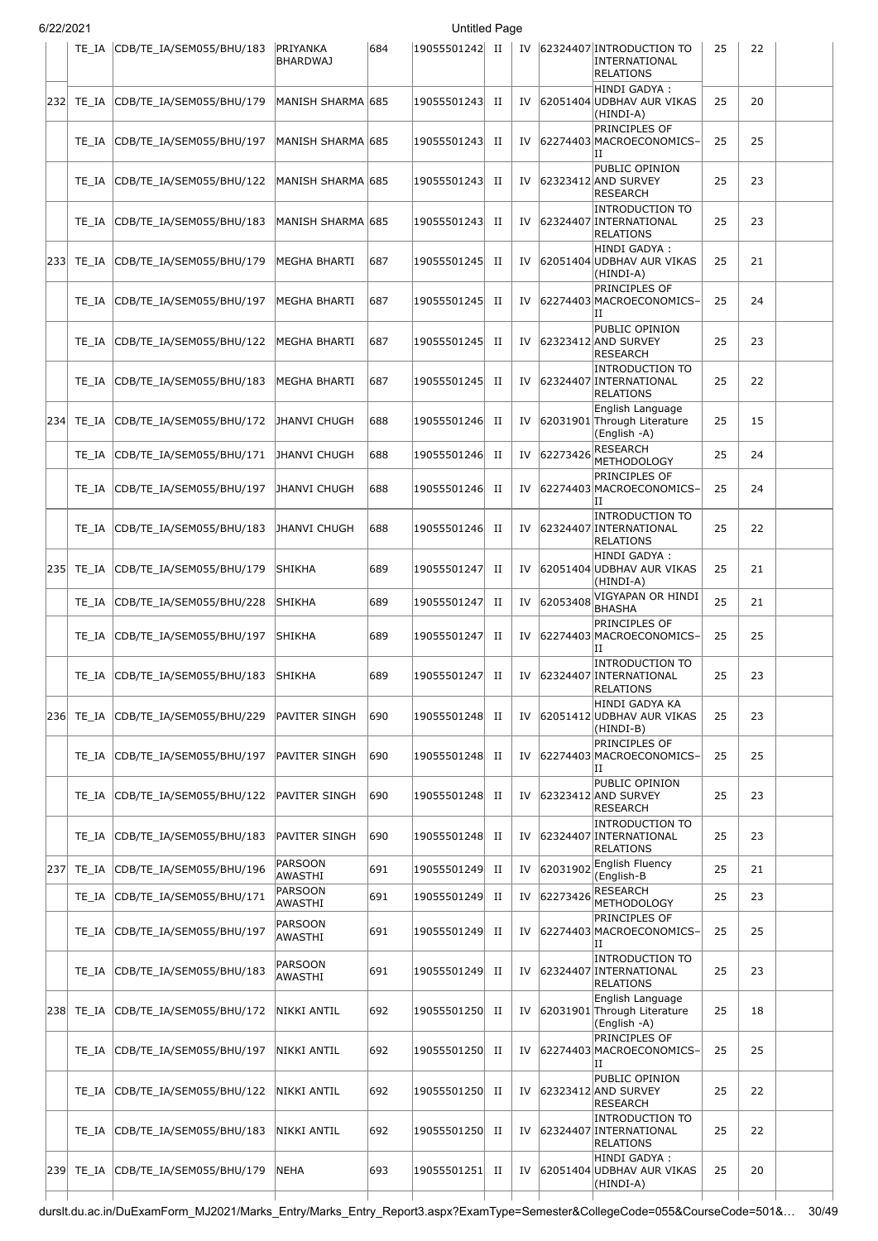| 6/22/2021 |
|-----------|

| 2222021 |           | TE_IA CDB/TE_IA/SEM055/BHU/183     | PRIYANKA<br><b>BHARDWAJ</b> | 684 | onuucu rayc<br> 19055501242  II |             |    |          | IV 62324407 INTRODUCTION TO<br>INTERNATIONAL<br><b>RELATIONS</b>     | 25 | 22 |  |
|---------|-----------|------------------------------------|-----------------------------|-----|---------------------------------|-------------|----|----------|----------------------------------------------------------------------|----|----|--|
|         |           | 232 TE_IA CDB/TE_IA/SEM055/BHU/179 | MANISH SHARMA 685           |     | 19055501243 II                  |             | IV |          | HINDI GADYA:<br>62051404 UDBHAV AUR VIKAS<br>(HINDI-A)               | 25 | 20 |  |
|         | TE IA     | CDB/TE_IA/SEM055/BHU/197           | MANISH SHARMA 685           |     | 19055501243                     | П           | IV |          | PRINCIPLES OF<br>62274403 MACROECONOMICS-<br>Н                       | 25 | 25 |  |
|         | TE IA     | CDB/TE IA/SEM055/BHU/122           | MANISH SHARMA  685          |     | 19055501243                     | П           | IV |          | PUBLIC OPINION<br>62323412 AND SURVEY<br><b>RESEARCH</b>             | 25 | 23 |  |
|         | TE IA     | CDB/TE_IA/SEM055/BHU/183           | MANISH SHARMA  685          |     | 19055501243                     | П           | IV |          | <b>INTRODUCTION TO</b><br>62324407 INTERNATIONAL<br><b>RELATIONS</b> | 25 | 23 |  |
|         | 233 TE IA | CDB/TE_IA/SEM055/BHU/179           | MEGHA BHARTI                | 687 | 19055501245                     | П           | IV |          | HINDI GADYA :<br>62051404 UDBHAV AUR VIKAS<br>(HINDI-A)              | 25 | 21 |  |
|         | TE IA     | CDB/TE_IA/SEM055/BHU/197           | MEGHA BHARTI                | 687 | 19055501245                     | П           | IV |          | PRINCIPLES OF<br>62274403 MACROECONOMICS-<br>IΙ                      | 25 | 24 |  |
|         | TE IA     | CDB/TE_IA/SEM055/BHU/122           | MEGHA BHARTI                | 687 | 19055501245                     | п           | IV |          | PUBLIC OPINION<br>62323412 AND SURVEY<br><b>RESEARCH</b>             | 25 | 23 |  |
|         | TE IA     | CDB/TE_IA/SEM055/BHU/183           | MEGHA BHARTI                | 687 | 19055501245                     | П           | IV |          | <b>INTRODUCTION TO</b><br>62324407 INTERNATIONAL<br>RELATIONS        | 25 | 22 |  |
| 234     | TE IA     | CDB/TE_IA/SEM055/BHU/172           | JHANVI CHUGH                | 688 | 19055501246                     | П           | IV |          | English Language<br>62031901 Through Literature<br>(English -A)      | 25 | 15 |  |
|         | TE IA     | CDB/TE IA/SEM055/BHU/171           | JHANVI CHUGH                | 688 | 19055501246                     | П           | IV | 62273426 | <b>RESEARCH</b><br><b>METHODOLOGY</b>                                | 25 | 24 |  |
|         |           | TE_IA CDB/TE_IA/SEM055/BHU/197     | JHANVI CHUGH                | 688 | 19055501246                     | П           | IV |          | PRINCIPLES OF<br>62274403 MACROECONOMICS-<br>IΙ                      | 25 | 24 |  |
|         | TE IA     | CDB/TE_IA/SEM055/BHU/183           | JHANVI CHUGH                | 688 | 19055501246                     | П           | IV |          | <b>INTRODUCTION TO</b><br>62324407 INTERNATIONAL<br><b>RELATIONS</b> | 25 | 22 |  |
|         |           | 235 TE_IA CDB/TE_IA/SEM055/BHU/179 | <b>SHIKHA</b>               | 689 | 19055501247                     | П           | IV |          | HINDI GADYA :<br>62051404 UDBHAV AUR VIKAS<br>(HINDI-A)              | 25 | 21 |  |
|         | TE IA     | CDB/TE_IA/SEM055/BHU/228           | SHIKHA                      | 689 | 19055501247                     | П           | IV | 62053408 | VIGYAPAN OR HINDI<br><b>BHASHA</b>                                   | 25 | 21 |  |
|         | TE IA     | CDB/TE IA/SEM055/BHU/197           | <b>SHIKHA</b>               | 689 | 19055501247                     | П           | IV |          | PRINCIPLES OF<br>62274403 MACROECONOMICS-<br>IΙ                      | 25 | 25 |  |
|         |           | TE IA CDB/TE IA/SEM055/BHU/183     | <b>SHIKHA</b>               | 689 | 19055501247                     | П           |    |          | INTRODUCTION TO<br>IV 62324407 INTERNATIONAL<br><b>RELATIONS</b>     | 25 | 23 |  |
| 236     | TE IA     | CDB/TE_IA/SEM055/BHU/229           | PAVITER SINGH               | 690 | 19055501248                     | П           | IV |          | HINDI GADYA KA<br>62051412 UDBHAV AUR VIKAS<br>(HINDI-B)             | 25 | 23 |  |
|         | TE IA     | CDB/TE_IA/SEM055/BHU/197           | PAVITER SINGH               | 690 | 19055501248                     | П           | IV |          | PRINCIPLES OF<br>62274403 MACROECONOMICS-<br>П                       | 25 | 25 |  |
|         | TE IA     | CDB/TE_IA/SEM055/BHU/122           | PAVITER SINGH               | 690 | 19055501248                     | П           | IV |          | PUBLIC OPINION<br>62323412 AND SURVEY<br>RESEARCH                    | 25 | 23 |  |
|         | TE IA     | CDB/TE IA/SEM055/BHU/183           | PAVITER SINGH               | 690 | 19055501248                     | П           | IV |          | INTRODUCTION TO<br>62324407 INTERNATIONAL<br><b>RELATIONS</b>        | 25 | 23 |  |
| 237     | TE IA     | CDB/TE IA/SEM055/BHU/196           | <b>PARSOON</b><br>AWASTHI   | 691 | 19055501249                     | $_{\rm II}$ | IV | 62031902 | <b>English Fluency</b><br>(English-B                                 | 25 | 21 |  |
|         | TE IA     | CDB/TE_IA/SEM055/BHU/171           | <b>PARSOON</b><br>AWASTHI   | 691 | 19055501249                     | П           | IV | 62273426 | RESEARCH<br>METHODOLOGY                                              | 25 | 23 |  |
|         | TE IA     | CDB/TE_IA/SEM055/BHU/197           | PARSOON<br><b>AWASTHI</b>   | 691 | 19055501249                     | П           | IV |          | PRINCIPLES OF<br>62274403 MACROECONOMICS-<br>IΙ                      | 25 | 25 |  |
|         | TE IA     | CDB/TE_IA/SEM055/BHU/183           | PARSOON<br><b>AWASTHI</b>   | 691 | 19055501249                     | п           | IV |          | <b>INTRODUCTION TO</b><br>62324407 INTERNATIONAL<br><b>RELATIONS</b> | 25 | 23 |  |
| 238     | TE IA     | CDB/TE_IA/SEM055/BHU/172           | NIKKI ANTIL                 | 692 | 19055501250                     | П           | IV |          | English Language<br>62031901 Through Literature<br>(English -A)      | 25 | 18 |  |
|         | TE IA     | CDB/TE_IA/SEM055/BHU/197           | NIKKI ANTIL                 | 692 | 19055501250                     | П           | IV |          | PRINCIPLES OF<br>62274403 MACROECONOMICS-<br>Н                       | 25 | 25 |  |
|         | TE IA     | CDB/TE_IA/SEM055/BHU/122           | NIKKI ANTIL                 | 692 | 19055501250                     | п           | IV |          | PUBLIC OPINION<br>62323412 AND SURVEY<br><b>RESEARCH</b>             | 25 | 22 |  |
|         | TE IA     | CDB/TE_IA/SEM055/BHU/183           | NIKKI ANTIL                 | 692 | 19055501250                     | П           | IV |          | <b>INTRODUCTION TO</b><br>62324407 INTERNATIONAL<br>RELATIONS        | 25 | 22 |  |
|         |           | 239 TE_IA CDB/TE_IA/SEM055/BHU/179 | NEHA                        | 693 | 19055501251                     | П           | IV |          | HINDI GADYA :<br>62051404 UDBHAV AUR VIKAS<br>(HINDI-A)              | 25 | 20 |  |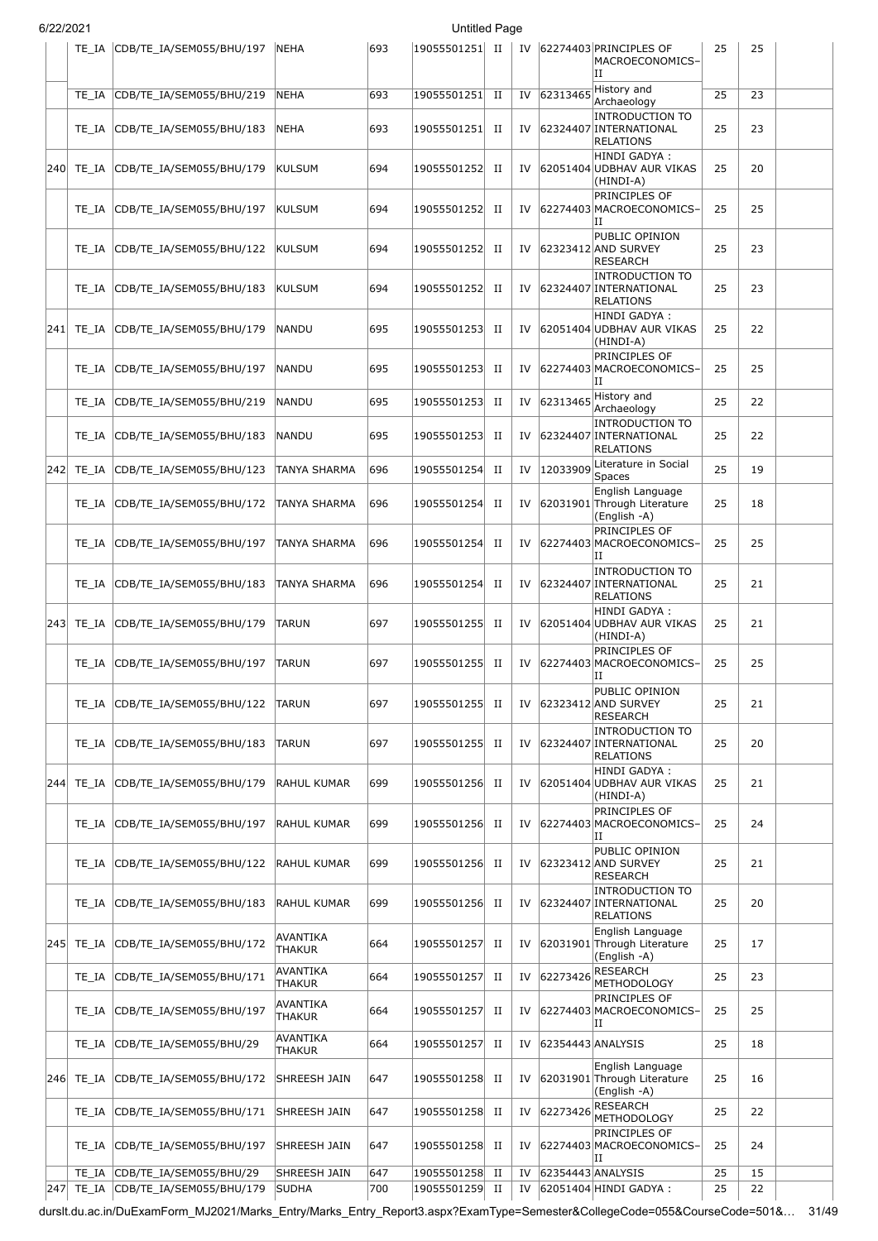| 6/22/2021 |  |
|-----------|--|
|           |  |

|     | TE IA          | CDB/TE_IA/SEM055/BHU/197                            | <b>NEHA</b>                  | 693        | 19055501251  II               |             |          |                   | IV 62274403 PRINCIPLES OF<br>MACROECONOMICS-<br>IΗ                                  | 25              | 25       |  |
|-----|----------------|-----------------------------------------------------|------------------------------|------------|-------------------------------|-------------|----------|-------------------|-------------------------------------------------------------------------------------|-----------------|----------|--|
|     | TE IA          | CDB/TE_IA/SEM055/BHU/219                            | <b>NEHA</b>                  | 693        | 19055501251                   | $_{\rm II}$ | IV       | 62313465          | History and                                                                         | $\overline{25}$ | 23       |  |
|     | TE IA          | CDB/TE IA/SEM055/BHU/183                            | NEHA                         | 693        | 19055501251                   | П           | IV       |                   | Archaeology<br><b>INTRODUCTION TO</b><br>62324407 INTERNATIONAL<br><b>RELATIONS</b> | 25              | 23       |  |
|     | 240 TE IA      | CDB/TE_IA/SEM055/BHU/179                            | KULSUM                       | 694        | 19055501252                   | П           | IV       |                   | HINDI GADYA:<br>62051404 UDBHAV AUR VIKAS<br>(HINDI-A)                              | 25              | 20       |  |
|     | TE IA          | CDB/TE_IA/SEM055/BHU/197                            | KULSUM                       | 694        | 19055501252                   | П           | IV       |                   | PRINCIPLES OF<br>62274403 MACROECONOMICS-<br>IΗ                                     | 25              | 25       |  |
|     | TE IA          | CDB/TE_IA/SEM055/BHU/122                            | KULSUM                       | 694        | 19055501252                   | П           | IV       |                   | PUBLIC OPINION<br>62323412 AND SURVEY<br>RESEARCH                                   | 25              | 23       |  |
|     | TE IA          | CDB/TE_IA/SEM055/BHU/183                            | <b>KULSUM</b>                | 694        | 19055501252                   | П           | IV       |                   | <b>INTRODUCTION TO</b><br>62324407 INTERNATIONAL<br><b>RELATIONS</b>                | 25              | 23       |  |
|     | 241 TE_IA      | CDB/TE_IA/SEM055/BHU/179                            | NANDU                        | 695        | 19055501253                   | П           | IV       |                   | HINDI GADYA:<br>62051404 UDBHAV AUR VIKAS<br>(HINDI-A)                              | 25              | 22       |  |
|     | TE IA          | CDB/TE_IA/SEM055/BHU/197                            | <b>NANDU</b>                 | 695        | 19055501253                   | П           | IV       |                   | PRINCIPLES OF<br>62274403 MACROECONOMICS-<br>IΗ                                     | 25              | 25       |  |
|     | TE IA          | CDB/TE_IA/SEM055/BHU/219                            | NANDU                        | 695        | 19055501253                   | П           | IV       | 62313465          | History and<br>Archaeology                                                          | 25              | 22       |  |
|     | TE IA          | CDB/TE_IA/SEM055/BHU/183                            | NANDU                        | 695        | 19055501253                   | П           | IV       |                   | <b>INTRODUCTION TO</b><br>62324407 INTERNATIONAL<br><b>RELATIONS</b>                | 25              | 22       |  |
| 242 | TE_IA          | CDB/TE_IA/SEM055/BHU/123                            | TANYA SHARMA                 | 696        | 19055501254                   | П           | IV       | 12033909          | Literature in Social<br><b>Spaces</b>                                               | 25              | 19       |  |
|     | TE IA          | CDB/TE_IA/SEM055/BHU/172                            | TANYA SHARMA                 | 696        | 19055501254                   | П           | IV       |                   | English Language<br>62031901 Through Literature<br>(English -A)                     | 25              | 18       |  |
|     | TE IA          | CDB/TE_IA/SEM055/BHU/197                            | TANYA SHARMA                 | 696        | 19055501254                   | П           | IV       |                   | PRINCIPLES OF<br>62274403 MACROECONOMICS-<br>IΗ                                     | 25              | 25       |  |
|     | TE IA          | CDB/TE_IA/SEM055/BHU/183                            | TANYA SHARMA                 | 696        | 19055501254                   | п           | IV       |                   | <b>INTRODUCTION TO</b><br>62324407 INTERNATIONAL<br><b>RELATIONS</b>                | 25              | 21       |  |
|     | 243 TE_IA      | CDB/TE_IA/SEM055/BHU/179                            | <b>TARUN</b>                 | 697        | 19055501255                   | П           | IV       |                   | HINDI GADYA :<br>62051404 UDBHAV AUR VIKAS<br>(HINDI-A)                             | 25              | 21       |  |
|     | TE IA          | CDB/TE_IA/SEM055/BHU/197                            | <b>TARUN</b>                 | 697        | 19055501255                   | П           | IV       |                   | PRINCIPLES OF<br>62274403 MACROECONOMICS-<br>IΗ                                     | 25              | 25       |  |
|     | TE_IA          | CDB/TE IA/SEM055/BHU/122                            | TARUN                        | 697        | 19055501255                   | П           | IV       |                   | PUBLIC OPINION<br>62323412 AND SURVEY<br>RESEARCH                                   | 25              | 21       |  |
|     | TE IA          | CDB/TE IA/SEM055/BHU/183                            | <b>TARUN</b>                 | 697        | 19055501255                   | П           | IV       |                   | <b>INTRODUCTION TO</b><br>62324407 INTERNATIONAL<br><b>RELATIONS</b>                | 25              | 20       |  |
|     | 244 TE IA      | CDB/TE IA/SEM055/BHU/179                            | RAHUL KUMAR                  | 699        | 19055501256                   | П           | IV       |                   | HINDI GADYA :<br>62051404 UDBHAV AUR VIKAS<br>(HINDI-A)<br>PRINCIPLES OF            | 25              | 21       |  |
|     | TE IA          | CDB/TE_IA/SEM055/BHU/197                            | <b>RAHUL KUMAR</b>           | 699        | 19055501256                   | П           | IV       |                   | 62274403 MACROECONOMICS-<br>IΗ<br>PUBLIC OPINION                                    | 25              | 24       |  |
|     | TE IA          | CDB/TE IA/SEM055/BHU/122                            | <b>RAHUL KUMAR</b>           | 699        | 19055501256                   | П           | IV       |                   | 62323412 AND SURVEY<br><b>RESEARCH</b><br><b>INTRODUCTION TO</b>                    | 25              | 21       |  |
|     | TE_IA          | CDB/TE_IA/SEM055/BHU/183                            | RAHUL KUMAR                  | 699        | 19055501256                   | П           | IV       |                   | 62324407 INTERNATIONAL<br><b>RELATIONS</b><br>English Language                      | 25              | 20       |  |
|     | 245 TE IA      | CDB/TE_IA/SEM055/BHU/172                            | AVANTIKA<br><b>THAKUR</b>    | 664        | 19055501257                   | П           | IV       |                   | 62031901 Through Literature<br>(English -A)                                         | 25              | 17       |  |
|     | TE_IA          | CDB/TE_IA/SEM055/BHU/171                            | AVANTIKA<br><b>THAKUR</b>    | 664        | 19055501257                   | П           | IV       | 62273426          | <b>RESEARCH</b><br>METHODOLOGY                                                      | 25              | 23       |  |
|     | TE_IA          | CDB/TE_IA/SEM055/BHU/197                            | AVANTIKA<br><b>THAKUR</b>    | 664        | 19055501257                   | П           | IV       |                   | PRINCIPLES OF<br>62274403 MACROECONOMICS-<br>IΗ                                     | 25              | 25       |  |
|     | TE_IA          | CDB/TE_IA/SEM055/BHU/29                             | <b>AVANTIKA</b><br>THAKUR    | 664        | 19055501257                   | П           | IV       | 62354443 ANALYSIS |                                                                                     | 25              | 18       |  |
|     | 246 TE_IA      | CDB/TE_IA/SEM055/BHU/172                            | SHREESH JAIN                 | 647        | 19055501258 II                |             | IV       |                   | English Language<br>62031901 Through Literature<br>(English -A)                     | 25              | 16       |  |
|     | TE_IA          | CDB/TE_IA/SEM055/BHU/171                            | SHREESH JAIN                 | 647        | 19055501258 II                |             | IV       | 62273426          | RESEARCH<br><b>METHODOLOGY</b>                                                      | 25              | 22       |  |
|     | TE IA          | CDB/TE_IA/SEM055/BHU/197                            | SHREESH JAIN                 | 647        | 19055501258  II               |             | IV       |                   | PRINCIPLES OF<br>62274403 MACROECONOMICS-<br>ΙI                                     | 25              | 24       |  |
| 247 | TE_IA<br>TE_IA | CDB/TE IA/SEM055/BHU/29<br>CDB/TE IA/SEM055/BHU/179 | SHREESH JAIN<br><b>SUDHA</b> | 647<br>700 | 19055501258 II<br>19055501259 | $_{\rm II}$ | IV<br>IV | 62354443 ANALYSIS | 62051404 HINDI GADYA :                                                              | 25<br>25        | 15<br>22 |  |
|     |                |                                                     |                              |            |                               |             |          |                   |                                                                                     |                 |          |  |

durslt.du.ac.in/DuExamForm\_MJ2021/Marks\_Entry/Marks\_Entry\_Report3.aspx?ExamType=Semester&CollegeCode=055&CourseCode=501&… 31/49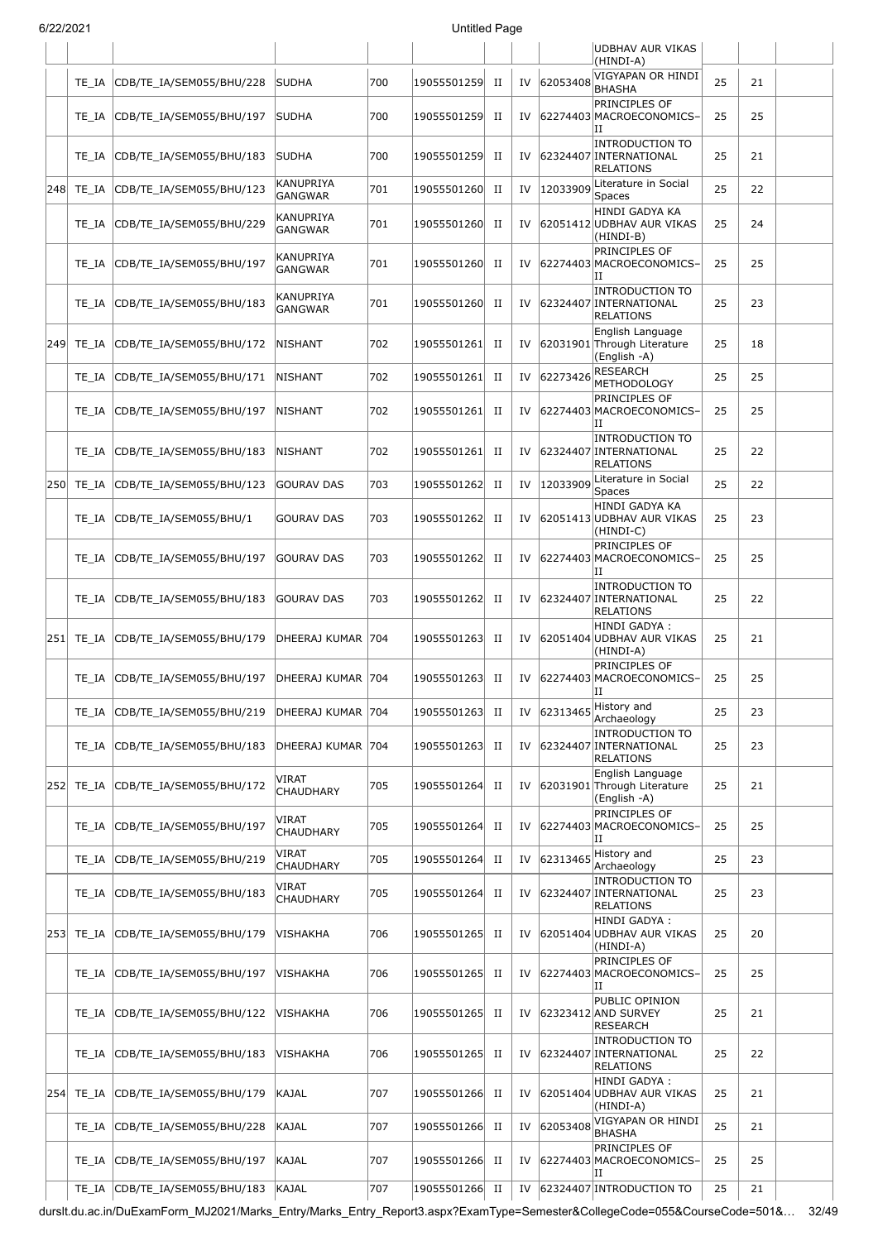| JI L L I L U L I |           |                          |                             |     | onuucu rayc    |             |    |          |                                                                      |    |    |  |
|------------------|-----------|--------------------------|-----------------------------|-----|----------------|-------------|----|----------|----------------------------------------------------------------------|----|----|--|
|                  |           |                          |                             |     |                |             |    |          | UDBHAV AUR VIKAS<br>(HINDI-A)                                        |    |    |  |
|                  | TE IA     | CDB/TE_IA/SEM055/BHU/228 | <b>SUDHA</b>                | 700 | 19055501259    | П           | IV | 62053408 | VIGYAPAN OR HINDI<br><b>BHASHA</b>                                   | 25 | 21 |  |
|                  | TE IA     | CDB/TE_IA/SEM055/BHU/197 | SUDHA                       | 700 | 19055501259    | П           | IV |          | PRINCIPLES OF<br>62274403 MACROECONOMICS-<br>IΗ                      | 25 | 25 |  |
|                  | TE IA     | CDB/TE_IA/SEM055/BHU/183 | SUDHA                       | 700 | 19055501259    | П           | IV |          | <b>INTRODUCTION TO</b><br>62324407 INTERNATIONAL<br><b>RELATIONS</b> | 25 | 21 |  |
| 248              | TE_IA     | CDB/TE_IA/SEM055/BHU/123 | KANUPRIYA<br><b>GANGWAR</b> | 701 | 19055501260    | П           | IV | 12033909 | Literature in Social<br>Spaces                                       | 25 | 22 |  |
|                  | TE IA     | CDB/TE_IA/SEM055/BHU/229 | KANUPRIYA<br><b>GANGWAR</b> | 701 | 19055501260    | П           | IV |          | HINDI GADYA KA<br>62051412 UDBHAV AUR VIKAS<br>(HINDI-B)             | 25 | 24 |  |
|                  | TE IA     | CDB/TE_IA/SEM055/BHU/197 | KANUPRIYA<br><b>GANGWAR</b> | 701 | 19055501260    | П           | IV |          | PRINCIPLES OF<br>62274403 MACROECONOMICS-<br>IΙ                      | 25 | 25 |  |
|                  | TE IA     | CDB/TE_IA/SEM055/BHU/183 | KANUPRIYA<br><b>GANGWAR</b> | 701 | 19055501260    | П           | IV |          | <b>INTRODUCTION TO</b><br>62324407 INTERNATIONAL<br><b>RELATIONS</b> | 25 | 23 |  |
| 249              | TE_IA     | CDB/TE_IA/SEM055/BHU/172 | <b>NISHANT</b>              | 702 | 19055501261    | П           | IV |          | English Language<br>62031901 Through Literature<br>(English -A)      | 25 | 18 |  |
|                  | TE IA     | CDB/TE_IA/SEM055/BHU/171 | <b>NISHANT</b>              | 702 | 19055501261    | П           | IV | 62273426 | <b>RESEARCH</b><br><b>METHODOLOGY</b>                                | 25 | 25 |  |
|                  | TE IA     | CDB/TE IA/SEM055/BHU/197 | <b>NISHANT</b>              | 702 | 19055501261    | П           | IV |          | PRINCIPLES OF<br>62274403 MACROECONOMICS-<br>IΙ                      | 25 | 25 |  |
|                  | TE IA     | CDB/TE_IA/SEM055/BHU/183 | <b>NISHANT</b>              | 702 | 19055501261    | П           | IV |          | <b>INTRODUCTION TO</b><br>62324407 INTERNATIONAL<br><b>RELATIONS</b> | 25 | 22 |  |
| 250              | TE_IA     | CDB/TE_IA/SEM055/BHU/123 | <b>GOURAV DAS</b>           | 703 | 19055501262    | $_{\rm II}$ | IV | 12033909 | Literature in Social<br>Spaces                                       | 25 | 22 |  |
|                  | TE IA     | CDB/TE_IA/SEM055/BHU/1   | GOURAV DAS                  | 703 | 19055501262    | П           | IV |          | HINDI GADYA KA<br>62051413 UDBHAV AUR VIKAS<br>(HINDI-C)             | 25 | 23 |  |
|                  | TE IA     | CDB/TE_IA/SEM055/BHU/197 | <b>GOURAV DAS</b>           | 703 | 19055501262    | П           | IV |          | PRINCIPLES OF<br>62274403 MACROECONOMICS-<br>IΙ                      | 25 | 25 |  |
|                  | TE IA     | CDB/TE_IA/SEM055/BHU/183 | <b>GOURAV DAS</b>           | 703 | 19055501262    | П           | IV |          | <b>INTRODUCTION TO</b><br>62324407 INTERNATIONAL<br><b>RELATIONS</b> | 25 | 22 |  |
|                  | 251 TE IA | CDB/TE_IA/SEM055/BHU/179 | DHEERAJ KUMAR 704           |     | 19055501263    | П           | IV |          | HINDI GADYA:<br>62051404 UDBHAV AUR VIKAS<br>(HINDI-A)               | 25 | 21 |  |
|                  | TE IA     | CDB/TE IA/SEM055/BHU/197 | DHEERAJ KUMAR 704           |     | 19055501263    | П           | IV |          | PRINCIPLES OF<br>62274403 MACROECONOMICS-<br>П                       | 25 | 25 |  |
|                  | TE IA     | CDB/TE IA/SEM055/BHU/219 | DHEERAJ KUMAR 704           |     | 19055501263    | П           | IV | 62313465 | History and<br>Archaeology                                           | 25 | 23 |  |
|                  | TE IA     | CDB/TE_IA/SEM055/BHU/183 | DHEERAJ KUMAR 704           |     | 19055501263    | П           | IV |          | <b>INTRODUCTION TO</b><br>62324407 INTERNATIONAL<br><b>RELATIONS</b> | 25 | 23 |  |
| 252              | TE_IA     | CDB/TE_IA/SEM055/BHU/172 | VIRAT<br>CHAUDHARY          | 705 | 19055501264    | П           | IV |          | English Language<br>62031901 Through Literature<br>(English -A)      | 25 | 21 |  |
|                  | TE IA     | CDB/TE_IA/SEM055/BHU/197 | VIRAT<br>CHAUDHARY          | 705 | 19055501264    | П           | IV |          | PRINCIPLES OF<br>62274403 MACROECONOMICS-<br>IΗ                      | 25 | 25 |  |
|                  | TE_IA     | CDB/TE_IA/SEM055/BHU/219 | VIRAT<br><b>CHAUDHARY</b>   | 705 | 19055501264    | П           | IV | 62313465 | History and<br>Archaeology                                           | 25 | 23 |  |
|                  | TE_IA     | CDB/TE_IA/SEM055/BHU/183 | VIRAT<br>CHAUDHARY          | 705 | 19055501264    | П           | IV |          | <b>INTRODUCTION TO</b><br>62324407 INTERNATIONAL<br>RELATIONS        | 25 | 23 |  |
|                  | 253 TE_IA | CDB/TE_IA/SEM055/BHU/179 | VISHAKHA                    | 706 | 19055501265    | П           | IV |          | HINDI GADYA :<br>62051404 UDBHAV AUR VIKAS<br>(HINDI-A)              | 25 | 20 |  |
|                  | TE IA     | CDB/TE_IA/SEM055/BHU/197 | VISHAKHA                    | 706 | 19055501265    | П           | IV |          | PRINCIPLES OF<br>62274403 MACROECONOMICS-<br>IΙ                      | 25 | 25 |  |
|                  | TE IA     | CDB/TE_IA/SEM055/BHU/122 | VISHAKHA                    | 706 | 19055501265    | П           | IV |          | PUBLIC OPINION<br>62323412 AND SURVEY<br><b>RESEARCH</b>             | 25 | 21 |  |
|                  | TE IA     | CDB/TE_IA/SEM055/BHU/183 | VISHAKHA                    | 706 | 19055501265    | П           | IV |          | <b>INTRODUCTION TO</b><br>62324407 INTERNATIONAL<br>RELATIONS        | 25 | 22 |  |
|                  | 254 TE_IA | CDB/TE_IA/SEM055/BHU/179 | KAJAL                       | 707 | 19055501266    | П           | IV |          | HINDI GADYA :<br>62051404 UDBHAV AUR VIKAS<br>(HINDI-A)              | 25 | 21 |  |
|                  | TE_IA     | CDB/TE_IA/SEM055/BHU/228 | KAJAL                       | 707 | 19055501266    | П           | IV | 62053408 | VIGYAPAN OR HINDI<br>BHASHA                                          | 25 | 21 |  |
|                  | TE IA     | CDB/TE_IA/SEM055/BHU/197 | KAJAL                       | 707 | 19055501266    | П           | IV |          | PRINCIPLES OF<br>62274403 MACROECONOMICS-<br>lΗ                      | 25 | 25 |  |
|                  | TE_IA     | CDB/TE_IA/SEM055/BHU/183 | KAJAL                       | 707 | 19055501266 II |             | IV |          | 62324407 INTRODUCTION TO                                             | 25 | 21 |  |

durslt.du.ac.in/DuExamForm\_MJ2021/Marks\_Entry/Marks\_Entry\_Report3.aspx?ExamType=Semester&CollegeCode=055&CourseCode=501&… 32/49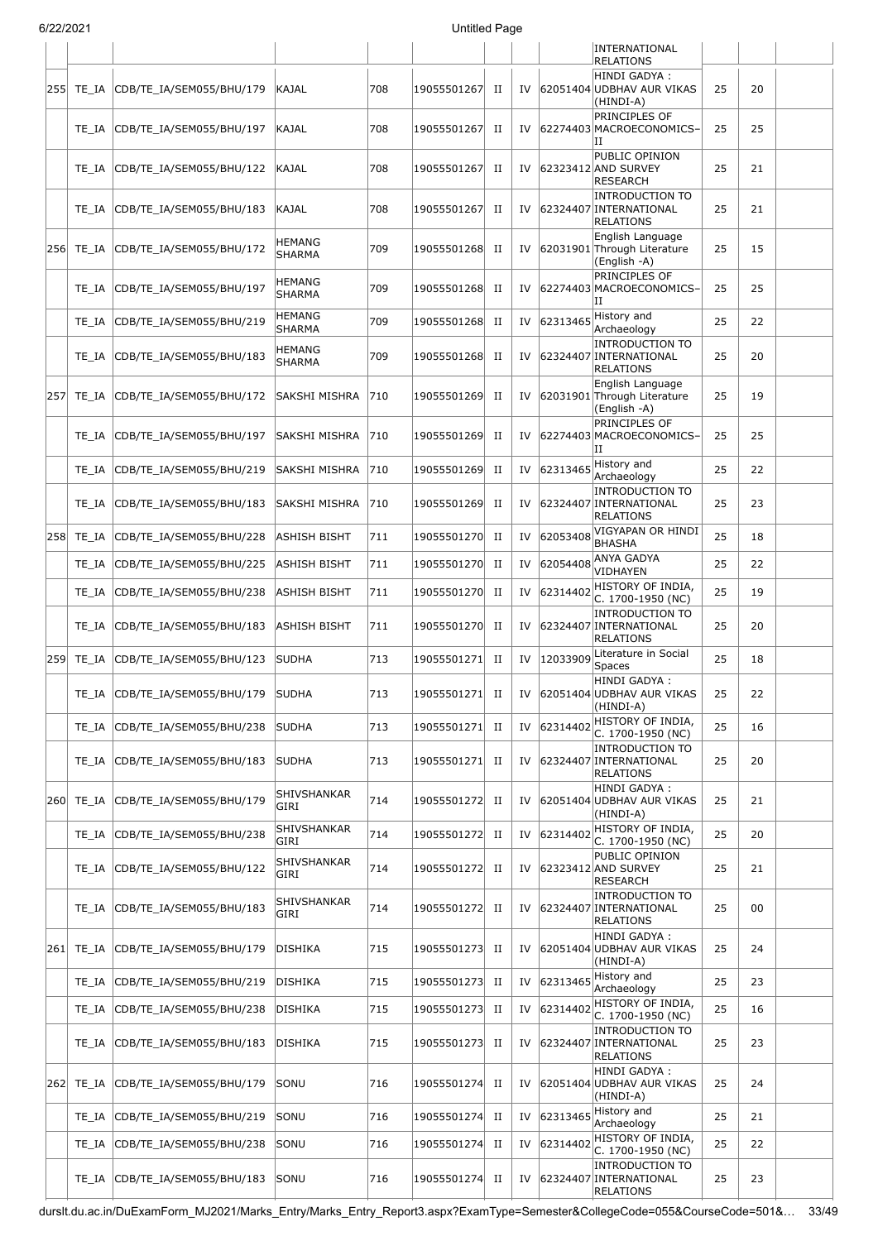| 6/22/2021 |
|-----------|

|     | ) <i>2212</i> 021 |                                 |                                |     | Untitled Page |             |    |          |                                                                               |    |    |  |
|-----|-------------------|---------------------------------|--------------------------------|-----|---------------|-------------|----|----------|-------------------------------------------------------------------------------|----|----|--|
|     |                   |                                 |                                |     |               |             |    |          | INTERNATIONAL<br><b>RELATIONS</b>                                             |    |    |  |
| 255 | TE IA             | CDB/TE IA/SEM055/BHU/179        | KAJAL                          | 708 | 19055501267   | П           | IV |          | HINDI GADYA:<br>62051404 UDBHAV AUR VIKAS<br>(HINDI-A)                        | 25 | 20 |  |
|     | TE IA             | CDB/TE_IA/SEM055/BHU/197        | KAJAL                          | 708 | 19055501267   | П           | IV |          | PRINCIPLES OF<br>62274403 MACROECONOMICS-                                     | 25 | 25 |  |
|     | TE IA             | CDB/TE_IA/SEM055/BHU/122        | KAJAL                          | 708 | 19055501267   | П           | IV |          | IΙ<br>PUBLIC OPINION<br>62323412 AND SURVEY<br><b>RESEARCH</b>                | 25 | 21 |  |
|     | TE_IA             | CDB/TE_IA/SEM055/BHU/183        | KAJAL                          | 708 | 19055501267   | П           | IV |          | <b>INTRODUCTION TO</b><br>62324407 INTERNATIONAL<br><b>RELATIONS</b>          | 25 | 21 |  |
| 256 | TE IA             | CDB/TE_IA/SEM055/BHU/172        | HEMANG<br><b>SHARMA</b>        | 709 | 19055501268   | П           | IV |          | English Language<br>62031901 Through Literature<br>(English -A)               | 25 | 15 |  |
|     | TE IA             | CDB/TE_IA/SEM055/BHU/197        | <b>HEMANG</b><br><b>SHARMA</b> | 709 | 19055501268   | П           | IV |          | PRINCIPLES OF<br>62274403 MACROECONOMICS-<br>IΙ                               | 25 | 25 |  |
|     | TE IA             | CDB/TE_IA/SEM055/BHU/219        | <b>HEMANG</b><br>SHARMA        | 709 | 19055501268   | П           | IV | 62313465 | History and<br>Archaeology                                                    | 25 | 22 |  |
|     | TE IA             | CDB/TE_IA/SEM055/BHU/183        | HEMANG<br><b>SHARMA</b>        | 709 | 19055501268   | П           | IV |          | <b>INTRODUCTION TO</b><br>62324407 INTERNATIONAL<br><b>RELATIONS</b>          | 25 | 20 |  |
| 257 | TE_IA             | CDB/TE_IA/SEM055/BHU/172        | SAKSHI MISHRA                  | 710 | 19055501269   | П           | IV |          | English Language<br>62031901 Through Literature<br>(English -A)               | 25 | 19 |  |
|     | TE IA             | CDB/TE IA/SEM055/BHU/197        | SAKSHI MISHRA                  | 710 | 19055501269   | П           | IV |          | PRINCIPLES OF<br>62274403 MACROECONOMICS-<br>IΙ                               | 25 | 25 |  |
|     | TE IA             | CDB/TE_IA/SEM055/BHU/219        | SAKSHI MISHRA                  | 710 | 19055501269   | $_{\rm II}$ | IV | 62313465 | History and<br>Archaeology                                                    | 25 | 22 |  |
|     | TE IA             | CDB/TE_IA/SEM055/BHU/183        | SAKSHI MISHRA                  | 710 | 19055501269   | П           | IV |          | <b>INTRODUCTION TO</b><br>62324407 INTERNATIONAL<br><b>RELATIONS</b>          | 25 | 23 |  |
| 258 | TE_IA             | CDB/TE_IA/SEM055/BHU/228        | ASHISH BISHT                   | 711 | 19055501270   | П           | IV | 62053408 | VIGYAPAN OR HINDI<br><b>BHASHA</b>                                            | 25 | 18 |  |
|     | TE_IA             | CDB/TE_IA/SEM055/BHU/225        | ASHISH BISHT                   | 711 | 19055501270   | П           | IV | 62054408 | ANYA GADYA<br>VIDHAYEN                                                        | 25 | 22 |  |
|     | $TE_I A$          | CDB/TE_IA/SEM055/BHU/238        | ASHISH BISHT                   | 711 | 19055501270   | П           | IV | 62314402 | HISTORY OF INDIA,<br>C. 1700-1950 (NC)                                        | 25 | 19 |  |
|     | TE_IA             | CDB/TE IA/SEM055/BHU/183        | <b>ASHISH BISHT</b>            | 711 | 19055501270   | П           | IV |          | <b>INTRODUCTION TO</b><br>62324407 INTERNATIONAL<br><b>RELATIONS</b>          | 25 | 20 |  |
| 259 | TE_IA             | CDB/TE_IA/SEM055/BHU/123        | <b>SUDHA</b>                   | 713 | 19055501271   | $_{\rm II}$ | IV | 12033909 | Literature in Social<br><b>Spaces</b>                                         | 25 | 18 |  |
|     |                   | TE_IA  CDB/TE_IA/SEM055/BHU/179 | <b>SUDHA</b>                   | 713 | 19055501271   | П           | IV |          | HINDI GADYA :<br>62051404 UDBHAV AUR VIKAS<br>(HINDI-A)                       | 25 | 22 |  |
|     | TE IA             | CDB/TE IA/SEM055/BHU/238        | <b>SUDHA</b>                   | 713 | 19055501271   | П           | IV | 62314402 | HISTORY OF INDIA,<br>C. 1700-1950 (NC)                                        | 25 | 16 |  |
|     | TE IA             | CDB/TE_IA/SEM055/BHU/183        | <b>SUDHA</b>                   | 713 | 19055501271   | П           | IV |          | <b>INTRODUCTION TO</b><br>62324407 INTERNATIONAL<br><b>RELATIONS</b>          | 25 | 20 |  |
| 260 | TE_IA             | CDB/TE IA/SEM055/BHU/179        | SHIVSHANKAR<br>GIRI            | 714 | 19055501272   | П           | IV |          | HINDI GADYA :<br>62051404 UDBHAV AUR VIKAS<br>(HINDI-A)                       | 25 | 21 |  |
|     | TE_IA             | CDB/TE_IA/SEM055/BHU/238        | SHIVSHANKAR<br>GIRI            | 714 | 19055501272   | П           | IV | 62314402 | HISTORY OF INDIA,<br>C. 1700-1950 (NC)                                        | 25 | 20 |  |
|     | TE IA             | CDB/TE_IA/SEM055/BHU/122        | SHIVSHANKAR<br>GIRI            | 714 | 19055501272   | П           | IV |          | PUBLIC OPINION<br>62323412 AND SURVEY<br><b>RESEARCH</b>                      | 25 | 21 |  |
|     | TE_IA             | CDB/TE_IA/SEM055/BHU/183        | SHIVSHANKAR<br>GIRI            | 714 | 19055501272   | П           | IV |          | <b>INTRODUCTION TO</b><br>62324407 INTERNATIONAL<br>RELATIONS                 | 25 | 00 |  |
| 261 | TE_IA             | CDB/TE_IA/SEM055/BHU/179        | DISHIKA                        | 715 | 19055501273   | П           | IV |          | HINDI GADYA :<br>62051404 UDBHAV AUR VIKAS<br>(HINDI-A)<br>History and        | 25 | 24 |  |
|     | TE_IA             | CDB/TE_IA/SEM055/BHU/219        | DISHIKA                        | 715 | 19055501273   | П           | IV | 62313465 | Archaeology                                                                   | 25 | 23 |  |
|     | TE_IA             | CDB/TE_IA/SEM055/BHU/238        | DISHIKA                        | 715 | 19055501273   | П           | IV | 62314402 | HISTORY OF INDIA,<br>C. 1700-1950 (NC)                                        | 25 | 16 |  |
|     | TE IA             | CDB/TE_IA/SEM055/BHU/183        | DISHIKA                        | 715 | 19055501273   | П           | IV |          | <b>INTRODUCTION TO</b><br>62324407 INTERNATIONAL<br>RELATIONS<br>HINDI GADYA: | 25 | 23 |  |
| 262 | TE_IA             | CDB/TE_IA/SEM055/BHU/179        | SONU                           | 716 | 19055501274   | П           | IV |          | 62051404 UDBHAV AUR VIKAS<br>(HINDI-A)                                        | 25 | 24 |  |
|     | TE_IA             | CDB/TE_IA/SEM055/BHU/219        | SONU                           | 716 | 19055501274   | П           | IV | 62313465 | History and<br>Archaeology                                                    | 25 | 21 |  |
|     | TE_IA             | CDB/TE_IA/SEM055/BHU/238        | SONU                           | 716 | 19055501274   | П           | IV | 62314402 | HISTORY OF INDIA,<br>C. 1700-1950 (NC)                                        | 25 | 22 |  |
|     | TE_IA             | CDB/TE_IA/SEM055/BHU/183        | SONU                           | 716 | 19055501274   | П           | IV |          | <b>INTRODUCTION TO</b><br>62324407 INTERNATIONAL<br><b>RELATIONS</b>          | 25 | 23 |  |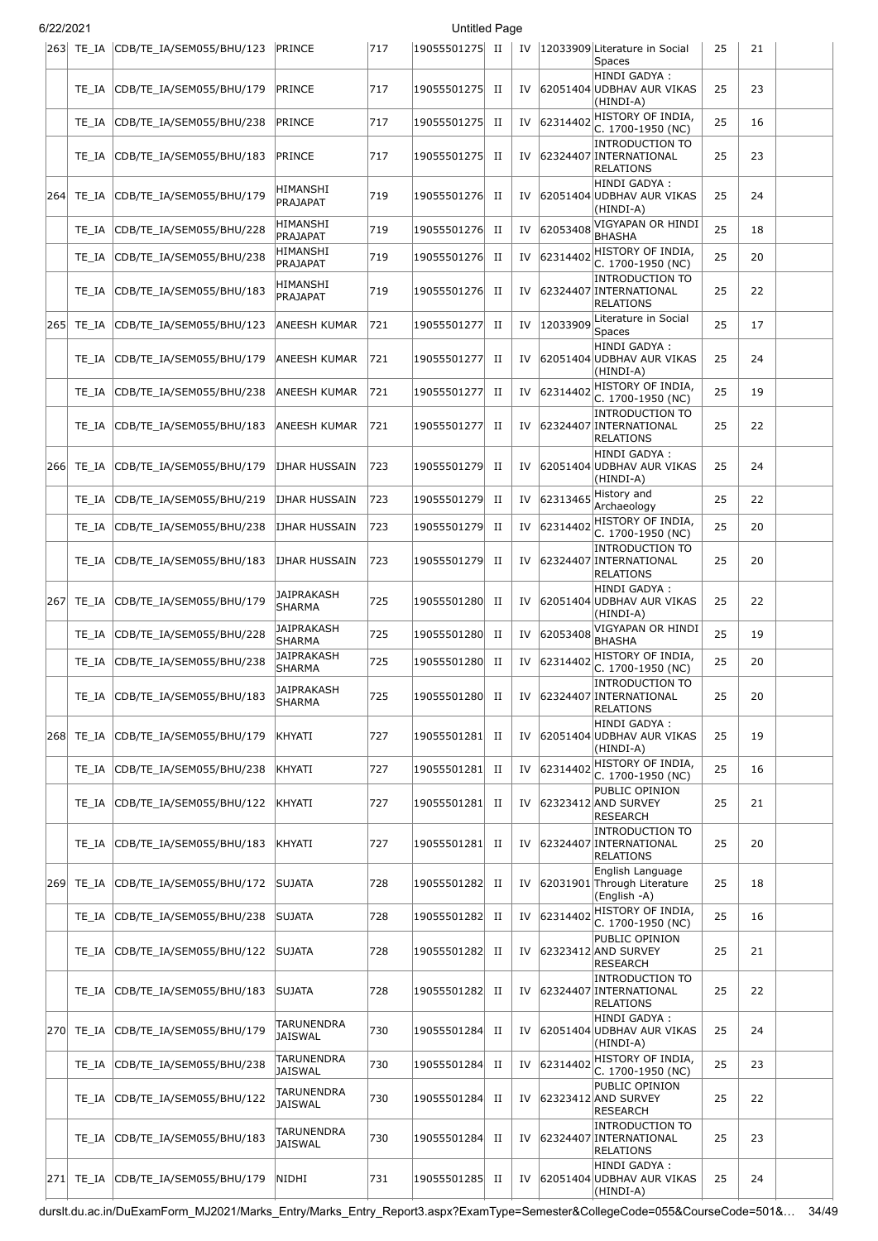| 6/22/2021 |           |                                    |                              |     | <b>Untitled Page</b> |             |    |             |                                                                      |    |    |  |
|-----------|-----------|------------------------------------|------------------------------|-----|----------------------|-------------|----|-------------|----------------------------------------------------------------------|----|----|--|
|           |           | 263 TE_IA CDB/TE_IA/SEM055/BHU/123 | PRINCE                       | 717 | 19055501275 II       |             |    |             | IV   12033909 Literature in Social<br><b>Spaces</b>                  | 25 | 21 |  |
|           | TE IA     | CDB/TE_IA/SEM055/BHU/179           | PRINCE                       | 717 | 19055501275          | П           | IV |             | HINDI GADYA :<br>62051404 UDBHAV AUR VIKAS<br>(HINDI-A)              | 25 | 23 |  |
|           | TE IA     | CDB/TE_IA/SEM055/BHU/238           | PRINCE                       | 717 | 19055501275          | $_{\rm II}$ |    | IV 62314402 | HISTORY OF INDIA,<br>C. 1700-1950 (NC)                               | 25 | 16 |  |
|           | TE IA     | CDB/TE_IA/SEM055/BHU/183           | PRINCE                       | 717 | 19055501275          | П           | IV |             | <b>INTRODUCTION TO</b><br>62324407 INTERNATIONAL<br><b>RELATIONS</b> | 25 | 23 |  |
| 264       | TE IA     | CDB/TE_IA/SEM055/BHU/179           | HIMANSHI<br>PRAJAPAT         | 719 | 19055501276          | П           | IV |             | HINDI GADYA:<br>62051404 UDBHAV AUR VIKAS<br>(HINDI-A)               | 25 | 24 |  |
|           | TE IA     | CDB/TE_IA/SEM055/BHU/228           | HIMANSHI<br>PRAJAPAT         | 719 | 19055501276          | П           | IV | 62053408    | VIGYAPAN OR HINDI<br><b>BHASHA</b>                                   | 25 | 18 |  |
|           | TE IA     | CDB/TE_IA/SEM055/BHU/238           | HIMANSHI<br>PRAJAPAT         | 719 | 19055501276          | П           | IV | 62314402    | HISTORY OF INDIA,<br>C. 1700-1950 (NC)                               | 25 | 20 |  |
|           | TE IA     | CDB/TE_IA/SEM055/BHU/183           | HIMANSHI<br>PRAJAPAT         | 719 | 19055501276          | П           | IV |             | <b>INTRODUCTION TO</b><br>62324407 INTERNATIONAL<br><b>RELATIONS</b> | 25 | 22 |  |
| 265       | TE_IA     | CDB/TE IA/SEM055/BHU/123           | ANEESH KUMAR                 | 721 | 19055501277          | П           | IV | 12033909    | Literature in Social<br>Spaces                                       | 25 | 17 |  |
|           | TE IA     | CDB/TE_IA/SEM055/BHU/179           | ANEESH KUMAR                 | 721 | 19055501277          | П           | IV |             | HINDI GADYA:<br>62051404 UDBHAV AUR VIKAS<br>(HINDI-A)               | 25 | 24 |  |
|           | TE_IA     | CDB/TE_IA/SEM055/BHU/238           | ANEESH KUMAR                 | 721 | 19055501277          | $_{\rm II}$ | IV |             | 62314402 HISTORY OF INDIA,<br>C. 1700-1950 (NC)                      | 25 | 19 |  |
|           | TE IA     | CDB/TE_IA/SEM055/BHU/183           | ANEESH KUMAR                 | 721 | 19055501277          | П           | IV |             | <b>INTRODUCTION TO</b><br>62324407 INTERNATIONAL<br>RELATIONS        | 25 | 22 |  |
|           | 266 TE IA | CDB/TE_IA/SEM055/BHU/179           | IJHAR HUSSAIN                | 723 | 19055501279          | П           | IV |             | HINDI GADYA:<br>62051404 UDBHAV AUR VIKAS<br>(HINDI-A)               | 25 | 24 |  |
|           | TE IA     | CDB/TE_IA/SEM055/BHU/219           | IJHAR HUSSAIN                | 723 | 19055501279          | П           | IV | 62313465    | History and<br>Archaeology                                           | 25 | 22 |  |
|           | TE IA     | CDB/TE_IA/SEM055/BHU/238           | IJHAR HUSSAIN                | 723 | 19055501279          | П           | IV | 62314402    | HISTORY OF INDIA,<br>C. 1700-1950 (NC)                               | 25 | 20 |  |
|           | TE IA     | CDB/TE_IA/SEM055/BHU/183           | IJHAR HUSSAIN                | 723 | 19055501279          | П           | IV |             | <b>INTRODUCTION TO</b><br>62324407 INTERNATIONAL<br><b>RELATIONS</b> | 25 | 20 |  |
| 267       | TE IA     | CDB/TE_IA/SEM055/BHU/179           | JAIPRAKASH<br>SHARMA         | 725 | 19055501280          | П           | IV |             | HINDI GADYA :<br>62051404 UDBHAV AUR VIKAS<br>(HINDI-A)              | 25 | 22 |  |
|           | TE IA     | CDB/TE IA/SEM055/BHU/228           | JAIPRAKASH<br><b>SHARMA</b>  | 725 | 19055501280          | П           | IV | 62053408    | VIGYAPAN OR HINDI<br><b>BHASHA</b>                                   | 25 | 19 |  |
|           | TE IA     | CDB/TE_IA/SEM055/BHU/238           | JAIPRAKASH<br>SHARMA         | 725 | 19055501280          | H           | IV | 62314402    | HISTORY OF INDIA,<br>C. 1700-1950 (NC)                               | 25 | 20 |  |
|           | TE IA     | CDB/TE_IA/SEM055/BHU/183           | JAIPRAKASH<br>SHARMA         | 725 | 19055501280          | П           | IV |             | <b>INTRODUCTION TO</b><br>62324407 INTERNATIONAL<br><b>RELATIONS</b> | 25 | 20 |  |
| 268       | TE IA     | CDB/TE_IA/SEM055/BHU/179           | KHYATI                       | 727 | 19055501281          | П           | IV |             | HINDI GADYA:<br>62051404 UDBHAV AUR VIKAS<br>(HINDI-A)               | 25 | 19 |  |
|           | TE IA     | CDB/TE IA/SEM055/BHU/238           | KHYATI                       | 727 | 19055501281          | П           | IV | 62314402    | HISTORY OF INDIA,<br>C. 1700-1950 (NC)                               | 25 | 16 |  |
|           | TE IA     | CDB/TE_IA/SEM055/BHU/122           | KHYATI                       | 727 | 19055501281          | П           | IV |             | PUBLIC OPINION<br>62323412 AND SURVEY<br><b>RESEARCH</b>             | 25 | 21 |  |
|           | TE IA     | CDB/TE_IA/SEM055/BHU/183           | KHYATI                       | 727 | 19055501281          | П           | IV |             | <b>INTRODUCTION TO</b><br>62324407 INTERNATIONAL<br><b>RELATIONS</b> | 25 | 20 |  |
| 269       | TE IA     | CDB/TE_IA/SEM055/BHU/172           | <b>SUJATA</b>                | 728 | 19055501282          | П           | IV |             | English Language<br>62031901 Through Literature<br>(English -A)      | 25 | 18 |  |
|           | TE_IA     | CDB/TE_IA/SEM055/BHU/238           | <b>SUJATA</b>                | 728 | 19055501282          | П           | IV | 62314402    | HISTORY OF INDIA,<br>C. 1700-1950 (NC)                               | 25 | 16 |  |
|           | TE IA     | CDB/TE_IA/SEM055/BHU/122           | <b>SUJATA</b>                | 728 | 19055501282          | П           | IV |             | PUBLIC OPINION<br>62323412 AND SURVEY<br><b>RESEARCH</b>             | 25 | 21 |  |
|           | TE IA     | CDB/TE_IA/SEM055/BHU/183           | SUJATA                       | 728 | 19055501282          | П           | IV |             | <b>INTRODUCTION TO</b><br>62324407 INTERNATIONAL<br><b>RELATIONS</b> | 25 | 22 |  |
| 270       | TE IA     | CDB/TE_IA/SEM055/BHU/179           | TARUNENDRA<br>JAISWAL        | 730 | 19055501284          | П           | IV |             | HINDI GADYA :<br>62051404 UDBHAV AUR VIKAS<br>(HINDI-A)              | 25 | 24 |  |
|           | TE_IA     | CDB/TE_IA/SEM055/BHU/238           | TARUNENDRA<br>JAISWAL        | 730 | 19055501284          | $_{\rm II}$ | IV |             | $62314402$ HISTORY OF INDIA,<br>C. 1700-1950 (NC)                    | 25 | 23 |  |
|           | TE IA     | CDB/TE_IA/SEM055/BHU/122           | TARUNENDRA<br><b>JAISWAL</b> | 730 | 19055501284          | H           | IV |             | PUBLIC OPINION<br>62323412 AND SURVEY<br><b>RESEARCH</b>             | 25 | 22 |  |
|           | TE IA     | CDB/TE_IA/SEM055/BHU/183           | TARUNENDRA<br>JAISWAL        | 730 | 19055501284          | H           | IV |             | <b>INTRODUCTION TO</b><br>62324407 INTERNATIONAL<br><b>RELATIONS</b> | 25 | 23 |  |
| 271       | TE_IA     | CDB/TE_IA/SEM055/BHU/179           | NIDHI                        | 731 | 19055501285          | П           | IV |             | HINDI GADYA :<br>62051404 UDBHAV AUR VIKAS<br>(HINDI-A)              | 25 | 24 |  |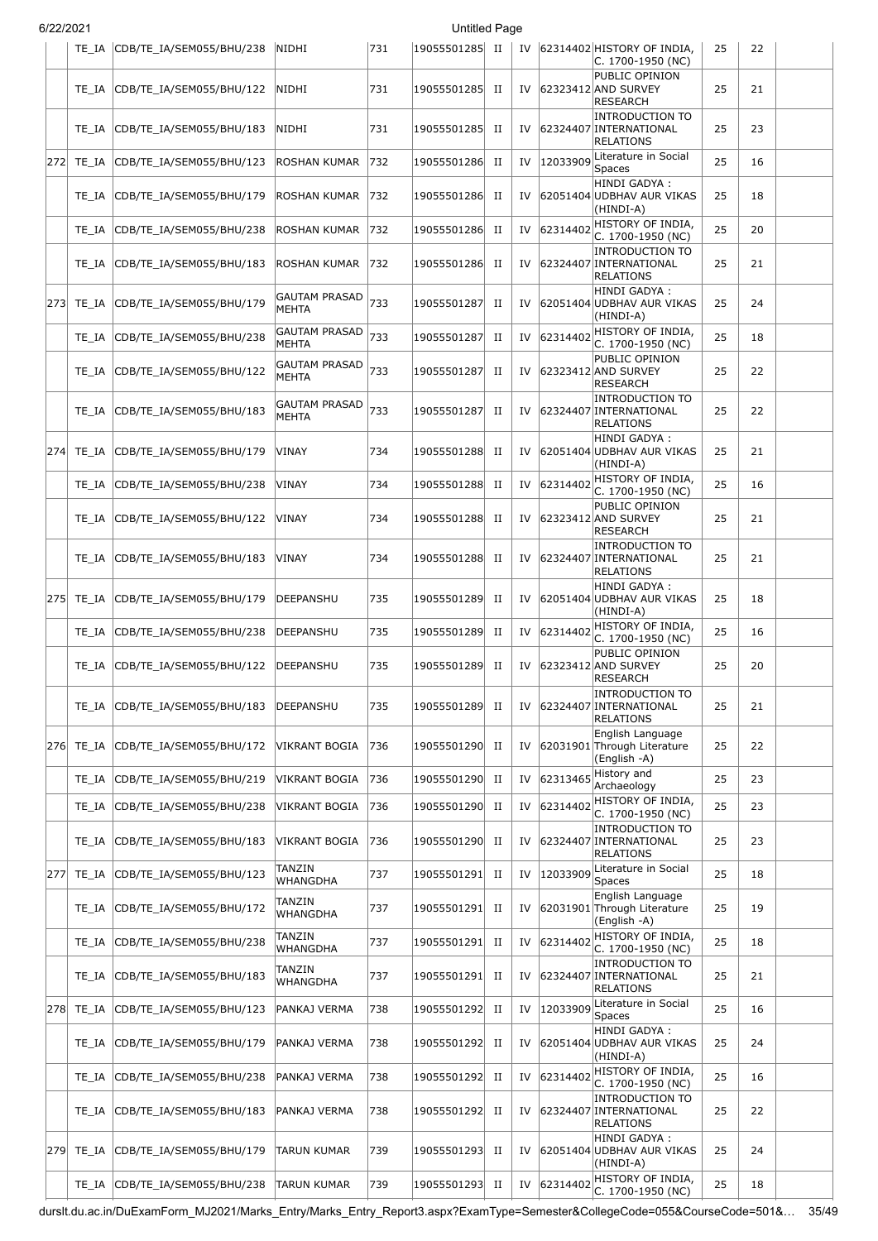| 6/22/2021 |           |                                    |                                      |     | <b>Untitled Page</b> |             |    |             |                                                                      |    |    |  |
|-----------|-----------|------------------------------------|--------------------------------------|-----|----------------------|-------------|----|-------------|----------------------------------------------------------------------|----|----|--|
|           | TE IA     | CDB/TE_IA/SEM055/BHU/238           | NIDHI                                | 731 | 19055501285 II       |             |    |             | IV 62314402 HISTORY OF INDIA,<br>C. 1700-1950 (NC)                   | 25 | 22 |  |
|           | TE IA     | CDB/TE_IA/SEM055/BHU/122           | NIDHI                                | 731 | 19055501285          | П           | IV |             | PUBLIC OPINION<br>62323412 AND SURVEY<br><b>RESEARCH</b>             | 25 | 21 |  |
|           | TE IA     | CDB/TE_IA/SEM055/BHU/183           | NIDHI                                | 731 | 19055501285          | П           | IV |             | <b>INTRODUCTION TO</b><br>62324407 INTERNATIONAL<br><b>RELATIONS</b> | 25 | 23 |  |
| 272       | TE_IA     | CDB/TE IA/SEM055/BHU/123           | ROSHAN KUMAR                         | 732 | 19055501286          | П           | IV | 12033909    | Literature in Social<br>Spaces                                       | 25 | 16 |  |
|           | TE_IA     | CDB/TE_IA/SEM055/BHU/179           | ROSHAN KUMAR                         | 732 | 19055501286          | П           | IV |             | HINDI GADYA :<br>62051404 UDBHAV AUR VIKAS<br>(HINDI-A)              | 25 | 18 |  |
|           | TE IA     | CDB/TE_IA/SEM055/BHU/238           | <b>ROSHAN KUMAR</b>                  | 732 | 19055501286          | П           | IV | 62314402    | HISTORY OF INDIA,<br>C. 1700-1950 (NC)                               | 25 | 20 |  |
|           | TE IA     | CDB/TE_IA/SEM055/BHU/183           | ROSHAN KUMAR                         | 732 | 19055501286          | H           | IV |             | <b>INTRODUCTION TO</b><br>62324407 INTERNATIONAL<br><b>RELATIONS</b> | 25 | 21 |  |
| 273       | TE IA     | CDB/TE IA/SEM055/BHU/179           | GAUTAM PRASAD<br><b>MEHTA</b>        | 733 | 19055501287          | П           | IV |             | HINDI GADYA:<br>62051404 UDBHAV AUR VIKAS<br>(HINDI-A)               | 25 | 24 |  |
|           | TE IA     | CDB/TE_IA/SEM055/BHU/238           | <b>GAUTAM PRASAD</b><br><b>MEHTA</b> | 733 | 19055501287          | П           | IV |             | 62314402 HISTORY OF INDIA,<br>C. 1700-1950 (NC)                      | 25 | 18 |  |
|           | TE IA     | CDB/TE IA/SEM055/BHU/122           | GAUTAM PRASAD<br><b>MEHTA</b>        | 733 | 19055501287          | П           | IV |             | PUBLIC OPINION<br>62323412 AND SURVEY<br><b>RESEARCH</b>             | 25 | 22 |  |
|           | TE IA     | CDB/TE_IA/SEM055/BHU/183           | GAUTAM PRASAD<br><b>MEHTA</b>        | 733 | 19055501287          | П           | IV |             | <b>INTRODUCTION TO</b><br>62324407 INTERNATIONAL<br><b>RELATIONS</b> | 25 | 22 |  |
| 2741      | TE IA     | CDB/TE_IA/SEM055/BHU/179           | VINAY                                | 734 | 19055501288          | П           | IV |             | HINDI GADYA :<br>62051404 UDBHAV AUR VIKAS<br>(HINDI-A)              | 25 | 21 |  |
|           | TE IA     | CDB/TE_IA/SEM055/BHU/238           | VINAY                                | 734 | 19055501288          | H           |    | IV 62314402 | HISTORY OF INDIA,<br>C. 1700-1950 (NC)                               | 25 | 16 |  |
|           | TE IA     | CDB/TE_IA/SEM055/BHU/122           | VINAY                                | 734 | 19055501288          | П           |    |             | PUBLIC OPINION<br>IV 62323412 AND SURVEY<br>RESEARCH                 | 25 | 21 |  |
|           | TE IA     | CDB/TE_IA/SEM055/BHU/183           | VINAY                                | 734 | 19055501288          | $_{\rm II}$ | IV |             | <b>INTRODUCTION TO</b><br>62324407 INTERNATIONAL<br><b>RELATIONS</b> | 25 | 21 |  |
|           |           | 275 TE_IA CDB/TE_IA/SEM055/BHU/179 | DEEPANSHU                            | 735 | 19055501289          | П           | IV |             | HINDI GADYA :<br>62051404 UDBHAV AUR VIKAS<br>(HINDI-A)              | 25 | 18 |  |
|           | TE IA     | CDB/TE_IA/SEM055/BHU/238           | <b>DEEPANSHU</b>                     | 735 | 19055501289          | П           | IV | 62314402    | HISTORY OF INDIA,<br>C. 1700-1950 (NC)                               | 25 | 16 |  |
|           | TE IA     | CDB/TE_IA/SEM055/BHU/122           | DEEPANSHU                            | 735 | 19055501289          | П           | IV |             | PUBLIC OPINION<br>62323412 AND SURVEY<br><b>RESEARCH</b>             | 25 | 20 |  |
|           | TE IA     | CDB/TE_IA/SEM055/BHU/183           | DEEPANSHU                            | 735 | 19055501289          | П           | IV |             | <b>INTRODUCTION TO</b><br>62324407 INTERNATIONAL<br><b>RELATIONS</b> | 25 | 21 |  |
|           | 276 TE_IA | CDB/TE IA/SEM055/BHU/172           | <b>VIKRANT BOGIA</b>                 | 736 | 19055501290          | П           | IV |             | English Language<br>62031901 Through Literature<br>(English -A)      | 25 | 22 |  |
|           | TE IA     | CDB/TE_IA/SEM055/BHU/219           | VIKRANT BOGIA                        | 736 | 19055501290          | $_{\rm II}$ | IV | 62313465    | History and<br>Archaeology                                           | 25 | 23 |  |
|           | TE_IA     | CDB/TE IA/SEM055/BHU/238           | VIKRANT BOGIA                        | 736 | 19055501290          | $_{\rm II}$ | IV | 62314402    | HISTORY OF INDIA,<br>$C. 1700-1950 (NC)$                             | 25 | 23 |  |
|           | TE IA     | CDB/TE IA/SEM055/BHU/183           | VIKRANT BOGIA                        | 736 | 19055501290          | П           | IV |             | <b>INTRODUCTION TO</b><br>62324407 INTERNATIONAL<br><b>RELATIONS</b> | 25 | 23 |  |
| 277       | TE IA     | CDB/TE_IA/SEM055/BHU/123           | TANZIN<br>WHANGDHA                   | 737 | 19055501291          | $_{\rm II}$ | IV | 12033909    | Literature in Social<br>Spaces                                       | 25 | 18 |  |
|           | TE IA     | CDB/TE_IA/SEM055/BHU/172           | TANZIN<br>WHANGDHA                   | 737 | 19055501291          | $_{\rm II}$ | IV |             | English Language<br>62031901 Through Literature<br>(English -A)      | 25 | 19 |  |
|           | TE IA     | CDB/TE_IA/SEM055/BHU/238           | TANZIN<br><b>WHANGDHA</b>            | 737 | 19055501291          | П           | IV | 62314402    | HISTORY OF INDIA,<br>$C. 1700-1950 (NC)$                             | 25 | 18 |  |
|           | TE IA     | CDB/TE_IA/SEM055/BHU/183           | TANZIN<br>WHANGDHA                   | 737 | 19055501291          | П           | IV |             | <b>INTRODUCTION TO</b><br>62324407 INTERNATIONAL<br><b>RELATIONS</b> | 25 | 21 |  |
| 278       | TE_IA     | CDB/TE_IA/SEM055/BHU/123           | PANKAJ VERMA                         | 738 | 19055501292          | П           | IV | 12033909    | Literature in Social<br>Spaces                                       | 25 | 16 |  |
|           | TE IA     | CDB/TE_IA/SEM055/BHU/179           | PANKAJ VERMA                         | 738 | 19055501292          | П           | IV |             | HINDI GADYA :<br>62051404 UDBHAV AUR VIKAS<br>(HINDI-A)              | 25 | 24 |  |
|           | TE_IA     | CDB/TE_IA/SEM055/BHU/238           | PANKAJ VERMA                         | 738 | 19055501292          | П           |    | IV 62314402 | HISTORY OF INDIA,<br>C. 1700-1950 (NC)                               | 25 | 16 |  |
|           | TE IA     | CDB/TE_IA/SEM055/BHU/183           | PANKAJ VERMA                         | 738 | 19055501292          | H           | IV |             | <b>INTRODUCTION TO</b><br>62324407 INTERNATIONAL<br>RELATIONS        | 25 | 22 |  |
|           | 279 TE_IA | CDB/TE_IA/SEM055/BHU/179           | TARUN KUMAR                          | 739 | 19055501293          | П           | IV |             | HINDI GADYA :<br>62051404 UDBHAV AUR VIKAS<br>(HINDI-A)              | 25 | 24 |  |
|           | TE_IA     | CDB/TE_IA/SEM055/BHU/238           | TARUN KUMAR                          | 739 | 19055501293          | $_{\rm II}$ | IV | 62314402    | HISTORY OF INDIA,<br>$ C. 1700-1950$ (NC)                            | 25 | 18 |  |

durslt.du.ac.in/DuExamForm\_MJ2021/Marks\_Entry/Marks\_Entry\_Report3.aspx?ExamType=Semester&CollegeCode=055&CourseCode=501&… 35/49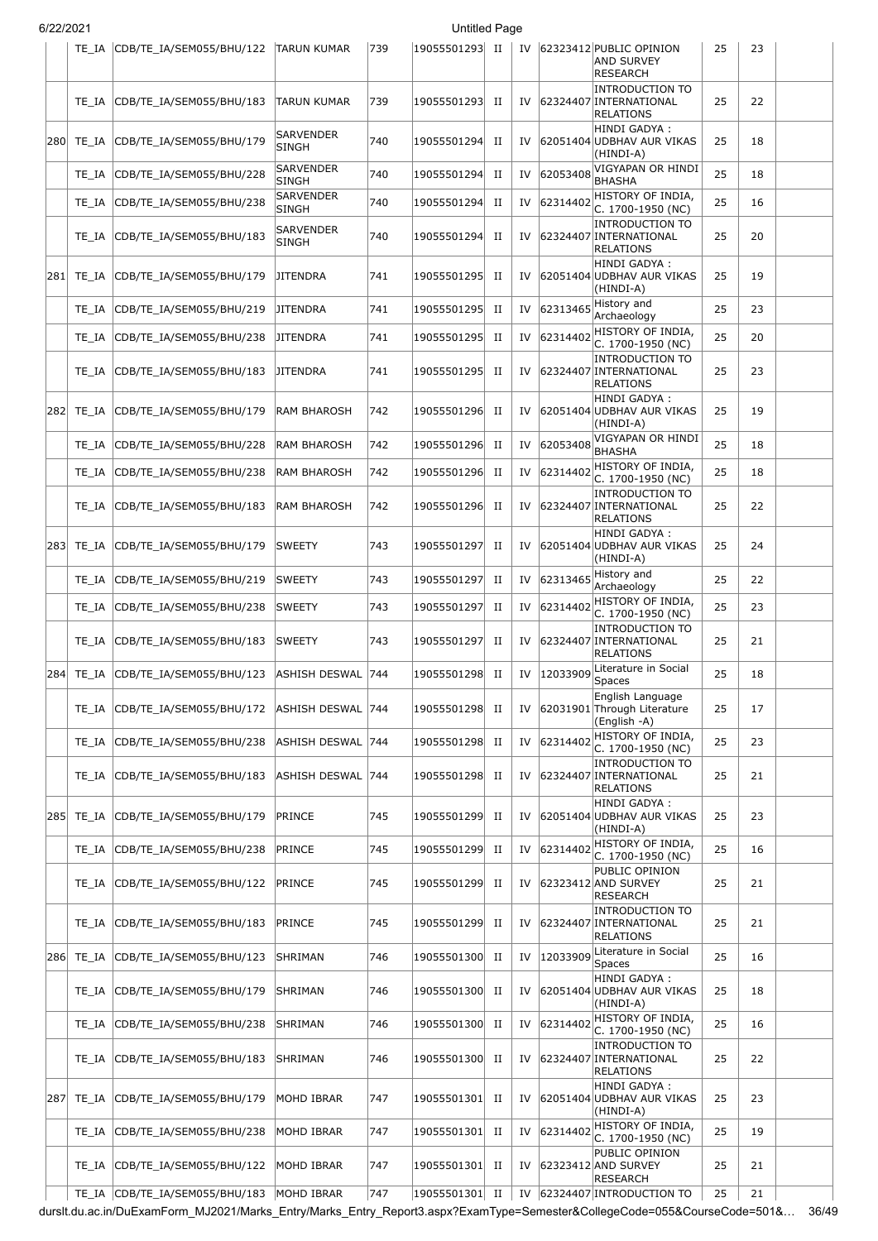|     |           | TE_IA CDB/TE_IA/SEM055/BHU/122 | <b>TARUN KUMAR</b>               | 739 | 19055501293  II |             |    |          | IV 62323412 PUBLIC OPINION<br><b>AND SURVEY</b><br><b>RESEARCH</b>   | 25 | 23 |  |
|-----|-----------|--------------------------------|----------------------------------|-----|-----------------|-------------|----|----------|----------------------------------------------------------------------|----|----|--|
|     | TE IA     | CDB/TE_IA/SEM055/BHU/183       | <b>TARUN KUMAR</b>               | 739 | 19055501293     | П           | IV |          | <b>INTRODUCTION TO</b><br>62324407 INTERNATIONAL<br><b>RELATIONS</b> | 25 | 22 |  |
| 280 | TE IA     | CDB/TE_IA/SEM055/BHU/179       | <b>SARVENDER</b><br><b>SINGH</b> | 740 | 19055501294     | П           | IV |          | HINDI GADYA:<br>62051404 UDBHAV AUR VIKAS<br>(HINDI-A)               | 25 | 18 |  |
|     | TE IA     | CDB/TE_IA/SEM055/BHU/228       | <b>SARVENDER</b><br><b>SINGH</b> | 740 | 19055501294     | П           | IV | 62053408 | VIGYAPAN OR HINDI<br><b>BHASHA</b>                                   | 25 | 18 |  |
|     | TE IA     | CDB/TE_IA/SEM055/BHU/238       | <b>SARVENDER</b><br><b>SINGH</b> | 740 | 19055501294     | П           | IV | 62314402 | HISTORY OF INDIA,<br>C. 1700-1950 (NC)                               | 25 | 16 |  |
|     | TE IA     | CDB/TE_IA/SEM055/BHU/183       | <b>SARVENDER</b><br><b>SINGH</b> | 740 | 19055501294     | п           | IV |          | <b>INTRODUCTION TO</b><br>62324407 INTERNATIONAL<br><b>RELATIONS</b> | 25 | 20 |  |
| 281 | TE IA     | CDB/TE_IA/SEM055/BHU/179       | <b>JITENDRA</b>                  | 741 | 19055501295     | П           | IV |          | HINDI GADYA :<br>62051404 UDBHAV AUR VIKAS<br>(HINDI-A)              | 25 | 19 |  |
|     | TE IA     | CDB/TE_IA/SEM055/BHU/219       | <b>JITENDRA</b>                  | 741 | 19055501295     | П           | IV |          | $62313465$ History and<br>Archaeology                                | 25 | 23 |  |
|     | TE IA     | CDB/TE IA/SEM055/BHU/238       | <b>JITENDRA</b>                  | 741 | 19055501295     | П           | IV | 62314402 | HISTORY OF INDIA,<br>C. 1700-1950 (NC)                               | 25 | 20 |  |
|     | TE IA     | CDB/TE_IA/SEM055/BHU/183       | <b>JITENDRA</b>                  | 741 | 19055501295     | П           | IV |          | <b>INTRODUCTION TO</b><br>62324407 INTERNATIONAL<br><b>RELATIONS</b> | 25 | 23 |  |
| 282 | TE IA     | CDB/TE_IA/SEM055/BHU/179       | <b>RAM BHAROSH</b>               | 742 | 19055501296     | П           | IV |          | HINDI GADYA:<br>62051404 UDBHAV AUR VIKAS<br>(HINDI-A)               | 25 | 19 |  |
|     | TE IA     | CDB/TE_IA/SEM055/BHU/228       | <b>RAM BHAROSH</b>               | 742 | 19055501296     | П           | IV | 62053408 | VIGYAPAN OR HINDI<br><b>BHASHA</b>                                   | 25 | 18 |  |
|     | TE IA     | CDB/TE_IA/SEM055/BHU/238       | <b>RAM BHAROSH</b>               | 742 | 19055501296     | П           | IV | 62314402 | HISTORY OF INDIA,<br>C. 1700-1950 (NC)                               | 25 | 18 |  |
|     | TE IA     | CDB/TE_IA/SEM055/BHU/183       | <b>RAM BHAROSH</b>               | 742 | 19055501296     | П           | IV |          | <b>INTRODUCTION TO</b><br>62324407 INTERNATIONAL<br><b>RELATIONS</b> | 25 | 22 |  |
| 283 | TE IA     | CDB/TE_IA/SEM055/BHU/179       | <b>SWEETY</b>                    | 743 | 19055501297     | П           | IV |          | HINDI GADYA :<br>62051404 UDBHAV AUR VIKAS<br>(HINDI-A)              | 25 | 24 |  |
|     | TE IA     | CDB/TE_IA/SEM055/BHU/219       | <b>SWEETY</b>                    | 743 | 19055501297     | П           | IV | 62313465 | History and<br>Archaeology                                           | 25 | 22 |  |
|     | TE IA     | CDB/TE_IA/SEM055/BHU/238       | <b>SWEETY</b>                    | 743 | 19055501297     | П           | IV | 62314402 | HISTORY OF INDIA,<br>C. 1700-1950 (NC)                               | 25 | 23 |  |
|     | TE IA     | CDB/TE_IA/SEM055/BHU/183       | <b>SWEETY</b>                    | 743 | 19055501297     | П           | IV |          | <b>INTRODUCTION TO</b><br>62324407 INTERNATIONAL<br><b>RELATIONS</b> | 25 | 21 |  |
| 284 | TE_IA     | CDB/TE IA/SEM055/BHU/123       | ASHISH DESWAL 744                |     | 19055501298     | П           | IV | 12033909 | Literature in Social<br><b>Spaces</b>                                | 25 | 18 |  |
|     | TE IA     | CDB/TE_IA/SEM055/BHU/172       | ASHISH DESWAL  744               |     | 19055501298 II  |             | IV |          | English Language<br>62031901 Through Literature<br>(English -A)      | 25 | 17 |  |
|     | TE_IA     | CDB/TE_IA/SEM055/BHU/238       | <b>ASHISH DESWAL</b>             | 744 | 19055501298     | $_{\rm II}$ | IV | 62314402 | HISTORY OF INDIA,<br>C. 1700-1950 (NC)                               | 25 | 23 |  |
|     | TE_IA     | CDB/TE_IA/SEM055/BHU/183       | ASHISH DESWAL  744               |     | 19055501298     | П           | IV |          | <b>INTRODUCTION TO</b><br>62324407 INTERNATIONAL<br><b>RELATIONS</b> | 25 | 21 |  |
| 285 | TE_IA     | CDB/TE_IA/SEM055/BHU/179       | PRINCE                           | 745 | 19055501299     | П           | IV |          | HINDI GADYA :<br>62051404 UDBHAV AUR VIKAS<br>(HINDI-A)              | 25 | 23 |  |
|     | TE_IA     | CDB/TE_IA/SEM055/BHU/238       | PRINCE                           | 745 | 19055501299     | П           | IV | 62314402 | HISTORY OF INDIA,<br>C. 1700-1950 (NC)                               | 25 | 16 |  |
|     | TE IA     | CDB/TE IA/SEM055/BHU/122       | PRINCE                           | 745 | 19055501299     | П           | IV |          | PUBLIC OPINION<br>62323412 AND SURVEY<br><b>RESEARCH</b>             | 25 | 21 |  |
|     | TE IA     | CDB/TE_IA/SEM055/BHU/183       | PRINCE                           | 745 | 19055501299     | П           | IV |          | <b>INTRODUCTION TO</b><br>62324407 INTERNATIONAL<br><b>RELATIONS</b> | 25 | 21 |  |
|     | 286 TE_IA | CDB/TE_IA/SEM055/BHU/123       | SHRIMAN                          | 746 | 19055501300     | П           | IV | 12033909 | Literature in Social<br>Spaces                                       | 25 | 16 |  |
|     | TE_IA     | CDB/TE_IA/SEM055/BHU/179       | SHRIMAN                          | 746 | 19055501300     | П           | IV |          | HINDI GADYA :<br>62051404 UDBHAV AUR VIKAS<br>(HINDI-A)              | 25 | 18 |  |
|     | TE_IA     | CDB/TE_IA/SEM055/BHU/238       | SHRIMAN                          | 746 | 19055501300     | П           | IV | 62314402 | HISTORY OF INDIA,<br>C. 1700-1950 (NC)                               | 25 | 16 |  |
|     | TE IA     | CDB/TE_IA/SEM055/BHU/183       | SHRIMAN                          | 746 | 19055501300     | П           | IV |          | <b>INTRODUCTION TO</b><br>62324407 INTERNATIONAL<br><b>RELATIONS</b> | 25 | 22 |  |
| 287 | TE_IA     | CDB/TE_IA/SEM055/BHU/179       | MOHD IBRAR                       | 747 | 19055501301     | П           | IV |          | HINDI GADYA :<br>62051404 UDBHAV AUR VIKAS<br>(HINDI-A)              | 25 | 23 |  |
|     | TE IA     | CDB/TE_IA/SEM055/BHU/238       | MOHD IBRAR                       | 747 | 19055501301     | П           | IV | 62314402 | HISTORY OF INDIA,<br>C. 1700-1950 (NC)                               | 25 | 19 |  |
|     | TE_IA     | CDB/TE_IA/SEM055/BHU/122       | MOHD IBRAR                       | 747 | 19055501301     | П           | IV |          | PUBLIC OPINION<br>62323412 AND SURVEY<br><b>RESEARCH</b>             | 25 | 21 |  |
|     | TE IA     | CDB/TE_IA/SEM055/BHU/183       | MOHD IBRAR                       | 747 | 19055501301     | П           | IV |          | 62324407 INTRODUCTION TO                                             | 25 | 21 |  |

durslt.du.ac.in/DuExamForm\_MJ2021/Marks\_Entry/Marks\_Entry\_Report3.aspx?ExamType=Semester&CollegeCode=055&CourseCode=501&… 36/49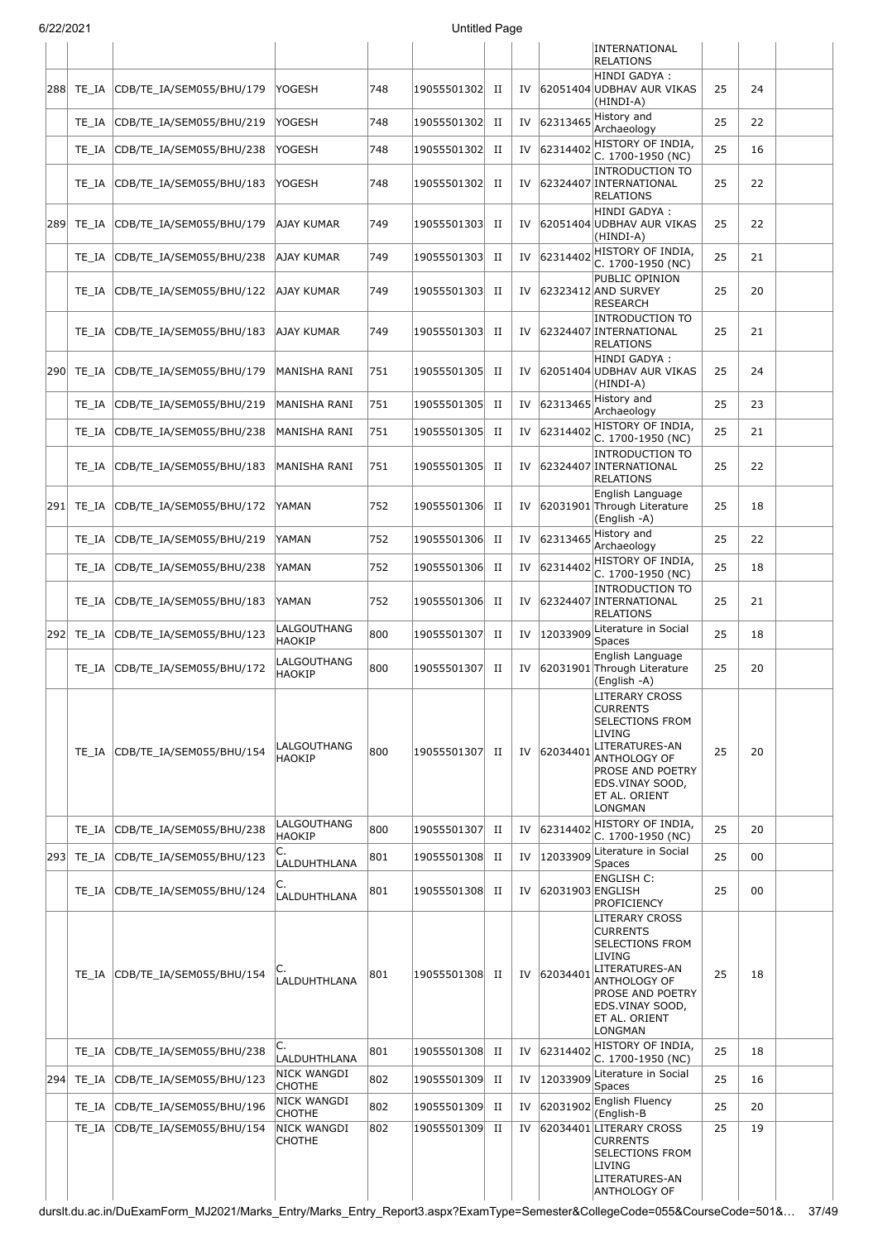|     |           |                                |                                     |     |             |             |    |                  | INTERNATIONAL<br><b>RELATIONS</b>                                                                                                                                          |    |    |  |
|-----|-----------|--------------------------------|-------------------------------------|-----|-------------|-------------|----|------------------|----------------------------------------------------------------------------------------------------------------------------------------------------------------------------|----|----|--|
|     | 288 TE IA | CDB/TE_IA/SEM055/BHU/179       | <b>YOGESH</b>                       | 748 | 19055501302 | П           | IV |                  | HINDI GADYA:<br>62051404 UDBHAV AUR VIKAS<br>(HINDI-A)                                                                                                                     | 25 | 24 |  |
|     | TE IA     | CDB/TE_IA/SEM055/BHU/219       | <b>YOGESH</b>                       | 748 | 19055501302 | П           | IV | 62313465         | History and<br>Archaeology                                                                                                                                                 | 25 | 22 |  |
|     | TE IA     | CDB/TE_IA/SEM055/BHU/238       | <b>YOGESH</b>                       | 748 | 19055501302 | П           | IV | 62314402         | HISTORY OF INDIA,<br>C. 1700-1950 (NC)                                                                                                                                     | 25 | 16 |  |
|     | TE IA     | CDB/TE IA/SEM055/BHU/183       | YOGESH                              | 748 | 19055501302 | П           | IV |                  | <b>INTRODUCTION TO</b><br>62324407 INTERNATIONAL<br><b>RELATIONS</b>                                                                                                       | 25 | 22 |  |
| 289 | TE IA     | CDB/TE_IA/SEM055/BHU/179       | <b>AJAY KUMAR</b>                   | 749 | 19055501303 | П           | IV |                  | HINDI GADYA:<br>62051404 UDBHAV AUR VIKAS<br>(HINDI-A)                                                                                                                     | 25 | 22 |  |
|     | TE IA     | CDB/TE_IA/SEM055/BHU/238       | AJAY KUMAR                          | 749 | 19055501303 | П           | IV | 62314402         | HISTORY OF INDIA,<br>C. 1700-1950 (NC)                                                                                                                                     | 25 | 21 |  |
|     | TE IA     | CDB/TE_IA/SEM055/BHU/122       | AJAY KUMAR                          | 749 | 19055501303 | П           | IV |                  | PUBLIC OPINION<br>62323412 AND SURVEY<br><b>RESEARCH</b>                                                                                                                   | 25 | 20 |  |
|     | TE IA     | CDB/TE IA/SEM055/BHU/183       | AJAY KUMAR                          | 749 | 19055501303 | П           | IV |                  | <b>INTRODUCTION TO</b><br>62324407 INTERNATIONAL<br><b>RELATIONS</b>                                                                                                       | 25 | 21 |  |
|     | 290 TE_IA | CDB/TE_IA/SEM055/BHU/179       | MANISHA RANI                        | 751 | 19055501305 | П           | IV |                  | HINDI GADYA:<br>62051404 UDBHAV AUR VIKAS<br>(HINDI-A)                                                                                                                     | 25 | 24 |  |
|     | TE IA     | CDB/TE_IA/SEM055/BHU/219       | MANISHA RANI                        | 751 | 19055501305 | П           | IV | 62313465         | History and<br>Archaeology                                                                                                                                                 | 25 | 23 |  |
|     | TE IA     | CDB/TE IA/SEM055/BHU/238       | MANISHA RANI                        | 751 | 19055501305 | $_{\rm II}$ | IV | 62314402         | HISTORY OF INDIA,<br>C. 1700-1950 (NC)                                                                                                                                     | 25 | 21 |  |
|     | TE IA     | CDB/TE_IA/SEM055/BHU/183       | MANISHA RANI                        | 751 | 19055501305 | П           | IV |                  | <b>INTRODUCTION TO</b><br>62324407 INTERNATIONAL<br><b>RELATIONS</b>                                                                                                       | 25 | 22 |  |
| 291 | TE IA     | CDB/TE_IA/SEM055/BHU/172       | YAMAN                               | 752 | 19055501306 | П           | IV |                  | English Language<br>62031901 Through Literature<br>(English -A)                                                                                                            | 25 | 18 |  |
|     | TE IA     | CDB/TE_IA/SEM055/BHU/219       | YAMAN                               | 752 | 19055501306 | П           | IV | 62313465         | History and<br>Archaeology                                                                                                                                                 | 25 | 22 |  |
|     | TE IA     | CDB/TE_IA/SEM055/BHU/238       | YAMAN                               | 752 | 19055501306 | $_{\rm II}$ | IV | 62314402         | HISTORY OF INDIA,<br>C. 1700-1950 (NC)                                                                                                                                     | 25 | 18 |  |
|     | TE IA     | CDB/TE_IA/SEM055/BHU/183       | YAMAN                               | 752 | 19055501306 | П           | IV |                  | <b>INTRODUCTION TO</b><br>62324407 INTERNATIONAL<br><b>RELATIONS</b>                                                                                                       | 25 | 21 |  |
| 292 | TE_IA     | CDB/TE_IA/SEM055/BHU/123       | LALGOUTHANG<br><b>HAOKIP</b>        | 800 | 19055501307 | П           | IV | 12033909         | Literature in Social<br><b>Spaces</b>                                                                                                                                      | 25 | 18 |  |
|     | TE IA     | CDB/TE_IA/SEM055/BHU/172       | LALGOUTHANG<br><b>HAOKIP</b>        | 800 | 19055501307 | $_{\rm II}$ | IV |                  | English Language<br>62031901 Through Literature<br>(English -A)                                                                                                            | 25 | 20 |  |
|     | TE IA     | CDB/TE_IA/SEM055/BHU/154       | LALGOUTHANG<br><b>HAOKIP</b>        | 800 | 19055501307 | П           | IV | 62034401         | LITERARY CROSS<br><b>CURRENTS</b><br>SELECTIONS FROM<br>LIVING<br>LITERATURES-AN<br>ANTHOLOGY OF<br>PROSE AND POETRY<br>EDS.VINAY SOOD,<br>ET AL. ORIENT<br>LONGMAN        | 25 | 20 |  |
|     | TE IA     | CDB/TE IA/SEM055/BHU/238       | <b>LALGOUTHANG</b><br><b>HAOKIP</b> | 800 | 19055501307 | П           | IV | 62314402         | HISTORY OF INDIA,<br>C. 1700-1950 (NC)                                                                                                                                     | 25 | 20 |  |
|     | 293 TE_IA | CDB/TE IA/SEM055/BHU/123       | C.<br>LALDUHTHLANA                  | 801 | 19055501308 | П           | IV | 12033909         | Literature in Social<br><b>Spaces</b>                                                                                                                                      | 25 | 00 |  |
|     | TE IA     | CDB/TE_IA/SEM055/BHU/124       | LALDUHTHLANA                        | 801 | 19055501308 | H           | IV | 62031903 ENGLISH | <b>ENGLISH C:</b><br>PROFICIENCY                                                                                                                                           | 25 | 00 |  |
|     | TE IA     | CDB/TE_IA/SEM055/BHU/154       | LALDUHTHLANA                        | 801 | 19055501308 | П           | IV | 62034401         | LITERARY CROSS<br><b>CURRENTS</b><br>SELECTIONS FROM<br>LIVING<br>LITERATURES-AN<br>ANTHOLOGY OF<br>PROSE AND POETRY<br>EDS.VINAY SOOD,<br>ET AL. ORIENT<br><b>LONGMAN</b> | 25 | 18 |  |
|     | TE IA     | CDB/TE_IA/SEM055/BHU/238       | C.<br><b>LALDUHTHLANA</b>           | 801 | 19055501308 | П           | IV | 62314402         | HISTORY OF INDIA,<br>C. 1700-1950 (NC)                                                                                                                                     | 25 | 18 |  |
|     | 294 TE IA | CDB/TE_IA/SEM055/BHU/123       | NICK WANGDI<br><b>CHOTHE</b>        | 802 | 19055501309 | П           | IV | 12033909         | Literature in Social<br><b>Spaces</b>                                                                                                                                      | 25 | 16 |  |
|     |           | TE_IA CDB/TE_IA/SEM055/BHU/196 | NICK WANGDI<br><b>CHOTHE</b>        | 802 | 19055501309 | H           | IV | 62031902         | English Fluency<br>(English-B                                                                                                                                              | 25 | 20 |  |
|     | TE_IA     | CDB/TE_IA/SEM055/BHU/154       | NICK WANGDI<br><b>CHOTHE</b>        | 802 | 19055501309 | П           | IV |                  | 62034401 LITERARY CROSS<br><b>CURRENTS</b><br>SELECTIONS FROM<br>LIVING<br>LITERATURES-AN<br>ANTHOLOGY OF                                                                  | 25 | 19 |  |

durslt.du.ac.in/DuExamForm\_MJ2021/Marks\_Entry/Marks\_Entry\_Report3.aspx?ExamType=Semester&CollegeCode=055&CourseCode=501&… 37/49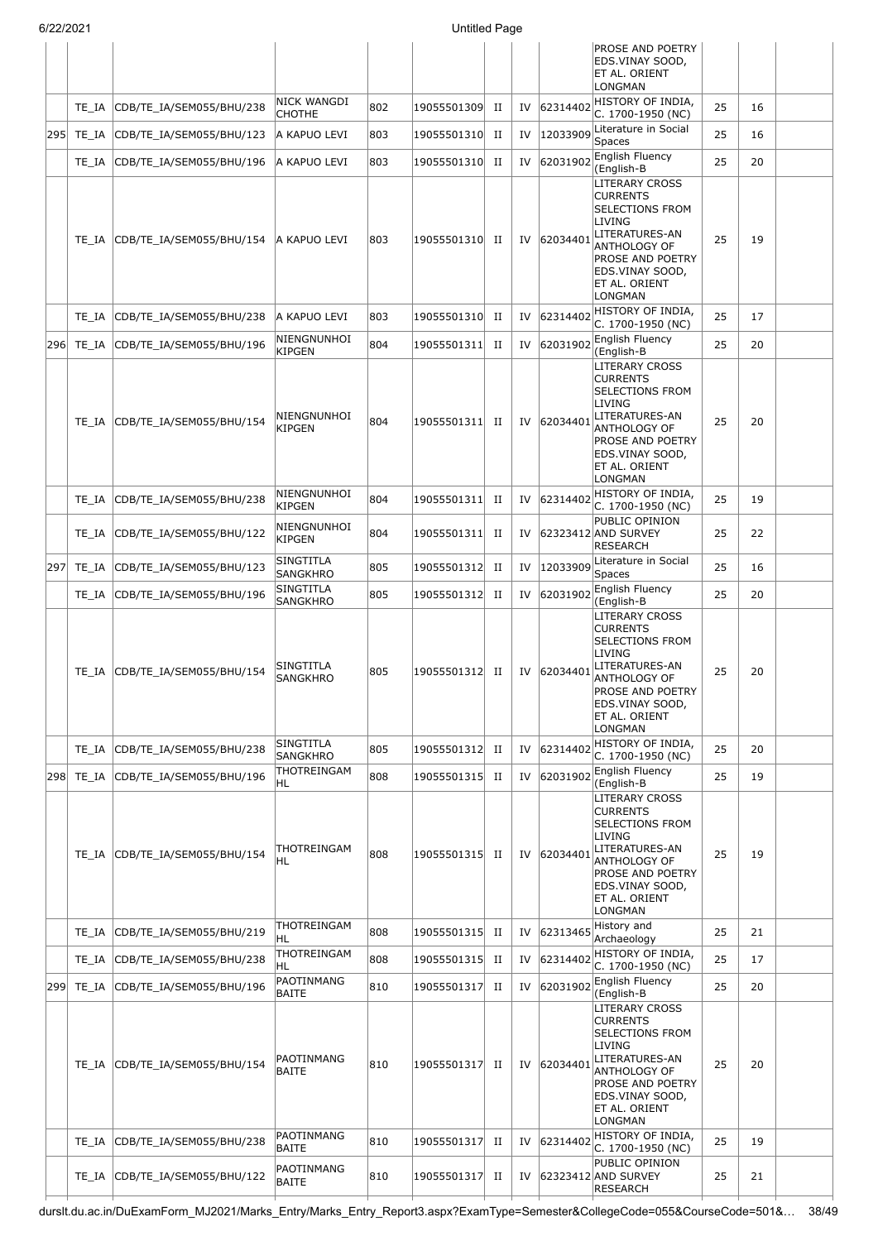| 6/22/2021 |       |                                | <b>Untitled Page</b>         |     |                |             |    |             |                                                                                                                                                                            |    |    |  |
|-----------|-------|--------------------------------|------------------------------|-----|----------------|-------------|----|-------------|----------------------------------------------------------------------------------------------------------------------------------------------------------------------------|----|----|--|
|           |       |                                |                              |     |                |             |    |             | PROSE AND POETRY<br>EDS.VINAY SOOD,<br>ET AL. ORIENT<br>LONGMAN                                                                                                            |    |    |  |
|           | TE IA | CDB/TE_IA/SEM055/BHU/238       | NICK WANGDI<br><b>CHOTHE</b> | 802 | 19055501309    | $_{\rm II}$ | IV | 62314402    | HISTORY OF INDIA,<br>C. 1700-1950 (NC)                                                                                                                                     | 25 | 16 |  |
| 295       | TE_IA | CDB/TE_IA/SEM055/BHU/123       | A KAPUO LEVI                 | 803 | 19055501310    | П           | IV | 12033909    | Literature in Social<br>Spaces                                                                                                                                             | 25 | 16 |  |
|           | TE_IA | CDB/TE IA/SEM055/BHU/196       | A KAPUO LEVI                 | 803 | 19055501310    | $_{\rm II}$ | IV | 62031902    | English Fluency<br>(English-B                                                                                                                                              | 25 | 20 |  |
|           | TE IA | CDB/TE_IA/SEM055/BHU/154       | A KAPUO LEVI                 | 803 | 19055501310 II |             |    | IV 62034401 | <b>LITERARY CROSS</b><br><b>CURRENTS</b><br>SELECTIONS FROM<br>LIVING<br>LITERATURES-AN<br>ANTHOLOGY OF<br>PROSE AND POETRY<br>EDS.VINAY SOOD,<br>ET AL. ORIENT<br>LONGMAN | 25 | 19 |  |
|           | TE IA | CDB/TE_IA/SEM055/BHU/238       | A KAPUO LEVI                 | 803 | 19055501310    | п           | IV | 62314402    | HISTORY OF INDIA,<br>C. 1700-1950 (NC)                                                                                                                                     | 25 | 17 |  |
| 296       | TE IA | CDB/TE_IA/SEM055/BHU/196       | NIENGNUNHOI<br><b>KIPGEN</b> | 804 | 19055501311    | П           | IV | 62031902    | English Fluency<br>(English-B                                                                                                                                              | 25 | 20 |  |
|           | TE IA | CDB/TE IA/SEM055/BHU/154       | NIENGNUNHOI<br><b>KIPGEN</b> | 804 | 19055501311    | П           | IV | 62034401    | LITERARY CROSS<br><b>CURRENTS</b><br><b>SELECTIONS FROM</b><br>LIVING<br>LITERATURES-AN<br>ANTHOLOGY OF<br>PROSE AND POETRY<br>EDS.VINAY SOOD,<br>ET AL. ORIENT<br>LONGMAN | 25 | 20 |  |
|           | TE IA | CDB/TE_IA/SEM055/BHU/238       | NIENGNUNHOI<br><b>KIPGEN</b> | 804 | 19055501311    | П           |    | IV 62314402 | HISTORY OF INDIA,<br>C. 1700-1950 (NC)                                                                                                                                     | 25 | 19 |  |
|           | TE IA | CDB/TE_IA/SEM055/BHU/122       | NIENGNUNHOI<br><b>KIPGEN</b> | 804 | 19055501311    | П           | IV |             | PUBLIC OPINION<br>62323412 AND SURVEY<br>RESEARCH                                                                                                                          | 25 | 22 |  |
| 297       | TE_IA | CDB/TE_IA/SEM055/BHU/123       | SINGTITLA<br>SANGKHRO        | 805 | 19055501312    | $_{\rm II}$ | IV | 12033909    | Literature in Social<br>Spaces                                                                                                                                             | 25 | 16 |  |
|           | TE IA | CDB/TE_IA/SEM055/BHU/196       | SINGTITLA<br>SANGKHRO        | 805 | 19055501312    | $_{\rm II}$ | IV | 62031902    | English Fluency<br>(English-B                                                                                                                                              | 25 | 20 |  |
|           |       | TE_IA CDB/TE_IA/SEM055/BHU/154 | SINGTITLA<br>SANGKHRO        | 805 | 19055501312 II |             |    | IV 62034401 | LITERARY CROSS<br><b>CURRENTS</b><br><b>SELECTIONS FROM</b><br>LIVING<br>LITERATURES-AN<br>ANTHOLOGY OF<br>PROSE AND POETRY<br>EDS.VINAY SOOD,<br>ET AL. ORIENT<br>LONGMAN | 25 | 20 |  |
|           | TE IA | CDB/TE_IA/SEM055/BHU/238       | SINGTITLA<br>SANGKHRO        | 805 | 19055501312    | П           | IV | 62314402    | HISTORY OF INDIA,<br>C. 1700-1950 (NC)                                                                                                                                     | 25 | 20 |  |
| 298       | TE IA | CDB/TE_IA/SEM055/BHU/196       | THOTREINGAM<br>HL            | 808 | 19055501315    | H           | IV | 62031902    | English Fluency<br>(English-B                                                                                                                                              | 25 | 19 |  |
|           |       | TE IA CDB/TE IA/SEM055/BHU/154 | THOTREINGAM<br>HL            | 808 | 19055501315 II |             |    | IV 62034401 | LITERARY CROSS<br><b>CURRENTS</b><br><b>SELECTIONS FROM</b><br>LIVING<br>LITERATURES-AN<br>ANTHOLOGY OF<br>PROSE AND POETRY<br>EDS.VINAY SOOD,<br>ET AL. ORIENT<br>LONGMAN | 25 | 19 |  |
|           | TE IA | CDB/TE_IA/SEM055/BHU/219       | THOTREINGAM<br>HL            | 808 | 19055501315    | П           | IV | 62313465    | History and<br>Archaeology                                                                                                                                                 | 25 | 21 |  |
|           | TE IA | CDB/TE_IA/SEM055/BHU/238       | THOTREINGAM<br>HL            | 808 | 19055501315    | $_{\rm II}$ | IV | 62314402    | HISTORY OF INDIA,<br>C. 1700-1950 (NC)                                                                                                                                     | 25 | 17 |  |
| 299       |       | TE_IA CDB/TE_IA/SEM055/BHU/196 | PAOTINMANG<br><b>BAITE</b>   | 810 | 19055501317    | $_{\rm II}$ |    | IV 62031902 | English Fluency<br>(English-B                                                                                                                                              | 25 | 20 |  |
|           | TE IA | CDB/TE_IA/SEM055/BHU/154       | PAOTINMANG<br><b>BAITE</b>   | 810 | 19055501317    | П           |    | IV 62034401 | LITERARY CROSS<br><b>CURRENTS</b><br>SELECTIONS FROM<br>LIVING<br>LITERATURES-AN<br>ANTHOLOGY OF<br>PROSE AND POETRY<br>EDS.VINAY SOOD,<br>ET AL. ORIENT<br>LONGMAN        | 25 | 20 |  |
|           | TE IA | CDB/TE_IA/SEM055/BHU/238       | PAOTINMANG<br><b>BAITE</b>   | 810 | 19055501317    | $_{\rm II}$ | IV | 62314402    | HISTORY OF INDIA,<br>C. 1700-1950 (NC)                                                                                                                                     | 25 | 19 |  |
|           |       | TE IA CDB/TE IA/SEM055/BHU/122 | PAOTINMANG<br><b>BAITE</b>   | 810 | 19055501317    | П           | IV |             | PUBLIC OPINION<br>62323412 AND SURVEY<br>RESEARCH                                                                                                                          | 25 | 21 |  |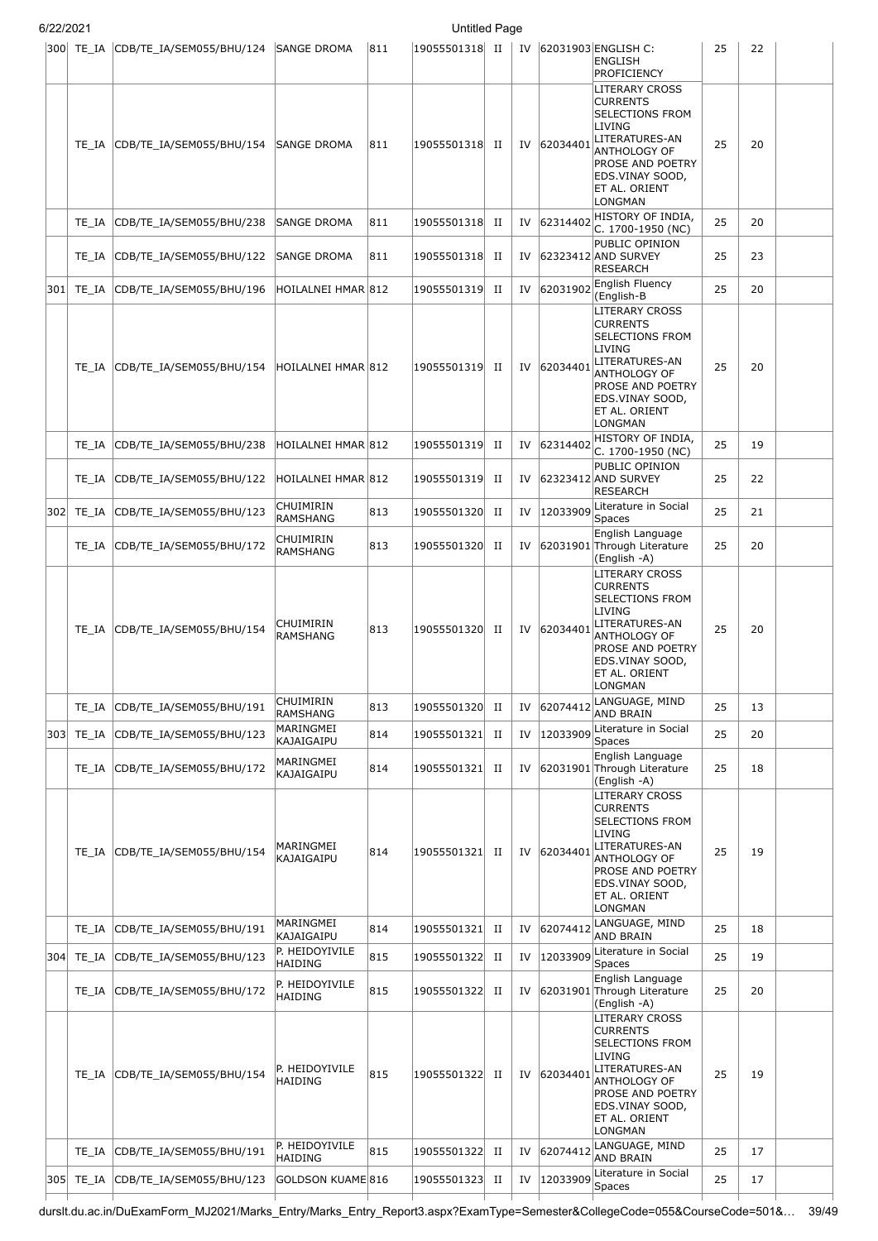| 6/22/2021 |       |                                                |                                     |     | <b>Untitled Page</b> |             |    |             |                                                                                                                                                                                          |    |    |  |
|-----------|-------|------------------------------------------------|-------------------------------------|-----|----------------------|-------------|----|-------------|------------------------------------------------------------------------------------------------------------------------------------------------------------------------------------------|----|----|--|
|           |       | 300 TE_IA CDB/TE_IA/SEM055/BHU/124 SANGE DROMA |                                     | 811 | 19055501318 II       |             |    |             | IV 62031903 ENGLISH C:<br><b>ENGLISH</b><br><b>PROFICIENCY</b>                                                                                                                           | 25 | 22 |  |
|           | TE_IA | CDB/TE_IA/SEM055/BHU/154                       | <b>SANGE DROMA</b>                  | 811 | 19055501318          | П           | IV | 62034401    | LITERARY CROSS<br><b>CURRENTS</b><br><b>SELECTIONS FROM</b><br>LIVING<br>LITERATURES-AN<br>ANTHOLOGY OF<br><b>PROSE AND POETRY</b><br>EDS.VINAY SOOD,<br>ET AL. ORIENT<br>LONGMAN        | 25 | 20 |  |
|           | TE IA | CDB/TE_IA/SEM055/BHU/238                       | <b>SANGE DROMA</b>                  | 811 | 19055501318          | $_{\rm II}$ | IV | 62314402    | HISTORY OF INDIA,<br>C. 1700-1950 (NC)                                                                                                                                                   | 25 | 20 |  |
|           | TE IA | CDB/TE_IA/SEM055/BHU/122                       | <b>SANGE DROMA</b>                  | 811 | 19055501318          | П           | IV |             | PUBLIC OPINION<br>62323412 AND SURVEY<br><b>RESEARCH</b>                                                                                                                                 | 25 | 23 |  |
| 301       | TE IA | CDB/TE_IA/SEM055/BHU/196                       | HOILALNEI HMAR 812                  |     | 19055501319          | П           | IV | 62031902    | English Fluency<br>(English-B                                                                                                                                                            | 25 | 20 |  |
|           | TE IA | CDB/TE_IA/SEM055/BHU/154                       | HOILALNEI HMAR 812                  |     | 19055501319          | П           |    | IV 62034401 | LITERARY CROSS<br><b>CURRENTS</b><br><b>SELECTIONS FROM</b><br>LIVING<br>LITERATURES-AN<br><b>ANTHOLOGY OF</b><br><b>PROSE AND POETRY</b><br>EDS.VINAY SOOD,<br>ET AL. ORIENT<br>LONGMAN | 25 | 20 |  |
|           | TE IA | CDB/TE_IA/SEM055/BHU/238                       | HOILALNEI HMAR 812                  |     | 19055501319          | П           | IV | 62314402    | HISTORY OF INDIA,<br>C. 1700-1950 (NC)                                                                                                                                                   | 25 | 19 |  |
|           | TE IA | CDB/TE_IA/SEM055/BHU/122                       | HOILALNEI HMAR 812                  |     | 19055501319          | П           | IV |             | PUBLIC OPINION<br>62323412 AND SURVEY<br><b>RESEARCH</b>                                                                                                                                 | 25 | 22 |  |
| 302       | TE_IA | CDB/TE_IA/SEM055/BHU/123                       | CHUIMIRIN<br><b>RAMSHANG</b>        | 813 | 19055501320          | П           | IV | 12033909    | Literature in Social<br>Spaces                                                                                                                                                           | 25 | 21 |  |
|           | TE IA | CDB/TE_IA/SEM055/BHU/172                       | CHUIMIRIN<br><b>RAMSHANG</b>        | 813 | 19055501320          | H           | IV |             | English Language<br>62031901 Through Literature<br>(English -A)                                                                                                                          | 25 | 20 |  |
|           | TE IA | CDB/TE_IA/SEM055/BHU/154                       | CHUIMIRIN<br><b>RAMSHANG</b>        | 813 | 19055501320          | П           |    | IV 62034401 | <b>LITERARY CROSS</b><br><b>CURRENTS</b><br><b>SELECTIONS FROM</b><br><b>LIVING</b><br>LITERATURES-AN<br>ANTHOLOGY OF<br>PROSE AND POETRY<br>EDS.VINAY SOOD,<br>ET AL. ORIENT<br>LONGMAN | 25 | 20 |  |
|           | TE IA | CDB/TE_IA/SEM055/BHU/191                       | CHUIMIRIN                           | 813 | 19055501320          | П           | IV | 62074412    | LANGUAGE, MIND                                                                                                                                                                           | 25 | 13 |  |
| 303       | TE_IA | CDB/TE_IA/SEM055/BHU/123                       | RAMSHANG<br>MARINGMEI<br>KAJAIGAIPU | 814 | 19055501321          | $_{\rm II}$ | IV |             | <b>AND BRAIN</b><br>12033909 Literature in Social<br>Spaces                                                                                                                              | 25 | 20 |  |
|           | TE IA | CDB/TE_IA/SEM055/BHU/172                       | MARINGMEI<br>KAJAIGAIPU             | 814 | 19055501321          | П           | IV |             | English Language<br>62031901 Through Literature<br>(English -A)                                                                                                                          | 25 | 18 |  |
|           | TE IA | CDB/TE_IA/SEM055/BHU/154                       | MARINGMEI<br><b>KAJAIGAIPU</b>      | 814 | 19055501321          | п           |    | IV 62034401 | <b>LITERARY CROSS</b><br><b>CURRENTS</b><br><b>SELECTIONS FROM</b><br>LIVING<br>LITERATURES-AN<br>ANTHOLOGY OF<br><b>PROSE AND POETRY</b><br>EDS.VINAY SOOD,<br>ET AL. ORIENT<br>LONGMAN | 25 | 19 |  |
|           | TE IA | CDB/TE_IA/SEM055/BHU/191                       | MARINGMEI<br>KAJAIGAIPU             | 814 | 19055501321          | $_{\rm II}$ | IV | 62074412    | LANGUAGE, MIND<br><b>AND BRAIN</b>                                                                                                                                                       | 25 | 18 |  |
| 304       | TE_IA | CDB/TE_IA/SEM055/BHU/123                       | P. HEIDOYIVILE<br><b>HAIDING</b>    | 815 | 19055501322          | $_{\rm II}$ | IV | 12033909    | Literature in Social<br><b>Spaces</b>                                                                                                                                                    | 25 | 19 |  |
|           | TE_IA | CDB/TE_IA/SEM055/BHU/172                       | P. HEIDOYIVILE<br><b>HAIDING</b>    | 815 | 19055501322          | П           | IV |             | English Language<br>62031901 Through Literature<br>(English -A)                                                                                                                          | 25 | 20 |  |
|           | TE IA | CDB/TE_IA/SEM055/BHU/154                       | P. HEIDOYIVILE<br><b>HAIDING</b>    | 815 | 19055501322          | П           | IV | 62034401    | LITERARY CROSS<br><b>CURRENTS</b><br><b>SELECTIONS FROM</b><br>LIVING<br>LITERATURES-AN<br><b>ANTHOLOGY OF</b><br><b>PROSE AND POETRY</b><br>EDS.VINAY SOOD,<br>ET AL. ORIENT<br>LONGMAN | 25 | 19 |  |
|           | TE IA | CDB/TE_IA/SEM055/BHU/191                       | P. HEIDOYIVILE<br><b>HAIDING</b>    | 815 | 19055501322          | $_{\rm II}$ | IV | 62074412    | LANGUAGE, MIND<br><b>AND BRAIN</b>                                                                                                                                                       | 25 | 17 |  |
| 305       | TE_IA | CDB/TE_IA/SEM055/BHU/123                       | GOLDSON KUAME 816                   |     | 19055501323          | П           | IV | 12033909    | Literature in Social<br>Spaces                                                                                                                                                           | 25 | 17 |  |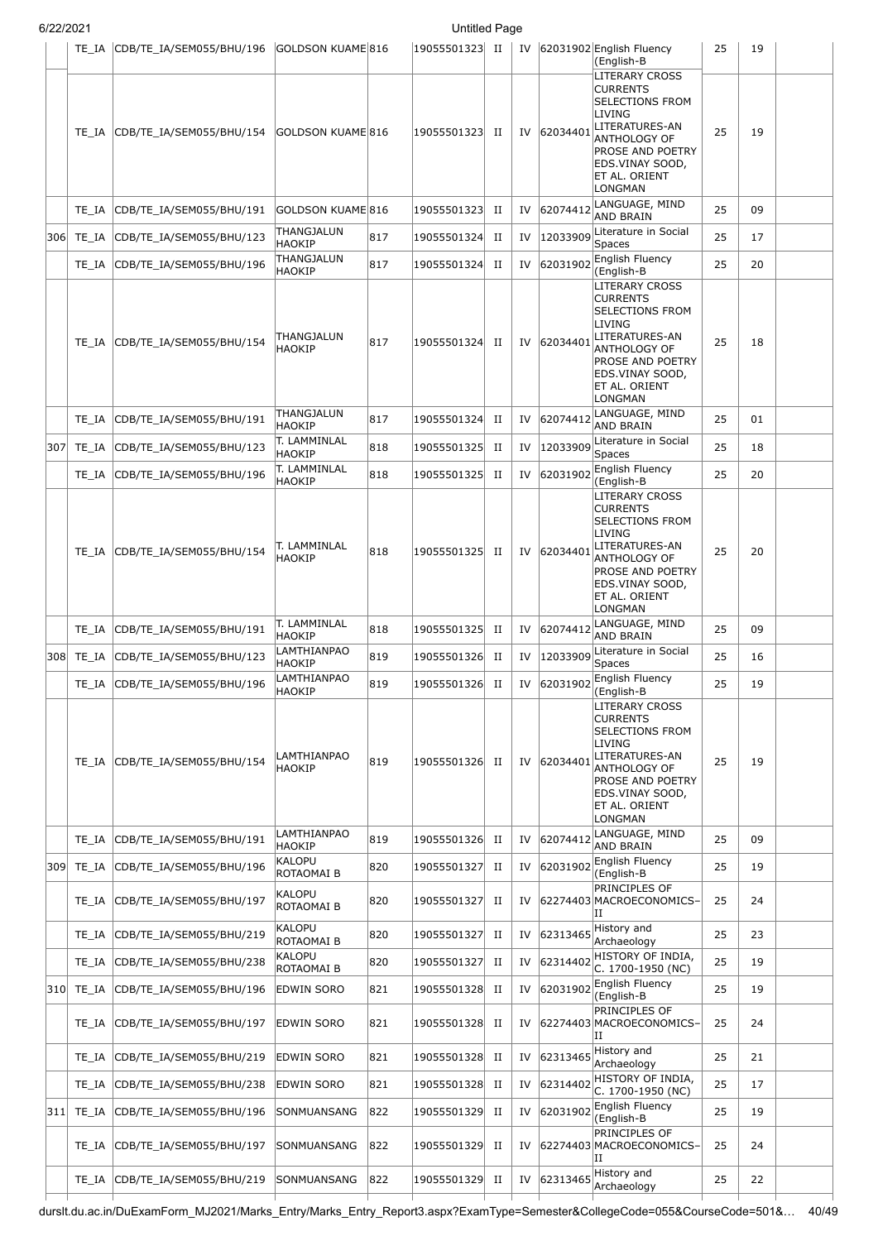|      | TE IA     | CDB/TE_IA/SEM055/BHU/196 | GOLDSON KUAME 816             |     | 19055501323  II |             |    |          | IV 62031902 English Fluency<br>(English-B                                                                                                                                                        | 25 | 19 |  |
|------|-----------|--------------------------|-------------------------------|-----|-----------------|-------------|----|----------|--------------------------------------------------------------------------------------------------------------------------------------------------------------------------------------------------|----|----|--|
|      | TE IA     | CDB/TE_IA/SEM055/BHU/154 | GOLDSON KUAME 816             |     | 19055501323     | П           | IV | 62034401 | LITERARY CROSS<br><b>CURRENTS</b><br><b>SELECTIONS FROM</b><br>LIVING<br>LITERATURES-AN<br>ANTHOLOGY OF<br><b>PROSE AND POETRY</b><br>EDS.VINAY SOOD,<br>ET AL. ORIENT<br>LONGMAN                | 25 | 19 |  |
|      | TE IA     | CDB/TE_IA/SEM055/BHU/191 | GOLDSON KUAME 816             |     | 19055501323     | П           | IV | 62074412 | LANGUAGE, MIND<br>AND BRAIN                                                                                                                                                                      | 25 | 09 |  |
|      | 306 TE_IA | CDB/TE_IA/SEM055/BHU/123 | THANGJALUN<br>HAOKIP          | 817 | 19055501324     | П           | IV | 12033909 | Literature in Social<br>Spaces                                                                                                                                                                   | 25 | 17 |  |
|      | TE_IA     | CDB/TE_IA/SEM055/BHU/196 | THANGJALUN<br>HAOKIP          | 817 | 19055501324     | П           | IV | 62031902 | English Fluency<br>(English-B                                                                                                                                                                    | 25 | 20 |  |
|      | TE IA     | CDB/TE_IA/SEM055/BHU/154 | THANGJALUN<br><b>HAOKIP</b>   | 817 | 19055501324     | П           | IV | 62034401 | LITERARY CROSS<br><b>CURRENTS</b><br>SELECTIONS FROM<br><b>LIVING</b><br>LITERATURES-AN<br>ANTHOLOGY OF<br><b>PROSE AND POETRY</b><br>EDS.VINAY SOOD,<br><b>ET AL. ORIENT</b><br>LONGMAN         | 25 | 18 |  |
|      | TE_IA     | CDB/TE IA/SEM055/BHU/191 | THANGJALUN<br>HAOKIP          | 817 | 19055501324     | П           | IV | 62074412 | LANGUAGE, MIND<br><b>AND BRAIN</b>                                                                                                                                                               | 25 | 01 |  |
| 307  | TE_IA     | CDB/TE IA/SEM055/BHU/123 | T. LAMMINLAL<br>HAOKIP        | 818 | 19055501325     | П           | IV | 12033909 | Literature in Social<br><b>Spaces</b>                                                                                                                                                            | 25 | 18 |  |
|      | TE_IA     | CDB/TE_IA/SEM055/BHU/196 | T. LAMMINLAL<br>HAOKIP        | 818 | 19055501325     | П           | IV | 62031902 | English Fluency<br>(English-B                                                                                                                                                                    | 25 | 20 |  |
|      | TE IA     | CDB/TE_IA/SEM055/BHU/154 | T. LAMMINLAL<br><b>HAOKIP</b> | 818 | 19055501325     | П           | IV | 62034401 | LITERARY CROSS<br><b>CURRENTS</b><br><b>SELECTIONS FROM</b><br>LIVING<br>LITERATURES-AN<br>ANTHOLOGY OF<br><b>PROSE AND POETRY</b><br>EDS.VINAY SOOD,<br><b>ET AL. ORIENT</b><br>LONGMAN         | 25 | 20 |  |
|      | TE_IA     | CDB/TE IA/SEM055/BHU/191 | T. LAMMINLAL<br>HAOKIP        | 818 | 19055501325     | П           | IV | 62074412 | LANGUAGE, MIND<br>AND BRAIN                                                                                                                                                                      | 25 | 09 |  |
| 308  | TE_IA     | CDB/TE_IA/SEM055/BHU/123 | LAMTHIANPAO<br>HAOKIP         | 819 | 19055501326     | П           | IV | 12033909 | Literature in Social<br>Spaces                                                                                                                                                                   | 25 | 16 |  |
|      | TE_IA     | CDB/TE_IA/SEM055/BHU/196 | LAMTHIANPAO<br>HAOKIP         | 819 | 19055501326     | П           | IV | 62031902 | English Fluency<br>(English-B                                                                                                                                                                    | 25 | 19 |  |
|      | TE IA     | CDB/TE IA/SEM055/BHU/154 | LAMTHIANPAO<br><b>HAOKIP</b>  | 819 | 19055501326     | П           | IV | 62034401 | <b>LITERARY CROSS</b><br><b>CURRENTS</b><br><b>ISELECTIONS FROM</b><br>LIVING<br>LITERATURES-AN<br>ANTHOLOGY OF<br><b>PROSE AND POETRY</b><br>EDS.VINAY SOOD,<br><b>ET AL. ORIENT</b><br>LONGMAN | 25 | 19 |  |
|      | TE IA     | CDB/TE IA/SEM055/BHU/191 | LAMTHIANPAO<br><b>HAOKIP</b>  | 819 | 19055501326     | П           | IV | 62074412 | LANGUAGE, MIND<br>AND BRAIN                                                                                                                                                                      | 25 | 09 |  |
| 3091 | TE_IA     | CDB/TE_IA/SEM055/BHU/196 | <b>KALOPU</b><br>ROTAOMAI B   | 820 | 19055501327     | П           | IV | 62031902 | English Fluency<br>(English-B                                                                                                                                                                    | 25 | 19 |  |
|      | TE IA     | CDB/TE_IA/SEM055/BHU/197 | <b>KALOPU</b><br>ROTAOMAI B   | 820 | 19055501327     | П           | IV |          | PRINCIPLES OF<br>62274403 MACROECONOMICS-<br>IΗ                                                                                                                                                  | 25 | 24 |  |
|      | TE IA     | CDB/TE_IA/SEM055/BHU/219 | KALOPU<br>ROTAOMAI B          | 820 | 19055501327     | П           | IV | 62313465 | History and<br>Archaeology                                                                                                                                                                       | 25 | 23 |  |
|      | TE IA     | CDB/TE_IA/SEM055/BHU/238 | <b>KALOPU</b><br>ROTAOMAI B   | 820 | 19055501327     | П           | IV | 62314402 | HISTORY OF INDIA,<br>C. 1700-1950 (NC)                                                                                                                                                           | 25 | 19 |  |
|      | 310 TE_IA | CDB/TE_IA/SEM055/BHU/196 | EDWIN SORO                    | 821 | 19055501328     | П           | IV | 62031902 | English Fluency<br>English-B)                                                                                                                                                                    | 25 | 19 |  |
|      | TE IA     | CDB/TE_IA/SEM055/BHU/197 | <b>EDWIN SORO</b>             | 821 | 19055501328     | П           | IV |          | PRINCIPLES OF<br>62274403 MACROECONOMICS-<br>ΙI                                                                                                                                                  | 25 | 24 |  |
|      | TE IA     | CDB/TE_IA/SEM055/BHU/219 | EDWIN SORO                    | 821 | 19055501328     | П           | IV | 62313465 | History and<br>Archaeology                                                                                                                                                                       | 25 | 21 |  |
|      | TE_IA     | CDB/TE_IA/SEM055/BHU/238 | EDWIN SORO                    | 821 | 19055501328     | П           | IV | 62314402 | HISTORY OF INDIA,<br>C. 1700-1950 (NC)                                                                                                                                                           | 25 | 17 |  |
| 311  | TE_IA     | CDB/TE_IA/SEM055/BHU/196 | <b>SONMUANSANG</b>            | 822 | 19055501329     | П           | IV | 62031902 | English Fluency<br>(English-B                                                                                                                                                                    | 25 | 19 |  |
|      | TE_IA     | CDB/TE_IA/SEM055/BHU/197 | <b>SONMUANSANG</b>            | 822 | 19055501329     | П           | IV |          | PRINCIPLES OF<br>62274403 MACROECONOMICS-<br>IΗ                                                                                                                                                  | 25 | 24 |  |
|      | TE_IA     | CDB/TE_IA/SEM055/BHU/219 | SONMUANSANG                   | 822 | 19055501329     | $_{\rm II}$ | IV | 62313465 | History and<br>Archaeology                                                                                                                                                                       | 25 | 22 |  |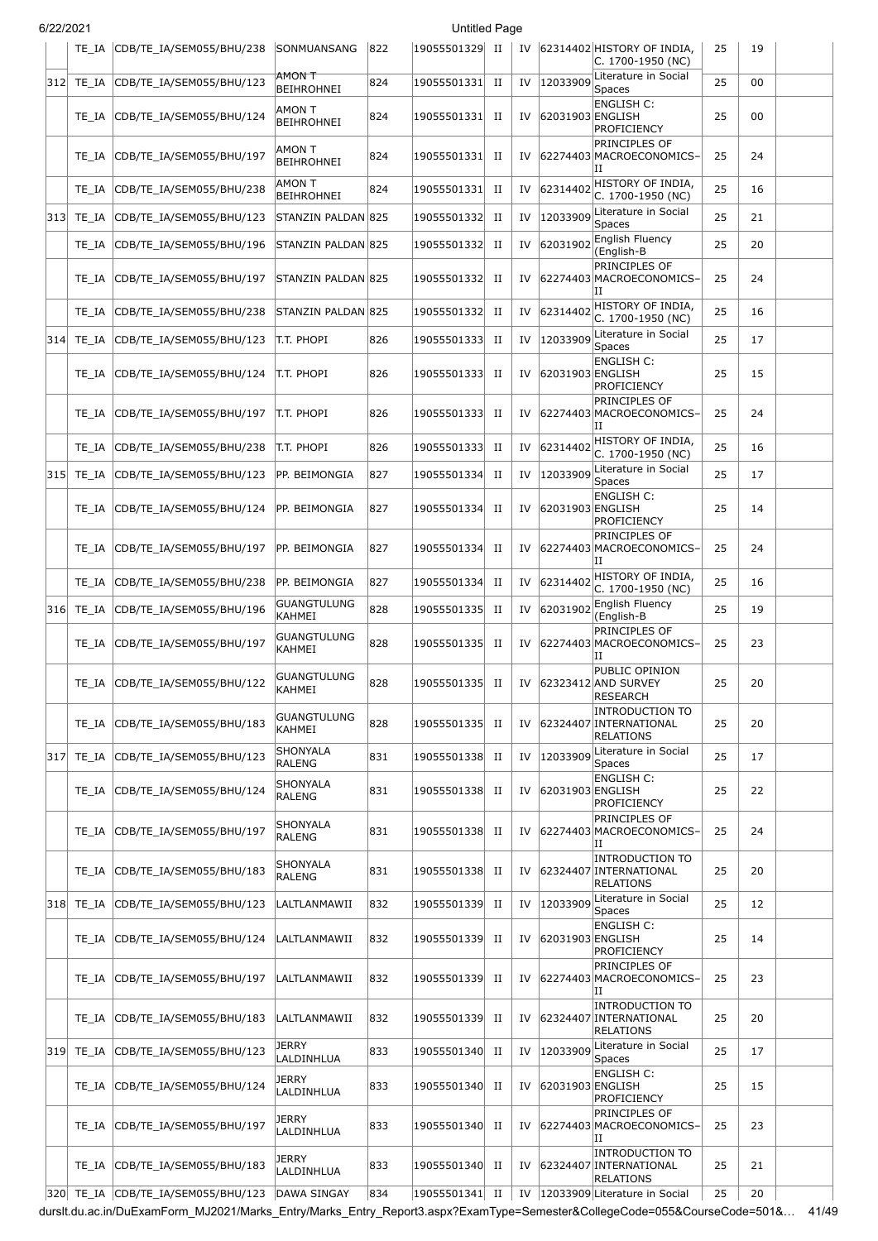|     | TE IA     | CDB/TE_IA/SEM055/BHU/238 | <b>SONMUANSANG</b>                  | 822 | 19055501329 | H           |    |                  | IV 62314402 HISTORY OF INDIA,<br>C. 1700-1950 (NC)                   | 25 | 19 |  |
|-----|-----------|--------------------------|-------------------------------------|-----|-------------|-------------|----|------------------|----------------------------------------------------------------------|----|----|--|
| 312 | TE IA     | CDB/TE_IA/SEM055/BHU/123 | AMON T<br><b>BEIHROHNEI</b>         | 824 | 19055501331 | $_{\rm II}$ | IV | 12033909         | Literature in Social<br>Spaces                                       | 25 | 00 |  |
|     | TE IA     | CDB/TE_IA/SEM055/BHU/124 | AMON T<br><b>BEIHROHNEI</b>         | 824 | 19055501331 | П           | IV | 62031903 ENGLISH | <b>ENGLISH C:</b><br>PROFICIENCY                                     | 25 | 00 |  |
|     | TE IA     | CDB/TE_IA/SEM055/BHU/197 | AMON T<br><b>BEIHROHNEI</b>         | 824 | 19055501331 | П           | IV |                  | PRINCIPLES OF<br>62274403 MACROECONOMICS-<br>IΙ                      | 25 | 24 |  |
|     | TE IA     | CDB/TE_IA/SEM055/BHU/238 | <b>AMON T</b><br><b>BEIHROHNEI</b>  | 824 | 19055501331 | П           | IV | 62314402         | HISTORY OF INDIA,<br>C. 1700-1950 (NC)                               | 25 | 16 |  |
| 313 | TE_IA     | CDB/TE IA/SEM055/BHU/123 | STANZIN PALDAN 825                  |     | 19055501332 | $_{\rm II}$ | IV |                  | $\vert$ 12033909 $\vert$ Literature in Social<br><b>Spaces</b>       | 25 | 21 |  |
|     | TE IA     | CDB/TE_IA/SEM055/BHU/196 | STANZIN PALDAN 825                  |     | 19055501332 | $_{\rm II}$ | IV | 62031902         | English Fluency<br>(English-B                                        | 25 | 20 |  |
|     | TE IA     | CDB/TE_IA/SEM055/BHU/197 | STANZIN PALDAN 825                  |     | 19055501332 | П           | IV |                  | PRINCIPLES OF<br>62274403 MACROECONOMICS-<br>IΙ                      | 25 | 24 |  |
|     | TE IA     | CDB/TE_IA/SEM055/BHU/238 | STANZIN PALDAN 825                  |     | 19055501332 | П           | IV | 62314402         | HISTORY OF INDIA,<br>C. 1700-1950 (NC)                               | 25 | 16 |  |
| 314 | TE_IA     | CDB/TE_IA/SEM055/BHU/123 | T.T. PHOPI                          | 826 | 19055501333 | П           | IV | 12033909         | Literature in Social<br>Spaces                                       | 25 | 17 |  |
|     | TE IA     | CDB/TE_IA/SEM055/BHU/124 | t.t. Phopi                          | 826 | 19055501333 | П           | IV | 62031903 ENGLISH | <b>ENGLISH C:</b><br>PROFICIENCY                                     | 25 | 15 |  |
|     | TE IA     | CDB/TE_IA/SEM055/BHU/197 | T.T. PHOPI                          | 826 | 19055501333 | П           | IV |                  | PRINCIPLES OF<br>62274403 MACROECONOMICS-<br>IΙ                      | 25 | 24 |  |
|     | TE IA     | CDB/TE_IA/SEM055/BHU/238 | t.t. Phopi                          | 826 | 19055501333 | $_{\rm II}$ | IV |                  | 62314402 HISTORY OF INDIA,<br>C. 1700-1950 (NC)                      | 25 | 16 |  |
| 315 | TE_IA     | CDB/TE_IA/SEM055/BHU/123 | PP. BEIMONGIA                       | 827 | 19055501334 | $_{\rm II}$ | IV | 12033909         | Literature in Social<br><b>Spaces</b>                                | 25 | 17 |  |
|     | TE IA     | CDB/TE_IA/SEM055/BHU/124 | PP. BEIMONGIA                       | 827 | 19055501334 | $_{\rm II}$ | IV | 62031903 ENGLISH | <b>ENGLISH C:</b><br>PROFICIENCY                                     | 25 | 14 |  |
|     | TE IA     | CDB/TE_IA/SEM055/BHU/197 | PP. BEIMONGIA                       | 827 | 19055501334 | П           | IV |                  | PRINCIPLES OF<br>62274403 MACROECONOMICS-<br>IΙ                      | 25 | 24 |  |
|     | TE IA     | CDB/TE_IA/SEM055/BHU/238 | PP. BEIMONGIA                       | 827 | 19055501334 | $_{\rm II}$ | IV |                  | 62314402 HISTORY OF INDIA,<br>C. 1700-1950 (NC)                      | 25 | 16 |  |
| 316 | TE_IA     | CDB/TE_IA/SEM055/BHU/196 | <b>GUANGTULUNG</b><br>KAHMEI        | 828 | 19055501335 | П           | IV | 62031902         | English Fluency<br>(English-B                                        | 25 | 19 |  |
|     | TE IA     | CDB/TE IA/SEM055/BHU/197 | <b>GUANGTULUNG</b><br><b>KAHMEI</b> | 828 | 19055501335 | П           | IV |                  | PRINCIPLES OF<br>62274403 MACROECONOMICS-<br>П                       | 25 | 23 |  |
|     | TE IA     | CDB/TE_IA/SEM055/BHU/122 | GUANGTULUNG<br><b>KAHMEI</b>        | 828 | 19055501335 | H           | IV |                  | PUBLIC OPINION<br>62323412 AND SURVEY<br>RESEARCH                    | 25 | 20 |  |
|     | TE IA     | CDB/TE_IA/SEM055/BHU/183 | <b>GUANGTULUNG</b><br><b>KAHMEI</b> | 828 | 19055501335 | П           | IV |                  | <b>INTRODUCTION TO</b><br>62324407 INTERNATIONAL<br><b>RELATIONS</b> | 25 | 20 |  |
| 317 | TE_IA     | CDB/TE IA/SEM055/BHU/123 | SHONYALA<br><b>RALENG</b>           | 831 | 19055501338 | $_{\rm II}$ | IV | 12033909         | Literature in Social<br><b>Spaces</b>                                | 25 | 17 |  |
|     | TE_IA     | CDB/TE IA/SEM055/BHU/124 | SHONYALA<br><b>RALENG</b>           | 831 | 19055501338 | П           | IV | 62031903 ENGLISH | <b>ENGLISH C:</b><br>PROFICIENCY                                     | 25 | 22 |  |
|     | TE IA     | CDB/TE IA/SEM055/BHU/197 | SHONYALA<br><b>RALENG</b>           | 831 | 19055501338 | П           | IV |                  | PRINCIPLES OF<br>62274403 MACROECONOMICS-<br>ΙI                      | 25 | 24 |  |
|     | TE IA     | CDB/TE_IA/SEM055/BHU/183 | SHONYALA<br><b>RALENG</b>           | 831 | 19055501338 | П           | IV |                  | <b>INTRODUCTION TO</b><br>62324407 INTERNATIONAL<br><b>RELATIONS</b> | 25 | 20 |  |
|     | 318 TE_IA | CDB/TE_IA/SEM055/BHU/123 | LALTLANMAWII                        | 832 | 19055501339 | П           | IV | 12033909         | Literature in Social<br>Spaces                                       | 25 | 12 |  |
|     | TE IA     | CDB/TE_IA/SEM055/BHU/124 | LALTLANMAWII                        | 832 | 19055501339 | П           | IV | 62031903 ENGLISH | <b>ENGLISH C:</b><br><b>PROFICIENCY</b>                              | 25 | 14 |  |
|     | TE_IA     | CDB/TE_IA/SEM055/BHU/197 | LALTLANMAWII                        | 832 | 19055501339 | П           | IV |                  | PRINCIPLES OF<br>62274403 MACROECONOMICS-<br>IΙ                      | 25 | 23 |  |
|     | TE IA     | CDB/TE_IA/SEM055/BHU/183 | LALTLANMAWII                        | 832 | 19055501339 | П           | IV |                  | <b>INTRODUCTION TO</b><br>62324407 INTERNATIONAL<br><b>RELATIONS</b> | 25 | 20 |  |
| 319 | TE_IA     | CDB/TE_IA/SEM055/BHU/123 | <b>JERRY</b><br>LALDINHLUA          | 833 | 19055501340 | П           | IV | 12033909         | Literature in Social<br>Spaces                                       | 25 | 17 |  |
|     | TE_IA     | CDB/TE_IA/SEM055/BHU/124 | <b>JERRY</b><br>LALDINHLUA          | 833 | 19055501340 | П           | IV | 62031903 ENGLISH | <b>ENGLISH C:</b><br>PROFICIENCY                                     | 25 | 15 |  |
|     | TE IA     | CDB/TE_IA/SEM055/BHU/197 | JERRY<br>LALDINHLUA                 | 833 | 19055501340 | П           | IV |                  | PRINCIPLES OF<br>62274403 MACROECONOMICS-<br>IΙ                      | 25 | 23 |  |
|     | TE_IA     | CDB/TE_IA/SEM055/BHU/183 | JERRY<br>LALDINHLUA                 | 833 | 19055501340 | П           | IV |                  | <b>INTRODUCTION TO</b><br>62324407 INTERNATIONAL<br><b>RELATIONS</b> | 25 | 21 |  |
|     | 320 TE_IA | CDB/TE_IA/SEM055/BHU/123 | DAWA SINGAY                         | 834 | 19055501341 | $_{\rm II}$ |    |                  | IV  12033909 Literature in Social                                    | 25 | 20 |  |

durslt.du.ac.in/DuExamForm\_MJ2021/Marks\_Entry/Marks\_Entry\_Report3.aspx?ExamType=Semester&CollegeCode=055&CourseCode=501&… 41/49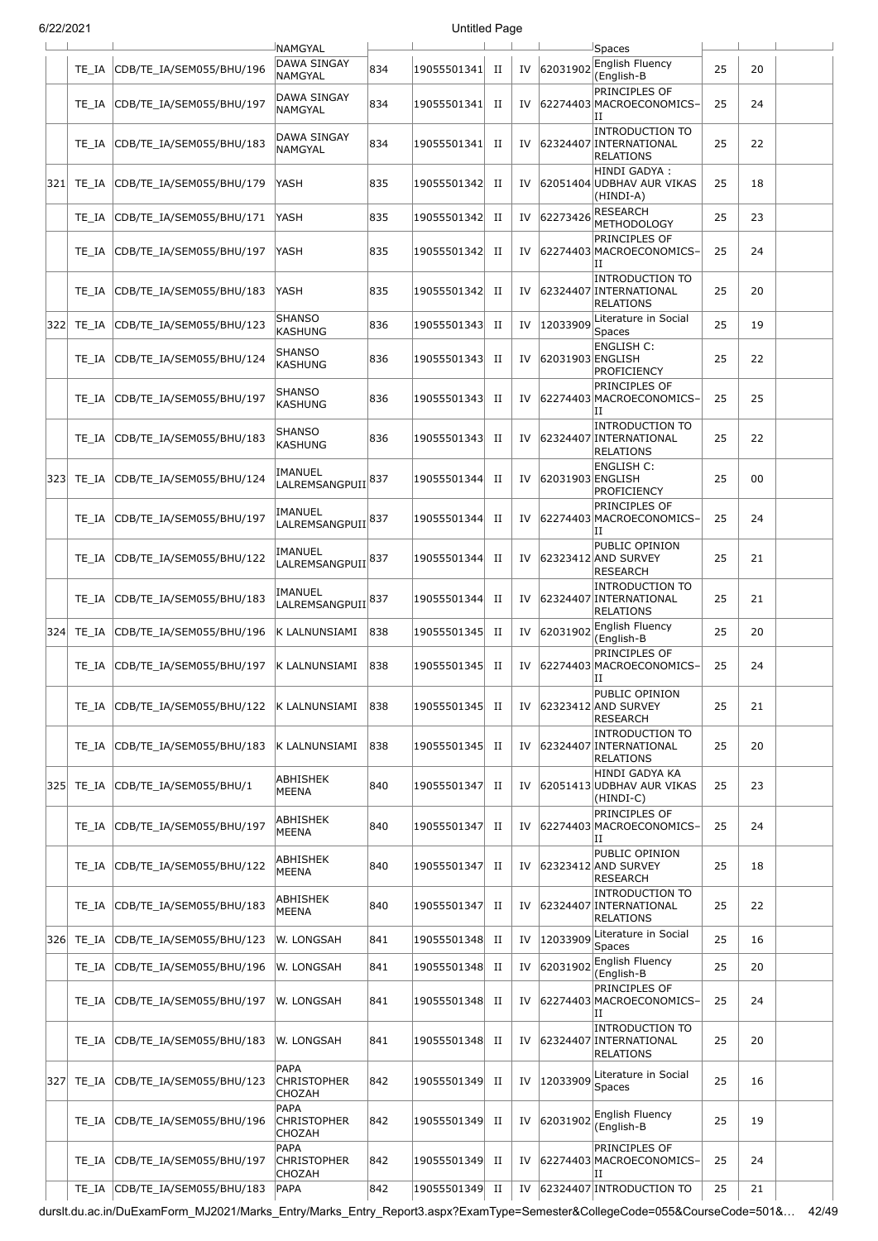| 6/22/2021 |           |                          |                                             |     | <b>Untitled Page</b> |             |    |                  |                                                                      |    |    |  |
|-----------|-----------|--------------------------|---------------------------------------------|-----|----------------------|-------------|----|------------------|----------------------------------------------------------------------|----|----|--|
|           |           |                          | <b>NAMGYAL</b>                              |     |                      |             |    |                  | Spaces                                                               |    |    |  |
|           | TE IA     | CDB/TE_IA/SEM055/BHU/196 | <b>DAWA SINGAY</b><br><b>NAMGYAL</b>        | 834 | 19055501341          | П           | IV | 62031902         | English Fluency<br>(English-B                                        | 25 | 20 |  |
|           | TE IA     | CDB/TE_IA/SEM055/BHU/197 | DAWA SINGAY<br><b>NAMGYAL</b>               | 834 | 19055501341          | П           | IV |                  | PRINCIPLES OF<br>62274403 MACROECONOMICS-<br>IΙ                      | 25 | 24 |  |
|           | TE IA     | CDB/TE_IA/SEM055/BHU/183 | DAWA SINGAY<br>NAMGYAL                      | 834 | 19055501341          | п           | IV |                  | <b>INTRODUCTION TO</b><br>62324407 INTERNATIONAL<br><b>RELATIONS</b> | 25 | 22 |  |
| 321       | TE IA     | CDB/TE_IA/SEM055/BHU/179 | YASH                                        | 835 | 19055501342          | П           | IV |                  | HINDI GADYA:<br>62051404 UDBHAV AUR VIKAS<br>(HINDI-A)               | 25 | 18 |  |
|           | TE IA     | CDB/TE IA/SEM055/BHU/171 | YASH                                        | 835 | 19055501342          | П           | IV | 62273426         | RESEARCH<br><b>METHODOLOGY</b>                                       | 25 | 23 |  |
|           | TE IA     | CDB/TE_IA/SEM055/BHU/197 | YASH                                        | 835 | 19055501342          | п           | IV |                  | <b>PRINCIPLES OF</b><br>62274403 MACROECONOMICS-<br>IΙ               | 25 | 24 |  |
|           | TE IA     | CDB/TE_IA/SEM055/BHU/183 | YASH                                        | 835 | 19055501342          | П           | IV |                  | <b>INTRODUCTION TO</b><br>62324407 INTERNATIONAL<br><b>RELATIONS</b> | 25 | 20 |  |
|           | 322 TE_IA | CDB/TE IA/SEM055/BHU/123 | <b>SHANSO</b><br>KASHUNG                    | 836 | 19055501343          | $_{\rm II}$ | IV | 12033909         | Literature in Social<br>Spaces                                       | 25 | 19 |  |
|           | TE IA     | CDB/TE IA/SEM055/BHU/124 | <b>SHANSO</b><br><b>KASHUNG</b>             | 836 | 19055501343          | П           | IV | 62031903 ENGLISH | <b>ENGLISH C:</b><br>PROFICIENCY                                     | 25 | 22 |  |
|           | TE IA     | CDB/TE_IA/SEM055/BHU/197 | <b>SHANSO</b><br><b>KASHUNG</b>             | 836 | 19055501343          | П           | IV |                  | <b>PRINCIPLES OF</b><br>62274403 MACROECONOMICS-<br>IΙ               | 25 | 25 |  |
|           | TE IA     | CDB/TE_IA/SEM055/BHU/183 | <b>SHANSO</b><br>KASHUNG                    | 836 | 19055501343          | П           | IV |                  | <b>INTRODUCTION TO</b><br>62324407 INTERNATIONAL<br><b>RELATIONS</b> | 25 | 22 |  |
| 323       | TE IA     | CDB/TE_IA/SEM055/BHU/124 | IMANUEL<br>LALREMSANGPUII                   | 837 | 19055501344          | П           | IV | 62031903 ENGLISH | <b>ENGLISH C:</b><br>PROFICIENCY                                     | 25 | 00 |  |
|           | TE IA     | CDB/TE_IA/SEM055/BHU/197 | IMANUEL<br>LALREMSANGPUII <sup>837</sup>    |     | 19055501344          | П           | IV |                  | <b>PRINCIPLES OF</b><br>62274403 MACROECONOMICS-<br>IΙ               | 25 | 24 |  |
|           | TE IA     | CDB/TE_IA/SEM055/BHU/122 | IMANUEL<br>LALREMSANGPUII                   | 837 | 19055501344          | П           | IV |                  | PUBLIC OPINION<br>62323412 AND SURVEY<br><b>RESEARCH</b>             | 25 | 21 |  |
|           | TE IA     | CDB/TE_IA/SEM055/BHU/183 | IMANUEL<br>LALREMSANGPUII                   | 837 | 19055501344          | П           | IV |                  | <b>INTRODUCTION TO</b><br>62324407 INTERNATIONAL<br>RELATIONS        | 25 | 21 |  |
| 324       | TE_IA     | CDB/TE_IA/SEM055/BHU/196 | K LALNUNSIAMI                               | 838 | 19055501345          | П           | IV | 62031902         | English Fluency<br>(English-B                                        | 25 | 20 |  |
|           | TE IA     | CDB/TE_IA/SEM055/BHU/197 | K LALNUNSIAMI                               | 838 | 19055501345          | П           | IV |                  | PRINCIPLES OF<br>62274403 MACROECONOMICS<br>Ш                        | 25 | 24 |  |
|           | TE IA     | CDB/TE_IA/SEM055/BHU/122 | İK LALNUNSIAMI                              | 838 | 19055501345          | H           | IV |                  | PUBLIC OPINION<br>62323412 AND SURVEY<br><b>RESEARCH</b>             | 25 | 21 |  |
|           | TE IA     | CDB/TE_IA/SEM055/BHU/183 | K LALNUNSIAMI                               | 838 | 19055501345          | П           | IV |                  | <b>INTRODUCTION TO</b><br>62324407 INTERNATIONAL<br><b>RELATIONS</b> | 25 | 20 |  |
| 325       | TE IA     | CDB/TE_IA/SEM055/BHU/1   | ABHISHEK<br>MEENA                           | 840 | 19055501347          | П           | IV |                  | HINDI GADYA KA<br>62051413 UDBHAV AUR VIKAS<br>(HINDI-C)             | 25 | 23 |  |
|           | TE IA     | CDB/TE_IA/SEM055/BHU/197 | ABHISHEK<br>MEENA                           | 840 | 19055501347          | П           | IV |                  | PRINCIPLES OF<br>62274403 MACROECONOMICS-<br>ΙI                      | 25 | 24 |  |
|           | TE IA     | CDB/TE_IA/SEM055/BHU/122 | ABHISHEK<br>MEENA                           | 840 | 19055501347          | П           | IV |                  | PUBLIC OPINION<br>62323412 AND SURVEY<br><b>RESEARCH</b>             | 25 | 18 |  |
|           | TE IA     | CDB/TE_IA/SEM055/BHU/183 | ABHISHEK<br><b>MEENA</b>                    | 840 | 19055501347          | П           | IV |                  | <b>INTRODUCTION TO</b><br>62324407 INTERNATIONAL<br><b>RELATIONS</b> | 25 | 22 |  |
|           | 326 TE_IA | CDB/TE_IA/SEM055/BHU/123 | W. LONGSAH                                  | 841 | 19055501348          | П           | IV | 12033909         | Literature in Social<br>Spaces                                       | 25 | 16 |  |
|           | TE_IA     | CDB/TE_IA/SEM055/BHU/196 | W. LONGSAH                                  | 841 | 19055501348          | П           | IV | 62031902         | English Fluency<br>(English-B                                        | 25 | 20 |  |
|           | TE_IA     | CDB/TE_IA/SEM055/BHU/197 | W. LONGSAH                                  | 841 | 19055501348          | П           | IV |                  | PRINCIPLES OF<br>62274403 MACROECONOMICS-<br>IΙ                      | 25 | 24 |  |
|           | TE_IA     | CDB/TE_IA/SEM055/BHU/183 | W. LONGSAH                                  | 841 | 19055501348          | п           | IV |                  | <b>INTRODUCTION TO</b><br>62324407 INTERNATIONAL<br><b>RELATIONS</b> | 25 | 20 |  |
| 327       | TE_IA     | CDB/TE_IA/SEM055/BHU/123 | PAPA<br><b>CHRISTOPHER</b><br>CHOZAH        | 842 | 19055501349          | П           | IV | 12033909         | Literature in Social<br>Spaces                                       | 25 | 16 |  |
|           | TE IA     | CDB/TE_IA/SEM055/BHU/196 | PAPA<br><b>CHRISTOPHER</b><br><b>CHOZAH</b> | 842 | 19055501349          | П           | IV | 62031902         | English Fluency<br>(English-B                                        | 25 | 19 |  |
|           | TE IA     | CDB/TE IA/SEM055/BHU/197 | PAPA<br>CHRISTOPHER<br>CHOZAH               | 842 | 19055501349          | П           | IV |                  | PRINCIPLES OF<br>62274403 MACROECONOMICS-<br>IΙ                      | 25 | 24 |  |
|           | TE_IA     | CDB/TE_IA/SEM055/BHU/183 | PAPA                                        | 842 | 19055501349          | $_{\rm II}$ | IV |                  | 62324407 INTRODUCTION TO                                             | 25 | 21 |  |

durslt.du.ac.in/DuExamForm\_MJ2021/Marks\_Entry/Marks\_Entry\_Report3.aspx?ExamType=Semester&CollegeCode=055&CourseCode=501&… 42/49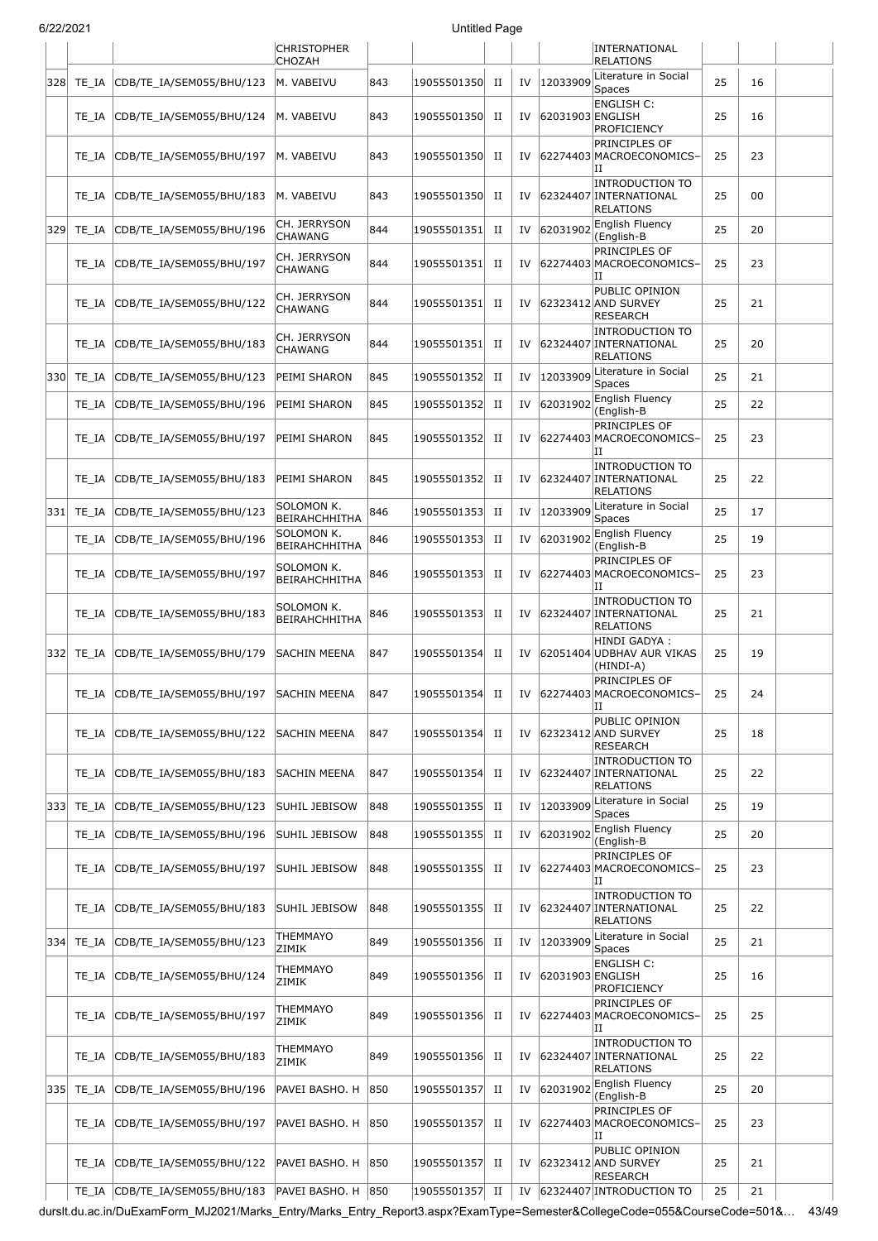|      | 31 L L I L V L I |                                                   |                                     |     | ommou i ayo    |         |    |                  |                                                                      |    |    |  |
|------|------------------|---------------------------------------------------|-------------------------------------|-----|----------------|---------|----|------------------|----------------------------------------------------------------------|----|----|--|
|      |                  |                                                   | <b>CHRISTOPHER</b><br><b>CHOZAH</b> |     |                |         |    |                  | INTERNATIONAL<br><b>RELATIONS</b>                                    |    |    |  |
| 328  | TE IA            | CDB/TE_IA/SEM055/BHU/123                          | M. VABEIVU                          | 843 | 19055501350    | П       | IV | 12033909         | Literature in Social<br><b>Spaces</b>                                | 25 | 16 |  |
|      | TE IA            | CDB/TE_IA/SEM055/BHU/124                          | M. VABEIVU                          | 843 | 19055501350    | П       | IV | 62031903 ENGLISH | <b>ENGLISH C:</b><br><b>PROFICIENCY</b>                              | 25 | 16 |  |
|      | TE IA            | CDB/TE_IA/SEM055/BHU/197                          | M. VABEIVU                          | 843 | 19055501350    | П       | IV |                  | PRINCIPLES OF<br>62274403 MACROECONOMICS-<br>IΙ                      | 25 | 23 |  |
|      | TE_IA            | CDB/TE IA/SEM055/BHU/183                          | M. VABEIVU                          | 843 | 19055501350    | П       | IV |                  | <b>INTRODUCTION TO</b><br>62324407 INTERNATIONAL<br><b>RELATIONS</b> | 25 | 00 |  |
| 329  | TE IA            | CDB/TE_IA/SEM055/BHU/196                          | CH. JERRYSON<br><b>CHAWANG</b>      | 844 | 19055501351    | П       | IV | 62031902         | <b>English Fluency</b><br>(English-B                                 | 25 | 20 |  |
|      | TE_IA            | CDB/TE_IA/SEM055/BHU/197                          | CH. JERRYSON<br><b>CHAWANG</b>      | 844 | 19055501351    | П       | IV |                  | PRINCIPLES OF<br>62274403 MACROECONOMICS-<br>IΙ                      | 25 | 23 |  |
|      | TE IA            | CDB/TE_IA/SEM055/BHU/122                          | CH. JERRYSON<br><b>CHAWANG</b>      | 844 | 19055501351    | П       | IV |                  | PUBLIC OPINION<br>62323412 AND SURVEY<br><b>RESEARCH</b>             | 25 | 21 |  |
|      | TE IA            | CDB/TE_IA/SEM055/BHU/183                          | CH. JERRYSON<br><b>CHAWANG</b>      | 844 | 19055501351    | П       | IV |                  | <b>INTRODUCTION TO</b><br>62324407 INTERNATIONAL<br><b>RELATIONS</b> | 25 | 20 |  |
| 330  | TE IA            | CDB/TE IA/SEM055/BHU/123                          | PEIMI SHARON                        | 845 | 19055501352    | П       | IV | 12033909         | Literature in Social<br>Spaces                                       | 25 | 21 |  |
|      | TE_IA            | CDB/TE_IA/SEM055/BHU/196                          | PEIMI SHARON                        | 845 | 19055501352    | П       | IV | 62031902         | English Fluency<br>(English-B                                        | 25 | 22 |  |
|      | TE IA            | CDB/TE_IA/SEM055/BHU/197                          | PEIMI SHARON                        | 845 | 19055501352    | П       | IV |                  | PRINCIPLES OF<br>62274403 MACROECONOMICS-<br>IΙ                      | 25 | 23 |  |
|      | TE IA            | CDB/TE_IA/SEM055/BHU/183                          | PEIMI SHARON                        | 845 | 19055501352    | П       | IV |                  | <b>INTRODUCTION TO</b><br>62324407 INTERNATIONAL<br><b>RELATIONS</b> | 25 | 22 |  |
| 331  | TE_IA            | CDB/TE_IA/SEM055/BHU/123                          | SOLOMON K.<br><b>BEIRAHCHHITHA</b>  | 846 | 19055501353    | П       | IV | 12033909         | Literature in Social<br>Spaces                                       | 25 | 17 |  |
|      | TE_IA            | CDB/TE_IA/SEM055/BHU/196                          | SOLOMON K.<br><b>BEIRAHCHHITHA</b>  | 846 | 19055501353    | П       | IV | 62031902         | English Fluency<br>(English-B                                        | 25 | 19 |  |
|      | TE IA            | CDB/TE_IA/SEM055/BHU/197                          | SOLOMON K.<br><b>BEIRAHCHHITHA</b>  | 846 | 19055501353    | П       | IV |                  | PRINCIPLES OF<br>62274403 MACROECONOMICS-<br>IΙ                      | 25 | 23 |  |
|      | TE IA            | CDB/TE_IA/SEM055/BHU/183                          | SOLOMON K.<br><b>BEIRAHCHHITHA</b>  | 846 | 19055501353    | П       | IV |                  | <b>INTRODUCTION TO</b><br>62324407 INTERNATIONAL<br><b>RELATIONS</b> | 25 | 21 |  |
| 332  | TE_IA            | CDB/TE_IA/SEM055/BHU/179                          | <b>SACHIN MEENA</b>                 | 847 | 19055501354    | П       | IV |                  | HINDI GADYA :<br>62051404 UDBHAV AUR VIKAS<br>(HINDI-A)              | 25 | 19 |  |
|      | $TE\_IA$         | CDB/TE_IA/SEM055/BHU/197                          | SACHIN MEENA                        | 847 | 19055501354    | $\;$ II | IV |                  | PRINCIPLES OF<br>62274403 MACROECONOMICS-<br>IΗ                      | 25 | 24 |  |
|      | TE IA            | CDB/TE_IA/SEM055/BHU/122                          | <b>SACHIN MEENA</b>                 | 847 | 19055501354    | П       | IV |                  | PUBLIC OPINION<br>62323412 AND SURVEY<br>RESEARCH                    | 25 | 18 |  |
|      | TE_IA            | CDB/TE IA/SEM055/BHU/183                          | SACHIN MEENA                        | 847 | 19055501354    | П       | IV |                  | <b>INTRODUCTION TO</b><br>62324407 INTERNATIONAL<br><b>RELATIONS</b> | 25 | 22 |  |
| 3331 | TE_IA            | CDB/TE_IA/SEM055/BHU/123                          | SUHIL JEBISOW                       | 848 | 19055501355    | П       | IV | 12033909         | Literature in Social<br>Spaces                                       | 25 | 19 |  |
|      | TE_IA            | CDB/TE_IA/SEM055/BHU/196                          | SUHIL JEBISOW                       | 848 | 19055501355    | П       | IV | 62031902         | <b>English Fluency</b><br>(English-B                                 | 25 | 20 |  |
|      | TE IA            | CDB/TE IA/SEM055/BHU/197                          | SUHIL JEBISOW                       | 848 | 19055501355    | П       | IV |                  | PRINCIPLES OF<br>62274403 MACROECONOMICS-<br>IΙ                      | 25 | 23 |  |
|      | TE IA            | CDB/TE_IA/SEM055/BHU/183                          | SUHIL JEBISOW                       | 848 | 19055501355    | П       | IV |                  | <b>INTRODUCTION TO</b><br>62324407 INTERNATIONAL<br><b>RELATIONS</b> | 25 | 22 |  |
| 3341 | TE_IA            | CDB/TE_IA/SEM055/BHU/123                          | THEMMAYO<br>ZIMIK                   | 849 | 19055501356    | П       | IV | 12033909         | Literature in Social<br>Spaces                                       | 25 | 21 |  |
|      | TE IA            | CDB/TE_IA/SEM055/BHU/124                          | THEMMAYO<br>ZIMIK                   | 849 | 19055501356    | П       | IV | 62031903 ENGLISH | ENGLISH C:<br><b>PROFICIENCY</b>                                     | 25 | 16 |  |
|      | TE_IA            | CDB/TE_IA/SEM055/BHU/197                          | THEMMAYO<br>ZIMIK                   | 849 | 19055501356    | П       | IV |                  | PRINCIPLES OF<br>62274403 MACROECONOMICS-<br>IΙ                      | 25 | 25 |  |
|      | TE_IA            | CDB/TE_IA/SEM055/BHU/183                          | THEMMAYO<br>ZIMIK                   | 849 | 19055501356    | П       | IV |                  | <b>INTRODUCTION TO</b><br>62324407 INTERNATIONAL<br><b>RELATIONS</b> | 25 | 22 |  |
| 335  | TE_IA            | CDB/TE_IA/SEM055/BHU/196                          | PAVEI BASHO. H                      | 850 | 19055501357    | П       | IV | 62031902         | English Fluency<br>(English-B                                        | 25 | 20 |  |
|      | TE_IA            | CDB/TE_IA/SEM055/BHU/197                          | PAVEI BASHO. H                      | 850 | 19055501357    | П       | IV |                  | PRINCIPLES OF<br>62274403 MACROECONOMICS-<br>IΙ                      | 25 | 23 |  |
|      | TE IA            | CDB/TE_IA/SEM055/BHU/122                          | PAVEI BASHO. H 850                  |     | 19055501357    | П       | IV |                  | PUBLIC OPINION<br>62323412 AND SURVEY<br><b>RESEARCH</b>             | 25 | 21 |  |
|      |                  | TE_IA CDB/TE_IA/SEM055/BHU/183 PAVEI BASHO. H 850 |                                     |     | 19055501357 II |         | IV |                  | 62324407 INTRODUCTION TO                                             | 25 | 21 |  |

durslt.du.ac.in/DuExamForm\_MJ2021/Marks\_Entry/Marks\_Entry\_Report3.aspx?ExamType=Semester&CollegeCode=055&CourseCode=501&… 43/49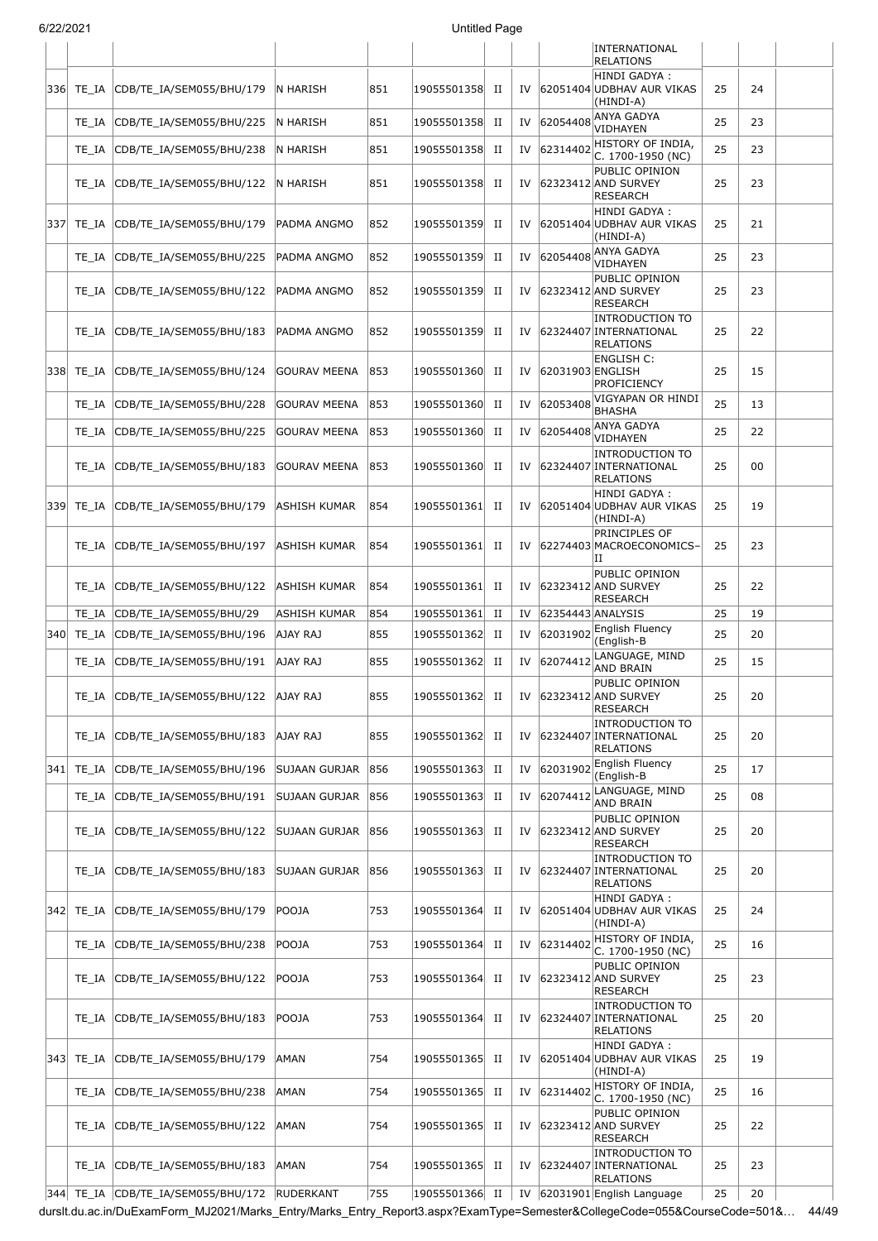|     |           |                                         |                     |     |             |             |    |                   | INTERNATIONAL<br><b>RELATIONS</b>                                    |    |    |  |
|-----|-----------|-----------------------------------------|---------------------|-----|-------------|-------------|----|-------------------|----------------------------------------------------------------------|----|----|--|
|     | 336 TE_IA | CDB/TE_IA/SEM055/BHU/179                | N HARISH            | 851 | 19055501358 | П           | IV |                   | HINDI GADYA:<br>62051404 UDBHAV AUR VIKAS<br>(HINDI-A)               | 25 | 24 |  |
|     | TE_IA     | CDB/TE_IA/SEM055/BHU/225                | N HARISH            | 851 | 19055501358 | П           | IV | 62054408          | <b>ANYA GADYA</b><br>VIDHAYEN                                        | 25 | 23 |  |
|     | TE_IA     | CDB/TE_IA/SEM055/BHU/238                | N HARISH            | 851 | 19055501358 | П           | IV | 62314402          | HISTORY OF INDIA,<br>C. 1700-1950 (NC)                               | 25 | 23 |  |
|     | TE_IA     | CDB/TE_IA/SEM055/BHU/122                | N HARISH            | 851 | 19055501358 | П           | IV |                   | PUBLIC OPINION<br>62323412 AND SURVEY<br><b>RESEARCH</b>             | 25 | 23 |  |
| 337 | TE_IA     | CDB/TE_IA/SEM055/BHU/179                | PADMA ANGMO         | 852 | 19055501359 | П           | IV |                   | HINDI GADYA :<br>62051404 UDBHAV AUR VIKAS<br>(HINDI-A)              | 25 | 21 |  |
|     | TE_IA     | CDB/TE_IA/SEM055/BHU/225                | PADMA ANGMO         | 852 | 19055501359 | П           | IV | 62054408          | ANYA GADYA<br>VIDHAYEN                                               | 25 | 23 |  |
|     | TE_IA     | CDB/TE_IA/SEM055/BHU/122                | PADMA ANGMO         | 852 | 19055501359 | П           | IV |                   | PUBLIC OPINION<br>62323412 AND SURVEY<br>RESEARCH                    | 25 | 23 |  |
|     | TE_IA     | CDB/TE_IA/SEM055/BHU/183                | PADMA ANGMO         | 852 | 19055501359 | П           | IV |                   | <b>INTRODUCTION TO</b><br>62324407 INTERNATIONAL<br><b>RELATIONS</b> | 25 | 22 |  |
|     | 338 TE IA | CDB/TE IA/SEM055/BHU/124                | <b>GOURAV MEENA</b> | 853 | 19055501360 | П           | IV | 62031903 ENGLISH  | <b>ENGLISH C:</b><br>PROFICIENCY                                     | 25 | 15 |  |
|     | TE_IA     | CDB/TE_IA/SEM055/BHU/228                | GOURAV MEENA        | 853 | 19055501360 | П           | IV | 62053408          | VIGYAPAN OR HINDI<br><b>BHASHA</b>                                   | 25 | 13 |  |
|     | TE_IA     | CDB/TE_IA/SEM055/BHU/225                | GOURAV MEENA        | 853 | 19055501360 | H           | IV | 62054408          | ANYA GADYA<br>VIDHAYEN                                               | 25 | 22 |  |
|     | TE_IA     | CDB/TE IA/SEM055/BHU/183                | <b>GOURAV MEENA</b> | 853 | 19055501360 | П           | IV |                   | <b>INTRODUCTION TO</b><br>62324407 INTERNATIONAL<br><b>RELATIONS</b> | 25 | 00 |  |
| 339 | TE_IA     | CDB/TE_IA/SEM055/BHU/179                | ASHISH KUMAR        | 854 | 19055501361 | П           | IV |                   | HINDI GADYA :<br>62051404 UDBHAV AUR VIKAS<br>(HINDI-A)              | 25 | 19 |  |
|     | TE_IA     | CDB/TE_IA/SEM055/BHU/197                | ASHISH KUMAR        | 854 | 19055501361 | П           | IV |                   | PRINCIPLES OF<br>62274403 MACROECONOMICS-<br>ΠI                      | 25 | 23 |  |
|     | TE IA     | CDB/TE_IA/SEM055/BHU/122                | ASHISH KUMAR        | 854 | 19055501361 | П           | IV |                   | PUBLIC OPINION<br>62323412 AND SURVEY<br>RESEARCH                    | 25 | 22 |  |
|     | TE IA     | CDB/TE_IA/SEM055/BHU/29                 | ASHISH KUMAR        | 854 | 19055501361 | $_{\rm II}$ | IV | 62354443 ANALYSIS | English Fluency                                                      | 25 | 19 |  |
| 340 | TE_IA     | CDB/TE_IA/SEM055/BHU/196                | AJAY RAJ            | 855 | 19055501362 | П           | IV | 62031902          | (English-B                                                           | 25 | 20 |  |
|     | TE_IA     | CDB/TE_IA/SEM055/BHU/191                | AJAY RAJ            | 855 | 19055501362 | П           | IV | 62074412          | LANGUAGE, MIND<br>AND BRAIN                                          | 25 | 15 |  |
|     |           | TE IA CDB/TE IA/SEM055/BHU/122 AJAY RAJ |                     | 855 | 19055501362 | П           | IV |                   | PUBLIC OPINION<br>62323412 AND SURVEY<br><b>RESEARCH</b>             | 25 | 20 |  |
|     | TE_IA     | CDB/TE_IA/SEM055/BHU/183                | AJAY RAJ            | 855 | 19055501362 | П           | IV |                   | <b>INTRODUCTION TO</b><br>62324407 INTERNATIONAL<br><b>RELATIONS</b> | 25 | 20 |  |
| 341 | TE_IA     | CDB/TE IA/SEM055/BHU/196                | SUJAAN GURJAR       | 856 | 19055501363 | П           | IV | 62031902          | English Fluency<br>(English-B                                        | 25 | 17 |  |
|     | TE_IA     | CDB/TE IA/SEM055/BHU/191                | SUJAAN GURJAR       | 856 | 19055501363 | П           | IV | 62074412          | LANGUAGE, MIND<br><b>AND BRAIN</b>                                   | 25 | 08 |  |
|     | TE_IA     | CDB/TE_IA/SEM055/BHU/122                | SUJAAN GURJAR       | 856 | 19055501363 | П           | IV |                   | PUBLIC OPINION<br>62323412 AND SURVEY<br>RESEARCH                    | 25 | 20 |  |
|     | TE_IA     | CDB/TE_IA/SEM055/BHU/183                | SUJAAN GURJAR       | 856 | 19055501363 | П           | IV |                   | INTRODUCTION TO<br>62324407 INTERNATIONAL<br>RELATIONS               | 25 | 20 |  |
|     | 342 TE_IA | CDB/TE_IA/SEM055/BHU/179                | POOJA               | 753 | 19055501364 | П           | IV |                   | HINDI GADYA :<br>62051404 UDBHAV AUR VIKAS<br>(HINDI-A)              | 25 | 24 |  |
|     | TE_IA     | CDB/TE_IA/SEM055/BHU/238                | POOJA               | 753 | 19055501364 | П           | IV | 62314402          | HISTORY OF INDIA,<br>C. 1700-1950 (NC)                               | 25 | 16 |  |
|     | TE_IA     | CDB/TE_IA/SEM055/BHU/122                | POOJA               | 753 | 19055501364 | П           | IV |                   | PUBLIC OPINION<br>62323412 AND SURVEY<br><b>RESEARCH</b>             | 25 | 23 |  |
|     | TE_IA     | CDB/TE_IA/SEM055/BHU/183                | POOJA               | 753 | 19055501364 | П           | IV |                   | <b>INTRODUCTION TO</b><br>62324407 INTERNATIONAL<br><b>RELATIONS</b> | 25 | 20 |  |
|     | 343 TE_IA | CDB/TE_IA/SEM055/BHU/179                | AMAN                | 754 | 19055501365 | П           | IV |                   | HINDI GADYA :<br>62051404 UDBHAV AUR VIKAS<br>(HINDI-A)              | 25 | 19 |  |
|     | TE_IA     | CDB/TE_IA/SEM055/BHU/238                | AMAN                | 754 | 19055501365 | П           | IV | 62314402          | HISTORY OF INDIA,<br>C. 1700-1950 (NC)                               | 25 | 16 |  |
|     | TE_IA     | CDB/TE_IA/SEM055/BHU/122                | AMAN                | 754 | 19055501365 | П           | IV |                   | PUBLIC OPINION<br>62323412 AND SURVEY<br>RESEARCH                    | 25 | 22 |  |
|     | TE_IA     | CDB/TE_IA/SEM055/BHU/183                | AMAN                | 754 | 19055501365 | H           | IV |                   | INTRODUCTION TO<br>62324407 INTERNATIONAL<br><b>RELATIONS</b>        | 25 | 23 |  |

durslt.du.ac.in/DuExamForm\_MJ2021/Marks\_Entry/Marks\_Entry\_Report3.aspx?ExamType=Semester&CollegeCode=055&CourseCode=501&… 44/49 19055501366 II IV 62031901 English Language 344 TE\_IA CDB/TE\_IA/SEM055/BHU/172 RUDERKANT 755 19055501366 II IV 62031901 English Language 25 20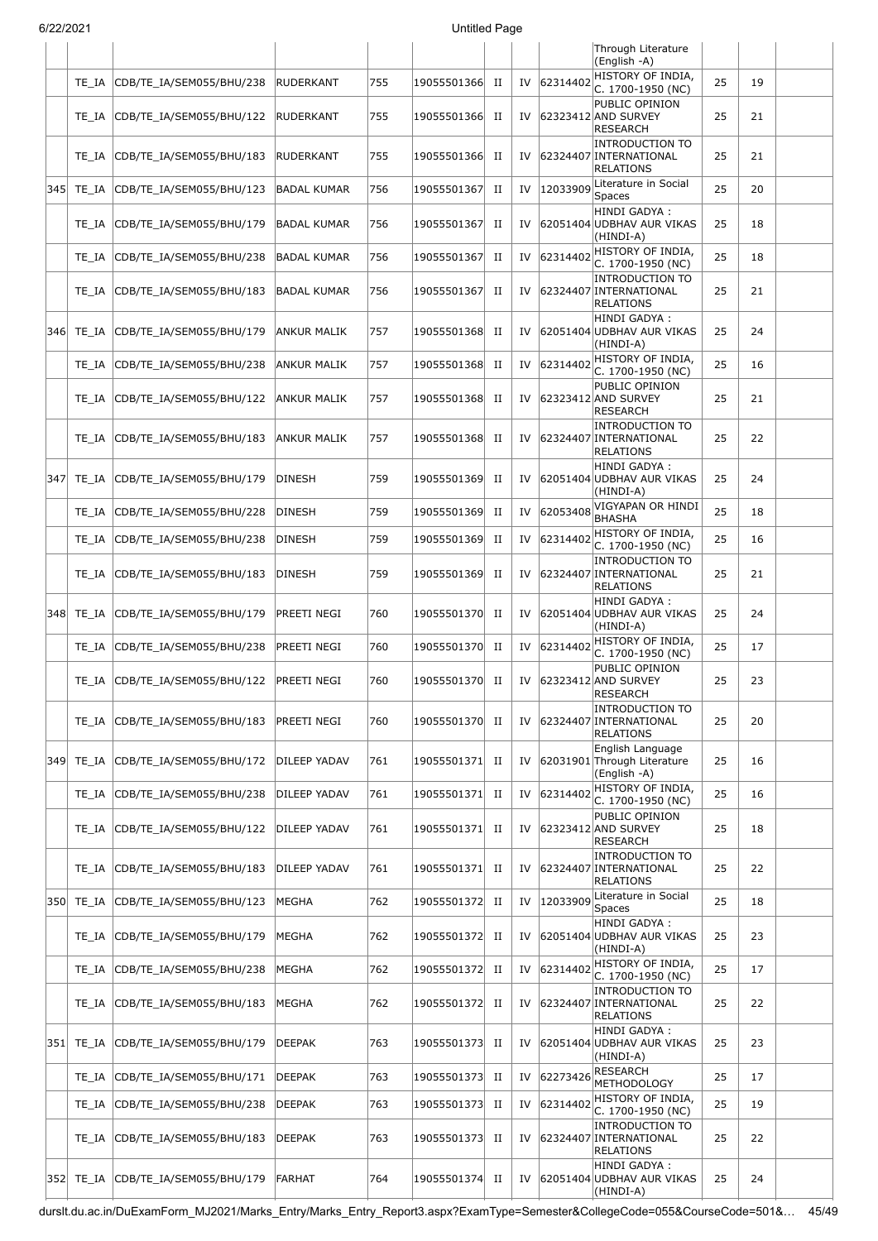| 31 Z Z I Z U Z T |           |                                |                     |     | onuucu rayc    |             |    |          |                                                                             |    |    |  |
|------------------|-----------|--------------------------------|---------------------|-----|----------------|-------------|----|----------|-----------------------------------------------------------------------------|----|----|--|
|                  |           |                                |                     |     |                |             |    |          | Through Literature<br>(English -A)                                          |    |    |  |
|                  | TE IA     | CDB/TE IA/SEM055/BHU/238       | RUDERKANT           | 755 | 19055501366 II |             | IV | 62314402 | HISTORY OF INDIA,<br>C. 1700-1950 (NC)                                      | 25 | 19 |  |
|                  | TE_IA     | CDB/TE IA/SEM055/BHU/122       | RUDERKANT           | 755 | 19055501366    | П           | IV |          | PUBLIC OPINION<br>62323412 AND SURVEY<br><b>RESEARCH</b>                    | 25 | 21 |  |
|                  | TE IA     | CDB/TE_IA/SEM055/BHU/183       | <b>RUDERKANT</b>    | 755 | 19055501366    | П           | IV |          | <b>INTRODUCTION TO</b><br>62324407 INTERNATIONAL<br><b>RELATIONS</b>        | 25 | 21 |  |
| 345              | TE_IA     | CDB/TE_IA/SEM055/BHU/123       | <b>BADAL KUMAR</b>  | 756 | 19055501367    | П           | IV | 12033909 | Literature in Social<br>Spaces                                              | 25 | 20 |  |
|                  | TE IA     | CDB/TE_IA/SEM055/BHU/179       | <b>BADAL KUMAR</b>  | 756 | 19055501367    | П           | IV |          | HINDI GADYA:<br>62051404 UDBHAV AUR VIKAS<br>(HINDI-A)                      | 25 | 18 |  |
|                  | TE_IA     | CDB/TE_IA/SEM055/BHU/238       | <b>BADAL KUMAR</b>  | 756 | 19055501367    | П           | IV | 62314402 | HISTORY OF INDIA,<br>C. 1700-1950 (NC)                                      | 25 | 18 |  |
|                  | TE_IA     | CDB/TE_IA/SEM055/BHU/183       | <b>BADAL KUMAR</b>  | 756 | 19055501367    | П           | IV |          | <b>INTRODUCTION TO</b><br>62324407 INTERNATIONAL<br><b>RELATIONS</b>        | 25 | 21 |  |
| 3461             | TE_IA     | CDB/TE IA/SEM055/BHU/179       | <b>ANKUR MALIK</b>  | 757 | 19055501368    | П           | IV |          | HINDI GADYA :<br>62051404 UDBHAV AUR VIKAS<br>(HINDI-A)                     | 25 | 24 |  |
|                  | TE_IA     | CDB/TE_IA/SEM055/BHU/238       | <b>ANKUR MALIK</b>  | 757 | 19055501368    | $_{\rm II}$ | IV | 62314402 | HISTORY OF INDIA,<br>C. 1700-1950 (NC)                                      | 25 | 16 |  |
|                  | TE_IA     | CDB/TE_IA/SEM055/BHU/122       | ANKUR MALIK         | 757 | 19055501368    | П           | IV |          | PUBLIC OPINION<br>62323412 AND SURVEY<br>RESEARCH                           | 25 | 21 |  |
|                  | TE_IA     | CDB/TE_IA/SEM055/BHU/183       | ANKUR MALIK         | 757 | 19055501368    | П           | IV |          | <b>INTRODUCTION TO</b><br>62324407 INTERNATIONAL<br><b>RELATIONS</b>        | 25 | 22 |  |
| 347              | TE_IA     | CDB/TE_IA/SEM055/BHU/179       | DINESH              | 759 | 19055501369    | П           | IV |          | HINDI GADYA:<br>62051404 UDBHAV AUR VIKAS<br>(HINDI-A)                      | 25 | 24 |  |
|                  | TE_IA     | CDB/TE_IA/SEM055/BHU/228       | <b>DINESH</b>       | 759 | 19055501369    | П           | IV | 62053408 | VIGYAPAN OR HINDI<br><b>BHASHA</b>                                          | 25 | 18 |  |
|                  | TE_IA     | CDB/TE_IA/SEM055/BHU/238       | <b>DINESH</b>       | 759 | 19055501369    | $_{\rm II}$ | IV | 62314402 | HISTORY OF INDIA,<br>C. 1700-1950 (NC)                                      | 25 | 16 |  |
|                  | TE_IA     | CDB/TE_IA/SEM055/BHU/183       | <b>DINESH</b>       | 759 | 19055501369    | П           | IV |          | <b>INTRODUCTION TO</b><br>62324407 INTERNATIONAL<br><b>RELATIONS</b>        | 25 | 21 |  |
| 348              | TE_IA     | CDB/TE_IA/SEM055/BHU/179       | PREETI NEGI         | 760 | 19055501370    | П           | IV |          | HINDI GADYA :<br>62051404 UDBHAV AUR VIKAS<br>(HINDI-A)                     | 25 | 24 |  |
|                  | TE_IA     | CDB/TE_IA/SEM055/BHU/238       | PREETI NEGI         | 760 | 19055501370    | П           | IV | 62314402 | HISTORY OF INDIA,<br>C. 1700-1950 (NC)                                      | 25 | 17 |  |
|                  |           | TE IA CDB/TE IA/SEM055/BHU/122 | <b>PREETI NEGI</b>  | 760 | 19055501370    | П           | IV |          | PUBLIC OPINION<br>62323412 AND SURVEY<br> RESEARCH                          | 25 | 23 |  |
|                  | TE IA     | CDB/TE_IA/SEM055/BHU/183       | PREETI NEGI         | 760 | 19055501370    | П           | IV |          | INTRODUCTION TO<br>62324407 INTERNATIONAL<br><b>RELATIONS</b>               | 25 | 20 |  |
| 349              | TE_IA     | CDB/TE_IA/SEM055/BHU/172       | DILEEP YADAV        | 761 | 19055501371    | П           | IV |          | English Language<br>62031901 Through Literature<br>(English -A)             | 25 | 16 |  |
|                  | TE_IA     | CDB/TE_IA/SEM055/BHU/238       | DILEEP YADAV        | 761 | 19055501371    | П           | IV | 62314402 | HISTORY OF INDIA,<br>C. 1700-1950 (NC)                                      | 25 | 16 |  |
|                  | TE_IA     | CDB/TE_IA/SEM055/BHU/122       | DILEEP YADAV        | 761 | 19055501371    | П           | IV |          | PUBLIC OPINION<br>62323412 AND SURVEY<br>RESEARCH<br><b>INTRODUCTION TO</b> | 25 | 18 |  |
|                  | TE IA     | CDB/TE_IA/SEM055/BHU/183       | <b>DILEEP YADAV</b> | 761 | 19055501371    | П           | IV |          | 62324407 INTERNATIONAL<br><b>RELATIONS</b><br>Literature in Social          | 25 | 22 |  |
| 350              | TE_IA     | CDB/TE_IA/SEM055/BHU/123       | <b>MEGHA</b>        | 762 | 19055501372    | П           | IV | 12033909 | Spaces                                                                      | 25 | 18 |  |
|                  | TE_IA     | CDB/TE_IA/SEM055/BHU/179       | MEGHA               | 762 | 19055501372    | П           | IV |          | HINDI GADYA :<br>62051404 UDBHAV AUR VIKAS<br>(HINDI-A)                     | 25 | 23 |  |
|                  | TE_IA     | CDB/TE_IA/SEM055/BHU/238       | MEGHA               | 762 | 19055501372    | П           | IV | 62314402 | HISTORY OF INDIA,<br>C. 1700-1950 (NC)                                      | 25 | 17 |  |
|                  | TE IA     | CDB/TE_IA/SEM055/BHU/183       | <b>MEGHA</b>        | 762 | 19055501372    | П           | IV |          | <b>INTRODUCTION TO</b><br>62324407 INTERNATIONAL<br><b>RELATIONS</b>        | 25 | 22 |  |
| 351              | TE_IA     | CDB/TE_IA/SEM055/BHU/179       | <b>DEEPAK</b>       | 763 | 19055501373    | П           | IV |          | HINDI GADYA :<br>62051404 UDBHAV AUR VIKAS<br>(HINDI-A)                     | 25 | 23 |  |
|                  | TE_IA     | CDB/TE_IA/SEM055/BHU/171       | <b>DEEPAK</b>       | 763 | 19055501373    | $_{\rm II}$ | IV | 62273426 | <b>RESEARCH</b><br><b>METHODOLOGY</b>                                       | 25 | 17 |  |
|                  | TE_IA     | CDB/TE_IA/SEM055/BHU/238       | <b>DEEPAK</b>       | 763 | 19055501373    | П           | IV | 62314402 | HISTORY OF INDIA,<br>C. 1700-1950 (NC)                                      | 25 | 19 |  |
|                  | TE_IA     | CDB/TE_IA/SEM055/BHU/183       | <b>DEEPAK</b>       | 763 | 19055501373    | П           | IV |          | INTRODUCTION TO<br>62324407 INTERNATIONAL<br>RELATIONS                      | 25 | 22 |  |
|                  | 352 TE_IA | CDB/TE_IA/SEM055/BHU/179       | FARHAT              | 764 | 19055501374    | П           | IV |          | HINDI GADYA :<br>62051404 UDBHAV AUR VIKAS<br>(HINDI-A)                     | 25 | 24 |  |

durslt.du.ac.in/DuExamForm\_MJ2021/Marks\_Entry/Marks\_Entry\_Report3.aspx?ExamType=Semester&CollegeCode=055&CourseCode=501&… 45/49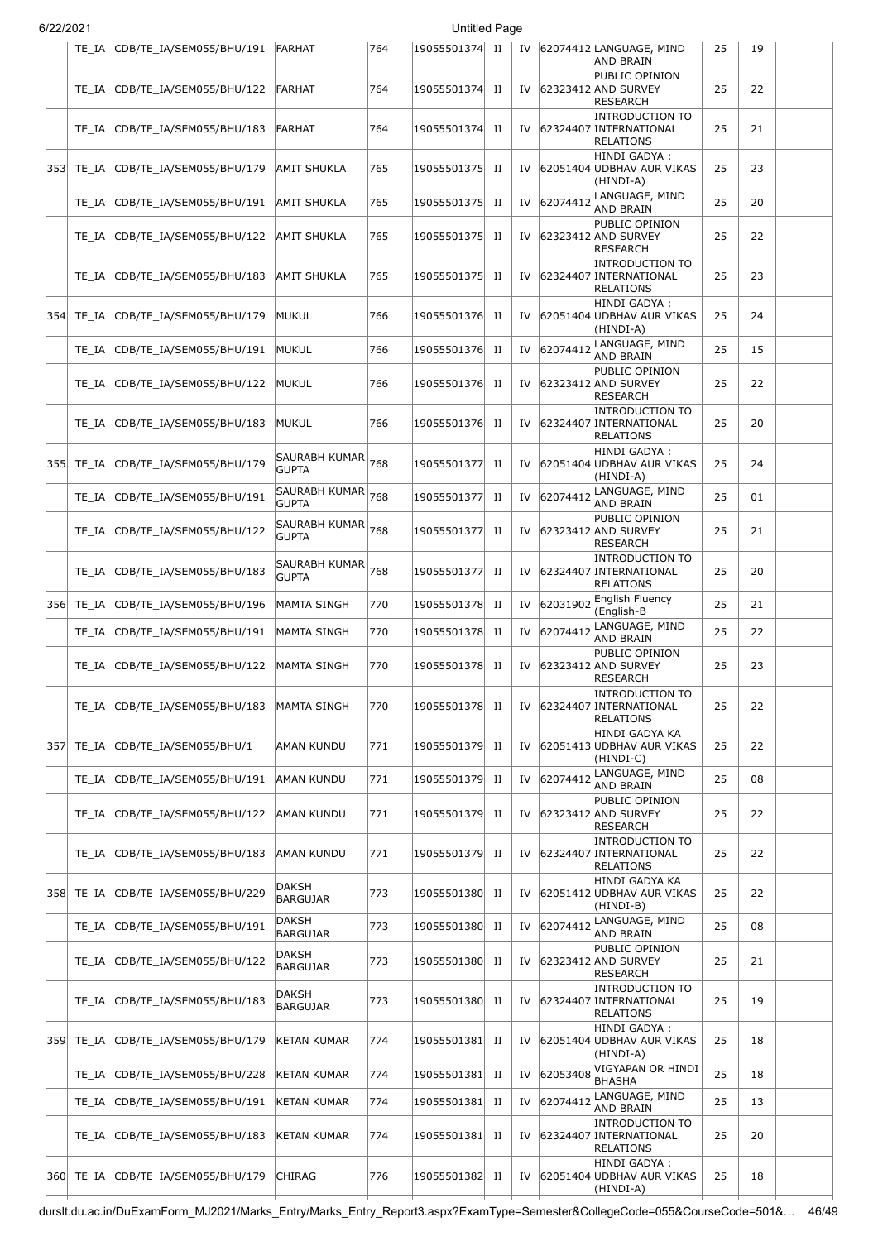|      | TE IA     | CDB/TE_IA/SEM055/BHU/191  FARHAT |                                   | 764 | 19055501374  II |             |    |          | IV 62074412 LANGUAGE, MIND<br><b>AND BRAIN</b>                       | 25 | 19 |  |
|------|-----------|----------------------------------|-----------------------------------|-----|-----------------|-------------|----|----------|----------------------------------------------------------------------|----|----|--|
|      | TE IA     | CDB/TE_IA/SEM055/BHU/122         | <b>FARHAT</b>                     | 764 | 19055501374     | П           |    |          | PUBLIC OPINION<br>IV 62323412 AND SURVEY<br><b>RESEARCH</b>          | 25 | 22 |  |
|      | TE IA     | CDB/TE_IA/SEM055/BHU/183         | FARHAT                            | 764 | 19055501374     | $_{\rm II}$ | IV |          | <b>INTRODUCTION TO</b><br>62324407 INTERNATIONAL<br><b>RELATIONS</b> | 25 | 21 |  |
| 3531 | TE IA     | CDB/TE_IA/SEM055/BHU/179         | <b>AMIT SHUKLA</b>                | 765 | 19055501375     | П           | IV |          | HINDI GADYA:<br>62051404 UDBHAV AUR VIKAS<br>(HINDI-A)               | 25 | 23 |  |
|      | TE IA     | CDB/TE IA/SEM055/BHU/191         | <b>AMIT SHUKLA</b>                | 765 | 19055501375     | П           | IV | 62074412 | LANGUAGE, MIND<br>AND BRAIN                                          | 25 | 20 |  |
|      | TE IA     | CDB/TE_IA/SEM055/BHU/122         | <b>AMIT SHUKLA</b>                | 765 | 19055501375     | П           | IV |          | PUBLIC OPINION<br>62323412 AND SURVEY<br><b>RESEARCH</b>             | 25 | 22 |  |
|      | TE IA     | CDB/TE_IA/SEM055/BHU/183         | <b>AMIT SHUKLA</b>                | 765 | 19055501375     | П           | IV |          | <b>INTRODUCTION TO</b><br>62324407 INTERNATIONAL<br><b>RELATIONS</b> | 25 | 23 |  |
| 354  | TE IA     | CDB/TE_IA/SEM055/BHU/179         | MUKUL                             | 766 | 19055501376     | H           | IV |          | HINDI GADYA:<br>62051404 UDBHAV AUR VIKAS<br>(HINDI-A)               | 25 | 24 |  |
|      | TE_IA     | CDB/TE_IA/SEM055/BHU/191         | <b>MUKUL</b>                      | 766 | 19055501376     | $_{\rm II}$ | IV | 62074412 | LANGUAGE, MIND<br>AND BRAIN                                          | 25 | 15 |  |
|      | TE IA     | CDB/TE_IA/SEM055/BHU/122         | <b>MUKUL</b>                      | 766 | 19055501376     | П           | IV |          | PUBLIC OPINION<br>62323412 AND SURVEY<br><b>RESEARCH</b>             | 25 | 22 |  |
|      | TE IA     | CDB/TE_IA/SEM055/BHU/183         | MUKUL                             | 766 | 19055501376     | П           | IV |          | <b>INTRODUCTION TO</b><br>62324407 INTERNATIONAL<br>RELATIONS        | 25 | 20 |  |
| 355  | TE IA     | CDB/TE_IA/SEM055/BHU/179         | SAURABH KUMAR 768<br><b>GUPTA</b> |     | 19055501377     | П           | IV |          | HINDI GADYA:<br>62051404 UDBHAV AUR VIKAS<br>(HINDI-A)               | 25 | 24 |  |
|      | TE IA     | CDB/TE_IA/SEM055/BHU/191         | SAURABH KUMAR 768<br><b>GUPTA</b> |     | 19055501377     | $_{\rm II}$ | IV | 62074412 | LANGUAGE, MIND<br>AND BRAIN                                          | 25 | 01 |  |
|      | TE IA     | CDB/TE_IA/SEM055/BHU/122         | SAURABH KUMAR 768<br><b>GUPTA</b> |     | 19055501377     | $_{\rm II}$ | IV |          | PUBLIC OPINION<br>62323412 AND SURVEY<br><b>RESEARCH</b>             | 25 | 21 |  |
|      | TE IA     | CDB/TE_IA/SEM055/BHU/183         | SAURABH KUMAR 768<br><b>GUPTA</b> |     | 19055501377     | П           | IV |          | <b>INTRODUCTION TO</b><br>62324407 INTERNATIONAL<br><b>RELATIONS</b> | 25 | 20 |  |
| 3561 | TE_IA     | CDB/TE_IA/SEM055/BHU/196         | MAMTA SINGH                       | 770 | 19055501378     | П           | IV | 62031902 | English Fluency<br>(English-B                                        | 25 | 21 |  |
|      | TE_IA     | CDB/TE_IA/SEM055/BHU/191         | MAMTA SINGH                       | 770 | 19055501378     | $_{\rm II}$ | IV | 62074412 | LANGUAGE, MIND<br>AND BRAIN                                          | 25 | 22 |  |
|      | TE IA     | CDB/TE_IA/SEM055/BHU/122         | MAMTA SINGH                       | 770 | 19055501378     | П           | IV |          | PUBLIC OPINION<br>62323412 AND SURVEY<br><b>RESEARCH</b>             | 25 | 23 |  |
|      | TE_IA     | CDB/TE IA/SEM055/BHU/183         | MAMTA SINGH                       | 770 | 19055501378     | П           |    |          | <b>INTRODUCTION TO</b><br>IV 62324407 INTERNATIONAL<br>RELATIONS     | 25 | 22 |  |
|      | 357 TE_IA | CDB/TE_IA/SEM055/BHU/1           | AMAN KUNDU                        | 771 | 19055501379     | П           | IV |          | HINDI GADYA KA<br>62051413 UDBHAV AUR VIKAS<br>(HINDI-C)             | 25 | 22 |  |
|      | TE IA     | CDB/TE_IA/SEM055/BHU/191         | <b>AMAN KUNDU</b>                 | 771 | 19055501379     | П           | IV | 62074412 | LANGUAGE, MIND<br>AND BRAIN                                          | 25 | 08 |  |
|      | TE IA     | CDB/TE_IA/SEM055/BHU/122         | <b>AMAN KUNDU</b>                 | 771 | 19055501379     | П           | IV |          | PUBLIC OPINION<br>62323412 AND SURVEY<br><b>RESEARCH</b>             | 25 | 22 |  |
|      | TE IA     | CDB/TE_IA/SEM055/BHU/183         | AMAN KUNDU                        | 771 | 19055501379     | П           | IV |          | <b>INTRODUCTION TO</b><br>62324407 INTERNATIONAL<br><b>RELATIONS</b> | 25 | 22 |  |
|      | 358 TE IA | CDB/TE_IA/SEM055/BHU/229         | DAKSH<br>BARGUJAR                 | 773 | 19055501380     | П           | IV |          | HINDI GADYA KA<br>62051412 UDBHAV AUR VIKAS<br>(HINDI-B)             | 25 | 22 |  |
|      | TE_IA     | CDB/TE_IA/SEM055/BHU/191         | DAKSH<br>BARGUJAR                 | 773 | 19055501380     | П           | IV | 62074412 | LANGUAGE, MIND<br>AND BRAIN                                          | 25 | 08 |  |
|      | TE IA     | CDB/TE_IA/SEM055/BHU/122         | DAKSH<br><b>BARGUJAR</b>          | 773 | 19055501380     | П           | IV |          | PUBLIC OPINION<br>62323412 AND SURVEY<br><b>RESEARCH</b>             | 25 | 21 |  |
|      | TE IA     | CDB/TE_IA/SEM055/BHU/183         | DAKSH<br>BARGUJAR                 | 773 | 19055501380     | H           | IV |          | <b>INTRODUCTION TO</b><br>62324407 INTERNATIONAL<br><b>RELATIONS</b> | 25 | 19 |  |
| 359  | TE_IA     | CDB/TE_IA/SEM055/BHU/179         | KETAN KUMAR                       | 774 | 19055501381     | П           | IV |          | HINDI GADYA :<br>62051404 UDBHAV AUR VIKAS<br>(HINDI-A)              | 25 | 18 |  |
|      | TE_IA     | CDB/TE_IA/SEM055/BHU/228         | <b>KETAN KUMAR</b>                | 774 | 19055501381     | $_{\rm II}$ | IV | 62053408 | VIGYAPAN OR HINDI<br><b>BHASHA</b>                                   | 25 | 18 |  |
|      | TE_IA     | CDB/TE_IA/SEM055/BHU/191         | KETAN KUMAR                       | 774 | 19055501381     | П           | IV | 62074412 | LANGUAGE, MIND<br>AND BRAIN                                          | 25 | 13 |  |
|      | TE IA     | CDB/TE_IA/SEM055/BHU/183         | KETAN KUMAR                       | 774 | 19055501381     | П           | IV |          | <b>INTRODUCTION TO</b><br>62324407 INTERNATIONAL<br><b>RELATIONS</b> | 25 | 20 |  |
|      | 360 TE IA | CDB/TE IA/SEM055/BHU/179         | <b>CHIRAG</b>                     | 776 | 19055501382     | П           | IV |          | HINDI GADYA :<br>62051404 UDBHAV AUR VIKAS<br>(HINDI-A)              | 25 | 18 |  |

durslt.du.ac.in/DuExamForm\_MJ2021/Marks\_Entry/Marks\_Entry\_Report3.aspx?ExamType=Semester&CollegeCode=055&CourseCode=501&… 46/49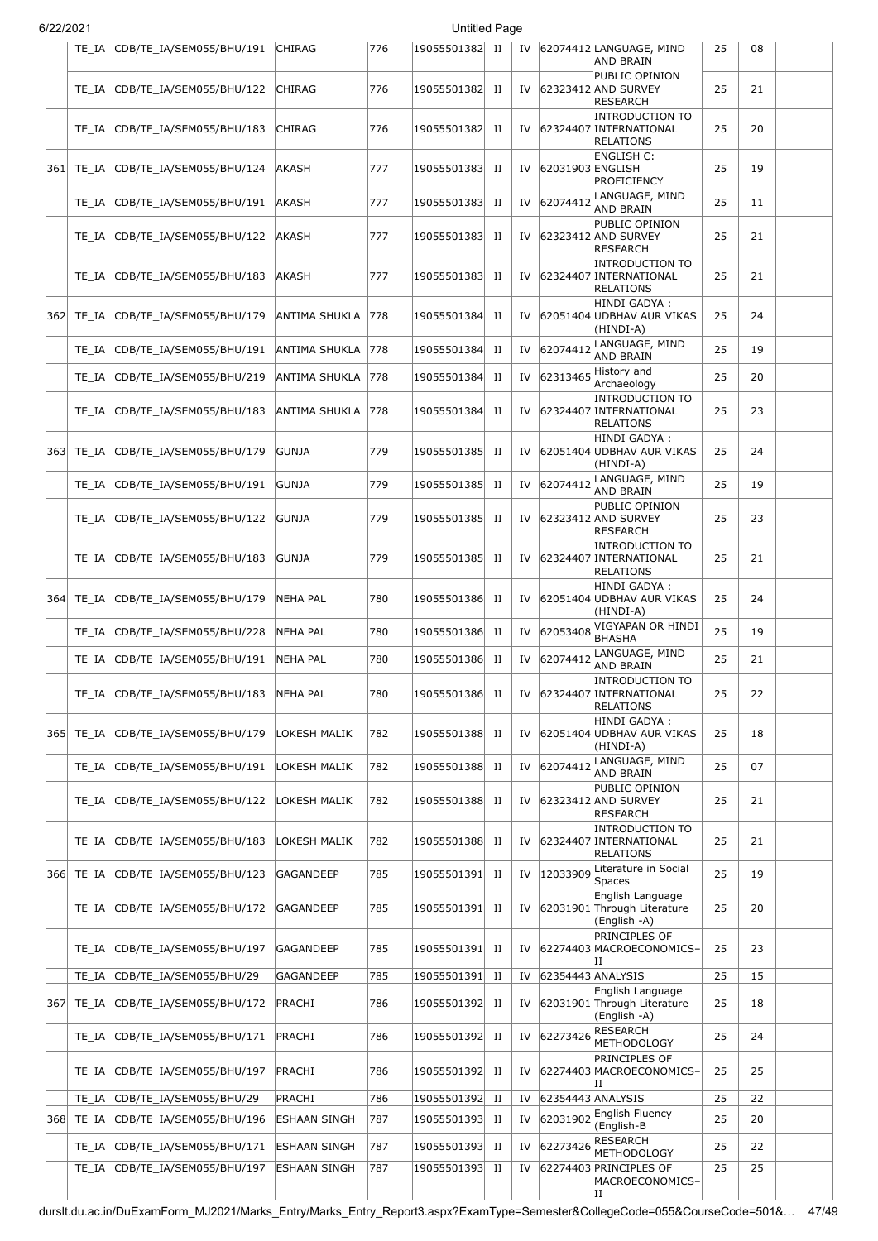|      | 6/22/2021      |                                                      |                                     |            | <b>Untitled Page</b>       |             |          |                   |                                                                      |          |          |  |
|------|----------------|------------------------------------------------------|-------------------------------------|------------|----------------------------|-------------|----------|-------------------|----------------------------------------------------------------------|----------|----------|--|
|      | TE IA          | CDB/TE_IA/SEM055/BHU/191                             | <b>CHIRAG</b>                       | 776        | 19055501382 II             |             |          |                   | IV 62074412 LANGUAGE, MIND<br><b>AND BRAIN</b>                       | 25       | 08       |  |
|      | TE IA          | CDB/TE_IA/SEM055/BHU/122                             | <b>CHIRAG</b>                       | 776        | 19055501382                | П           | IV       |                   | PUBLIC OPINION<br>62323412 AND SURVEY<br><b>RESEARCH</b>             | 25       | 21       |  |
|      | TE IA          | CDB/TE_IA/SEM055/BHU/183                             | <b>CHIRAG</b>                       | 776        | 19055501382                | П           | IV       |                   | <b>INTRODUCTION TO</b><br>62324407 INTERNATIONAL<br><b>RELATIONS</b> | 25       | 20       |  |
| 3611 | TE IA          | CDB/TE_IA/SEM055/BHU/124                             | AKASH                               | 777        | 19055501383                | П           | IV       | 62031903 ENGLISH  | <b>ENGLISH C:</b><br><b>PROFICIENCY</b>                              | 25       | 19       |  |
|      | TE IA          | CDB/TE_IA/SEM055/BHU/191                             | AKASH                               | 777        | 19055501383                | п           | IV       | 62074412          | LANGUAGE, MIND<br>AND BRAIN                                          | 25       | 11       |  |
|      | TE IA          | CDB/TE_IA/SEM055/BHU/122                             | AKASH                               | 777        | 19055501383                | п           | IV       |                   | PUBLIC OPINION<br>62323412 AND SURVEY<br>RESEARCH                    | 25       | 21       |  |
|      | TE IA          | CDB/TE_IA/SEM055/BHU/183                             | AKASH                               | 777        | 19055501383                | п           | IV       |                   | <b>INTRODUCTION TO</b><br>62324407 INTERNATIONAL<br><b>RELATIONS</b> | 25       | 21       |  |
|      | 362  TE IA     | CDB/TE_IA/SEM055/BHU/179                             | ANTIMA SHUKLA                       | 778        | 19055501384                | П           | IV       |                   | HINDI GADYA :<br>62051404 UDBHAV AUR VIKAS<br>(HINDI-A)              | 25       | 24       |  |
|      | TE IA          | CDB/TE_IA/SEM055/BHU/191                             | ANTIMA SHUKLA                       | 778        | 19055501384                | П           | IV       | 62074412          | LANGUAGE, MIND<br><b>AND BRAIN</b>                                   | 25       | 19       |  |
|      | TE IA          | CDB/TE_IA/SEM055/BHU/219                             | ANTIMA SHUKLA                       | 778        | 19055501384                | П           | IV       | 62313465          | History and<br>Archaeology                                           | 25       | 20       |  |
|      | TE IA          | CDB/TE_IA/SEM055/BHU/183                             | ANTIMA SHUKLA                       | 778        | 19055501384                | П           | IV       |                   | <b>INTRODUCTION TO</b><br>62324407 INTERNATIONAL<br>RELATIONS        | 25       | 23       |  |
|      | 363 TE IA      | CDB/TE_IA/SEM055/BHU/179                             | <b>GUNJA</b>                        | 779        | 19055501385                | П           | IV       |                   | HINDI GADYA :<br>62051404 UDBHAV AUR VIKAS<br>(HINDI-A)              | 25       | 24       |  |
|      | TE IA          | CDB/TE_IA/SEM055/BHU/191                             | <b>GUNJA</b>                        | 779        | 19055501385                | $_{\rm II}$ | IV       | 62074412          | LANGUAGE, MIND<br>AND BRAIN                                          | 25       | 19       |  |
|      | TE IA          | CDB/TE_IA/SEM055/BHU/122                             | <b>GUNJA</b>                        | 779        | 19055501385                | П           | IV       |                   | PUBLIC OPINION<br>62323412 AND SURVEY<br>RESEARCH                    | 25       | 23       |  |
|      | TE IA          | CDB/TE_IA/SEM055/BHU/183                             | <b>GUNJA</b>                        | 779        | 19055501385                | П           | IV       |                   | <b>INTRODUCTION TO</b><br>62324407 INTERNATIONAL<br><b>RELATIONS</b> | 25       | 21       |  |
| 364  | TE IA          | CDB/TE IA/SEM055/BHU/179                             | <b>NEHA PAL</b>                     | 780        | 19055501386                | П           | IV       |                   | HINDI GADYA:<br>62051404 UDBHAV AUR VIKAS<br>(HINDI-A)               | 25       | 24       |  |
|      | TE IA          | CDB/TE_IA/SEM055/BHU/228                             | <b>NEHA PAL</b>                     | 780        | 19055501386                | П           | IV       | 62053408          | VIGYAPAN OR HINDI<br><b>BHASHA</b>                                   | 25       | 19       |  |
|      | TE IA          | CDB/TE_IA/SEM055/BHU/191                             | <b>NEHA PAL</b>                     | 780        | 19055501386                | П           | IV       | 62074412          | LANGUAGE, MIND<br><b>AND BRAIN</b>                                   | 25       | 21       |  |
|      | TE IA          | CDB/TE_IA/SEM055/BHU/183                             | NEHA PAL                            | 780        | 19055501386                | П           | IV       |                   | <b>INTRODUCTION TO</b><br>62324407 INTERNATIONAL<br><b>RELATIONS</b> | 25       | 22       |  |
|      | 365 TE IA      | CDB/TE_IA/SEM055/BHU/179                             | LOKESH MALIK                        | 782        | 19055501388                | П           | IV       |                   | HINDI GADYA:<br>62051404 UDBHAV AUR VIKAS<br>(HINDI-A)               | 25       | 18       |  |
|      | TE IA          | CDB/TE_IA/SEM055/BHU/191                             | LOKESH MALIK                        | 782        | 19055501388                | П           | IV       | 62074412          | LANGUAGE, MIND<br><b>AND BRAIN</b>                                   | 25       | 07       |  |
|      | TE IA          | CDB/TE_IA/SEM055/BHU/122                             | LOKESH MALIK                        | 782        | 19055501388                | П           | IV       |                   | PUBLIC OPINION<br>62323412 AND SURVEY<br><b>RESEARCH</b>             | 25       | 21       |  |
|      | TE IA          | CDB/TE IA/SEM055/BHU/183                             | LOKESH MALIK                        | 782        | 19055501388                | п           | IV       |                   | <b>INTRODUCTION TO</b><br>62324407 INTERNATIONAL<br><b>RELATIONS</b> | 25       | 21       |  |
|      | 366 TE_IA      | CDB/TE_IA/SEM055/BHU/123                             | <b>GAGANDEEP</b>                    | 785        | 19055501391                | $_{\rm II}$ |          | IV 12033909       | Literature in Social<br><b>Spaces</b>                                | 25       | 19       |  |
|      | TE IA          | CDB/TE_IA/SEM055/BHU/172                             | GAGANDEEP                           | 785        | 19055501391                | П           | IV       |                   | English Language<br>62031901 Through Literature<br>(English -A)      | 25       | 20       |  |
|      | TE IA          | CDB/TE_IA/SEM055/BHU/197                             | GAGANDEEP                           | 785        | 19055501391                | П           | IV       |                   | PRINCIPLES OF<br>62274403 MACROECONOMICS-<br>н                       | 25       | 23       |  |
|      | TE IA          | CDB/TE_IA/SEM055/BHU/29                              | <b>GAGANDEEP</b>                    | 785        | 19055501391                | $_{\rm II}$ | IV       | 62354443 ANALYSIS | English Language                                                     | 25       | 15       |  |
| 367  | TE_IA          | CDB/TE_IA/SEM055/BHU/172                             | PRACHI                              | 786        | 19055501392                | П           | IV       |                   | 62031901 Through Literature<br>(English -A)                          | 25       | 18       |  |
|      | TE_IA          | CDB/TE_IA/SEM055/BHU/171                             | PRACHI                              | 786        | 19055501392                | П           | IV       | 62273426          | <b>RESEARCH</b><br>METHODOLOGY                                       | 25       | 24       |  |
|      | TE IA          | CDB/TE_IA/SEM055/BHU/197                             | PRACHI                              | 786        | 19055501392                | п           | IV       |                   | PRINCIPLES OF<br>62274403 MACROECONOMICS-<br>IΙ                      | 25       | 25       |  |
|      | TE IA          | CDB/TE_IA/SEM055/BHU/29                              | PRACHI                              | 786        | 19055501392                | П           | IV       | 62354443 ANALYSIS | English Fluency                                                      | 25       | 22       |  |
| 368  | TE_IA          | CDB/TE_IA/SEM055/BHU/196                             | ESHAAN SINGH                        | 787        | 19055501393                | $_{\rm II}$ | IV       | 62031902          | (English-B<br><b>RESEARCH</b>                                        | 25       | 20       |  |
|      | TE_IA<br>TE_IA | CDB/TE_IA/SEM055/BHU/171<br>CDB/TE_IA/SEM055/BHU/197 | <b>ESHAAN SINGH</b><br>ESHAAN SINGH | 787<br>787 | 19055501393<br>19055501393 | П<br>П      | IV<br>IV | 62273426          | <b>METHODOLOGY</b><br>62274403 PRINCIPLES OF                         | 25<br>25 | 22<br>25 |  |
|      |                |                                                      |                                     |            |                            |             |          |                   | MACROECONOMICS-<br>ΙI                                                |          |          |  |

durslt.du.ac.in/DuExamForm\_MJ2021/Marks\_Entry/Marks\_Entry\_Report3.aspx?ExamType=Semester&CollegeCode=055&CourseCode=501&… 47/49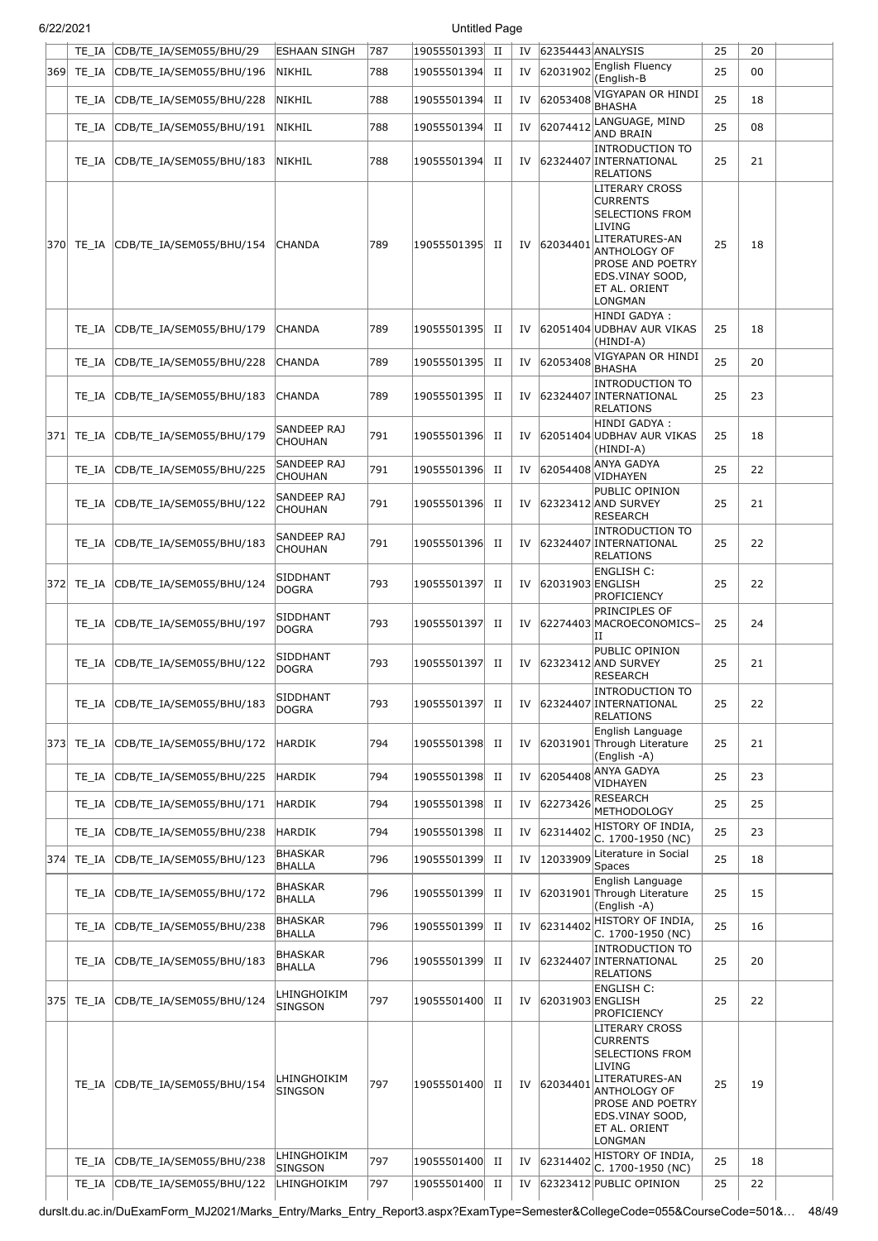|     | TE IA      | CDB/TE IA/SEM055/BHU/29  | <b>ESHAAN SINGH</b>             | 787 | 19055501393 | П           | IV | 62354443 ANALYSIS | <b>English Fluency</b>                                                                                                                                                            | 25 | 20 |  |
|-----|------------|--------------------------|---------------------------------|-----|-------------|-------------|----|-------------------|-----------------------------------------------------------------------------------------------------------------------------------------------------------------------------------|----|----|--|
| 369 | TE_IA      | CDB/TE_IA/SEM055/BHU/196 | NIKHIL                          | 788 | 19055501394 | П           | IV | 62031902          | (English-B                                                                                                                                                                        | 25 | 00 |  |
|     | TE_IA      | CDB/TE_IA/SEM055/BHU/228 | NIKHIL                          | 788 | 19055501394 | П           | IV | 62053408          | VIGYAPAN OR HINDI<br><b>BHASHA</b>                                                                                                                                                | 25 | 18 |  |
|     | TE IA      | CDB/TE IA/SEM055/BHU/191 | NIKHIL                          | 788 | 19055501394 | П           | IV | 62074412          | LANGUAGE, MIND<br><b>AND BRAIN</b>                                                                                                                                                | 25 | 08 |  |
|     | TE IA      | CDB/TE_IA/SEM055/BHU/183 | NIKHIL                          | 788 | 19055501394 | П           | IV |                   | <b>INTRODUCTION TO</b><br>62324407 INTERNATIONAL<br>RELATIONS                                                                                                                     | 25 | 21 |  |
|     | 370  TE IA | CDB/TE_IA/SEM055/BHU/154 | <b>CHANDA</b>                   | 789 | 19055501395 | П           | IV | 62034401          | <b>LITERARY CROSS</b><br><b>CURRENTS</b><br>SELECTIONS FROM<br>LIVING<br>LITERATURES-AN<br>ANTHOLOGY OF<br><b>PROSE AND POETRY</b><br>EDS.VINAY SOOD,<br>ET AL. ORIENT<br>LONGMAN | 25 | 18 |  |
|     | TE IA      | CDB/TE_IA/SEM055/BHU/179 | <b>CHANDA</b>                   | 789 | 19055501395 | П           | IV |                   | HINDI GADYA :<br>62051404 UDBHAV AUR VIKAS<br>(HINDI-A)                                                                                                                           | 25 | 18 |  |
|     | TE IA      | CDB/TE_IA/SEM055/BHU/228 | <b>CHANDA</b>                   | 789 | 19055501395 | П           | IV | 62053408          | VIGYAPAN OR HINDI<br><b>BHASHA</b>                                                                                                                                                | 25 | 20 |  |
|     | TE IA      | CDB/TE_IA/SEM055/BHU/183 | <b>CHANDA</b>                   | 789 | 19055501395 | П           | IV |                   | <b>INTRODUCTION TO</b><br>62324407 INTERNATIONAL<br><b>RELATIONS</b>                                                                                                              | 25 | 23 |  |
| 371 | TE_IA      | CDB/TE_IA/SEM055/BHU/179 | SANDEEP RAJ<br><b>CHOUHAN</b>   | 791 | 19055501396 | П           | IV |                   | HINDI GADYA :<br>62051404 UDBHAV AUR VIKAS<br>(HINDI-A)                                                                                                                           | 25 | 18 |  |
|     | TE IA      | CDB/TE_IA/SEM055/BHU/225 | SANDEEP RAJ<br><b>CHOUHAN</b>   | 791 | 19055501396 | П           | IV | 62054408          | <b>ANYA GADYA</b><br>VIDHAYEN                                                                                                                                                     | 25 | 22 |  |
|     | TE IA      | CDB/TE_IA/SEM055/BHU/122 | SANDEEP RAJ<br><b>CHOUHAN</b>   | 791 | 19055501396 | П           | IV |                   | PUBLIC OPINION<br>62323412 AND SURVEY<br><b>RESEARCH</b>                                                                                                                          | 25 | 21 |  |
|     | TE IA      | CDB/TE_IA/SEM055/BHU/183 | SANDEEP RAJ<br>CHOUHAN          | 791 | 19055501396 | П           | IV |                   | INTRODUCTION TO<br>62324407 INTERNATIONAL<br>RELATIONS                                                                                                                            | 25 | 22 |  |
| 372 | TE IA      | CDB/TE_IA/SEM055/BHU/124 | SIDDHANT<br>DOGRA               | 793 | 19055501397 | П           | IV | 62031903 ENGLISH  | ENGLISH C:<br>PROFICIENCY                                                                                                                                                         | 25 | 22 |  |
|     | TE IA      | CDB/TE_IA/SEM055/BHU/197 | SIDDHANT<br>DOGRA               | 793 | 19055501397 | П           | IV |                   | PRINCIPLES OF<br>62274403 MACROECONOMICS-<br>IΙ                                                                                                                                   | 25 | 24 |  |
|     | TE IA      | CDB/TE_IA/SEM055/BHU/122 | SIDDHANT<br><b>DOGRA</b>        | 793 | 19055501397 | П           | IV |                   | PUBLIC OPINION<br>62323412 AND SURVEY<br><b>RESEARCH</b>                                                                                                                          | 25 | 21 |  |
|     | TE_IA      | CDB/TE_IA/SEM055/BHU/183 | SIDDHANT<br>DOGRA               | 793 | 19055501397 | П           | IV |                   | INTRODUCTION TO<br>62324407 INTERNATIONAL<br>RELATIONS                                                                                                                            | 25 | 22 |  |
|     | 373 TE_IA  | CDB/TE_IA/SEM055/BHU/172 | HARDIK                          | 794 | 19055501398 | П           | IV |                   | English Language<br>62031901 Through Literature<br>(English -A)                                                                                                                   | 25 | 21 |  |
|     | TE IA      | CDB/TE_IA/SEM055/BHU/225 | HARDIK                          | 794 | 19055501398 | П           | IV |                   | 62054408 ANYA GADYA<br>VIDHAYEN                                                                                                                                                   | 25 | 23 |  |
|     | TE IA      | CDB/TE_IA/SEM055/BHU/171 | HARDIK                          | 794 | 19055501398 | П           | IV | 62273426          | <b>RESEARCH</b><br>METHODOLOGY                                                                                                                                                    | 25 | 25 |  |
|     | TE_IA      | CDB/TE IA/SEM055/BHU/238 | HARDIK                          | 794 | 19055501398 | П           | IV | 62314402          | HISTORY OF INDIA,<br>C. 1700-1950 (NC)                                                                                                                                            | 25 | 23 |  |
| 374 | TE_IA      | CDB/TE IA/SEM055/BHU/123 | <b>BHASKAR</b><br><b>BHALLA</b> | 796 | 19055501399 | П           | IV | 12033909          | Literature in Social<br>Spaces                                                                                                                                                    | 25 | 18 |  |
|     | TE IA      | CDB/TE_IA/SEM055/BHU/172 | <b>BHASKAR</b><br><b>BHALLA</b> | 796 | 19055501399 | П           | IV |                   | English Language<br>62031901 Through Literature<br>(English -A)                                                                                                                   | 25 | 15 |  |
|     | TE IA      | CDB/TE_IA/SEM055/BHU/238 | <b>BHASKAR</b><br><b>BHALLA</b> | 796 | 19055501399 | $_{\rm II}$ | IV |                   | $62314402$ HISTORY OF INDIA,<br>C. 1700-1950 (NC)                                                                                                                                 | 25 | 16 |  |
|     | TE IA      | CDB/TE_IA/SEM055/BHU/183 | <b>BHASKAR</b><br><b>BHALLA</b> | 796 | 19055501399 | П           | IV |                   | <b>INTRODUCTION TO</b><br>62324407 INTERNATIONAL<br>RELATIONS                                                                                                                     | 25 | 20 |  |
|     | 375 TE_IA  | CDB/TE_IA/SEM055/BHU/124 | LHINGHOIKIM<br>SINGSON          | 797 | 19055501400 | П           | IV | 62031903 ENGLISH  | <b>ENGLISH C:</b><br>PROFICIENCY                                                                                                                                                  | 25 | 22 |  |
|     | TE IA      | CDB/TE_IA/SEM055/BHU/154 | LHINGHOIKIM<br>SINGSON          | 797 | 19055501400 | П           | IV | 62034401          | LITERARY CROSS<br><b>CURRENTS</b><br>SELECTIONS FROM<br>LIVING<br>LITERATURES-AN<br>ANTHOLOGY OF<br>PROSE AND POETRY<br>EDS.VINAY SOOD,<br>ET AL. ORIENT<br>LONGMAN               | 25 | 19 |  |
|     | TE_IA      | CDB/TE_IA/SEM055/BHU/238 | LHINGHOIKIM<br>SINGSON          | 797 | 19055501400 | П           | IV | 62314402          | HISTORY OF INDIA,<br>C. 1700-1950 (NC)                                                                                                                                            | 25 | 18 |  |
|     | TE_IA      | CDB/TE_IA/SEM055/BHU/122 | LHINGHOIKIM                     | 797 | 19055501400 | $_{\rm II}$ | IV |                   | 62323412 PUBLIC OPINION                                                                                                                                                           | 25 | 22 |  |

durslt.du.ac.in/DuExamForm\_MJ2021/Marks\_Entry/Marks\_Entry\_Report3.aspx?ExamType=Semester&CollegeCode=055&CourseCode=501&… 48/49